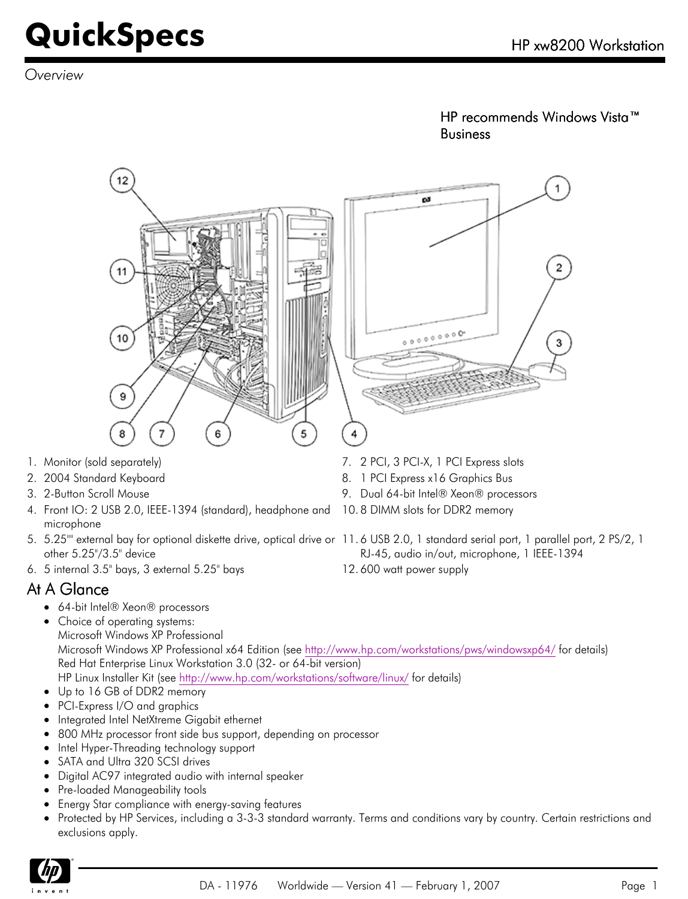*Overview*

HP recommends Windows Vista™ Business

RJ-45, audio in/out, microphone, 1 IEEE-1394



- 1. Monitor (sold separately) 7. 2 PCI, 3 PCI-X, 1 PCI Express slots
- 2. 2004 Standard Keyboard **8. 1 PCI Express x16 Graphics Bus**
- 3. 2-Button Scroll Mouse 9. Dual 64-bit Intel® Xeon® processors
- 4. Front IO: 2 USB 2.0, IEEE-1394 (standard), headphone and 10. 8 DIMM slots for DDR2 memory microphone
- 5. 5.25"" external bay for optional diskette drive, optical drive or 11. 6 USB 2.0, 1 standard serial port, 1 parallel port, 2 PS/2, 1 other 5.25"/3.5" device
- 6. 5 internal 3.5" bays, 3 external 5.25" bays 12. 600 watt power supply

#### At A Glance

- 64-bit Intel® Xeon® processors
- Choice of operating systems: Microsoft Windows XP Professional Microsoft Windows XP Professional x64 Edition (see<http://www.hp.com/workstations/pws/windowsxp64/> for details) Red Hat Enterprise Linux Workstation 3.0 (32- or 64-bit version) HP Linux Installer Kit (see <http://www.hp.com/workstations/software/linux/>for details)
- Up to 16 GB of DDR2 memory
- PCI-Express I/O and graphics
- Integrated Intel NetXtreme Gigabit ethernet
- 800 MHz processor front side bus support, depending on processor
- Intel Hyper-Threading technology support
- SATA and Ultra 320 SCSI drives
- Digital AC97 integrated audio with internal speaker
- Pre-loaded Manageability tools
- Energy Star compliance with energy-saving features
- Protected by HP Services, including a 3-3-3 standard warranty. Terms and conditions vary by country. Certain restrictions and exclusions apply.

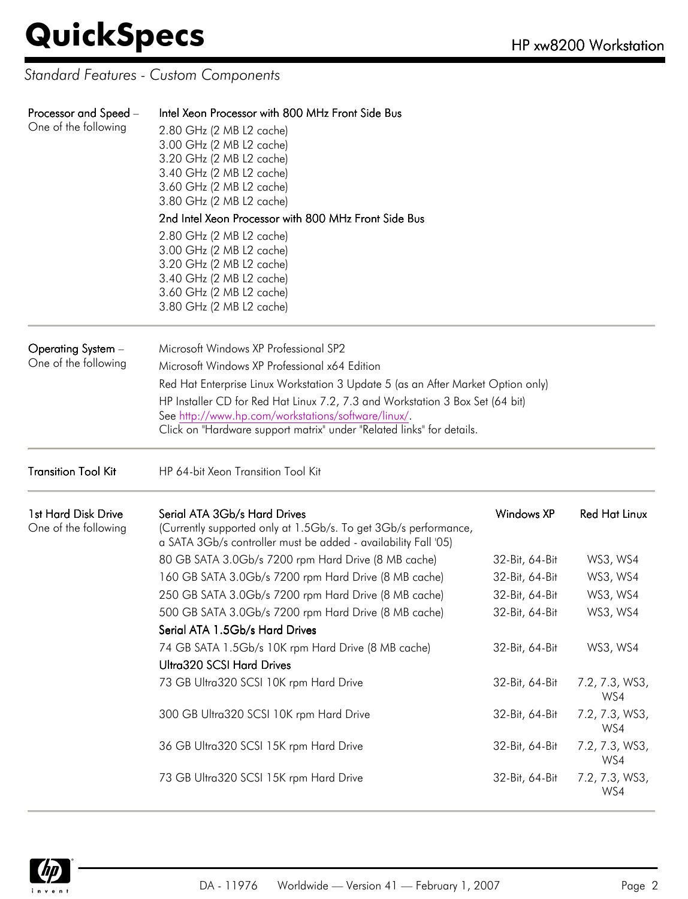*Standard Features - Custom Components*

| Processor and Speed -<br>One of the following | Intel Xeon Processor with 800 MHz Front Side Bus<br>2.80 GHz (2 MB L2 cache)<br>3.00 GHz (2 MB L2 cache)<br>3.20 GHz (2 MB L2 cache)<br>3.40 GHz (2 MB L2 cache)<br>3.60 GHz (2 MB L2 cache)<br>3.80 GHz (2 MB L2 cache)<br>2nd Intel Xeon Processor with 800 MHz Front Side Bus<br>2.80 GHz (2 MB L2 cache)<br>3.00 GHz (2 MB L2 cache)<br>3.20 GHz (2 MB L2 cache)<br>3.40 GHz (2 MB L2 cache)<br>3.60 GHz (2 MB L2 cache)<br>3.80 GHz (2 MB L2 cache) |                                         |                       |  |  |
|-----------------------------------------------|----------------------------------------------------------------------------------------------------------------------------------------------------------------------------------------------------------------------------------------------------------------------------------------------------------------------------------------------------------------------------------------------------------------------------------------------------------|-----------------------------------------|-----------------------|--|--|
| Operating System -<br>One of the following    | Microsoft Windows XP Professional SP2<br>Microsoft Windows XP Professional x64 Edition<br>Red Hat Enterprise Linux Workstation 3 Update 5 (as an After Market Option only)<br>HP Installer CD for Red Hat Linux 7.2, 7.3 and Workstation 3 Box Set (64 bit)<br>See http://www.hp.com/workstations/software/linux/.<br>Click on "Hardware support matrix" under "Related links" for details.                                                              |                                         |                       |  |  |
| <b>Transition Tool Kit</b>                    | HP 64-bit Xeon Transition Tool Kit                                                                                                                                                                                                                                                                                                                                                                                                                       |                                         |                       |  |  |
| 1st Hard Disk Drive<br>One of the following   | Serial ATA 3Gb/s Hard Drives<br>(Currently supported only at 1.5Gb/s. To get 3Gb/s performance,<br>a SATA 3Gb/s controller must be added - availability Fall '05)                                                                                                                                                                                                                                                                                        | <b>Windows XP</b>                       | <b>Red Hat Linux</b>  |  |  |
|                                               | 80 GB SATA 3.0Gb/s 7200 rpm Hard Drive (8 MB cache)                                                                                                                                                                                                                                                                                                                                                                                                      | 32-Bit, 64-Bit                          | WS3, WS4              |  |  |
|                                               | 160 GB SATA 3.0Gb/s 7200 rpm Hard Drive (8 MB cache)                                                                                                                                                                                                                                                                                                                                                                                                     | 32-Bit, 64-Bit                          | WS3, WS4              |  |  |
|                                               | 250 GB SATA 3.0Gb/s 7200 rpm Hard Drive (8 MB cache)                                                                                                                                                                                                                                                                                                                                                                                                     | 32-Bit, 64-Bit                          | WS3, WS4              |  |  |
|                                               | 500 GB SATA 3.0Gb/s 7200 rpm Hard Drive (8 MB cache)<br>Serial ATA 1.5Gb/s Hard Drives                                                                                                                                                                                                                                                                                                                                                                   | 32-Bit, 64-Bit                          | WS3, WS4              |  |  |
|                                               | 74 GB SATA 1.5Gb/s 10K rpm Hard Drive (8 MB cache)<br>Ultra320 SCSI Hard Drives                                                                                                                                                                                                                                                                                                                                                                          | 32-Bit, 64-Bit                          | WS3, WS4              |  |  |
|                                               | 73 GB Ultra320 SCSI 10K rpm Hard Drive                                                                                                                                                                                                                                                                                                                                                                                                                   | 32-Bit, 64-Bit<br>7.2, 7.3, WS3,<br>WS4 |                       |  |  |
|                                               | 300 GB Ultra320 SCSI 10K rpm Hard Drive                                                                                                                                                                                                                                                                                                                                                                                                                  | 32-Bit, 64-Bit                          | 7.2, 7.3, WS3,<br>WS4 |  |  |
|                                               | 36 GB Ultra320 SCSI 15K rpm Hard Drive                                                                                                                                                                                                                                                                                                                                                                                                                   | 32-Bit, 64-Bit                          | 7.2, 7.3, WS3,<br>WS4 |  |  |
|                                               | 73 GB Ultra320 SCSI 15K rpm Hard Drive                                                                                                                                                                                                                                                                                                                                                                                                                   | 32-Bit, 64-Bit                          | 7.2, 7.3, WS3,<br>WS4 |  |  |

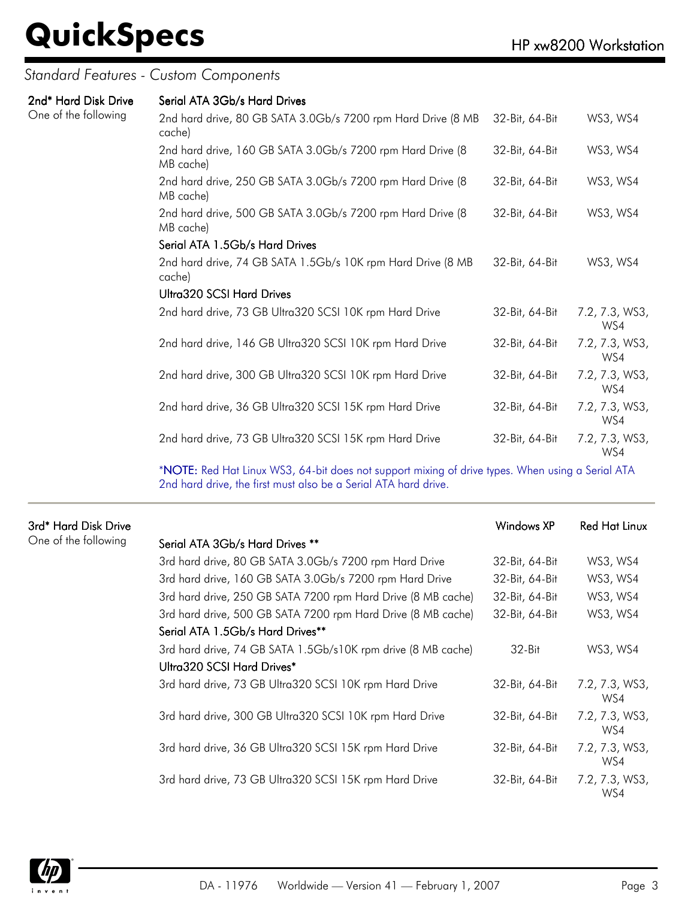#### *Standard Features - Custom Components*

| 2nd* Hard Disk Drive<br>One of the following | Serial ATA 3Gb/s Hard Drives                                            |                |                       |
|----------------------------------------------|-------------------------------------------------------------------------|----------------|-----------------------|
|                                              | 2nd hard drive, 80 GB SATA 3.0Gb/s 7200 rpm Hard Drive (8 MB<br>cache)  | 32-Bit, 64-Bit | WS3, WS4              |
|                                              | 2nd hard drive, 160 GB SATA 3.0Gb/s 7200 rpm Hard Drive (8<br>MB cache) | 32-Bit, 64-Bit | WS3, WS4              |
|                                              | 2nd hard drive, 250 GB SATA 3.0Gb/s 7200 rpm Hard Drive (8<br>MB cache) | 32-Bit, 64-Bit | WS3, WS4              |
|                                              | 2nd hard drive, 500 GB SATA 3.0Gb/s 7200 rpm Hard Drive (8<br>MB cache) | 32-Bit, 64-Bit | WS3, WS4              |
|                                              | Serial ATA 1.5Gb/s Hard Drives                                          |                |                       |
|                                              | 2nd hard drive, 74 GB SATA 1.5Gb/s 10K rpm Hard Drive (8 MB<br>cache)   | 32-Bit, 64-Bit | WS3, WS4              |
|                                              | <b>Ultra320 SCSI Hard Drives</b>                                        |                |                       |
|                                              | 2nd hard drive, 73 GB Ultra320 SCSI 10K rpm Hard Drive                  | 32-Bit, 64-Bit | 7.2, 7.3, WS3,<br>WS4 |
|                                              | 2nd hard drive, 146 GB Ultra320 SCSI 10K rpm Hard Drive                 | 32-Bit, 64-Bit | 7.2, 7.3, WS3,<br>WS4 |
|                                              | 2nd hard drive, 300 GB Ultra320 SCSI 10K rpm Hard Drive                 | 32-Bit, 64-Bit | 7.2, 7.3, WS3,<br>WS4 |
|                                              | 2nd hard drive, 36 GB Ultra320 SCSI 15K rpm Hard Drive                  | 32-Bit, 64-Bit | 7.2, 7.3, WS3,<br>WS4 |
|                                              | 2nd hard drive, 73 GB Ultra320 SCSI 15K rpm Hard Drive                  | 32-Bit, 64-Bit | 7.2, 7.3, WS3,<br>WS4 |

\*NOTE: Red Hat Linux WS3, 64-bit does not support mixing of drive types. When using a Serial ATA 2nd hard drive, the first must also be a Serial ATA hard drive.

| 3rd* Hard Disk Drive |                                                              | Windows XP     | Red Hat Linux         |
|----------------------|--------------------------------------------------------------|----------------|-----------------------|
| One of the following | Serial ATA 3Gb/s Hard Drives **                              |                |                       |
|                      | 3rd hard drive, 80 GB SATA 3.0Gb/s 7200 rpm Hard Drive       | 32-Bit, 64-Bit | WS3, WS4              |
|                      | 3rd hard drive, 160 GB SATA 3.0Gb/s 7200 rpm Hard Drive      | 32-Bit, 64-Bit | WS3, WS4              |
|                      | 3rd hard drive, 250 GB SATA 7200 rpm Hard Drive (8 MB cache) | 32-Bit, 64-Bit | WS3, WS4              |
|                      | 3rd hard drive, 500 GB SATA 7200 rpm Hard Drive (8 MB cache) | 32-Bit, 64-Bit | WS3, WS4              |
|                      | Serial ATA 1.5Gb/s Hard Drives**                             |                |                       |
|                      | 3rd hard drive, 74 GB SATA 1.5Gb/s10K rpm drive (8 MB cache) | $32-Hit$       | WS3, WS4              |
|                      | Ultra320 SCSI Hard Drives*                                   |                |                       |
|                      | 3rd hard drive, 73 GB Ultra320 SCSI 10K rpm Hard Drive       | 32-Bit, 64-Bit | 7.2, 7.3, WS3,<br>WS4 |
|                      | 3rd hard drive, 300 GB Ultra320 SCSI 10K rpm Hard Drive      | 32-Bit, 64-Bit | 7.2, 7.3, WS3,<br>WS4 |
|                      | 3rd hard drive, 36 GB Ultra320 SCSI 15K rpm Hard Drive       | 32-Bit, 64-Bit | 7.2, 7.3, WS3,<br>WS4 |
|                      | 3rd hard drive, 73 GB Ultra320 SCSI 15K rpm Hard Drive       | 32-Bit, 64-Bit | 7.2, 7.3, WS3,<br>WS4 |

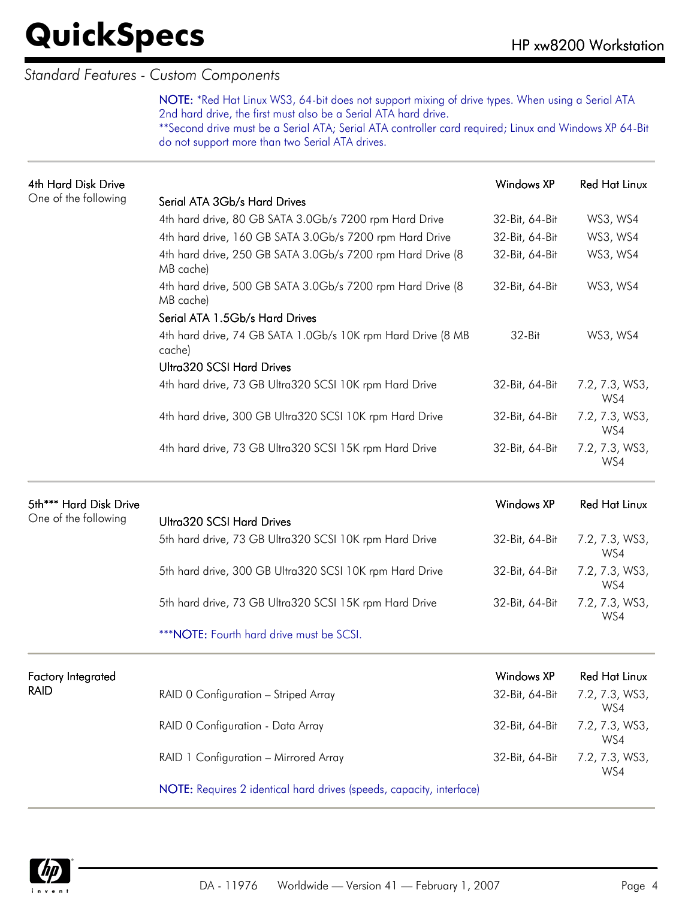#### *Standard Features - Custom Components*

NOTE: \*Red Hat Linux WS3, 64-bit does not support mixing of drive types. When using a Serial ATA 2nd hard drive, the first must also be a Serial ATA hard drive. \*\*Second drive must be a Serial ATA; Serial ATA controller card required; Linux and Windows XP 64-Bit

do not support more than two Serial ATA drives.

| <b>4th Hard Disk Drive</b> |                                                                         | Windows XP<br><b>Red Hat Linux</b> |                       |  |  |
|----------------------------|-------------------------------------------------------------------------|------------------------------------|-----------------------|--|--|
| One of the following       | Serial ATA 3Gb/s Hard Drives                                            |                                    |                       |  |  |
|                            | 4th hard drive, 80 GB SATA 3.0Gb/s 7200 rpm Hard Drive                  | 32-Bit, 64-Bit                     | WS3, WS4              |  |  |
|                            | 4th hard drive, 160 GB SATA 3.0Gb/s 7200 rpm Hard Drive                 | 32-Bit, 64-Bit                     | WS3, WS4              |  |  |
|                            | 4th hard drive, 250 GB SATA 3.0Gb/s 7200 rpm Hard Drive (8<br>MB cache) | 32-Bit, 64-Bit                     | WS3, WS4              |  |  |
|                            | 4th hard drive, 500 GB SATA 3.0Gb/s 7200 rpm Hard Drive (8<br>MB cache) | 32-Bit, 64-Bit                     | WS3, WS4              |  |  |
|                            | Serial ATA 1.5Gb/s Hard Drives                                          |                                    |                       |  |  |
|                            | 4th hard drive, 74 GB SATA 1.0Gb/s 10K rpm Hard Drive (8 MB<br>cache)   | 32-Bit                             | WS3, WS4              |  |  |
|                            | <b>Ultra320 SCSI Hard Drives</b>                                        |                                    |                       |  |  |
|                            | 4th hard drive, 73 GB Ultra320 SCSI 10K rpm Hard Drive                  | 32-Bit, 64-Bit                     | 7.2, 7.3, WS3,<br>WS4 |  |  |
|                            | 4th hard drive, 300 GB Ultra320 SCSI 10K rpm Hard Drive                 | 32-Bit, 64-Bit                     | 7.2, 7.3, WS3,<br>WS4 |  |  |
|                            | 4th hard drive, 73 GB Ultra320 SCSI 15K rpm Hard Drive                  | 32-Bit, 64-Bit                     | 7.2, 7.3, WS3,<br>WS4 |  |  |
| 5th*** Hard Disk Drive     |                                                                         | Windows XP                         | <b>Red Hat Linux</b>  |  |  |
| One of the following       |                                                                         |                                    |                       |  |  |
|                            | <b>Ultra320 SCSI Hard Drives</b>                                        |                                    |                       |  |  |
|                            | 5th hard drive, 73 GB Ultra320 SCSI 10K rpm Hard Drive                  | 32-Bit, 64-Bit                     | 7.2, 7.3, WS3,<br>WS4 |  |  |
|                            | 5th hard drive, 300 GB Ultra320 SCSI 10K rpm Hard Drive                 | 32-Bit, 64-Bit                     | 7.2, 7.3, WS3,<br>WS4 |  |  |
|                            | 5th hard drive, 73 GB Ultra320 SCSI 15K rpm Hard Drive                  | 32-Bit, 64-Bit                     | 7.2, 7.3, WS3,<br>WS4 |  |  |
|                            | *** NOTE: Fourth hard drive must be SCSI.                               |                                    |                       |  |  |
| <b>Factory Integrated</b>  |                                                                         | <b>Windows XP</b>                  | <b>Red Hat Linux</b>  |  |  |
| RAID                       | RAID 0 Configuration - Striped Array                                    | 32-Bit, 64-Bit                     | 7.2, 7.3, WS3,<br>WS4 |  |  |
|                            | RAID 0 Configuration - Data Array                                       | 32-Bit, 64-Bit                     | 7.2, 7.3, WS3,<br>WS4 |  |  |
|                            | RAID 1 Configuration - Mirrored Array                                   | 32-Bit, 64-Bit                     | 7.2, 7.3, WS3,<br>WS4 |  |  |

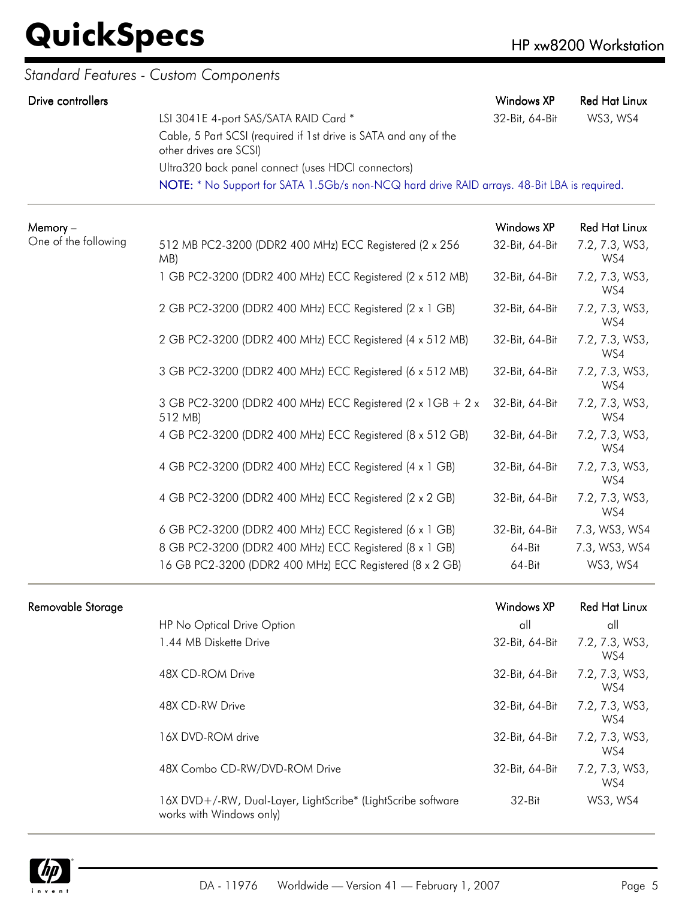| Drive controllers    |                                                                                             | Windows XP        | <b>Red Hat Linux</b>  |
|----------------------|---------------------------------------------------------------------------------------------|-------------------|-----------------------|
|                      | LSI 3041E 4-port SAS/SATA RAID Card *                                                       | 32-Bit, 64-Bit    | WS3, WS4              |
|                      | Cable, 5 Part SCSI (required if 1st drive is SATA and any of the<br>other drives are SCSI)  |                   |                       |
|                      | Ultra320 back panel connect (uses HDCI connectors)                                          |                   |                       |
|                      | NOTE: * No Support for SATA 1.5Gb/s non-NCQ hard drive RAID arrays. 48-Bit LBA is required. |                   |                       |
| Memory-              |                                                                                             | Windows XP        | <b>Red Hat Linux</b>  |
| One of the following | 512 MB PC2-3200 (DDR2 400 MHz) ECC Registered (2 x 256<br>MB)                               | 32-Bit, 64-Bit    | 7.2, 7.3, WS3,<br>WS4 |
|                      | 1 GB PC2-3200 (DDR2 400 MHz) ECC Registered (2 x 512 MB)                                    | 32-Bit, 64-Bit    | 7.2, 7.3, WS3,<br>WS4 |
|                      | 2 GB PC2-3200 (DDR2 400 MHz) ECC Registered (2 x 1 GB)                                      | 32-Bit, 64-Bit    | 7.2, 7.3, WS3,<br>WS4 |
|                      | 2 GB PC2-3200 (DDR2 400 MHz) ECC Registered (4 x 512 MB)                                    | 32-Bit, 64-Bit    | 7.2, 7.3, WS3,<br>WS4 |
|                      | 3 GB PC2-3200 (DDR2 400 MHz) ECC Registered (6 x 512 MB)                                    | 32-Bit, 64-Bit    | 7.2, 7.3, WS3,<br>WS4 |
|                      | 3 GB PC2-3200 (DDR2 400 MHz) ECC Registered (2 x 1GB + 2 x<br>512 MB)                       | 32-Bit, 64-Bit    | 7.2, 7.3, WS3,<br>WS4 |
|                      | 4 GB PC2-3200 (DDR2 400 MHz) ECC Registered (8 x 512 GB)                                    | 32-Bit, 64-Bit    | 7.2, 7.3, WS3,<br>WS4 |
|                      | 4 GB PC2-3200 (DDR2 400 MHz) ECC Registered (4 x 1 GB)                                      | 32-Bit, 64-Bit    | 7.2, 7.3, WS3,<br>WS4 |
|                      | 4 GB PC2-3200 (DDR2 400 MHz) ECC Registered (2 x 2 GB)                                      | 32-Bit, 64-Bit    | 7.2, 7.3, WS3,<br>WS4 |
|                      | 6 GB PC2-3200 (DDR2 400 MHz) ECC Registered (6 x 1 GB)                                      | 32-Bit, 64-Bit    | 7.3, WS3, WS4         |
|                      | 8 GB PC2-3200 (DDR2 400 MHz) ECC Registered (8 x 1 GB)                                      | $64 - Bit$        | 7.3, WS3, WS4         |
|                      | 16 GB PC2-3200 (DDR2 400 MHz) ECC Registered (8 x 2 GB)                                     | $64 - Bit$        | WS3, WS4              |
| Removable Storage    |                                                                                             | <b>Windows XP</b> | <b>Red Hat Linux</b>  |

| Removable Storage |                                                                                          | Windows XP     | Red Hat Linux         |
|-------------------|------------------------------------------------------------------------------------------|----------------|-----------------------|
|                   | HP No Optical Drive Option                                                               | all            | all                   |
|                   | 1.44 MB Diskette Drive                                                                   | 32-Bit, 64-Bit | 7.2, 7.3, WS3,<br>WS4 |
|                   | 48X CD-ROM Drive                                                                         | 32-Bit, 64-Bit | 7.2, 7.3, WS3,<br>WS4 |
|                   | 48X CD-RW Drive                                                                          | 32-Bit, 64-Bit | 7.2, 7.3, WS3,<br>WS4 |
|                   | 16X DVD-ROM drive                                                                        | 32-Bit, 64-Bit | 7.2, 7.3, WS3,<br>WS4 |
|                   | 48X Combo CD-RW/DVD-ROM Drive                                                            | 32-Bit, 64-Bit | 7.2, 7.3, WS3,<br>WS4 |
|                   | 16X DVD+/-RW, Dual-Layer, LightScribe* (LightScribe software<br>works with Windows only) | 32-Bit         | WS3, WS4              |

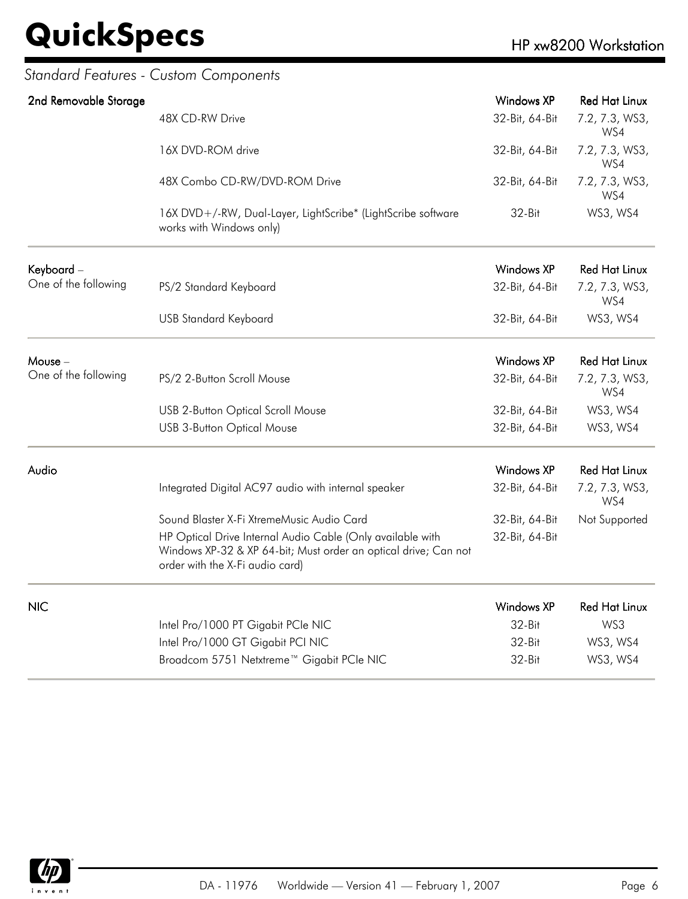| 2nd Removable Storage |                                                                                                                                                                  | Windows XP        | <b>Red Hat Linux</b>  |
|-----------------------|------------------------------------------------------------------------------------------------------------------------------------------------------------------|-------------------|-----------------------|
|                       | 48X CD-RW Drive                                                                                                                                                  | 32-Bit, 64-Bit    | 7.2, 7.3, WS3,<br>WS4 |
|                       | 16X DVD-ROM drive                                                                                                                                                | 32-Bit, 64-Bit    | 7.2, 7.3, WS3,<br>WS4 |
|                       | 48X Combo CD-RW/DVD-ROM Drive                                                                                                                                    | 32-Bit, 64-Bit    | 7.2, 7.3, WS3,<br>WS4 |
|                       | 16X DVD+/-RW, Dual-Layer, LightScribe* (LightScribe software<br>works with Windows only)                                                                         | 32-Bit            | WS3, WS4              |
| Keyboard -            |                                                                                                                                                                  | Windows XP        | <b>Red Hat Linux</b>  |
| One of the following  | PS/2 Standard Keyboard                                                                                                                                           | 32-Bit, 64-Bit    | 7.2, 7.3, WS3,<br>WS4 |
|                       | <b>USB Standard Keyboard</b>                                                                                                                                     | 32-Bit, 64-Bit    | WS3, WS4              |
| Mouse -               |                                                                                                                                                                  | <b>Windows XP</b> | <b>Red Hat Linux</b>  |
| One of the following  | PS/2 2-Button Scroll Mouse                                                                                                                                       | 32-Bit, 64-Bit    | 7.2, 7.3, WS3,<br>WS4 |
|                       | <b>USB 2-Button Optical Scroll Mouse</b>                                                                                                                         | 32-Bit, 64-Bit    | WS3, WS4              |
|                       | <b>USB 3-Button Optical Mouse</b>                                                                                                                                | 32-Bit, 64-Bit    | WS3, WS4              |
| Audio                 |                                                                                                                                                                  | <b>Windows XP</b> | <b>Red Hat Linux</b>  |
|                       | Integrated Digital AC97 audio with internal speaker                                                                                                              | 32-Bit, 64-Bit    | 7.2, 7.3, WS3,<br>WS4 |
|                       | Sound Blaster X-Fi XtremeMusic Audio Card                                                                                                                        | 32-Bit, 64-Bit    | Not Supported         |
|                       | HP Optical Drive Internal Audio Cable (Only available with<br>Windows XP-32 & XP 64-bit; Must order an optical drive; Can not<br>order with the X-Fi audio card) | 32-Bit, 64-Bit    |                       |
| <b>NIC</b>            |                                                                                                                                                                  | Windows XP        | <b>Red Hat Linux</b>  |
|                       | Intel Pro/1000 PT Gigabit PCIe NIC                                                                                                                               | 32-Bit            | WS3                   |
|                       | Intel Pro/1000 GT Gigabit PCI NIC                                                                                                                                | 32-Bit            | WS3, WS4              |
|                       | Broadcom 5751 Netxtreme™ Gigabit PCle NIC                                                                                                                        | 32-Bit            | WS3, WS4              |

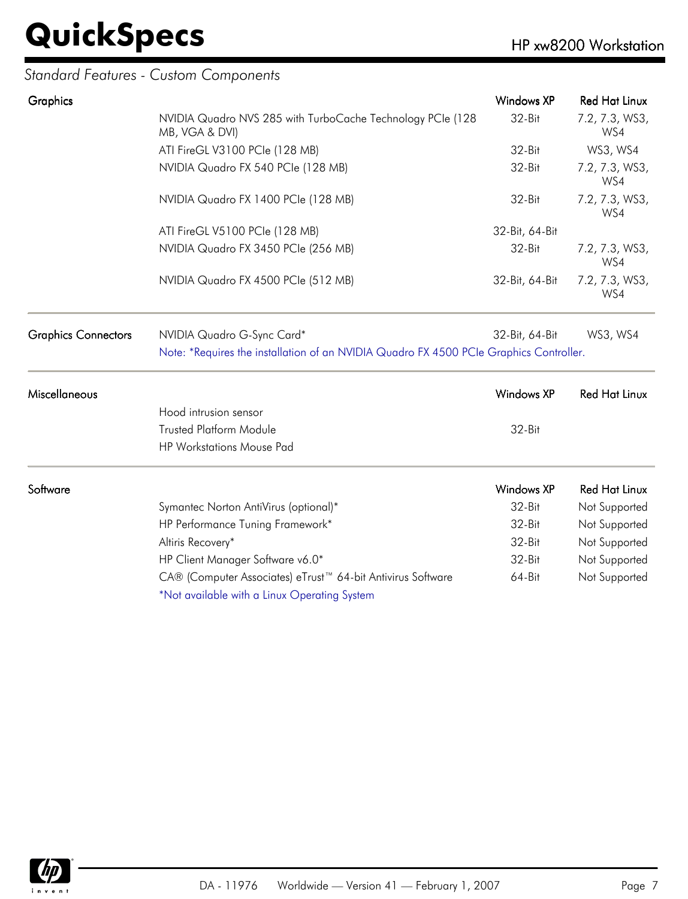#### *Standard Features - Custom Components*

| Graphics                   |                                                                                        | <b>Windows XP</b> | <b>Red Hat Linux</b>                           |
|----------------------------|----------------------------------------------------------------------------------------|-------------------|------------------------------------------------|
|                            | NVIDIA Quadro NVS 285 with TurboCache Technology PCIe (128<br>MB, VGA & DVI)           | 32-Bit            | 7.2, 7.3, WS3,<br>WS4                          |
|                            | ATI FireGL V3100 PCle (128 MB)                                                         | 32-Bit            | WS3, WS4                                       |
|                            | NVIDIA Quadro FX 540 PCIe (128 MB)                                                     | 32-Bit            | 7.2, 7.3, WS3,<br>WS4<br>7.2, 7.3, WS3,<br>WS4 |
|                            | NVIDIA Quadro FX 1400 PCIe (128 MB)                                                    | 32-Bit            |                                                |
|                            | ATI FireGL V5100 PCle (128 MB)                                                         | 32-Bit, 64-Bit    |                                                |
|                            | NVIDIA Quadro FX 3450 PCIe (256 MB)                                                    | 32-Bit            | 7.2, 7.3, WS3,<br>WS4                          |
|                            | NVIDIA Quadro FX 4500 PCIe (512 MB)                                                    | 32-Bit, 64-Bit    | 7.2, 7.3, WS3,<br>WS4                          |
| <b>Graphics Connectors</b> | NVIDIA Quadro G-Sync Card*                                                             | 32-Bit, 64-Bit    | WS3, WS4                                       |
|                            | Note: *Requires the installation of an NVIDIA Quadro FX 4500 PCIe Graphics Controller. |                   |                                                |
| Miscellaneous              |                                                                                        | <b>Windows XP</b> | <b>Red Hat Linux</b>                           |
|                            | Hood intrusion sensor                                                                  |                   |                                                |
|                            | <b>Trusted Platform Module</b>                                                         | 32-Bit            |                                                |
|                            | HP Workstations Mouse Pad                                                              |                   |                                                |
| Software                   |                                                                                        | <b>Windows XP</b> | <b>Red Hat Linux</b>                           |
|                            | Symantec Norton AntiVirus (optional)*                                                  | 32-Bit            | Not Supported                                  |
|                            | HP Performance Tuning Framework*                                                       | 32-Bit            | Not Supported                                  |
|                            | Altiris Recovery*                                                                      | 32-Bit            | Not Supported                                  |
|                            | HP Client Manager Software v6.0*                                                       | 32-Bit            | Not Supported                                  |
|                            | CA® (Computer Associates) eTrust™ 64-bit Antivirus Software                            | 64-Bit            | Not Supported                                  |
|                            | *Not available with a Linux Operating System                                           |                   |                                                |

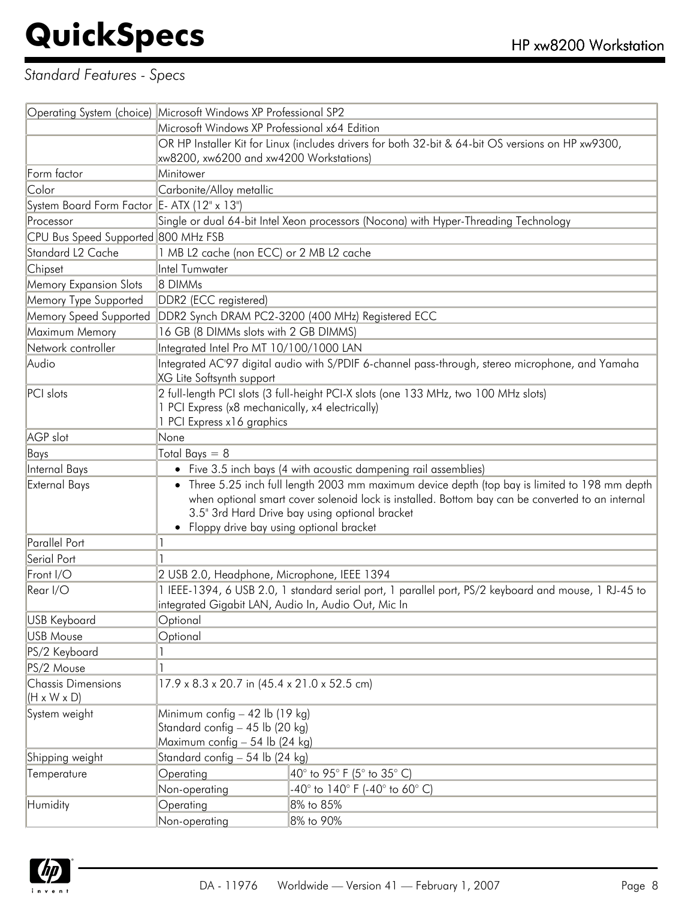#### *Standard Features - Specs*

|                                                      | Operating System (choice) Microsoft Windows XP Professional SP2                                                                                                                                                                                                                                   |  |  |
|------------------------------------------------------|---------------------------------------------------------------------------------------------------------------------------------------------------------------------------------------------------------------------------------------------------------------------------------------------------|--|--|
|                                                      | Microsoft Windows XP Professional x64 Edition                                                                                                                                                                                                                                                     |  |  |
|                                                      | OR HP Installer Kit for Linux (includes drivers for both 32-bit & 64-bit OS versions on HP xw9300,                                                                                                                                                                                                |  |  |
|                                                      | xw8200, xw6200 and xw4200 Workstations)                                                                                                                                                                                                                                                           |  |  |
| Form factor                                          | Minitower                                                                                                                                                                                                                                                                                         |  |  |
| Color                                                | Carbonite/Alloy metallic                                                                                                                                                                                                                                                                          |  |  |
| System Board Form Factor E- ATX (12" x 13")          |                                                                                                                                                                                                                                                                                                   |  |  |
| Processor                                            | Single or dual 64-bit Intel Xeon processors (Nocona) with Hyper-Threading Technology                                                                                                                                                                                                              |  |  |
| CPU Bus Speed Supported 800 MHz FSB                  |                                                                                                                                                                                                                                                                                                   |  |  |
| Standard L <sub>2</sub> Cache                        | 1 MB L2 cache (non ECC) or 2 MB L2 cache                                                                                                                                                                                                                                                          |  |  |
| Chipset                                              | Intel Tumwater                                                                                                                                                                                                                                                                                    |  |  |
| <b>Memory Expansion Slots</b>                        | 8 DIMMs                                                                                                                                                                                                                                                                                           |  |  |
| Memory Type Supported                                | DDR2 (ECC registered)                                                                                                                                                                                                                                                                             |  |  |
| Memory Speed Supported                               | DDR2 Synch DRAM PC2-3200 (400 MHz) Registered ECC                                                                                                                                                                                                                                                 |  |  |
| Maximum Memory                                       | 16 GB (8 DIMMs slots with 2 GB DIMMS)                                                                                                                                                                                                                                                             |  |  |
| Network controller                                   | Integrated Intel Pro MT 10/100/1000 LAN                                                                                                                                                                                                                                                           |  |  |
| Audio                                                | Integrated AC'97 digital audio with S/PDIF 6-channel pass-through, stereo microphone, and Yamaha<br>XG Lite Softsynth support                                                                                                                                                                     |  |  |
| PCI slots                                            | 2 full-length PCI slots (3 full-height PCI-X slots (one 133 MHz, two 100 MHz slots)<br>1 PCI Express (x8 mechanically, x4 electrically)<br>1 PCI Express x16 graphics                                                                                                                             |  |  |
| AGP slot                                             | None                                                                                                                                                                                                                                                                                              |  |  |
| Bays                                                 | Total Bays $= 8$                                                                                                                                                                                                                                                                                  |  |  |
| Internal Bays                                        | • Five 3.5 inch bays (4 with acoustic dampening rail assemblies)                                                                                                                                                                                                                                  |  |  |
| External Bays                                        | • Three 5.25 inch full length 2003 mm maximum device depth (top bay is limited to 198 mm depth<br>when optional smart cover solenoid lock is installed. Bottom bay can be converted to an internal<br>3.5" 3rd Hard Drive bay using optional bracket<br>• Floppy drive bay using optional bracket |  |  |
| Parallel Port                                        |                                                                                                                                                                                                                                                                                                   |  |  |
| Serial Port                                          |                                                                                                                                                                                                                                                                                                   |  |  |
| Front I/O                                            | 2 USB 2.0, Headphone, Microphone, IEEE 1394                                                                                                                                                                                                                                                       |  |  |
| Rear I/O                                             | 1 IEEE-1394, 6 USB 2.0, 1 standard serial port, 1 parallel port, PS/2 keyboard and mouse, 1 RJ-45 to<br>integrated Gigabit LAN, Audio In, Audio Out, Mic In                                                                                                                                       |  |  |
| USB Keyboard                                         | Optional                                                                                                                                                                                                                                                                                          |  |  |
| <b>USB Mouse</b>                                     | Optional                                                                                                                                                                                                                                                                                          |  |  |
| PS/2 Keyboard                                        |                                                                                                                                                                                                                                                                                                   |  |  |
| PS/2 Mouse                                           |                                                                                                                                                                                                                                                                                                   |  |  |
| <b>Chassis Dimensions</b><br>$(H \times W \times D)$ | 17.9 x 8.3 x 20.7 in (45.4 x 21.0 x 52.5 cm)                                                                                                                                                                                                                                                      |  |  |
| System weight                                        | Minimum config $-42$ lb (19 kg)<br>Standard config - 45 lb (20 kg)<br>Maximum config - 54 lb (24 kg)                                                                                                                                                                                              |  |  |
| Shipping weight                                      | Standard config - 54 lb (24 kg)                                                                                                                                                                                                                                                                   |  |  |
| Temperature                                          | Operating<br>$40^{\circ}$ to 95° F (5° to 35° C)                                                                                                                                                                                                                                                  |  |  |
|                                                      | Non-operating<br>-40° to 140° F (-40° to 60° C)                                                                                                                                                                                                                                                   |  |  |
| Humidity                                             | Operating<br>8% to 85%<br>Non-operating<br>8% to 90%                                                                                                                                                                                                                                              |  |  |
|                                                      |                                                                                                                                                                                                                                                                                                   |  |  |

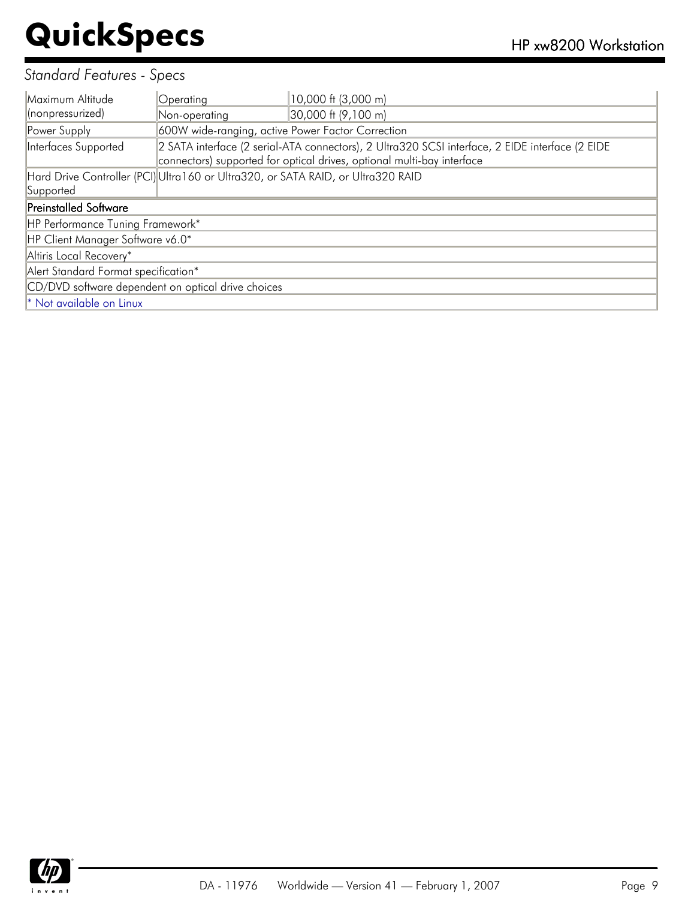#### *Standard Features - Specs*

| Maximum Altitude                                   | Operating                                         | 10,000 ft (3,000 m)                                                                                                                                                       |  |  |
|----------------------------------------------------|---------------------------------------------------|---------------------------------------------------------------------------------------------------------------------------------------------------------------------------|--|--|
| (nonpressurized)                                   | Non-operating                                     | 30,000 ft (9,100 m)                                                                                                                                                       |  |  |
| Power Supply                                       | 600W wide-ranging, active Power Factor Correction |                                                                                                                                                                           |  |  |
| Interfaces Supported                               |                                                   | 2 SATA interface (2 serial-ATA connectors), 2 Ultra320 SCSI interface, 2 EIDE interface (2 EIDE<br>connectors) supported for optical drives, optional multi-bay interface |  |  |
|                                                    |                                                   | Hard Drive Controller (PCI) Ultra160 or Ultra320, or SATA RAID, or Ultra320 RAID                                                                                          |  |  |
| Supported                                          |                                                   |                                                                                                                                                                           |  |  |
| <b>Preinstalled Software</b>                       |                                                   |                                                                                                                                                                           |  |  |
| HP Performance Tuning Framework*                   |                                                   |                                                                                                                                                                           |  |  |
| HP Client Manager Software v6.0*                   |                                                   |                                                                                                                                                                           |  |  |
| Altiris Local Recovery*                            |                                                   |                                                                                                                                                                           |  |  |
| Alert Standard Format specification*               |                                                   |                                                                                                                                                                           |  |  |
| CD/DVD software dependent on optical drive choices |                                                   |                                                                                                                                                                           |  |  |
| * Not available on Linux                           |                                                   |                                                                                                                                                                           |  |  |

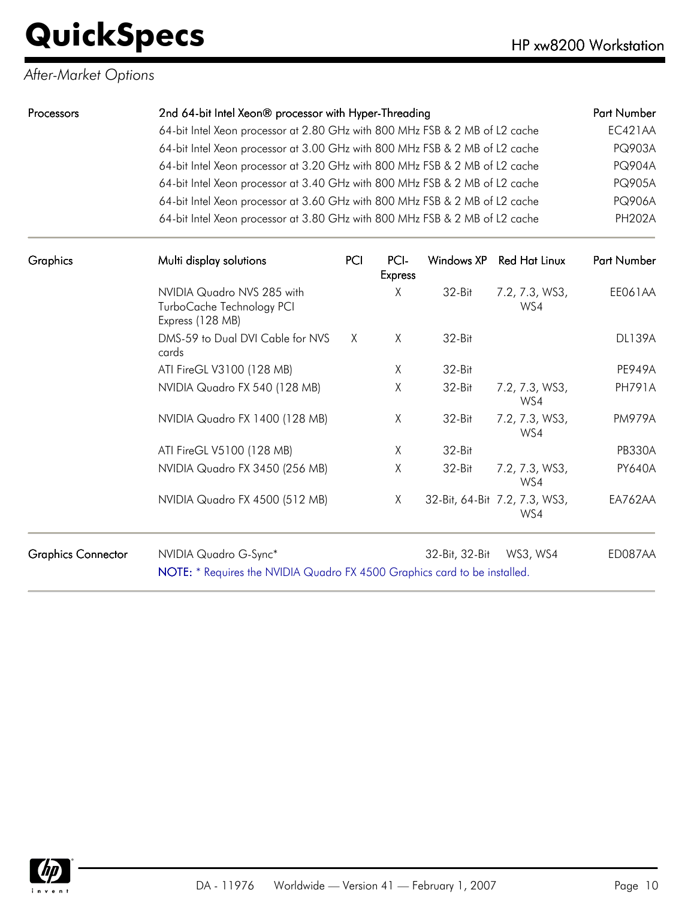#### *After-Market Options*

| <b>Processors</b>           | 2nd 64-bit Intel Xeon® processor with Hyper-Threading                                                                                                                                                                                                                                                                                          | Part Number   |
|-----------------------------|------------------------------------------------------------------------------------------------------------------------------------------------------------------------------------------------------------------------------------------------------------------------------------------------------------------------------------------------|---------------|
|                             | 64-bit Intel Xeon processor at 2.80 GHz with 800 MHz FSB & 2 MB of L2 cache                                                                                                                                                                                                                                                                    | EC421AA       |
|                             | 64-bit Intel Xeon processor at 3.00 GHz with 800 MHz FSB & 2 MB of L2 cache                                                                                                                                                                                                                                                                    | <b>PQ903A</b> |
|                             | 64-bit Intel Xeon processor at 3.20 GHz with 800 MHz FSB & 2 MB of L2 cache                                                                                                                                                                                                                                                                    | <b>PQ904A</b> |
|                             | 64-bit Intel Xeon processor at 3.40 GHz with 800 MHz FSB & 2 MB of L2 cache                                                                                                                                                                                                                                                                    | <b>PQ905A</b> |
|                             | 64-bit Intel Xeon processor at 3.60 GHz with 800 MHz FSB & 2 MB of L2 cache                                                                                                                                                                                                                                                                    | <b>PQ906A</b> |
|                             | 64-bit Intel Xeon processor at 3.80 GHz with 800 MHz FSB & 2 MB of L2 cache                                                                                                                                                                                                                                                                    | <b>PH202A</b> |
| $\sim$ $\sim$ $\sim$ $\sim$ | $\mathbf{M}^{\prime}$ is the $\mathbf{M}^{\prime}$ in the set of $\mathbf{M}^{\prime}$<br><b>A district of the contract of the contract of the contract of the contract of the contract of the contract of the contract of the contract of the contract of the contract of the contract of the contract of the contract of</b><br>DO-1<br>DO 1 | $P \cup M$    |

| Multi display solutions                                                     | <b>PCI</b> | PCI-<br><b>Express</b> | Windows XP | Red Hat Linux         | Part Number                                                                                                                  |
|-----------------------------------------------------------------------------|------------|------------------------|------------|-----------------------|------------------------------------------------------------------------------------------------------------------------------|
| NVIDIA Quadro NVS 285 with<br>TurboCache Technology PCI<br>Express (128 MB) |            | Χ                      | $32-Hit$   | 7.2, 7.3, WS3,<br>WS4 | EE061AA                                                                                                                      |
| DMS-59 to Dual DVI Cable for NVS<br>cards                                   | X          | X                      | 32-Bit     |                       | <b>DL139A</b>                                                                                                                |
| ATI FireGL V3100 (128 MB)                                                   |            | X                      | 32-Bit     |                       | <b>PE949A</b>                                                                                                                |
| NVIDIA Quadro FX 540 (128 MB)                                               |            | X                      | $32-Hit$   | 7.2, 7.3, WS3,<br>WS4 | <b>PH791A</b>                                                                                                                |
| NVIDIA Quadro FX 1400 (128 MB)                                              |            | X                      | 32-Bit     | 7.2, 7.3, WS3,<br>WS4 | <b>PM979A</b>                                                                                                                |
| ATI FireGL V5100 (128 MB)                                                   |            | χ                      | $32-Hit$   |                       | <b>PB330A</b>                                                                                                                |
| NVIDIA Quadro FX 3450 (256 MB)                                              |            | Χ                      | 32-Bit     | 7.2, 7.3, WS3,<br>WS4 | <b>PY640A</b>                                                                                                                |
| NVIDIA Quadro FX 4500 (512 MB)                                              |            | X.                     |            | WS4                   | EA762AA                                                                                                                      |
| NVIDIA Quadro G-Sync*                                                       |            |                        |            | WS3, WS4              | ED087AA                                                                                                                      |
|                                                                             |            |                        |            |                       | 32-Bit, 64-Bit 7.2, 7.3, WS3,<br>32-Bit, 32-Bit<br>NOTE: * Requires the NVIDIA Quadro FX 4500 Graphics card to be installed. |

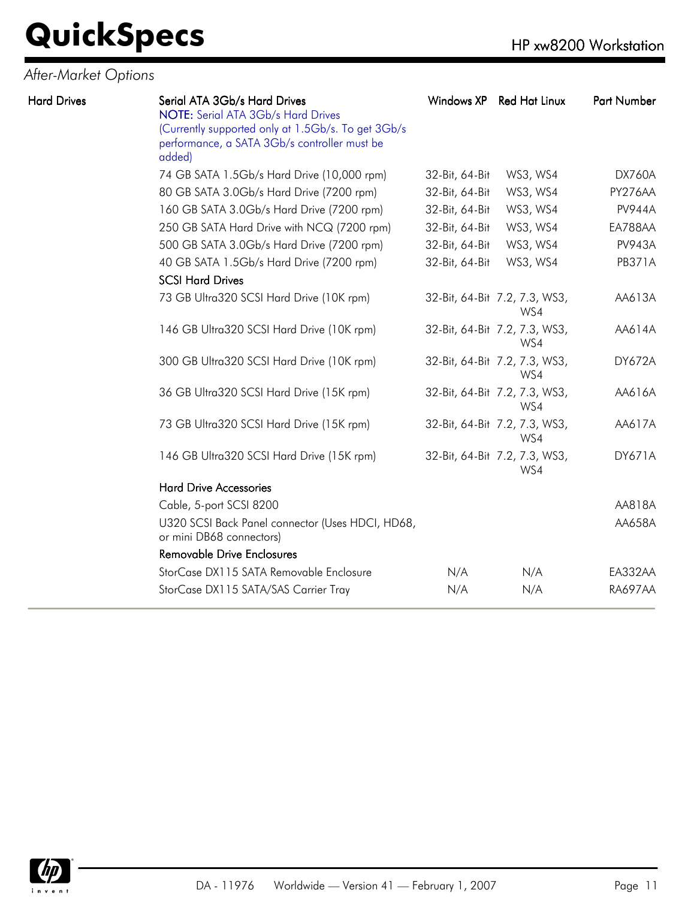#### *After-Market Options*

| <b>Hard Drives</b> | Serial ATA 3Gb/s Hard Drives<br>NOTE: Serial ATA 3Gb/s Hard Drives<br>(Currently supported only at 1.5Gb/s. To get 3Gb/s<br>performance, a SATA 3Gb/s controller must be<br>added) | Windows XP     | Red Hat Linux                        | Part Number    |
|--------------------|------------------------------------------------------------------------------------------------------------------------------------------------------------------------------------|----------------|--------------------------------------|----------------|
|                    | 74 GB SATA 1.5Gb/s Hard Drive (10,000 rpm)                                                                                                                                         | 32-Bit, 64-Bit | WS3, WS4                             | <b>DX760A</b>  |
|                    | 80 GB SATA 3.0Gb/s Hard Drive (7200 rpm)                                                                                                                                           | 32-Bit, 64-Bit | WS3, WS4                             | PY276AA        |
|                    | 160 GB SATA 3.0Gb/s Hard Drive (7200 rpm)                                                                                                                                          | 32-Bit, 64-Bit | WS3, WS4                             | <b>PV944A</b>  |
|                    | 250 GB SATA Hard Drive with NCQ (7200 rpm)                                                                                                                                         | 32-Bit, 64-Bit | WS3, WS4                             | EA788AA        |
|                    | 500 GB SATA 3.0Gb/s Hard Drive (7200 rpm)                                                                                                                                          | 32-Bit, 64-Bit | WS3, WS4                             | <b>PV943A</b>  |
|                    | 40 GB SATA 1.5Gb/s Hard Drive (7200 rpm)<br><b>SCSI Hard Drives</b>                                                                                                                | 32-Bit, 64-Bit | WS3, WS4                             | <b>PB371A</b>  |
|                    | 73 GB Ultra320 SCSI Hard Drive (10K rpm)                                                                                                                                           |                | 32-Bit, 64-Bit 7.2, 7.3, WS3,<br>WS4 | AA613A         |
|                    | 146 GB Ultra320 SCSI Hard Drive (10K rpm)                                                                                                                                          |                | 32-Bit, 64-Bit 7.2, 7.3, WS3,<br>WS4 | AA614A         |
|                    | 300 GB Ultra320 SCSI Hard Drive (10K rpm)                                                                                                                                          |                | 32-Bit, 64-Bit 7.2, 7.3, WS3,<br>WS4 | <b>DY672A</b>  |
|                    | 36 GB Ultra320 SCSI Hard Drive (15K rpm)                                                                                                                                           |                | 32-Bit, 64-Bit 7.2, 7.3, WS3,<br>WS4 | AA616A         |
|                    | 73 GB Ultra320 SCSI Hard Drive (15K rpm)                                                                                                                                           |                | 32-Bit, 64-Bit 7.2, 7.3, WS3,<br>WS4 | AA617A         |
|                    | 146 GB Ultra320 SCSI Hard Drive (15K rpm)                                                                                                                                          |                | 32-Bit, 64-Bit 7.2, 7.3, WS3,<br>WS4 | <b>DY671A</b>  |
|                    | <b>Hard Drive Accessories</b>                                                                                                                                                      |                |                                      |                |
|                    | Cable, 5-port SCSI 8200                                                                                                                                                            |                |                                      | AA818A         |
|                    | U320 SCSI Back Panel connector (Uses HDCI, HD68,<br>or mini DB68 connectors)                                                                                                       |                |                                      | AA658A         |
|                    | <b>Removable Drive Enclosures</b>                                                                                                                                                  |                |                                      |                |
|                    | StorCase DX115 SATA Removable Enclosure                                                                                                                                            | N/A            | N/A                                  | EA332AA        |
|                    | StorCase DX115 SATA/SAS Carrier Tray                                                                                                                                               | N/A            | N/A                                  | <b>RA697AA</b> |

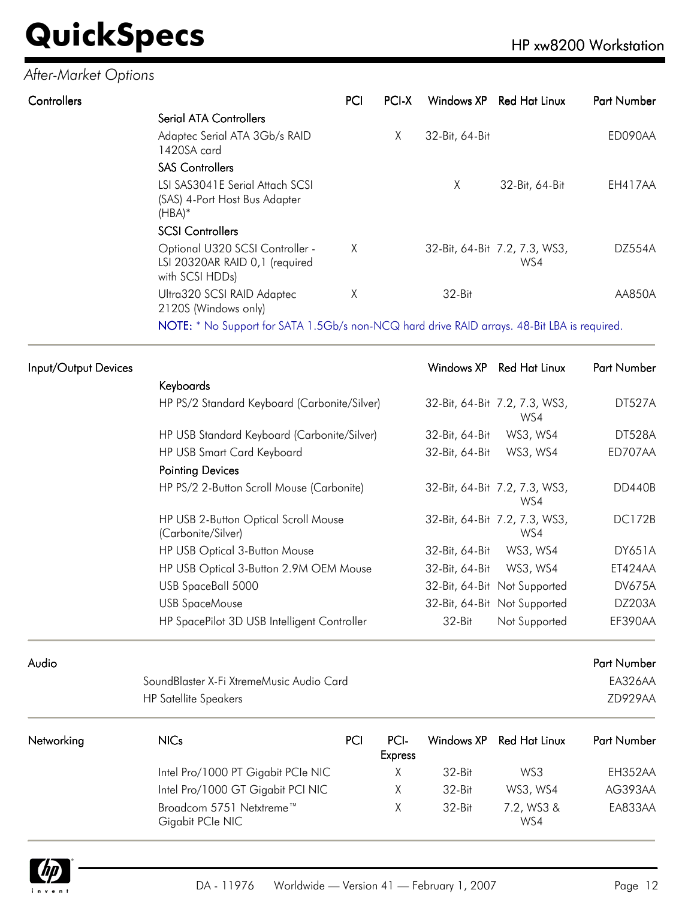#### *After-Market Options*

| Controllers             |                                                                   | PCI | PCLX | Windows XP     | Red Hat Linux                        | <b>Part Number</b> |
|-------------------------|-------------------------------------------------------------------|-----|------|----------------|--------------------------------------|--------------------|
| Serial ATA Controllers  |                                                                   |     |      |                |                                      |                    |
| 1420SA card             | Adaptec Serial ATA 3Gb/s RAID                                     |     | X    | 32-Bit, 64-Bit |                                      | ED090AA            |
| <b>SAS Controllers</b>  |                                                                   |     |      |                |                                      |                    |
| $(HBA)*$                | LSI SAS3041E Serial Attach SCSI<br>(SAS) 4-Port Host Bus Adapter  |     |      | X              | 32-Bit, 64-Bit                       | EH417AA            |
| <b>SCSI Controllers</b> |                                                                   |     |      |                |                                      |                    |
| with SCSI HDDs)         | Optional U320 SCSI Controller -<br>LSI 20320AR RAID 0,1 (required | X   |      |                | 32-Bit, 64-Bit 7.2, 7.3, WS3,<br>WS4 | <b>DZ554A</b>      |
| 2120S (Windows only)    | Ultra320 SCSI RAID Adaptec                                        | Χ   |      | $32-Hit$       |                                      | AA850A             |

NOTE: \* No Support for SATA 1.5Gb/s non-NCQ hard drive RAID arrays. 48-Bit LBA is required.

| Input/Output Devices |                                                            |     |                        | Windows XP     | <b>Red Hat Linux</b>                 | <b>Part Number</b> |
|----------------------|------------------------------------------------------------|-----|------------------------|----------------|--------------------------------------|--------------------|
|                      | Keyboards                                                  |     |                        |                |                                      |                    |
|                      | HP PS/2 Standard Keyboard (Carbonite/Silver)               |     |                        |                | 32-Bit, 64-Bit 7.2, 7.3, WS3,<br>WS4 | <b>DT527A</b>      |
|                      | HP USB Standard Keyboard (Carbonite/Silver)                |     |                        | 32-Bit, 64-Bit | WS3, WS4                             | <b>DT528A</b>      |
|                      | HP USB Smart Card Keyboard                                 |     |                        | 32-Bit, 64-Bit | WS3, WS4                             | ED707AA            |
|                      | <b>Pointing Devices</b>                                    |     |                        |                |                                      |                    |
|                      | HP PS/2 2-Button Scroll Mouse (Carbonite)                  |     |                        |                | 32-Bit, 64-Bit 7.2, 7.3, WS3,<br>WS4 | DD440B             |
|                      | HP USB 2-Button Optical Scroll Mouse<br>(Carbonite/Silver) |     |                        |                | 32-Bit, 64-Bit 7.2, 7.3, WS3,<br>WS4 | <b>DC172B</b>      |
|                      | HP USB Optical 3-Button Mouse                              |     |                        | 32-Bit, 64-Bit | WS3, WS4                             | <b>DY651A</b>      |
|                      | HP USB Optical 3-Button 2.9M OEM Mouse                     |     |                        | 32-Bit, 64-Bit | WS3, WS4                             | ET424AA            |
|                      | USB SpaceBall 5000                                         |     |                        |                | 32-Bit, 64-Bit Not Supported         | <b>DV675A</b>      |
|                      | <b>USB SpaceMouse</b>                                      |     |                        |                | 32-Bit, 64-Bit Not Supported         | DZ203A             |
|                      | HP SpacePilot 3D USB Intelligent Controller                |     |                        | 32-Bit         | Not Supported                        | EF390AA            |
| Audio                |                                                            |     |                        |                |                                      | Part Number        |
|                      | SoundBlaster X-Fi XtremeMusic Audio Card                   |     |                        |                |                                      | EA326AA            |
|                      | <b>HP Satellite Speakers</b>                               |     |                        |                |                                      | ZD929AA            |
| Networking           | <b>NICs</b>                                                | PCI | PCI-<br><b>Express</b> | Windows XP     | <b>Red Hat Linux</b>                 | Part Number        |

| . |                                              | <b>Express</b> |            |                   |         |
|---|----------------------------------------------|----------------|------------|-------------------|---------|
|   | Intel Pro/1000 PT Gigabit PCIe NIC           |                | $32-Hit$   | WS3               | EH352AA |
|   | Intel Pro/1000 GT Gigabit PCI NIC            |                | $32 - Bit$ | WS3, WS4          | AG393AA |
|   | Broadcom 5751 Netxtreme™<br>Gigabit PCIe NIC | X              | $32-Hit$   | 7.2, WS3 &<br>WS4 | EA833AA |

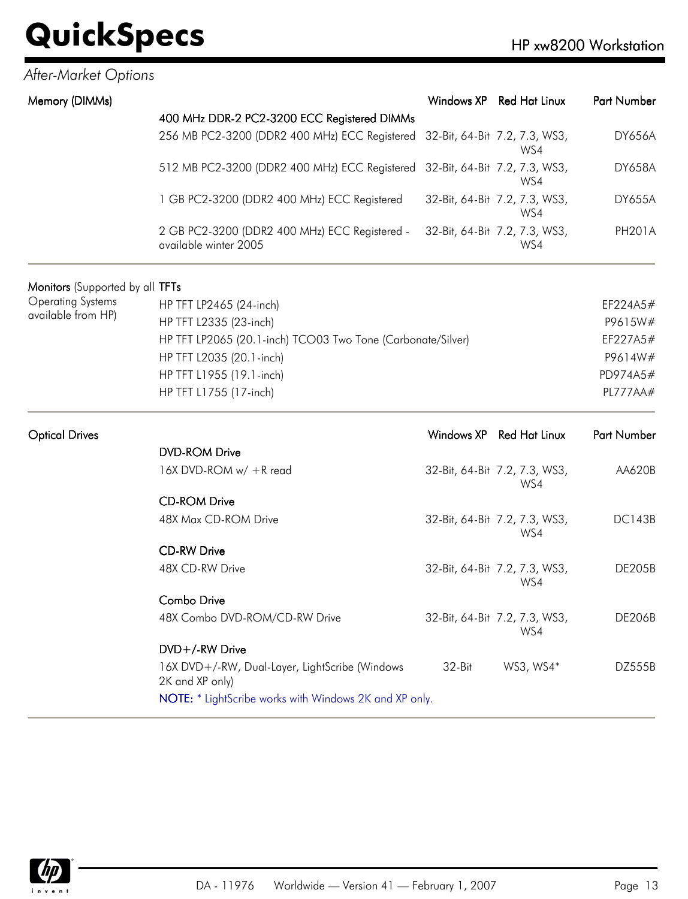#### *After-Market Options*

| Memory (DIMMs) |                                                                             | Windows XP Red Hat Linux             | <b>Part Number</b> |
|----------------|-----------------------------------------------------------------------------|--------------------------------------|--------------------|
|                | 400 MHz DDR-2 PC2-3200 ECC Registered DIMMs                                 |                                      |                    |
|                | 256 MB PC2-3200 (DDR2 400 MHz) ECC Registered 32-Bit, 64-Bit 7.2, 7.3, WS3, | WS4                                  | <b>DY656A</b>      |
|                | 512 MB PC2-3200 (DDR2 400 MHz) ECC Registered 32-Bit, 64-Bit 7.2, 7.3, WS3, | WS4                                  | <b>DY658A</b>      |
|                | 1 GB PC2-3200 (DDR2 400 MHz) ECC Registered                                 | 32-Bit, 64-Bit 7.2, 7.3, WS3,<br>WS4 | <b>DY655A</b>      |
|                | 2 GB PC2-3200 (DDR2 400 MHz) ECC Registered -<br>available winter 2005      | 32-Bit, 64-Bit 7.2, 7.3, WS3,<br>WS4 | <b>PH201A</b>      |

#### Monitors (Supported by all TFTs Operating Systems available from HP) HP TFT LP2465 (24-inch) EF224A5# HP TFT L2335 (23-inch) P9615W# HP TFT LP2065 (20.1-inch) TCO03 Two Tone (Carbonate/Silver) EF227A5# HP TFT L2035 (20.1-inch) P9614W# HP TFT L1955 (19.1-inch) PD974A5# HP TFT L1755 (17-inch) PL777AA#

| <b>Optical Drives</b> |                                                                   |          | Windows XP Red Hat Linux             | <b>Part Number</b> |
|-----------------------|-------------------------------------------------------------------|----------|--------------------------------------|--------------------|
|                       | <b>DVD-ROM Drive</b>                                              |          |                                      |                    |
|                       | 16X DVD-ROM w/ +R read                                            |          | 32-Bit, 64-Bit 7.2, 7.3, WS3,<br>WS4 | AA620B             |
|                       | <b>CD-ROM Drive</b>                                               |          |                                      |                    |
|                       | 48X Max CD-ROM Drive                                              |          | 32-Bit, 64-Bit 7.2, 7.3, WS3,<br>WS4 | <b>DC143B</b>      |
|                       | <b>CD-RW Drive</b>                                                |          |                                      |                    |
|                       | 48X CD-RW Drive                                                   |          | 32-Bit, 64-Bit 7.2, 7.3, WS3,<br>WS4 | DE205B             |
|                       | <b>Combo Drive</b>                                                |          |                                      |                    |
|                       | 48X Combo DVD-ROM/CD-RW Drive                                     |          | 32-Bit, 64-Bit 7.2, 7.3, WS3,<br>WS4 | <b>DE206B</b>      |
|                       | DVD+/-RW Drive                                                    |          |                                      |                    |
|                       | 16X DVD+/-RW, Dual-Layer, LightScribe (Windows<br>2K and XP only) | $32-Hit$ | WS3, WS4*                            | DZ555B             |
|                       | <b>NOTE:</b> * LightScribe works with Windows 2K and XP only.     |          |                                      |                    |

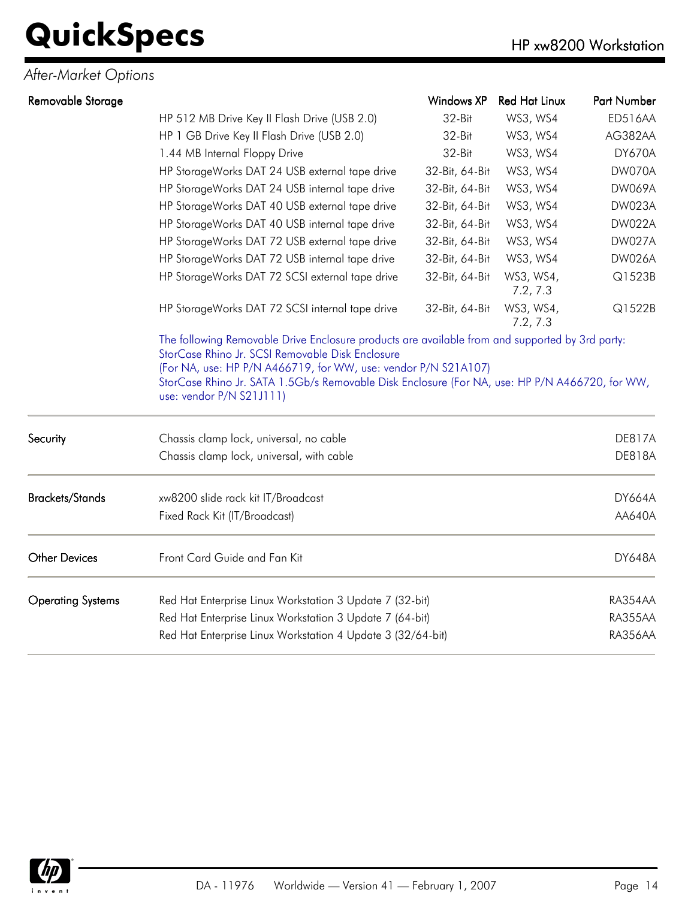*After-Market Options*

| Removable Storage        |                                                                                                                            | <b>Windows XP</b> | <b>Red Hat Linux</b>  | Part Number    |  |
|--------------------------|----------------------------------------------------------------------------------------------------------------------------|-------------------|-----------------------|----------------|--|
|                          | HP 512 MB Drive Key II Flash Drive (USB 2.0)                                                                               | 32-Bit            | WS3, WS4              | <b>ED516AA</b> |  |
|                          | HP 1 GB Drive Key II Flash Drive (USB 2.0)                                                                                 | 32-Bit            | WS3, WS4              | AG382AA        |  |
|                          | 1.44 MB Internal Floppy Drive                                                                                              | 32-Bit            | WS3, WS4              | <b>DY670A</b>  |  |
|                          | HP StorageWorks DAT 24 USB external tape drive                                                                             | 32-Bit, 64-Bit    | WS3, WS4              | DW070A         |  |
|                          | HP StorageWorks DAT 24 USB internal tape drive                                                                             | 32-Bit, 64-Bit    | WS3, WS4              | <b>DW069A</b>  |  |
|                          | HP StorageWorks DAT 40 USB external tape drive                                                                             | 32-Bit, 64-Bit    | WS3, WS4              | DW023A         |  |
|                          | HP StorageWorks DAT 40 USB internal tape drive                                                                             | 32-Bit, 64-Bit    | WS3, WS4              | <b>DW022A</b>  |  |
|                          | HP StorageWorks DAT 72 USB external tape drive                                                                             | 32-Bit, 64-Bit    | WS3, WS4              | <b>DW027A</b>  |  |
|                          | HP StorageWorks DAT 72 USB internal tape drive                                                                             | 32-Bit, 64-Bit    | WS3, WS4              | DW026A         |  |
|                          | HP StorageWorks DAT 72 SCSI external tape drive                                                                            | 32-Bit, 64-Bit    | WS3, WS4,<br>7.2, 7.3 | Q1523B         |  |
|                          | HP StorageWorks DAT 72 SCSI internal tape drive                                                                            | 32-Bit, 64-Bit    | WS3, WS4,<br>7.2, 7.3 | Q1522B         |  |
|                          | StorCase Rhino Jr. SATA 1.5Gb/s Removable Disk Enclosure (For NA, use: HP P/N A466720, for WW,<br>use: vendor P/N S21J111) |                   |                       |                |  |
| Security                 | Chassis clamp lock, universal, no cable                                                                                    |                   |                       | <b>DE817A</b>  |  |
|                          | Chassis clamp lock, universal, with cable                                                                                  |                   |                       | <b>DE818A</b>  |  |
| <b>Brackets/Stands</b>   | xw8200 slide rack kit IT/Broadcast                                                                                         |                   |                       | <b>DY664A</b>  |  |
|                          | Fixed Rack Kit (IT/Broadcast)                                                                                              |                   |                       | AA640A         |  |
| <b>Other Devices</b>     | Front Card Guide and Fan Kit                                                                                               |                   |                       | <b>DY648A</b>  |  |
| <b>Operating Systems</b> | Red Hat Enterprise Linux Workstation 3 Update 7 (32-bit)                                                                   |                   |                       | RA354AA        |  |
|                          | Red Hat Enterprise Linux Workstation 3 Update 7 (64-bit)                                                                   |                   |                       |                |  |
|                          | Red Hat Enterprise Linux Workstation 4 Update 3 (32/64-bit)                                                                |                   |                       |                |  |

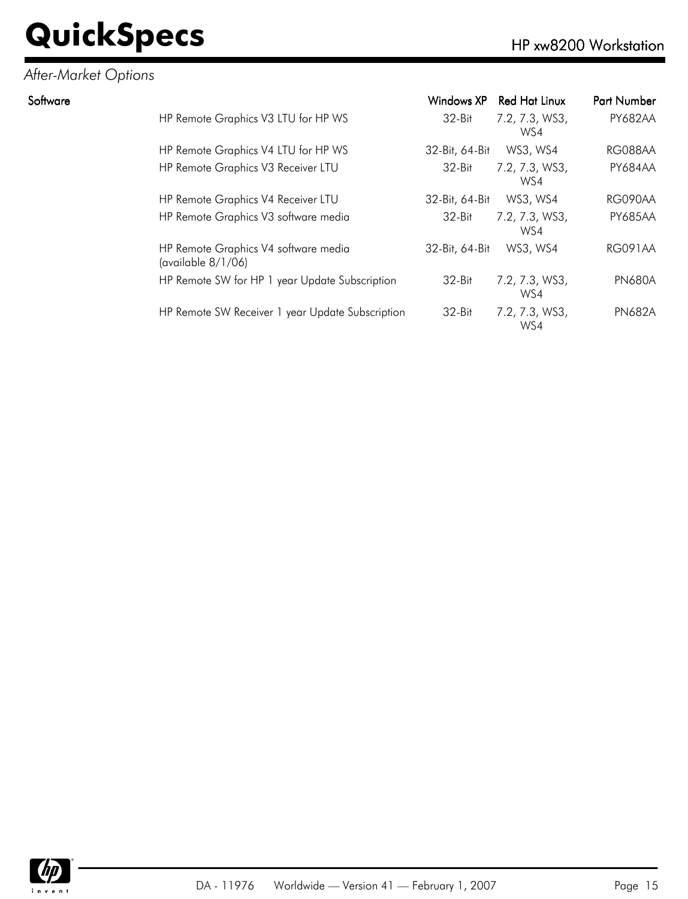#### *After-Market Options*

| Software |                                                            | Windows XP     | Red Hat Linux         | <b>Part Number</b> |
|----------|------------------------------------------------------------|----------------|-----------------------|--------------------|
|          | HP Remote Graphics V3 LTU for HP WS                        | 32-Bit         | 7.2, 7.3, WS3,<br>WS4 | <b>PY682AA</b>     |
|          | HP Remote Graphics V4 LTU for HP WS                        | 32-Bit, 64-Bit | WS3, WS4              | RG088AA            |
|          | HP Remote Graphics V3 Receiver LTU                         | 32-Bit         | 7.2, 7.3, WS3,<br>WS4 | <b>PY684AA</b>     |
|          | HP Remote Graphics V4 Receiver LTU                         | 32-Bit, 64-Bit | WS3, WS4              | RG090AA            |
|          | HP Remote Graphics V3 software media                       | $32-Hit$       | 7.2, 7.3, WS3,<br>WS4 | <b>PY685AA</b>     |
|          | HP Remote Graphics V4 software media<br>(available 8/1/06) | 32-Bit, 64-Bit | WS3, WS4              | <b>RG091AA</b>     |
|          | HP Remote SW for HP 1 year Update Subscription             | $32-Hit$       | 7.2, 7.3, WS3,<br>WS4 | <b>PN680A</b>      |
|          | HP Remote SW Receiver 1 year Update Subscription           | 32-Bit         | 7.2, 7.3, WS3,<br>WS4 | <b>PN682A</b>      |

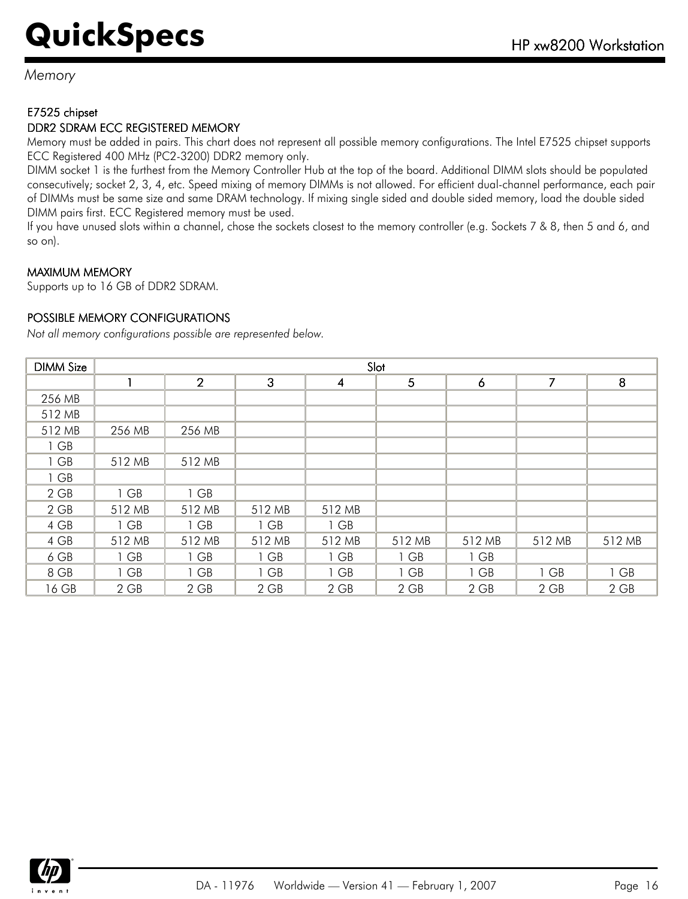*Memory*

#### E7525 chipset

#### DDR2 SDRAM ECC REGISTERED MEMORY

Memory must be added in pairs. This chart does not represent all possible memory configurations. The Intel E7525 chipset supports ECC Registered 400 MHz (PC2-3200) DDR2 memory only.

DIMM socket 1 is the furthest from the Memory Controller Hub at the top of the board. Additional DIMM slots should be populated consecutively; socket 2, 3, 4, etc. Speed mixing of memory DIMMs is not allowed. For efficient dual-channel performance, each pair of DIMMs must be same size and same DRAM technology. If mixing single sided and double sided memory, load the double sided DIMM pairs first. ECC Registered memory must be used.

If you have unused slots within a channel, chose the sockets closest to the memory controller (e.g. Sockets 7 & 8, then 5 and 6, and so on).

#### MAXIMUM MEMORY

Supports up to 16 GB of DDR2 SDRAM.

#### POSSIBLE MEMORY CONFIGURATIONS

*Not all memory configurations possible are represented below.*

| <b>DIMM Size</b> |        | Slot           |              |        |                |        |        |        |
|------------------|--------|----------------|--------------|--------|----------------|--------|--------|--------|
|                  |        | $\overline{2}$ | $\mathbf{3}$ | 4      | $\overline{5}$ | 6      | 7      | 8      |
| 256 MB           |        |                |              |        |                |        |        |        |
| 512 MB           |        |                |              |        |                |        |        |        |
| 512 MB           | 256 MB | 256 MB         |              |        |                |        |        |        |
| 1 GB             |        |                |              |        |                |        |        |        |
| 1 GB             | 512 MB | 512 MB         |              |        |                |        |        |        |
| 1 GB             |        |                |              |        |                |        |        |        |
| $2$ GB           | 1 GB   | 1 GB           |              |        |                |        |        |        |
| $2$ GB           | 512 MB | 512 MB         | 512 MB       | 512 MB |                |        |        |        |
| 4 GB             | 1 GB   | 1 GB           | 1 GB         | 1 GB   |                |        |        |        |
| 4 GB             | 512 MB | 512 MB         | 512 MB       | 512 MB | 512 MB         | 512 MB | 512 MB | 512 MB |
| 6 GB             | 1 GB   | 1 GB           | 1 GB         | 1 GB   | 1 GB           | 1 GB   |        |        |
| 8 GB             | 1 GB   | 1 GB           | 1 GB         | 1 GB   | 1 GB           | 1 GB   | 1 GB   | 1 GB   |
| 16 GB            | 2 GB   | 2 GB           | 2 GB         | 2 GB   | 2 GB           | 2 GB   | 2 GB   | 2 GB   |

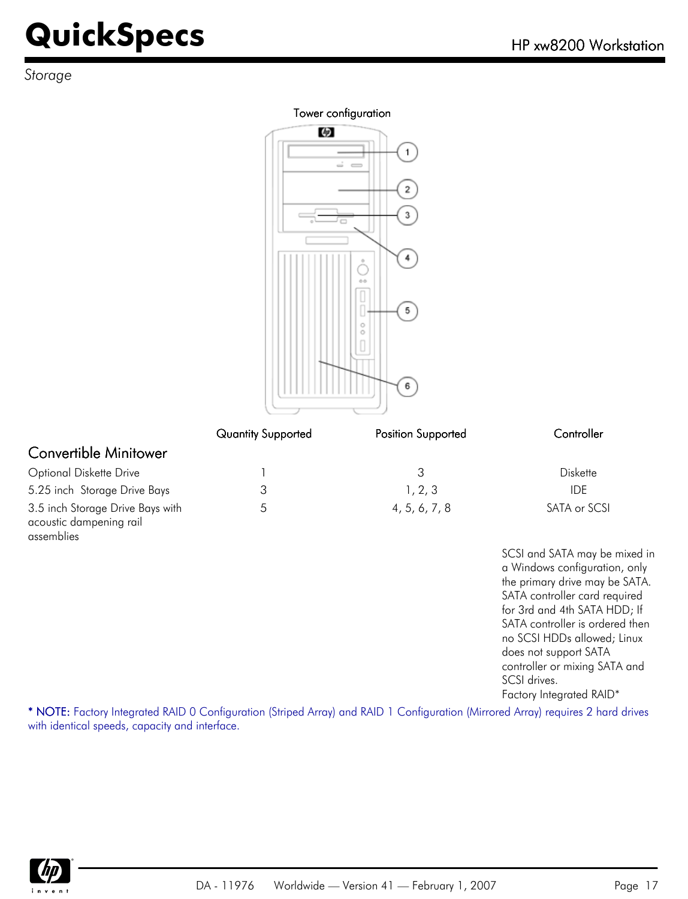*Storage*

#### Tower configuration



|                                                                           | <b>Quantity Supported</b> | Position Supported | Controller      |
|---------------------------------------------------------------------------|---------------------------|--------------------|-----------------|
| Convertible Minitower                                                     |                           |                    |                 |
| <b>Optional Diskette Drive</b>                                            |                           | 3                  | <b>Diskette</b> |
| 5.25 inch Storage Drive Bays                                              |                           | 1, 2, 3            | IDE.            |
| 3.5 inch Storage Drive Bays with<br>acoustic dampening rail<br>assemblies | 5                         | 4, 5, 6, 7, 8      | SATA or SCSI    |

SCSI and SATA may be mixed in a Windows configuration, only the primary drive may be SATA. SATA controller card required for 3rd and 4th SATA HDD; If SATA controller is ordered then no SCSI HDDs allowed; Linux does not support SATA controller or mixing SATA and SCSI drives. Factory Integrated RAID\*

\* NOTE: Factory Integrated RAID 0 Configuration (Striped Array) and RAID 1 Configuration (Mirrored Array) requires 2 hard drives with identical speeds, capacity and interface.

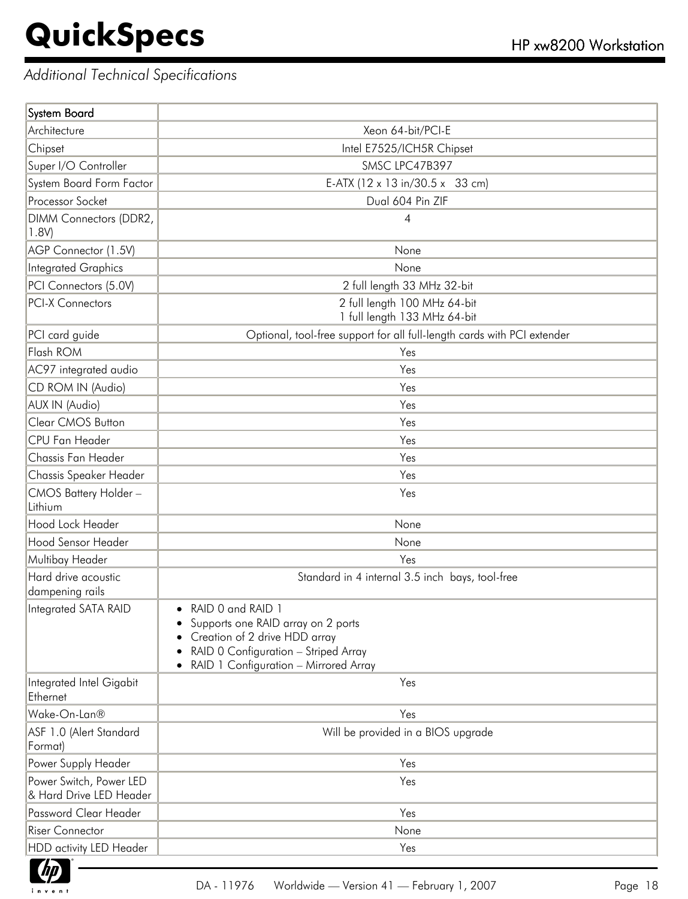f

#### *Additional Technical Specifications*

| System Board                                       |                                                                                                                                                                           |
|----------------------------------------------------|---------------------------------------------------------------------------------------------------------------------------------------------------------------------------|
| Architecture                                       | Xeon 64-bit/PCI-E                                                                                                                                                         |
| Chipset                                            | Intel E7525/ICH5R Chipset                                                                                                                                                 |
| Super I/O Controller                               | SMSC LPC47B397                                                                                                                                                            |
| System Board Form Factor                           | E-ATX (12 x 13 in/30.5 x 33 cm)                                                                                                                                           |
| Processor Socket                                   | Dual 604 Pin ZIF                                                                                                                                                          |
| DIMM Connectors (DDR2,<br>1.8V)                    | 4                                                                                                                                                                         |
| AGP Connector (1.5V)                               | None                                                                                                                                                                      |
| <b>Integrated Graphics</b>                         | None                                                                                                                                                                      |
| PCI Connectors (5.0V)                              | 2 full length 33 MHz 32-bit                                                                                                                                               |
| <b>PCI-X Connectors</b>                            | 2 full length 100 MHz 64-bit<br>1 full length 133 MHz 64-bit                                                                                                              |
| PCI card guide                                     | Optional, tool-free support for all full-length cards with PCI extender                                                                                                   |
| Flash ROM                                          | Yes                                                                                                                                                                       |
| AC97 integrated audio                              | Yes                                                                                                                                                                       |
| CD ROM IN (Audio)                                  | Yes                                                                                                                                                                       |
| AUX IN (Audio)                                     | Yes                                                                                                                                                                       |
| Clear CMOS Button                                  | Yes                                                                                                                                                                       |
| CPU Fan Header                                     | Yes                                                                                                                                                                       |
| Chassis Fan Header                                 | Yes                                                                                                                                                                       |
| Chassis Speaker Header                             | Yes                                                                                                                                                                       |
| CMOS Battery Holder-<br>Lithium                    | Yes                                                                                                                                                                       |
| Hood Lock Header                                   | None                                                                                                                                                                      |
| Hood Sensor Header                                 | None                                                                                                                                                                      |
| Multibay Header                                    | Yes                                                                                                                                                                       |
| Hard drive acoustic<br>dampening rails             | Standard in 4 internal 3.5 inch bays, tool-free                                                                                                                           |
| Integrated SATA RAID                               | RAID 0 and RAID 1<br>Supports one RAID array on 2 ports<br>Creation of 2 drive HDD array<br>RAID 0 Configuration - Striped Array<br>RAID 1 Configuration - Mirrored Array |
| Integrated Intel Gigabit<br>Ethernet               | Yes                                                                                                                                                                       |
| Wake-On-Lan®                                       | Yes                                                                                                                                                                       |
| ASF 1.0 (Alert Standard<br>Format)                 | Will be provided in a BIOS upgrade                                                                                                                                        |
| Power Supply Header                                | Yes                                                                                                                                                                       |
| Power Switch, Power LED<br>& Hard Drive LED Header | Yes                                                                                                                                                                       |
| Password Clear Header                              | Yes                                                                                                                                                                       |
| <b>Riser Connector</b>                             | None                                                                                                                                                                      |
| HDD activity LED Header                            | Yes                                                                                                                                                                       |

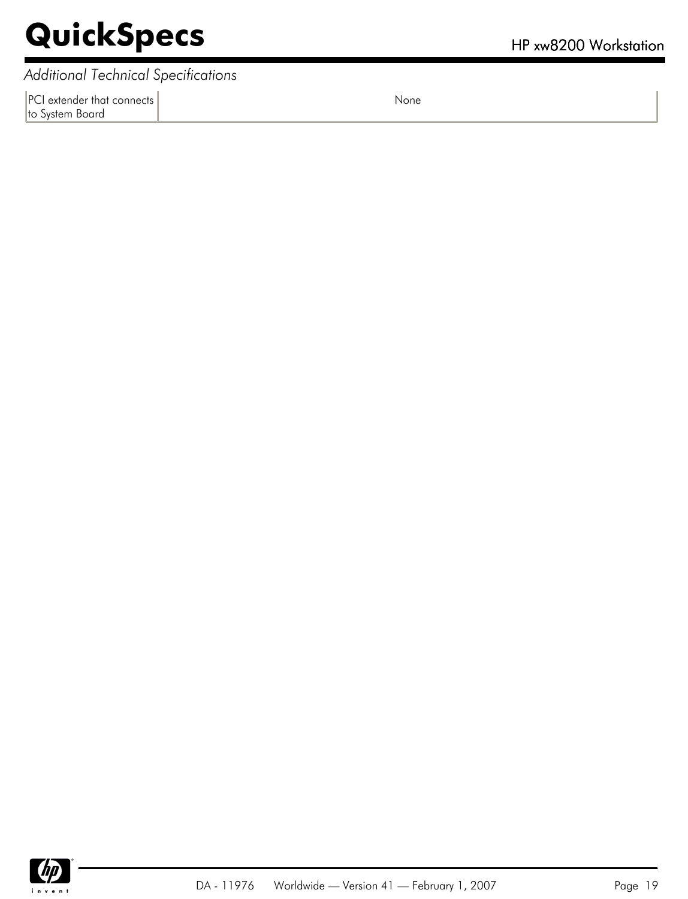*Additional Technical Specifications*

PCI extender that connects to System Board

None

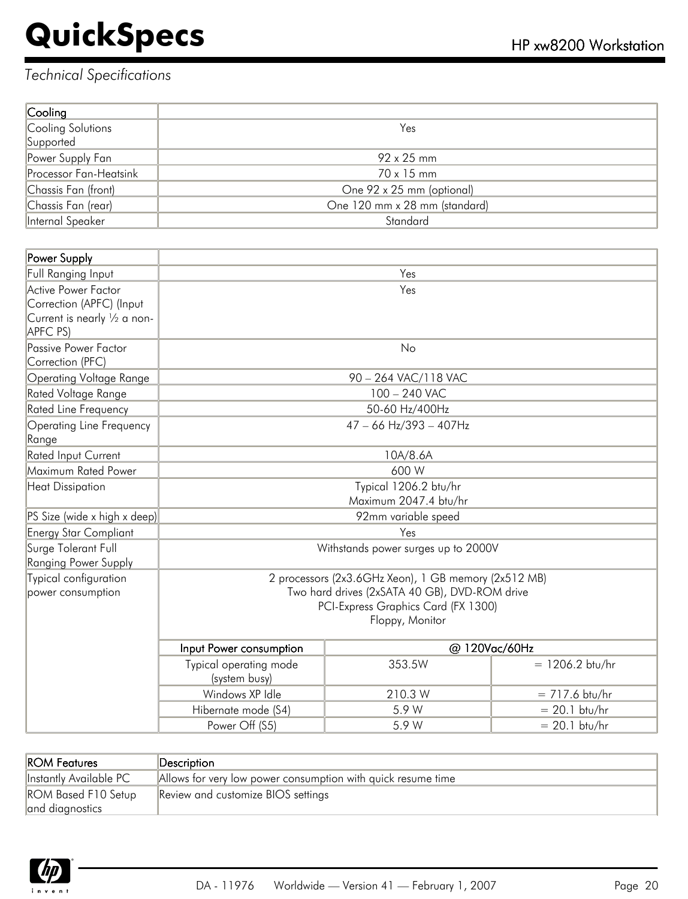| Cooling                |                               |
|------------------------|-------------------------------|
| Cooling Solutions      | Yes                           |
| Supported              |                               |
| Power Supply Fan       | 92 x 25 mm                    |
| Processor Fan-Heatsink | 70 x 15 mm                    |
| Chassis Fan (front)    | One 92 x 25 mm (optional)     |
| Chassis Fan (rear)     | One 120 mm x 28 mm (standard) |
| Internal Speaker       | Standard                      |

| Power Supply                                                                                |                                                                                                                                                                 |                      |                   |
|---------------------------------------------------------------------------------------------|-----------------------------------------------------------------------------------------------------------------------------------------------------------------|----------------------|-------------------|
| Full Ranging Input                                                                          | Yes                                                                                                                                                             |                      |                   |
| Active Power Factor<br>Correction (APFC) (Input<br>Current is nearly 1/2 a non-<br>APFC PS) | Yes                                                                                                                                                             |                      |                   |
| Passive Power Factor<br>Correction (PFC)                                                    | No                                                                                                                                                              |                      |                   |
| Operating Voltage Range                                                                     |                                                                                                                                                                 | 90 - 264 VAC/118 VAC |                   |
| Rated Voltage Range                                                                         |                                                                                                                                                                 | 100 - 240 VAC        |                   |
| Rated Line Frequency                                                                        |                                                                                                                                                                 | 50-60 Hz/400Hz       |                   |
| Operating Line Frequency<br>Range                                                           | $47 - 66$ Hz/393 - 407Hz                                                                                                                                        |                      |                   |
| Rated Input Current                                                                         | 10A/8.6A                                                                                                                                                        |                      |                   |
| Maximum Rated Power                                                                         | 600 W                                                                                                                                                           |                      |                   |
| <b>Heat Dissipation</b>                                                                     | Typical 1206.2 btu/hr<br>Maximum 2047.4 btu/hr                                                                                                                  |                      |                   |
| PS Size (wide x high x deep)                                                                | 92mm variable speed                                                                                                                                             |                      |                   |
| <b>Energy Star Compliant</b>                                                                | Yes                                                                                                                                                             |                      |                   |
| Surge Tolerant Full<br><b>Ranging Power Supply</b>                                          | Withstands power surges up to 2000V                                                                                                                             |                      |                   |
| Typical configuration<br>power consumption                                                  | 2 processors (2x3.6GHz Xeon), 1 GB memory (2x512 MB)<br>Two hard drives (2xSATA 40 GB), DVD-ROM drive<br>PCI-Express Graphics Card (FX 1300)<br>Floppy, Monitor |                      |                   |
|                                                                                             | Input Power consumption                                                                                                                                         |                      | @ 120Vac/60Hz     |
|                                                                                             | Typical operating mode<br>(system busy)                                                                                                                         | 353.5W               | $= 1206.2$ btu/hr |
|                                                                                             | Windows XP Idle                                                                                                                                                 | 210.3 W              | $= 717.6$ btu/hr  |
|                                                                                             | Hibernate mode (S4)                                                                                                                                             | 5.9 W                | $= 20.1$ btu/hr   |
|                                                                                             | Power Off (S5)                                                                                                                                                  | 5.9 W                | $= 20.1$ btu/hr   |

| <b>ROM Features</b>                           | $\mathsf{Description}$                                       |
|-----------------------------------------------|--------------------------------------------------------------|
| Instantly Available PC                        | Allows for very low power consumption with quick resume time |
| <b>ROM Based F10 Setup</b><br>and diagnostics | Review and customize BIOS settings                           |

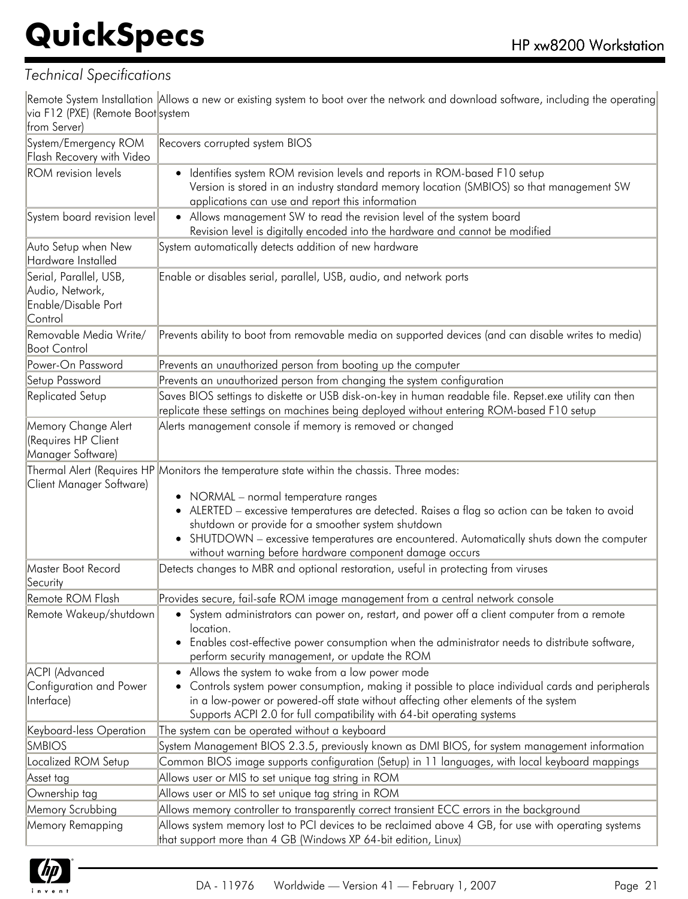#### *Technical Specifications*

Remote System Installation Allows a new or existing system to boot over the network and download software, including the operating via F12 (PXE) (Remote Boot system

| from Server)                                                                |                                                                                                                                                                                                                                                                                                                                                                                                                                                                           |  |  |
|-----------------------------------------------------------------------------|---------------------------------------------------------------------------------------------------------------------------------------------------------------------------------------------------------------------------------------------------------------------------------------------------------------------------------------------------------------------------------------------------------------------------------------------------------------------------|--|--|
| System/Emergency ROM<br>Flash Recovery with Video                           | Recovers corrupted system BIOS                                                                                                                                                                                                                                                                                                                                                                                                                                            |  |  |
| <b>ROM</b> revision levels                                                  | Identifies system ROM revision levels and reports in ROM-based F10 setup<br>٠<br>Version is stored in an industry standard memory location (SMBIOS) so that management SW<br>applications can use and report this information                                                                                                                                                                                                                                             |  |  |
| System board revision level                                                 | • Allows management SW to read the revision level of the system board<br>Revision level is digitally encoded into the hardware and cannot be modified                                                                                                                                                                                                                                                                                                                     |  |  |
| Auto Setup when New<br>Hardware Installed                                   | System automatically detects addition of new hardware                                                                                                                                                                                                                                                                                                                                                                                                                     |  |  |
| Serial, Parallel, USB,<br>Audio, Network,<br>Enable/Disable Port<br>Control | Enable or disables serial, parallel, USB, audio, and network ports                                                                                                                                                                                                                                                                                                                                                                                                        |  |  |
| Removable Media Write/<br><b>Boot Control</b>                               | Prevents ability to boot from removable media on supported devices (and can disable writes to media)                                                                                                                                                                                                                                                                                                                                                                      |  |  |
| Power-On Password                                                           | Prevents an unauthorized person from booting up the computer                                                                                                                                                                                                                                                                                                                                                                                                              |  |  |
| Setup Password                                                              | Prevents an unauthorized person from changing the system configuration                                                                                                                                                                                                                                                                                                                                                                                                    |  |  |
| Replicated Setup                                                            | Saves BIOS settings to diskette or USB disk-on-key in human readable file. Repset.exe utility can then<br>replicate these settings on machines being deployed without entering ROM-based F10 setup                                                                                                                                                                                                                                                                        |  |  |
| Memory Change Alert<br>(Requires HP Client<br>Manager Software)             | Alerts management console if memory is removed or changed                                                                                                                                                                                                                                                                                                                                                                                                                 |  |  |
| Client Manager Software)                                                    | Thermal Alert (Requires HP Monitors the temperature state within the chassis. Three modes:<br>• NORMAL - normal temperature ranges<br>ALERTED - excessive temperatures are detected. Raises a flag so action can be taken to avoid<br>$\bullet$<br>shutdown or provide for a smoother system shutdown<br>SHUTDOWN - excessive temperatures are encountered. Automatically shuts down the computer<br>$\bullet$<br>without warning before hardware component damage occurs |  |  |
| Master Boot Record<br>Security                                              | Detects changes to MBR and optional restoration, useful in protecting from viruses                                                                                                                                                                                                                                                                                                                                                                                        |  |  |
| Remote ROM Flash                                                            | Provides secure, fail-safe ROM image management from a central network console                                                                                                                                                                                                                                                                                                                                                                                            |  |  |
| Remote Wakeup/shutdown                                                      | • System administrators can power on, restart, and power off a client computer from a remote<br>location.<br>• Enables cost-effective power consumption when the administrator needs to distribute software,<br>perform security management, or update the ROM                                                                                                                                                                                                            |  |  |
| ACPI (Advanced<br>Configuration and Power<br>Interface)                     | Allows the system to wake from a low power mode<br>Controls system power consumption, making it possible to place individual cards and peripherals<br>٠<br>in a low-power or powered-off state without affecting other elements of the system<br>Supports ACPI 2.0 for full compatibility with 64-bit operating systems                                                                                                                                                   |  |  |
| Keyboard-less Operation                                                     | The system can be operated without a keyboard                                                                                                                                                                                                                                                                                                                                                                                                                             |  |  |
| <b>SMBIOS</b>                                                               | System Management BIOS 2.3.5, previously known as DMI BIOS, for system management information                                                                                                                                                                                                                                                                                                                                                                             |  |  |
| Localized ROM Setup                                                         | Common BIOS image supports configuration (Setup) in 11 languages, with local keyboard mappings                                                                                                                                                                                                                                                                                                                                                                            |  |  |
| Asset tag                                                                   | Allows user or MIS to set unique tag string in ROM                                                                                                                                                                                                                                                                                                                                                                                                                        |  |  |
| Ownership tag                                                               | Allows user or MIS to set unique tag string in ROM                                                                                                                                                                                                                                                                                                                                                                                                                        |  |  |
| Memory Scrubbing                                                            | Allows memory controller to transparently correct transient ECC errors in the background                                                                                                                                                                                                                                                                                                                                                                                  |  |  |
| Memory Remapping                                                            | Allows system memory lost to PCI devices to be reclaimed above 4 GB, for use with operating systems<br>that support more than 4 GB (Windows XP 64-bit edition, Linux)                                                                                                                                                                                                                                                                                                     |  |  |

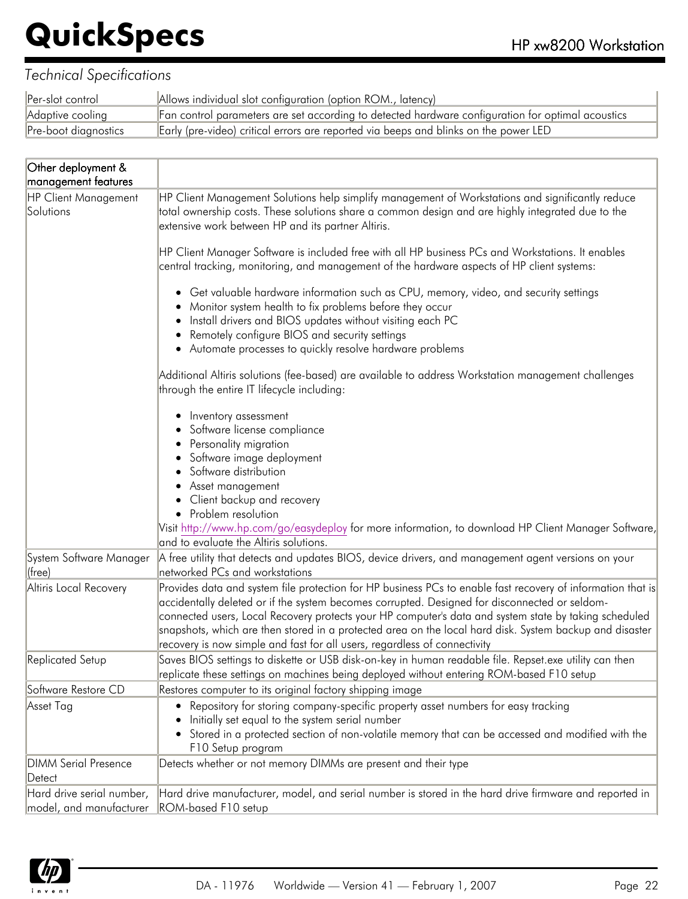| Per-slot control     | Allows individual slot configuration (option ROM., latency)                                       |
|----------------------|---------------------------------------------------------------------------------------------------|
| Adaptive cooling     | Fan control parameters are set according to detected hardware configuration for optimal acoustics |
| Pre-boot diagnostics | Early (pre-video) critical errors are reported via beeps and blinks on the power LED              |

| Other deployment &                                       |                                                                                                                                                                                                                                                                                               |  |  |
|----------------------------------------------------------|-----------------------------------------------------------------------------------------------------------------------------------------------------------------------------------------------------------------------------------------------------------------------------------------------|--|--|
| management features<br>HP Client Management<br>Solutions | HP Client Management Solutions help simplify management of Workstations and significantly reduce<br>total ownership costs. These solutions share a common design and are highly integrated due to the<br>extensive work between HP and its partner Altiris.                                   |  |  |
|                                                          | HP Client Manager Software is included free with all HP business PCs and Workstations. It enables                                                                                                                                                                                             |  |  |
|                                                          | central tracking, monitoring, and management of the hardware aspects of HP client systems:                                                                                                                                                                                                    |  |  |
|                                                          | • Get valuable hardware information such as CPU, memory, video, and security settings<br>Monitor system health to fix problems before they occur                                                                                                                                              |  |  |
|                                                          | Install drivers and BIOS updates without visiting each PC                                                                                                                                                                                                                                     |  |  |
|                                                          | Remotely configure BIOS and security settings                                                                                                                                                                                                                                                 |  |  |
|                                                          | • Automate processes to quickly resolve hardware problems                                                                                                                                                                                                                                     |  |  |
|                                                          | Additional Altiris solutions (fee-based) are available to address Workstation management challenges<br>through the entire IT lifecycle including:                                                                                                                                             |  |  |
|                                                          | Inventory assessment                                                                                                                                                                                                                                                                          |  |  |
|                                                          | Software license compliance                                                                                                                                                                                                                                                                   |  |  |
|                                                          | Personality migration                                                                                                                                                                                                                                                                         |  |  |
|                                                          | Software image deployment                                                                                                                                                                                                                                                                     |  |  |
|                                                          | Software distribution                                                                                                                                                                                                                                                                         |  |  |
|                                                          | Asset management                                                                                                                                                                                                                                                                              |  |  |
|                                                          | Client backup and recovery                                                                                                                                                                                                                                                                    |  |  |
|                                                          | • Problem resolution                                                                                                                                                                                                                                                                          |  |  |
|                                                          | [Visit http://www.hp.com/go/easydeploy for more information, to download HP Client Manager Software,<br>and to evaluate the Altiris solutions.                                                                                                                                                |  |  |
| System Software Manager<br>$ $ (free)                    | A free utility that detects and updates BIOS, device drivers, and management agent versions on your<br>networked PCs and workstations                                                                                                                                                         |  |  |
| Altiris Local Recovery                                   | Provides data and system file protection for HP business PCs to enable fast recovery of information that is<br>accidentally deleted or if the system becomes corrupted. Designed for disconnected or seldom-                                                                                  |  |  |
|                                                          | connected users, Local Recovery protects your HP computer's data and system state by taking scheduled<br>snapshots, which are then stored in a protected area on the local hard disk. System backup and disaster<br>recovery is now simple and fast for all users, regardless of connectivity |  |  |
| Replicated Setup                                         | Saves BIOS settings to diskette or USB disk-on-key in human readable file. Repset.exe utility can then<br>replicate these settings on machines being deployed without entering ROM-based F10 setup                                                                                            |  |  |
| Software Restore CD                                      | Restores computer to its original factory shipping image                                                                                                                                                                                                                                      |  |  |
| Asset Tag                                                | Repository for storing company-specific property asset numbers for easy tracking<br>Initially set equal to the system serial number                                                                                                                                                           |  |  |
|                                                          | Stored in a protected section of non-volatile memory that can be accessed and modified with the<br>F10 Setup program                                                                                                                                                                          |  |  |
| <b>DIMM Serial Presence</b>                              | Detects whether or not memory DIMMs are present and their type                                                                                                                                                                                                                                |  |  |
| Detect                                                   |                                                                                                                                                                                                                                                                                               |  |  |
| Hard drive serial number,                                | Hard drive manufacturer, model, and serial number is stored in the hard drive firmware and reported in                                                                                                                                                                                        |  |  |
| model, and manufacturer                                  | ROM-based F10 setup                                                                                                                                                                                                                                                                           |  |  |

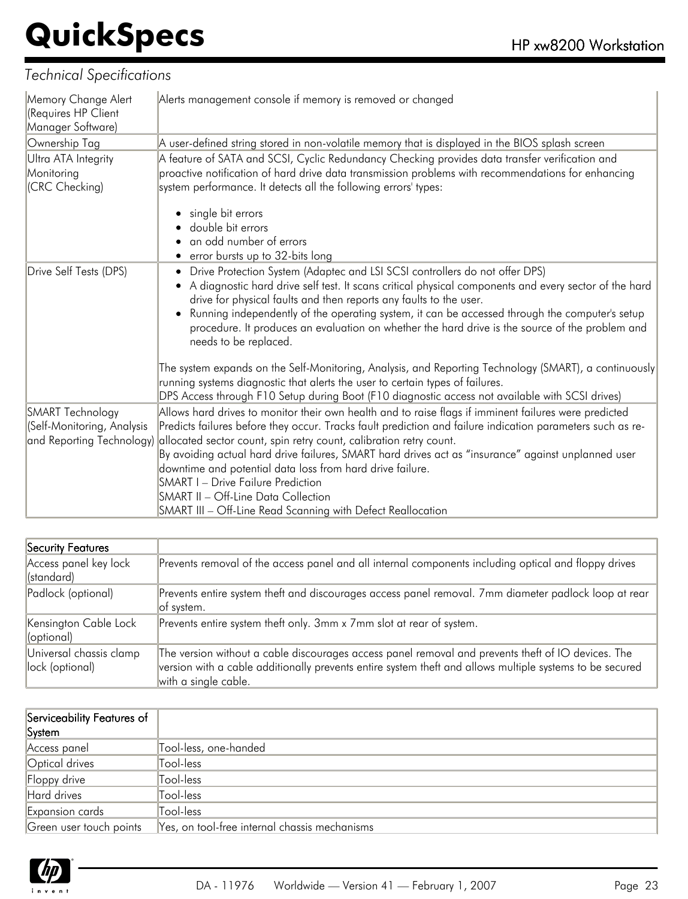| Memory Change Alert<br>(Requires HP Client<br>Manager Software) | Alerts management console if memory is removed or changed                                                                                                                                                                                                                                                                                                                                                                                                                                |  |  |
|-----------------------------------------------------------------|------------------------------------------------------------------------------------------------------------------------------------------------------------------------------------------------------------------------------------------------------------------------------------------------------------------------------------------------------------------------------------------------------------------------------------------------------------------------------------------|--|--|
| Ownership Tag                                                   | A user-defined string stored in non-volatile memory that is displayed in the BIOS splash screen                                                                                                                                                                                                                                                                                                                                                                                          |  |  |
| Ultra ATA Integrity<br>Monitoring<br>(CRC Checking)             | A feature of SATA and SCSI, Cyclic Redundancy Checking provides data transfer verification and<br>proactive notification of hard drive data transmission problems with recommendations for enhancing<br>system performance. It detects all the following errors' types:                                                                                                                                                                                                                  |  |  |
|                                                                 | single bit errors<br>double bit errors<br>an odd number of errors<br>• error bursts up to 32-bits long                                                                                                                                                                                                                                                                                                                                                                                   |  |  |
| Drive Self Tests (DPS)                                          | Drive Protection System (Adaptec and LSI SCSI controllers do not offer DPS)<br>A diagnostic hard drive self test. It scans critical physical components and every sector of the hard<br>drive for physical faults and then reports any faults to the user.<br>Running independently of the operating system, it can be accessed through the computer's setup<br>procedure. It produces an evaluation on whether the hard drive is the source of the problem and<br>needs to be replaced. |  |  |
|                                                                 | The system expands on the Self-Monitoring, Analysis, and Reporting Technology (SMART), a continuously<br>running systems diagnostic that alerts the user to certain types of failures.<br>DPS Access through F10 Setup during Boot (F10 diagnostic access not available with SCSI drives)                                                                                                                                                                                                |  |  |
| SMART Technology                                                | Allows hard drives to monitor their own health and to raise flags if imminent failures were predicted                                                                                                                                                                                                                                                                                                                                                                                    |  |  |
| (Self-Monitoring, Analysis                                      | Predicts failures before they occur. Tracks fault prediction and failure indication parameters such as re-                                                                                                                                                                                                                                                                                                                                                                               |  |  |
| and Reporting Technology)                                       | allocated sector count, spin retry count, calibration retry count.                                                                                                                                                                                                                                                                                                                                                                                                                       |  |  |
|                                                                 | By avoiding actual hard drive failures, SMART hard drives act as "insurance" against unplanned user                                                                                                                                                                                                                                                                                                                                                                                      |  |  |
|                                                                 | downtime and potential data loss from hard drive failure.                                                                                                                                                                                                                                                                                                                                                                                                                                |  |  |
|                                                                 | <b>SMART I - Drive Failure Prediction</b>                                                                                                                                                                                                                                                                                                                                                                                                                                                |  |  |
|                                                                 | <b>SMART II - Off-Line Data Collection</b><br>SMART III - Off-Line Read Scanning with Defect Reallocation                                                                                                                                                                                                                                                                                                                                                                                |  |  |
|                                                                 |                                                                                                                                                                                                                                                                                                                                                                                                                                                                                          |  |  |

| Security Features                          |                                                                                                                                                                                                                                        |
|--------------------------------------------|----------------------------------------------------------------------------------------------------------------------------------------------------------------------------------------------------------------------------------------|
| Access panel key lock<br>(standard)        | Prevents removal of the access panel and all internal components including optical and floppy drives                                                                                                                                   |
| Padlock (optional)                         | Prevents entire system theft and discourages access panel removal. 7mm diameter padlock loop at rear<br>of system.                                                                                                                     |
| Kensington Cable Lock<br>$ $ (optional)    | Prevents entire system theft only. 3mm x 7mm slot at rear of system.                                                                                                                                                                   |
| Universal chassis clamp<br>lock (optional) | The version without a cable discourages access panel removal and prevents theft of IO devices. The<br>version with a cable additionally prevents entire system theft and allows multiple systems to be secured<br>with a single cable. |

| Serviceability Features of<br>System |                                               |
|--------------------------------------|-----------------------------------------------|
| Access panel                         | Tool-less, one-handed                         |
| Optical drives                       | Tool-less                                     |
| Floppy drive                         | Tool-less                                     |
| Hard drives                          | Tool-less                                     |
| Expansion cards                      | Tool-less                                     |
| Green user touch points              | Yes, on tool-free internal chassis mechanisms |

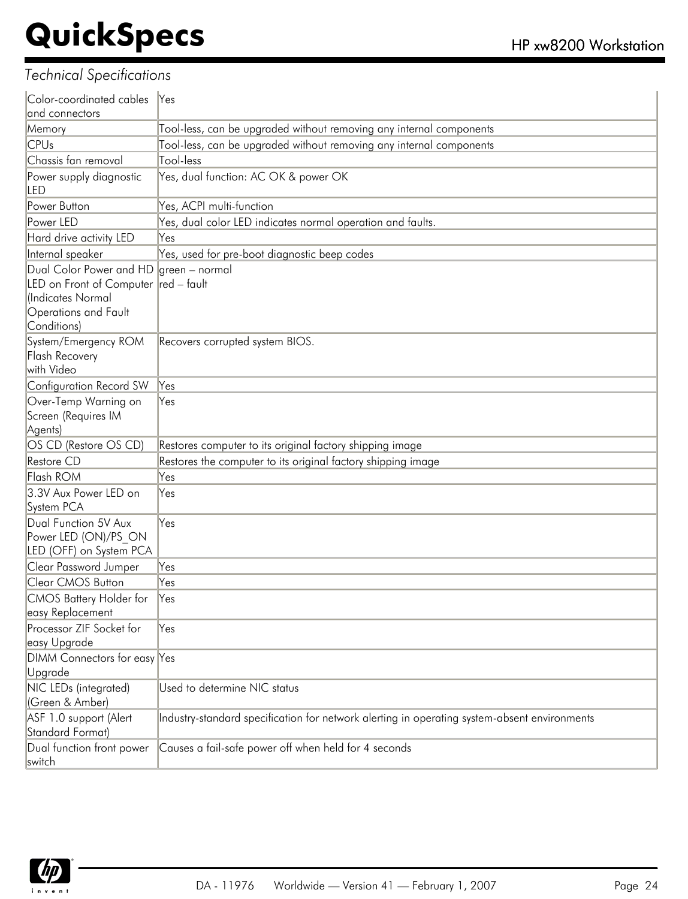| Color-coordinated cables                                                                                                    | $\aleph$ es                                                                                  |  |  |
|-----------------------------------------------------------------------------------------------------------------------------|----------------------------------------------------------------------------------------------|--|--|
| and connectors                                                                                                              |                                                                                              |  |  |
| Memory                                                                                                                      | Tool-less, can be upgraded without removing any internal components                          |  |  |
| <b>CPUs</b>                                                                                                                 | Tool-less, can be upgraded without removing any internal components                          |  |  |
| Chassis fan removal                                                                                                         | Tool-less                                                                                    |  |  |
| Power supply diagnostic<br>led                                                                                              | Yes, dual function: AC OK & power OK                                                         |  |  |
| Power Button                                                                                                                | Yes, ACPI multi-function                                                                     |  |  |
| Power LED                                                                                                                   | Yes, dual color LED indicates normal operation and faults.                                   |  |  |
| Hard drive activity LED                                                                                                     | Yes                                                                                          |  |  |
| Internal speaker                                                                                                            | Yes, used for pre-boot diagnostic beep codes                                                 |  |  |
| Dual Color Power and HD<br>LED on Front of Computer red - fault<br>(Indicates Normal<br>Operations and Fault<br>Conditions) | $ green - normal$                                                                            |  |  |
| System/Emergency ROM<br><b>Flash Recovery</b><br>with Video                                                                 | Recovers corrupted system BIOS.                                                              |  |  |
| Configuration Record SW                                                                                                     | Yes                                                                                          |  |  |
| Over-Temp Warning on<br>Screen (Requires IM<br>Agents)                                                                      | Yes                                                                                          |  |  |
| OS CD (Restore OS CD)                                                                                                       | Restores computer to its original factory shipping image                                     |  |  |
| Restore CD                                                                                                                  | Restores the computer to its original factory shipping image                                 |  |  |
| Flash ROM                                                                                                                   | Yes                                                                                          |  |  |
| 3.3V Aux Power LED on<br>System PCA                                                                                         | Yes                                                                                          |  |  |
| Dual Function 5V Aux<br>Power LED (ON)/PS ON<br>LED (OFF) on System PCA                                                     | Yes                                                                                          |  |  |
| <b>Clear Password Jumper</b>                                                                                                | Yes                                                                                          |  |  |
| Clear CMOS Button                                                                                                           | Yes                                                                                          |  |  |
| <b>CMOS Battery Holder for</b><br>easy Replacement                                                                          | Yes                                                                                          |  |  |
| Processor ZIF Socket for<br>easy Upgrade                                                                                    | Yes                                                                                          |  |  |
| DIMM Connectors for easy Yes<br>Upgrade                                                                                     |                                                                                              |  |  |
| NIC LEDs (integrated)<br>(Green & Amber)                                                                                    | Used to determine NIC status                                                                 |  |  |
| ASF 1.0 support (Alert<br>Standard Format)                                                                                  | Industry-standard specification for network alerting in operating system-absent environments |  |  |
| Dual function front power<br>switch                                                                                         | Causes a fail-safe power off when held for 4 seconds                                         |  |  |

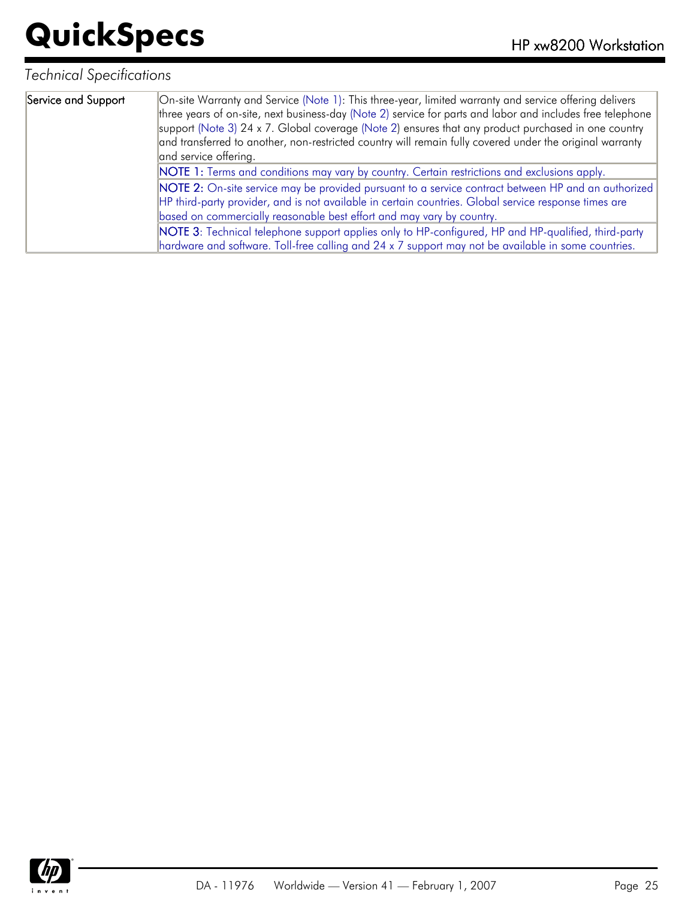| Service and Support | On-site Warranty and Service (Note 1): This three-year, limited warranty and service offering delivers<br>three years of on-site, next business-day (Note 2) service for parts and labor and includes free telephone<br>support (Note 3) 24 x 7. Global coverage (Note 2) ensures that any product purchased in one country<br>and transferred to another, non-restricted country will remain fully covered under the original warranty<br>and service offering. |
|---------------------|------------------------------------------------------------------------------------------------------------------------------------------------------------------------------------------------------------------------------------------------------------------------------------------------------------------------------------------------------------------------------------------------------------------------------------------------------------------|
|                     | NOTE 1: Terms and conditions may vary by country. Certain restrictions and exclusions apply.                                                                                                                                                                                                                                                                                                                                                                     |
|                     | NOTE 2: On-site service may be provided pursuant to a service contract between HP and an authorized                                                                                                                                                                                                                                                                                                                                                              |
|                     | HP third-party provider, and is not available in certain countries. Global service response times are                                                                                                                                                                                                                                                                                                                                                            |
|                     | based on commercially reasonable best effort and may vary by country.                                                                                                                                                                                                                                                                                                                                                                                            |
|                     | NOTE 3: Technical telephone support applies only to HP-configured, HP and HP-qualified, third-party                                                                                                                                                                                                                                                                                                                                                              |
|                     | hardware and software. Toll-free calling and 24 x 7 support may not be available in some countries.                                                                                                                                                                                                                                                                                                                                                              |

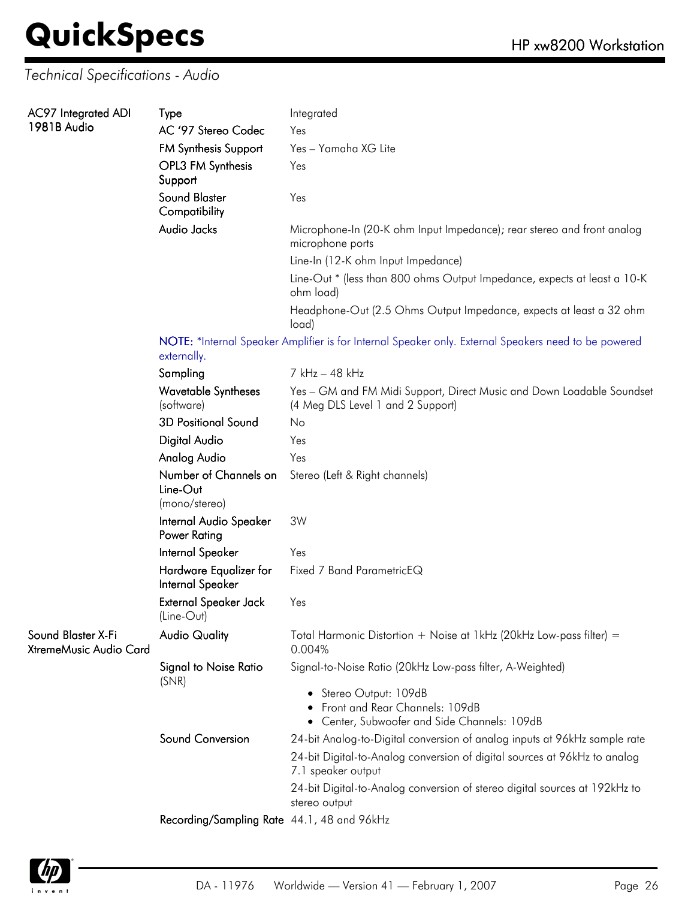#### *Technical Specifications - Audio*

| AC97 Integrated ADI                          | Type                                                                                                                | Integrated                                                                                                 |  |
|----------------------------------------------|---------------------------------------------------------------------------------------------------------------------|------------------------------------------------------------------------------------------------------------|--|
| 1981B Audio                                  | AC '97 Stereo Codec                                                                                                 | Yes                                                                                                        |  |
|                                              | <b>FM Synthesis Support</b>                                                                                         | Yes - Yamaha XG Lite                                                                                       |  |
|                                              | OPL3 FM Synthesis<br>Support                                                                                        | Yes                                                                                                        |  |
|                                              | <b>Sound Blaster</b><br>Compatibility                                                                               | Yes                                                                                                        |  |
|                                              | Audio Jacks                                                                                                         | Microphone-In (20-K ohm Input Impedance); rear stereo and front analog<br>microphone ports                 |  |
|                                              |                                                                                                                     | Line-In (12-K ohm Input Impedance)                                                                         |  |
|                                              |                                                                                                                     | Line-Out * (less than 800 ohms Output Impedance, expects at least a 10-K<br>ohm load)                      |  |
|                                              |                                                                                                                     | Headphone-Out (2.5 Ohms Output Impedance, expects at least a 32 ohm<br>load)                               |  |
|                                              | NOTE: *Internal Speaker Amplifier is for Internal Speaker only. External Speakers need to be powered<br>externally. |                                                                                                            |  |
|                                              | Sampling                                                                                                            | 7 kHz - 48 kHz                                                                                             |  |
|                                              | <b>Wavetable Syntheses</b><br>(software)                                                                            | Yes - GM and FM Midi Support, Direct Music and Down Loadable Soundset<br>(4 Meg DLS Level 1 and 2 Support) |  |
|                                              | <b>3D Positional Sound</b>                                                                                          | No                                                                                                         |  |
|                                              | Digital Audio                                                                                                       | Yes                                                                                                        |  |
|                                              | Analog Audio                                                                                                        | Yes                                                                                                        |  |
|                                              | Number of Channels on<br>Line-Out<br>(mono/stereo)                                                                  | Stereo (Left & Right channels)                                                                             |  |
|                                              | Internal Audio Speaker<br>Power Rating                                                                              | 3W                                                                                                         |  |
|                                              | Internal Speaker                                                                                                    | Yes                                                                                                        |  |
|                                              | Hardware Equalizer for<br>Internal Speaker                                                                          | Fixed 7 Band ParametricEQ                                                                                  |  |
|                                              | <b>External Speaker Jack</b><br>(Line-Out)                                                                          | Yes                                                                                                        |  |
| Sound Blaster X-Fi<br>XtremeMusic Audio Card | <b>Audio Quality</b>                                                                                                | Total Harmonic Distortion + Noise at 1kHz (20kHz Low-pass filter) =<br>0.004%                              |  |
|                                              | <b>Signal to Noise Ratio</b><br>(SNR)                                                                               | Signal-to-Noise Ratio (20kHz Low-pass filter, A-Weighted)                                                  |  |
|                                              |                                                                                                                     | • Stereo Output: 109dB<br>Front and Rear Channels: 109dB<br>• Center, Subwoofer and Side Channels: 109dB   |  |
|                                              | Sound Conversion                                                                                                    | 24-bit Analog-to-Digital conversion of analog inputs at 96kHz sample rate                                  |  |
|                                              |                                                                                                                     | 24-bit Digital-to-Analog conversion of digital sources at 96kHz to analog<br>7.1 speaker output            |  |
|                                              |                                                                                                                     | 24-bit Digital-to-Analog conversion of stereo digital sources at 192kHz to<br>stereo output                |  |
|                                              | Recording/Sampling Rate 44.1, 48 and 96kHz                                                                          |                                                                                                            |  |

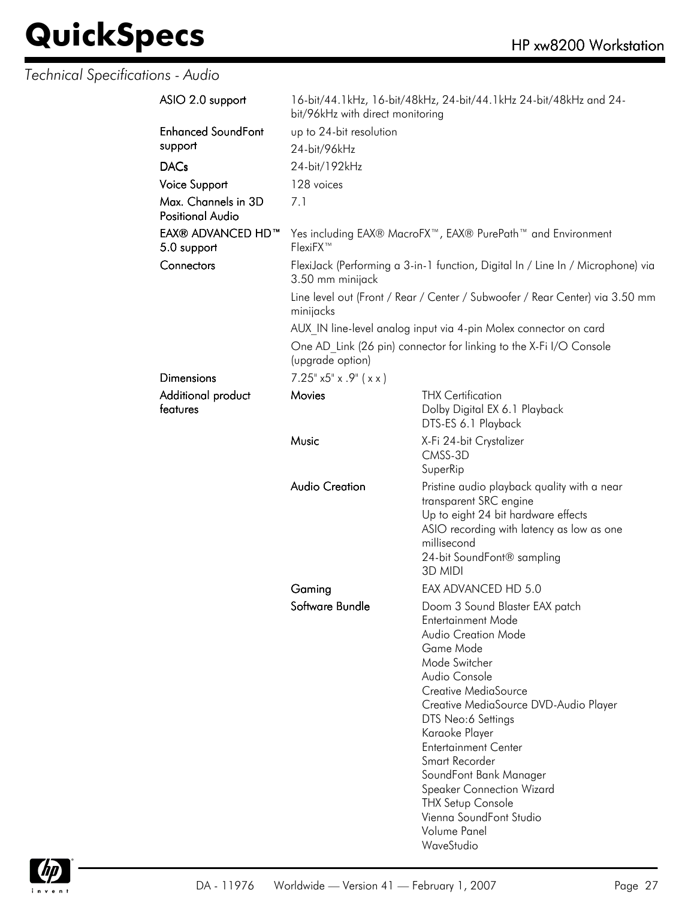*Technical Specifications - Audio*

|                                                                                                     | 16-bit/44.1kHz, 16-bit/48kHz, 24-bit/44.1kHz 24-bit/48kHz and 24-                                                                                                                                                                                                                                                                                                                                                         |  |
|-----------------------------------------------------------------------------------------------------|---------------------------------------------------------------------------------------------------------------------------------------------------------------------------------------------------------------------------------------------------------------------------------------------------------------------------------------------------------------------------------------------------------------------------|--|
| up to 24-bit resolution                                                                             |                                                                                                                                                                                                                                                                                                                                                                                                                           |  |
| 24-bit/96kHz                                                                                        |                                                                                                                                                                                                                                                                                                                                                                                                                           |  |
| 24-bit/192kHz                                                                                       |                                                                                                                                                                                                                                                                                                                                                                                                                           |  |
|                                                                                                     |                                                                                                                                                                                                                                                                                                                                                                                                                           |  |
|                                                                                                     |                                                                                                                                                                                                                                                                                                                                                                                                                           |  |
|                                                                                                     |                                                                                                                                                                                                                                                                                                                                                                                                                           |  |
| FlexiFX™                                                                                            | Yes including EAX® MacroFX™, EAX® PurePath™ and Environment                                                                                                                                                                                                                                                                                                                                                               |  |
| FlexiJack (Performing a 3-in-1 function, Digital In / Line In / Microphone) via<br>3.50 mm minijack |                                                                                                                                                                                                                                                                                                                                                                                                                           |  |
| Line level out (Front / Rear / Center / Subwoofer / Rear Center) via 3.50 mm<br>minijacks           |                                                                                                                                                                                                                                                                                                                                                                                                                           |  |
|                                                                                                     | AUX IN line-level analog input via 4-pin Molex connector on card                                                                                                                                                                                                                                                                                                                                                          |  |
| One AD Link (26 pin) connector for linking to the X-Fi I/O Console<br>(upgrade option)              |                                                                                                                                                                                                                                                                                                                                                                                                                           |  |
| $7.25^{\circ}$ x5" x .9" ( x x )                                                                    |                                                                                                                                                                                                                                                                                                                                                                                                                           |  |
| Movies                                                                                              | <b>THX Certification</b>                                                                                                                                                                                                                                                                                                                                                                                                  |  |
|                                                                                                     | Dolby Digital EX 6.1 Playback<br>DTS-ES 6.1 Playback                                                                                                                                                                                                                                                                                                                                                                      |  |
| Music                                                                                               | X-Fi 24-bit Crystalizer<br>CMSS-3D<br>SuperRip                                                                                                                                                                                                                                                                                                                                                                            |  |
| <b>Audio Creation</b>                                                                               | Pristine audio playback quality with a near<br>transparent SRC engine<br>Up to eight 24 bit hardware effects<br>ASIO recording with latency as low as one<br>millisecond<br>24-bit SoundFont® sampling<br>3D MIDI                                                                                                                                                                                                         |  |
| Gaming                                                                                              | EAX ADVANCED HD 5.0                                                                                                                                                                                                                                                                                                                                                                                                       |  |
|                                                                                                     | Doom 3 Sound Blaster EAX patch<br>Entertainment Mode<br>Audio Creation Mode<br>Game Mode<br>Mode Switcher<br>Audio Console<br>Creative MediaSource<br>Creative MediaSource DVD-Audio Player<br>DTS Neo:6 Settings<br>Karaoke Player<br><b>Entertainment Center</b><br>Smart Recorder<br>SoundFont Bank Manager<br><b>Speaker Connection Wizard</b><br><b>THX Setup Console</b><br>Vienna SoundFont Studio<br>Volume Panel |  |
|                                                                                                     | bit/96kHz with direct monitoring<br>128 voices<br>7.1<br>Software Bundle                                                                                                                                                                                                                                                                                                                                                  |  |

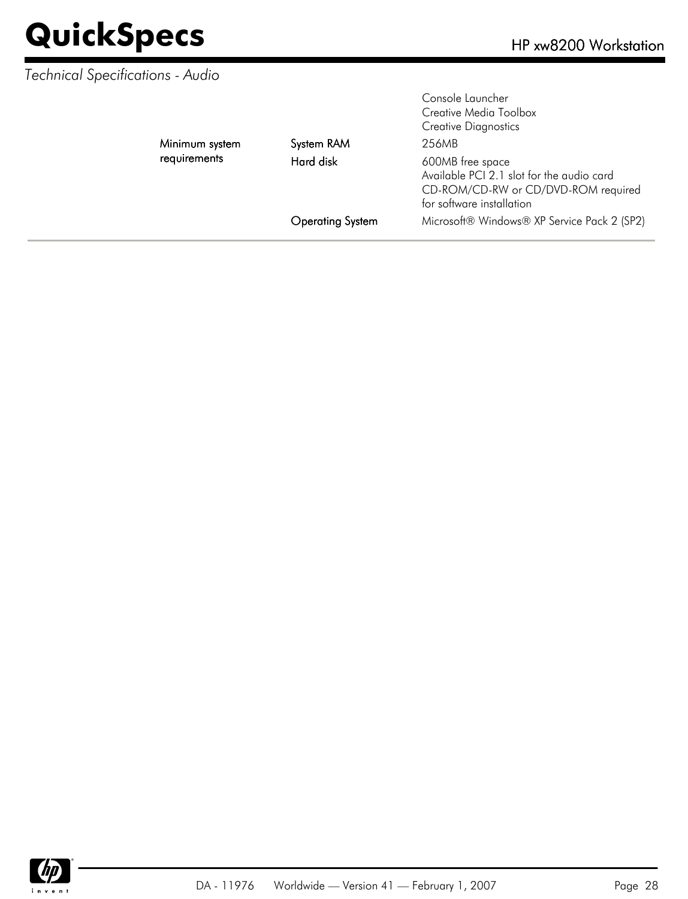#### *Technical Specifications - Audio*

|                | <b>Operating System</b> | Microsoft® Windows® XP Service Pack 2 (SP2)                                                                                       |
|----------------|-------------------------|-----------------------------------------------------------------------------------------------------------------------------------|
| requirements   | Hard disk               | 600MB free space<br>Available PCI 2.1 slot for the audio card<br>CD-ROM/CD-RW or CD/DVD-ROM required<br>for software installation |
| Minimum system | System RAM              | 256MB                                                                                                                             |
|                |                         | Console Launcher<br>Creative Media Toolbox<br><b>Creative Diagnostics</b>                                                         |

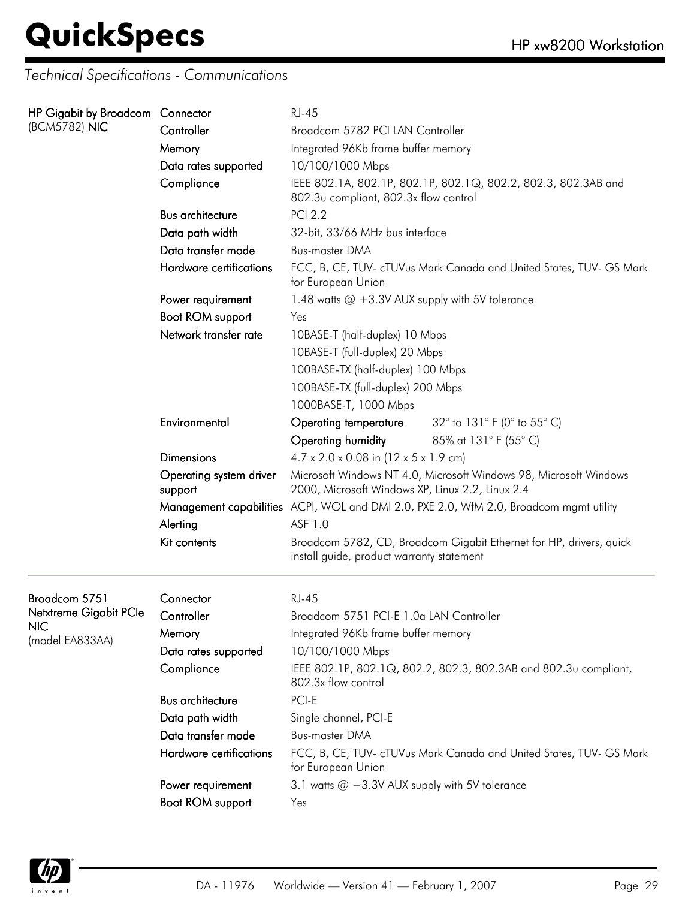*Technical Specifications - Communications*

| HP Gigabit by Broadcom Connector |                                    | <b>RJ-45</b>                                                                                                     |                                                                                        |  |
|----------------------------------|------------------------------------|------------------------------------------------------------------------------------------------------------------|----------------------------------------------------------------------------------------|--|
| (BCM5782) NIC                    | Controller                         | Broadcom 5782 PCI LAN Controller                                                                                 |                                                                                        |  |
|                                  | Memory                             | Integrated 96Kb frame buffer memory                                                                              |                                                                                        |  |
|                                  | Data rates supported               | 10/100/1000 Mbps                                                                                                 |                                                                                        |  |
|                                  | Compliance                         | IEEE 802.1A, 802.1P, 802.1P, 802.1Q, 802.2, 802.3, 802.3AB and<br>802.3u compliant, 802.3x flow control          |                                                                                        |  |
|                                  | <b>Bus architecture</b>            | <b>PCI 2.2</b>                                                                                                   |                                                                                        |  |
|                                  | Data path width                    | 32-bit, 33/66 MHz bus interface                                                                                  |                                                                                        |  |
|                                  | Data transfer mode                 | <b>Bus-master DMA</b>                                                                                            |                                                                                        |  |
|                                  | Hardware certifications            | for European Union                                                                                               | FCC, B, CE, TUV- cTUVus Mark Canada and United States, TUV- GS Mark                    |  |
|                                  | Power requirement                  | 1.48 watts $@ + 3.3V$ AUX supply with 5V tolerance                                                               |                                                                                        |  |
|                                  | Boot ROM support                   | Yes                                                                                                              |                                                                                        |  |
|                                  | Network transfer rate              | 10BASE-T (half-duplex) 10 Mbps                                                                                   |                                                                                        |  |
|                                  |                                    | 10BASE-T (full-duplex) 20 Mbps                                                                                   |                                                                                        |  |
|                                  |                                    | 100BASE-TX (half-duplex) 100 Mbps                                                                                |                                                                                        |  |
|                                  |                                    | 100BASE-TX (full-duplex) 200 Mbps                                                                                |                                                                                        |  |
|                                  |                                    | 1000BASE-T, 1000 Mbps                                                                                            |                                                                                        |  |
|                                  | Environmental                      | Operating temperature                                                                                            | 32 $^{\circ}$ to 131 $^{\circ}$ F (0 $^{\circ}$ to 55 $^{\circ}$ C)                    |  |
|                                  |                                    | Operating humidity                                                                                               | 85% at 131° F (55° C)                                                                  |  |
|                                  | <b>Dimensions</b>                  | $4.7 \times 2.0 \times 0.08$ in (12 x 5 x 1.9 cm)                                                                |                                                                                        |  |
|                                  | Operating system driver<br>support | 2000, Microsoft Windows XP, Linux 2.2, Linux 2.4                                                                 | Microsoft Windows NT 4.0, Microsoft Windows 98, Microsoft Windows                      |  |
|                                  |                                    |                                                                                                                  | Management capabilities ACPI, WOL and DMI 2.0, PXE 2.0, WfM 2.0, Broadcom mgmt utility |  |
|                                  | Alerting                           | ASF 1.0                                                                                                          |                                                                                        |  |
|                                  | Kit contents                       | Broadcom 5782, CD, Broadcom Gigabit Ethernet for HP, drivers, quick<br>install guide, product warranty statement |                                                                                        |  |
| Broadcom 5751                    | Connector                          | <b>RJ-45</b>                                                                                                     |                                                                                        |  |
| Netxtreme Gigabit PCle           | Controller                         | Broadcom 5751 PCI-E 1.0a LAN Controller                                                                          |                                                                                        |  |
| NIC.<br>(model EA833AA)          | Memory                             | Integrated 96Kb frame buffer memory                                                                              |                                                                                        |  |
|                                  | Data rates supported               | 10/100/1000 Mbps                                                                                                 |                                                                                        |  |
|                                  | Compliance                         | 802.3x flow control                                                                                              | IEEE 802.1P, 802.1Q, 802.2, 802.3, 802.3AB and 802.3u compliant,                       |  |
|                                  | <b>Bus architecture</b>            | PCI-E                                                                                                            |                                                                                        |  |
|                                  | Data path width                    | Single channel, PCI-E                                                                                            |                                                                                        |  |
|                                  | Data transfer mode                 | <b>Bus-master DMA</b>                                                                                            |                                                                                        |  |
|                                  | Hardware certifications            | for European Union                                                                                               | FCC, B, CE, TUV- cTUVus Mark Canada and United States, TUV- GS Mark                    |  |
|                                  | Power requirement                  | 3.1 watts $@ + 3.3V$ AUX supply with 5V tolerance                                                                |                                                                                        |  |
|                                  | Boot ROM support                   | Yes                                                                                                              |                                                                                        |  |

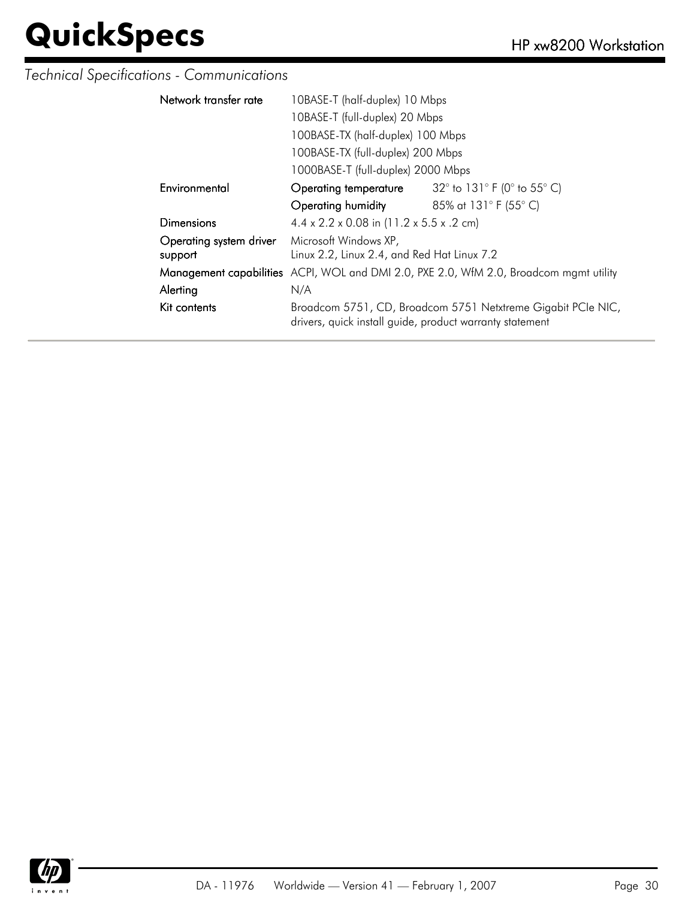#### *Technical Specifications - Communications*

| Network transfer rate   | 10BASE-T (half-duplex) 10 Mbps                                                                                           |                                                                     |  |
|-------------------------|--------------------------------------------------------------------------------------------------------------------------|---------------------------------------------------------------------|--|
|                         | 10BASE-T (full-duplex) 20 Mbps                                                                                           |                                                                     |  |
|                         | 100BASE-TX (half-duplex) 100 Mbps                                                                                        |                                                                     |  |
|                         | 100BASE-TX (full-duplex) 200 Mbps                                                                                        |                                                                     |  |
|                         | 1000BASE-T (full-duplex) 2000 Mbps                                                                                       |                                                                     |  |
| Environmental           | Operating temperature                                                                                                    | 32 $^{\circ}$ to 131 $^{\circ}$ F (0 $^{\circ}$ to 55 $^{\circ}$ C) |  |
|                         | Operating humidity                                                                                                       | 85% at 131° F (55° C)                                               |  |
| Dimensions              | $4.4 \times 2.2 \times 0.08$ in (11.2 x 5.5 x .2 cm)                                                                     |                                                                     |  |
| Operating system driver | Microsoft Windows XP,                                                                                                    |                                                                     |  |
| support                 | Linux 2.2, Linux 2.4, and Red Hat Linux 7.2                                                                              |                                                                     |  |
|                         | Management capabilities ACPI, WOL and DMI 2.0, PXE 2.0, WfM 2.0, Broadcom mgmt utility                                   |                                                                     |  |
| Alerting                | N/A                                                                                                                      |                                                                     |  |
| Kit contents            | Broadcom 5751, CD, Broadcom 5751 Netxtreme Gigabit PCIe NIC,<br>drivers, quick install guide, product warranty statement |                                                                     |  |

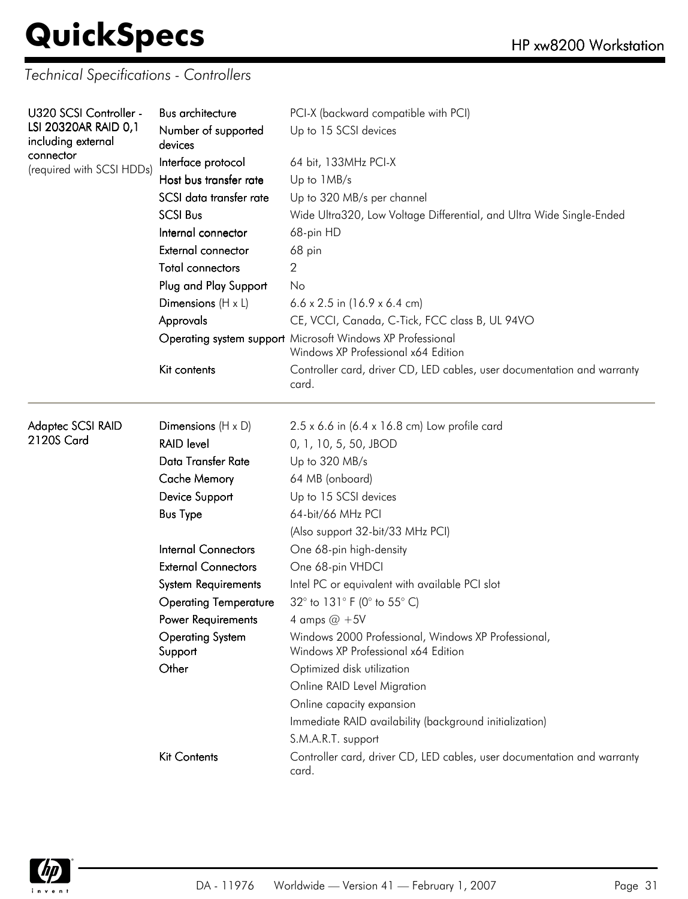*Technical Specifications - Controllers*

| U320 SCSI Controller -                 | <b>Bus architecture</b>            | PCI-X (backward compatible with PCI)                                                              |  |  |
|----------------------------------------|------------------------------------|---------------------------------------------------------------------------------------------------|--|--|
| LSI 20320AR RAID 0,1                   | Number of supported                | Up to 15 SCSI devices                                                                             |  |  |
| including external                     | devices                            |                                                                                                   |  |  |
| connector<br>(required with SCSI HDDs) | Interface protocol                 | 64 bit, 133MHz PCI-X                                                                              |  |  |
|                                        | Host bus transfer rate             | Up to 1MB/s                                                                                       |  |  |
|                                        | SCSI data transfer rate            | Up to 320 MB/s per channel                                                                        |  |  |
|                                        | <b>SCSI Bus</b>                    | Wide Ultra320, Low Voltage Differential, and Ultra Wide Single-Ended<br>68-pin HD<br>68 pin<br>2  |  |  |
|                                        | Internal connector                 |                                                                                                   |  |  |
|                                        | External connector                 |                                                                                                   |  |  |
|                                        | <b>Total connectors</b>            |                                                                                                   |  |  |
|                                        | Plug and Play Support              | No                                                                                                |  |  |
|                                        | Dimensions $(H \times L)$          | 6.6 x 2.5 in $(16.9 \times 6.4 \text{ cm})$                                                       |  |  |
|                                        | Approvals                          | CE, VCCI, Canada, C-Tick, FCC class B, UL 94VO                                                    |  |  |
|                                        |                                    | Operating system support Microsoft Windows XP Professional<br>Windows XP Professional x64 Edition |  |  |
|                                        | Kit contents                       | Controller card, driver CD, LED cables, user documentation and warranty<br>card.                  |  |  |
| Adaptec SCSI RAID                      | Dimensions $(H \times D)$          | 2.5 x 6.6 in (6.4 x 16.8 cm) Low profile card                                                     |  |  |
| 2120S Card                             | <b>RAID level</b>                  | 0, 1, 10, 5, 50, JBOD                                                                             |  |  |
|                                        | Data Transfer Rate                 | Up to 320 MB/s                                                                                    |  |  |
|                                        | <b>Cache Memory</b>                | 64 MB (onboard)                                                                                   |  |  |
|                                        | Device Support                     | Up to 15 SCSI devices                                                                             |  |  |
|                                        | <b>Bus Type</b>                    | 64-bit/66 MHz PCI                                                                                 |  |  |
|                                        |                                    | (Also support 32-bit/33 MHz PCI)                                                                  |  |  |
|                                        | <b>Internal Connectors</b>         | One 68-pin high-density                                                                           |  |  |
|                                        | <b>External Connectors</b>         | One 68-pin VHDCI                                                                                  |  |  |
|                                        | <b>System Requirements</b>         | Intel PC or equivalent with available PCI slot                                                    |  |  |
|                                        | <b>Operating Temperature</b>       | 32° to 131° F (0° to 55° C)                                                                       |  |  |
|                                        | Power Requirements                 | 4 amps $@ + 5V$                                                                                   |  |  |
|                                        | <b>Operating System</b><br>Support | Windows 2000 Professional, Windows XP Professional,<br>Windows XP Professional x64 Edition        |  |  |
|                                        | Other                              | Optimized disk utilization                                                                        |  |  |
|                                        |                                    | Online RAID Level Migration                                                                       |  |  |
|                                        |                                    | Online capacity expansion                                                                         |  |  |
|                                        |                                    | Immediate RAID availability (background initialization)                                           |  |  |
|                                        |                                    | S.M.A.R.T. support                                                                                |  |  |
|                                        | <b>Kit Contents</b>                | Controller card, driver CD, LED cables, user documentation and warranty<br>card.                  |  |  |

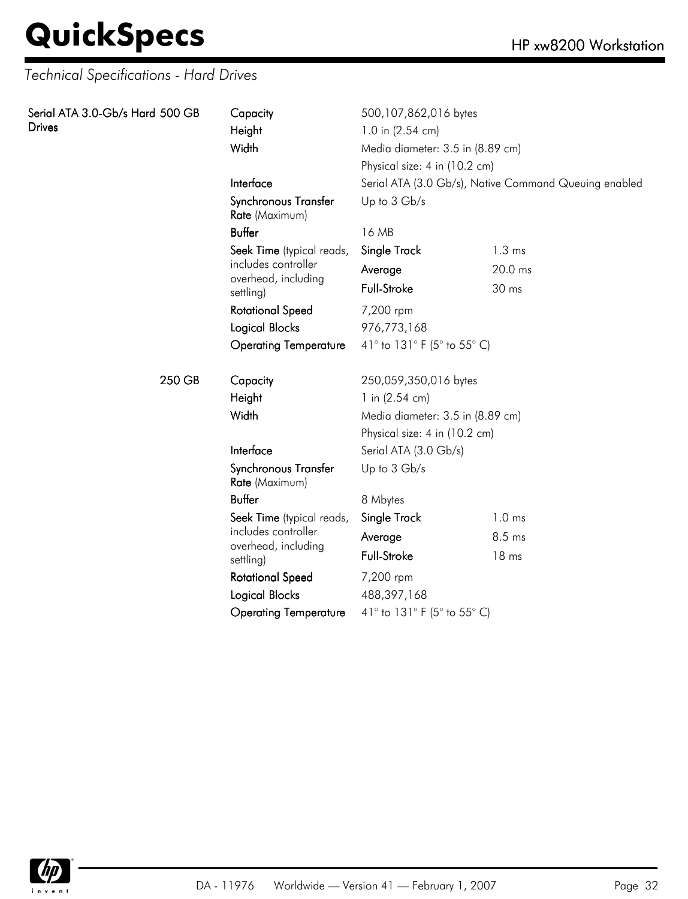## **QuickSpecs**

| Serial ATA 3.0-Gb/s Hard 500 GB<br><b>Drives</b> | Capacity<br>Height<br>Width            | 500,107,862,016 bytes<br>1.0 in (2.54 cm)<br>Media diameter: 3.5 in (8.89 cm) |                   |  |
|--------------------------------------------------|----------------------------------------|-------------------------------------------------------------------------------|-------------------|--|
|                                                  |                                        | Physical size: 4 in (10.2 cm)                                                 |                   |  |
|                                                  | Interface                              | Serial ATA (3.0 Gb/s), Native Command Queuing enabled                         |                   |  |
|                                                  | Synchronous Transfer<br>Rate (Maximum) | Up to 3 Gb/s                                                                  |                   |  |
|                                                  | <b>Buffer</b>                          | 16 MB                                                                         |                   |  |
|                                                  | Seek Time (typical reads,              | Single Track                                                                  | $1.3 \text{ ms}$  |  |
|                                                  | includes controller                    | Average                                                                       | 20.0 ms           |  |
|                                                  | overhead, including<br>settling)       | Full-Stroke                                                                   | 30 ms             |  |
|                                                  | <b>Rotational Speed</b>                | 7,200 rpm                                                                     |                   |  |
|                                                  | <b>Logical Blocks</b>                  | 976,773,168                                                                   |                   |  |
|                                                  | <b>Operating Temperature</b>           | 41° to 131° F (5° to 55° C)                                                   |                   |  |
| 250 GB                                           | Capacity                               | 250,059,350,016 bytes                                                         |                   |  |
|                                                  | Height                                 | 1 in $(2.54 \text{ cm})$                                                      |                   |  |
|                                                  | Width                                  | Media diameter: 3.5 in (8.89 cm)                                              |                   |  |
|                                                  |                                        | Physical size: 4 in (10.2 cm)                                                 |                   |  |
|                                                  | Interface                              | Serial ATA (3.0 Gb/s)                                                         |                   |  |
|                                                  | Synchronous Transfer<br>Rate (Maximum) | Up to 3 Gb/s                                                                  |                   |  |
|                                                  | <b>Buffer</b>                          | 8 Mbytes                                                                      |                   |  |
|                                                  | Seek Time (typical reads,              | Single Track                                                                  | 1.0 <sub>ms</sub> |  |
|                                                  | includes controller                    | Average                                                                       | 8.5 ms            |  |
|                                                  | overhead, including<br>settling)       | <b>Full-Stroke</b>                                                            | 18 <sub>ms</sub>  |  |
|                                                  | <b>Rotational Speed</b>                | 7,200 rpm                                                                     |                   |  |
|                                                  | <b>Logical Blocks</b>                  | 488,397,168                                                                   |                   |  |
|                                                  | <b>Operating Temperature</b>           | 41° to 131° F (5° to 55° C)                                                   |                   |  |

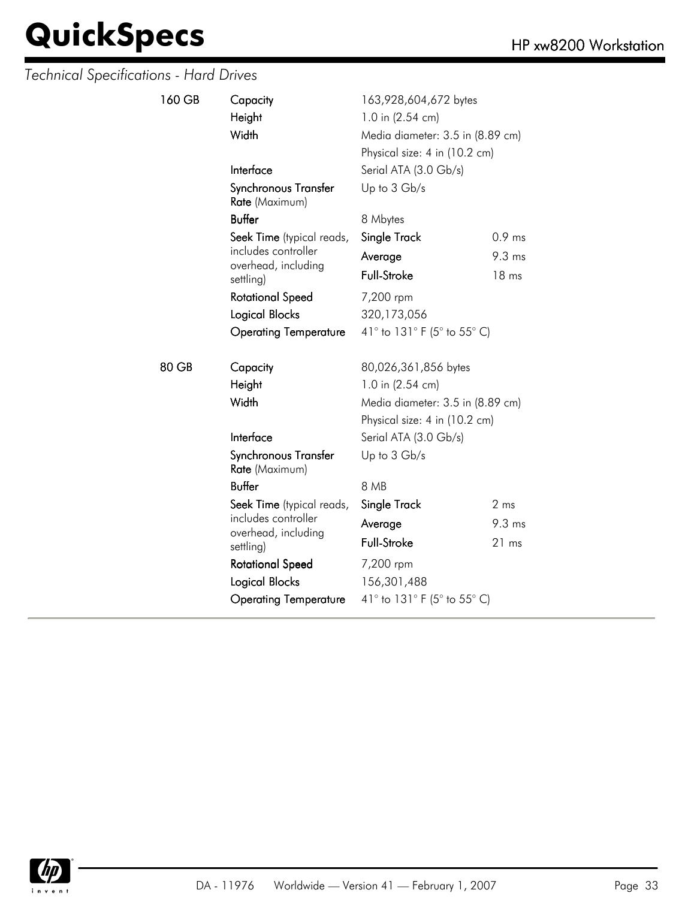| 160 GB | Capacity<br>Height<br>Width                | 163,928,604,672 bytes<br>1.0 in (2.54 cm)<br>Physical size: 4 in (10.2 cm) | Media diameter: 3.5 in (8.89 cm) |  |
|--------|--------------------------------------------|----------------------------------------------------------------------------|----------------------------------|--|
|        | Interface                                  | Serial ATA (3.0 Gb/s)                                                      |                                  |  |
|        | Synchronous Transfer<br>Rate (Maximum)     | Up to 3 Gb/s                                                               |                                  |  |
|        | Buffer                                     | 8 Mbytes                                                                   |                                  |  |
|        | Seek Time (typical reads,                  | Single Track                                                               | $0.9$ ms                         |  |
|        | includes controller                        | Average                                                                    | $9.3 \text{ ms}$                 |  |
|        | overhead, including<br>settling)           | Full-Stroke                                                                | 18 <sub>ms</sub>                 |  |
|        | <b>Rotational Speed</b>                    | 7,200 rpm                                                                  |                                  |  |
|        | Logical Blocks                             | 320,173,056                                                                |                                  |  |
|        | <b>Operating Temperature</b>               | 41° to 131° F (5° to 55° C)                                                |                                  |  |
| 80 GB  | Capacity                                   | 80,026,361,856 bytes                                                       |                                  |  |
|        | Height                                     | 1.0 in (2.54 cm)                                                           |                                  |  |
|        | Width                                      | Media diameter: 3.5 in (8.89 cm)                                           |                                  |  |
|        |                                            | Physical size: 4 in (10.2 cm)                                              |                                  |  |
|        | Interface                                  | Serial ATA (3.0 Gb/s)                                                      |                                  |  |
|        | Synchronous Transfer<br>Rate (Maximum)     | Up to 3 Gb/s                                                               |                                  |  |
|        | Buffer                                     | 8 MB                                                                       |                                  |  |
|        | Seek Time (typical reads,                  | Single Track                                                               | 2 <sub>ms</sub>                  |  |
|        | includes controller<br>overhead, including | Average                                                                    | $9.3 \text{ ms}$                 |  |
|        | settling)                                  | <b>Full-Stroke</b>                                                         | 21 ms                            |  |
|        | <b>Rotational Speed</b>                    | 7,200 rpm                                                                  |                                  |  |
|        | Logical Blocks                             | 156,301,488                                                                |                                  |  |
|        | <b>Operating Temperature</b>               | 41° to 131° F (5° to 55° C)                                                |                                  |  |

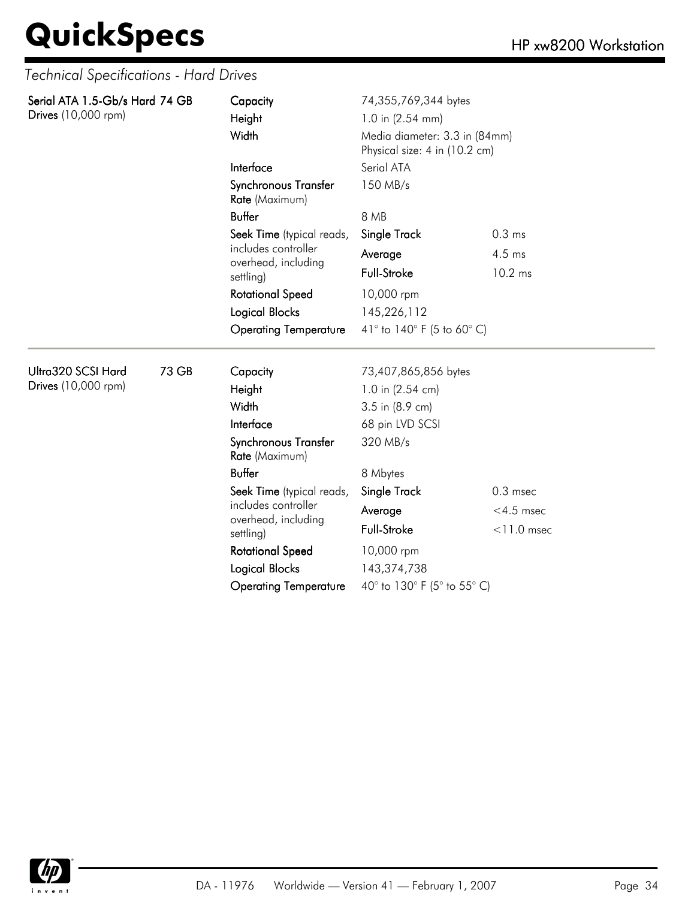| Serial ATA 1.5-Gb/s Hard 74 GB<br>Drives (10,000 rpm) |       | Capacity<br>Height<br>Width                         | 74,355,769,344 bytes<br>1.0 in (2.54 mm)<br>Media diameter: 3.3 in (84mm)<br>Physical size: 4 in (10.2 cm) |                   |  |
|-------------------------------------------------------|-------|-----------------------------------------------------|------------------------------------------------------------------------------------------------------------|-------------------|--|
|                                                       |       | Interface<br>Synchronous Transfer<br>Rate (Maximum) | Serial ATA<br>150 MB/s                                                                                     |                   |  |
|                                                       |       | <b>Buffer</b>                                       | 8 MB                                                                                                       |                   |  |
|                                                       |       | Seek Time (typical reads,                           | Single Track                                                                                               | 0.3 <sub>ms</sub> |  |
|                                                       |       | includes controller<br>overhead, including          | Average                                                                                                    | $4.5$ ms          |  |
|                                                       |       | settling)                                           | <b>Full-Stroke</b>                                                                                         | 10.2 ms           |  |
|                                                       |       | <b>Rotational Speed</b>                             | 10,000 rpm                                                                                                 |                   |  |
|                                                       |       | <b>Logical Blocks</b>                               | 145,226,112                                                                                                |                   |  |
|                                                       |       | <b>Operating Temperature</b>                        | 41° to 140° F (5 to 60° C)                                                                                 |                   |  |
| Ultra320 SCSI Hard                                    | 73 GB | Capacity                                            | 73,407,865,856 bytes                                                                                       |                   |  |
| Drives (10,000 rpm)                                   |       | Height                                              | 1.0 in (2.54 cm)                                                                                           |                   |  |
|                                                       |       | Width                                               | 3.5 in (8.9 cm)                                                                                            |                   |  |
|                                                       |       | Interface                                           | 68 pin LVD SCSI                                                                                            |                   |  |
|                                                       |       | Synchronous Transfer<br>Rate (Maximum)              | 320 MB/s                                                                                                   |                   |  |
|                                                       |       | <b>Buffer</b>                                       | 8 Mbytes                                                                                                   |                   |  |
|                                                       |       | Seek Time (typical reads,                           | <b>Single Track</b>                                                                                        | $0.3$ msec        |  |
|                                                       |       | includes controller                                 | Average                                                                                                    | $<$ 4.5 msec      |  |
|                                                       |       | overhead, including<br>settling)                    | <b>Full-Stroke</b>                                                                                         | $<$ 11.0 msec     |  |
|                                                       |       | <b>Rotational Speed</b>                             | 10,000 rpm                                                                                                 |                   |  |
|                                                       |       | Logical Blocks                                      | 143,374,738                                                                                                |                   |  |
|                                                       |       | <b>Operating Temperature</b>                        | 40° to 130° F (5° to 55° C)                                                                                |                   |  |

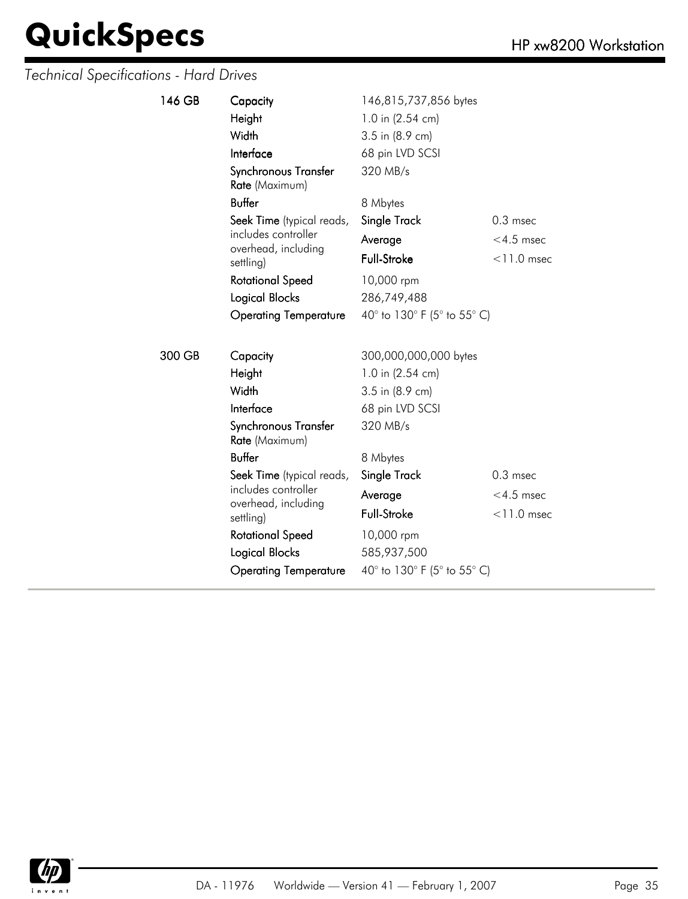| 146 GB | Capacity                               | 146,815,737,856 bytes       |               |  |
|--------|----------------------------------------|-----------------------------|---------------|--|
|        | Height                                 | 1.0 in (2.54 cm)            |               |  |
|        | Width                                  | 3.5 in (8.9 cm)             |               |  |
|        | Interface                              | 68 pin LVD SCSI             |               |  |
|        | Synchronous Transfer<br>Rate (Maximum) | 320 MB/s                    |               |  |
|        | <b>Buffer</b>                          | 8 Mbytes                    |               |  |
|        | Seek Time (typical reads,              | Single Track                | $0.3$ msec    |  |
|        | includes controller                    | Average                     | $<$ 4.5 msec  |  |
|        | overhead, including<br>settling)       | Full-Stroke                 | $<$ 11.0 msec |  |
|        | <b>Rotational Speed</b>                | 10,000 rpm                  |               |  |
|        | Logical Blocks                         | 286,749,488                 |               |  |
|        | <b>Operating Temperature</b>           | 40° to 130° F (5° to 55° C) |               |  |
|        |                                        |                             |               |  |
| 300 GB | Capacity                               | 300,000,000,000 bytes       |               |  |
|        | Height                                 | 1.0 in (2.54 cm)            |               |  |
|        | Width                                  | 3.5 in (8.9 cm)             |               |  |
|        | Interface                              | 68 pin LVD SCSI             |               |  |
|        | Synchronous Transfer<br>Rate (Maximum) | 320 MB/s                    |               |  |
|        | <b>Buffer</b>                          | 8 Mbytes                    |               |  |
|        | Seek Time (typical reads,              | Single Track                | $0.3$ msec    |  |
|        | includes controller                    | Average                     | $<$ 4.5 msec  |  |
|        | overhead, including<br>settling)       | Full-Stroke                 | $<$ 11.0 msec |  |
|        | <b>Rotational Speed</b>                | 10,000 rpm                  |               |  |
|        | Logical Blocks                         | 585,937,500                 |               |  |
|        | <b>Operating Temperature</b>           | 40° to 130° F (5° to 55° C) |               |  |

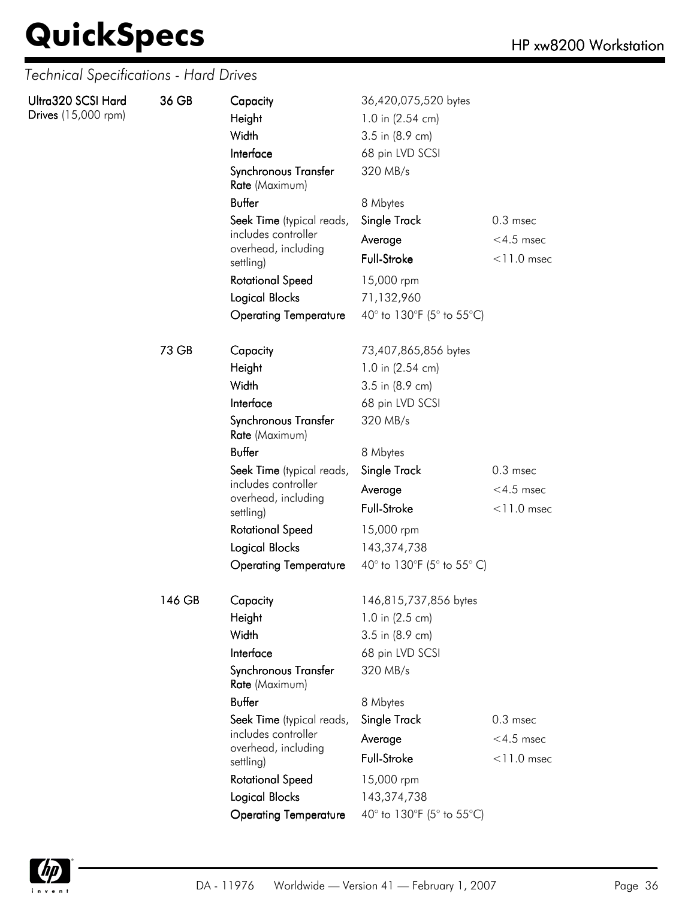| Ultra320 SCSI Hard<br>Drives (15,000 rpm) | 36 GB  | Capacity<br>Height<br>Width<br>Interface<br>Synchronous Transfer<br>Rate (Maximum) | 36,420,075,520 bytes<br>1.0 in (2.54 cm)<br>3.5 in (8.9 cm)<br>68 pin LVD SCSI<br>320 MB/s |               |
|-------------------------------------------|--------|------------------------------------------------------------------------------------|--------------------------------------------------------------------------------------------|---------------|
|                                           |        | <b>Buffer</b>                                                                      | 8 Mbytes                                                                                   |               |
|                                           |        | Seek Time (typical reads,                                                          | <b>Single Track</b>                                                                        | $0.3$ msec    |
|                                           |        | includes controller                                                                | Average                                                                                    | $<$ 4.5 msec  |
|                                           |        | overhead, including<br>settling)                                                   | <b>Full-Stroke</b>                                                                         | $<$ 11.0 msec |
|                                           |        | <b>Rotational Speed</b>                                                            | 15,000 rpm                                                                                 |               |
|                                           |        | <b>Logical Blocks</b>                                                              | 71,132,960                                                                                 |               |
|                                           |        | <b>Operating Temperature</b>                                                       | 40° to 130°F (5° to 55°C)                                                                  |               |
|                                           | 73 GB  | Capacity                                                                           | 73,407,865,856 bytes                                                                       |               |
|                                           |        | Height                                                                             | 1.0 in (2.54 cm)                                                                           |               |
|                                           |        | Width                                                                              | 3.5 in (8.9 cm)                                                                            |               |
|                                           |        | Interface                                                                          | 68 pin LVD SCSI                                                                            |               |
|                                           |        | Synchronous Transfer<br>Rate (Maximum)                                             | 320 MB/s                                                                                   |               |
|                                           |        | <b>Buffer</b>                                                                      | 8 Mbytes                                                                                   |               |
|                                           |        | Seek Time (typical reads,                                                          | Single Track                                                                               | $0.3$ msec    |
|                                           |        | includes controller<br>overhead, including                                         | Average                                                                                    | $<$ 4.5 msec  |
|                                           |        | settling)                                                                          | Full-Stroke                                                                                | $<$ 11.0 msec |
|                                           |        | <b>Rotational Speed</b>                                                            | 15,000 rpm                                                                                 |               |
|                                           |        | <b>Logical Blocks</b>                                                              | 143,374,738                                                                                |               |
|                                           |        | <b>Operating Temperature</b>                                                       | 40° to 130°F (5° to 55° C)                                                                 |               |
|                                           | 146 GB | Capacity                                                                           | 146,815,737,856 bytes                                                                      |               |
|                                           |        | Height                                                                             | 1.0 in (2.5 cm)                                                                            |               |
|                                           |        | Width                                                                              | 3.5 in (8.9 cm)                                                                            |               |
|                                           |        | Interface                                                                          | 68 pin LVD SCSI                                                                            |               |
|                                           |        | Synchronous Transfer<br>Rate (Maximum)                                             | 320 MB/s                                                                                   |               |
|                                           |        | <b>Buffer</b>                                                                      | 8 Mbytes                                                                                   |               |
|                                           |        | Seek Time (typical reads,                                                          | <b>Single Track</b>                                                                        | $0.3$ msec    |
|                                           |        | includes controller<br>overhead, including<br>settling)                            | Average                                                                                    | $<$ 4.5 msec  |
|                                           |        |                                                                                    | Full-Stroke                                                                                | $<$ 11.0 msec |
|                                           |        | <b>Rotational Speed</b>                                                            | 15,000 rpm                                                                                 |               |
|                                           |        | <b>Logical Blocks</b>                                                              | 143,374,738                                                                                |               |
|                                           |        | <b>Operating Temperature</b>                                                       | 40° to 130°F (5° to 55°C)                                                                  |               |

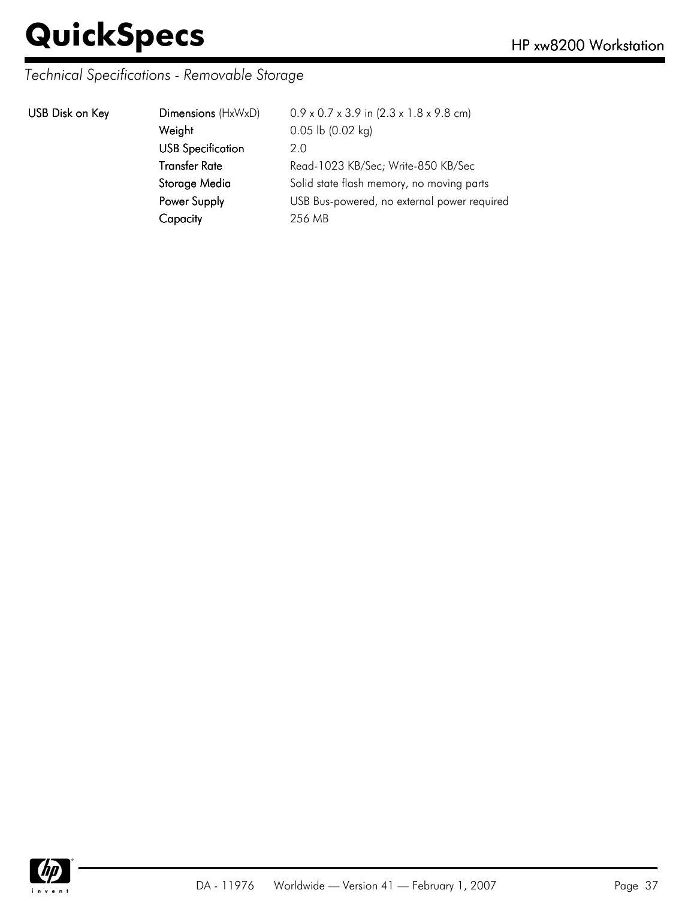### *Technical Specifications - Removable Storage*

|  | USB Disk on Key |  |  |
|--|-----------------|--|--|
|--|-----------------|--|--|

| USB Disk on Key | Dimensions (HxWxD)       | $0.9 \times 0.7 \times 3.9$ in $(2.3 \times 1.8 \times 9.8$ cm) |
|-----------------|--------------------------|-----------------------------------------------------------------|
|                 | Weight                   | $0.05$ lb $(0.02$ kg)                                           |
|                 | <b>USB Specification</b> | 2.0                                                             |
|                 | <b>Transfer Rate</b>     | Read-1023 KB/Sec; Write-850 KB/Sec                              |
|                 | Storage Media            | Solid state flash memory, no moving parts                       |
|                 | Power Supply             | USB Bus-powered, no external power required                     |
|                 | Capacity                 | 256 MB                                                          |
|                 |                          |                                                                 |

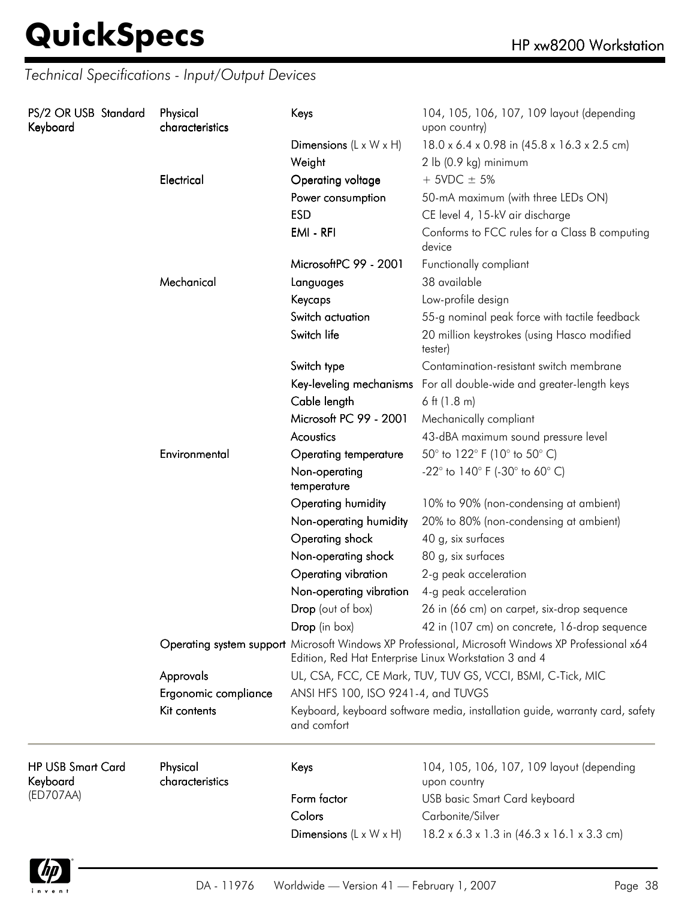| PS/2 OR USB Standard<br>Keyboard     |            | Physical<br>characteristics | Keys                                                    | 104, 105, 106, 107, 109 layout (depending<br>upon country)                                                                                                 |
|--------------------------------------|------------|-----------------------------|---------------------------------------------------------|------------------------------------------------------------------------------------------------------------------------------------------------------------|
|                                      |            |                             | Dimensions $(L \times W \times H)$                      | 18.0 x 6.4 x 0.98 in (45.8 x 16.3 x 2.5 cm)                                                                                                                |
|                                      |            | Weight                      | 2 lb (0.9 kg) minimum                                   |                                                                                                                                                            |
|                                      | Electrical | Operating voltage           | $+$ 5VDC $\pm$ 5%                                       |                                                                                                                                                            |
|                                      |            |                             | Power consumption                                       | 50-mA maximum (with three LEDs ON)                                                                                                                         |
|                                      |            |                             | <b>ESD</b>                                              | CE level 4, 15-kV air discharge                                                                                                                            |
|                                      |            | EMI - RFI                   | Conforms to FCC rules for a Class B computing<br>device |                                                                                                                                                            |
|                                      |            |                             | MicrosoftPC 99 - 2001                                   | Functionally compliant                                                                                                                                     |
|                                      |            | Mechanical                  | Languages                                               | 38 available                                                                                                                                               |
|                                      |            |                             | Keycaps                                                 | Low-profile design                                                                                                                                         |
|                                      |            |                             | Switch actuation                                        | 55-g nominal peak force with tactile feedback                                                                                                              |
|                                      |            | Switch life                 | 20 million keystrokes (using Hasco modified<br>tester)  |                                                                                                                                                            |
|                                      |            |                             | Switch type                                             | Contamination-resistant switch membrane                                                                                                                    |
|                                      |            |                             |                                                         | Key-leveling mechanisms For all double-wide and greater-length keys                                                                                        |
|                                      |            |                             | Cable length                                            | 6 ft $(1.8 \text{ m})$                                                                                                                                     |
|                                      |            |                             | Microsoft PC 99 - 2001                                  | Mechanically compliant                                                                                                                                     |
|                                      |            |                             | Acoustics                                               | 43-dBA maximum sound pressure level                                                                                                                        |
|                                      |            | Environmental               | <b>Operating temperature</b>                            | 50° to 122° F (10° to 50° C)                                                                                                                               |
|                                      |            |                             | Non-operating<br>temperature                            | -22 $^{\circ}$ to 140 $^{\circ}$ F (-30 $^{\circ}$ to 60 $^{\circ}$ C)                                                                                     |
|                                      |            |                             | Operating humidity                                      | 10% to 90% (non-condensing at ambient)                                                                                                                     |
|                                      |            |                             | Non-operating humidity                                  | 20% to 80% (non-condensing at ambient)                                                                                                                     |
|                                      |            |                             | Operating shock                                         | 40 g, six surfaces                                                                                                                                         |
|                                      |            |                             | Non-operating shock                                     | 80 g, six surfaces                                                                                                                                         |
|                                      |            |                             | Operating vibration                                     | 2-g peak acceleration                                                                                                                                      |
|                                      |            |                             | Non-operating vibration                                 | 4-g peak acceleration                                                                                                                                      |
|                                      |            |                             | Drop (out of box)                                       | 26 in (66 cm) on carpet, six-drop sequence                                                                                                                 |
|                                      |            |                             | Drop (in box)                                           | 42 in (107 cm) on concrete, 16-drop sequence                                                                                                               |
|                                      |            |                             |                                                         | Operating system support Microsoft Windows XP Professional, Microsoft Windows XP Professional x64<br>Edition, Red Hat Enterprise Linux Workstation 3 and 4 |
|                                      |            | Approvals                   |                                                         | UL, CSA, FCC, CE Mark, TUV, TUV GS, VCCI, BSMI, C-Tick, MIC                                                                                                |
|                                      |            | Ergonomic compliance        | ANSI HFS 100, ISO 9241-4, and TUVGS                     |                                                                                                                                                            |
|                                      |            | Kit contents                | and comfort                                             | Keyboard, keyboard software media, installation guide, warranty card, safety                                                                               |
| <b>HP USB Smart Card</b><br>Keyboard |            | Physical<br>characteristics | Keys                                                    | 104, 105, 106, 107, 109 layout (depending<br>upon country                                                                                                  |
| (ED707AA)                            |            |                             | Form factor                                             | <b>USB</b> basic Smart Card keyboard                                                                                                                       |
|                                      |            |                             | Colors                                                  | Carbonite/Silver                                                                                                                                           |
|                                      |            |                             | Dimensions $(L \times W \times H)$                      | $18.2 \times 6.3 \times 1.3$ in $(46.3 \times 16.1 \times 3.3$ cm)                                                                                         |

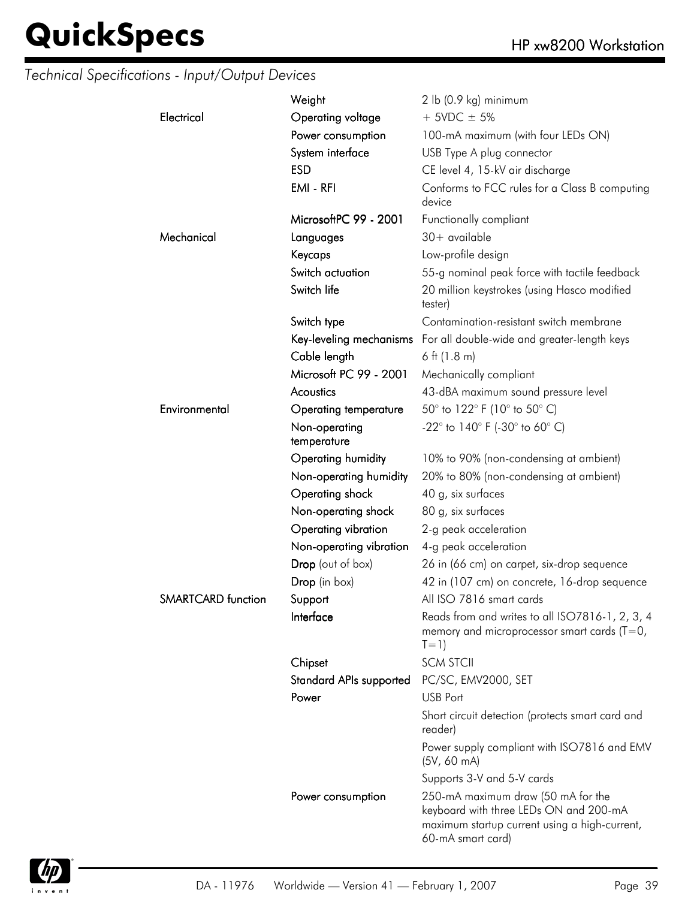|                           | Weight                         | $2$ lb (0.9 kg) minimum                                                                                                                            |
|---------------------------|--------------------------------|----------------------------------------------------------------------------------------------------------------------------------------------------|
| Electrical                | Operating voltage              | $+$ 5VDC $\pm$ 5%                                                                                                                                  |
|                           | Power consumption              |                                                                                                                                                    |
|                           |                                | 100-mA maximum (with four LEDs ON)                                                                                                                 |
|                           | System interface               | USB Type A plug connector                                                                                                                          |
|                           | <b>ESD</b>                     | CE level 4, 15-kV air discharge                                                                                                                    |
|                           | EMI - RFI                      | Conforms to FCC rules for a Class B computing<br>device                                                                                            |
|                           | MicrosoftPC 99 - 2001          | Functionally compliant                                                                                                                             |
| Mechanical                | Languages                      | $30+$ available                                                                                                                                    |
|                           | Keycaps                        | Low-profile design                                                                                                                                 |
|                           | Switch actuation               | 55-g nominal peak force with tactile feedback                                                                                                      |
|                           | Switch life                    | 20 million keystrokes (using Hasco modified<br>tester)                                                                                             |
|                           | Switch type                    | Contamination-resistant switch membrane                                                                                                            |
|                           |                                | Key-leveling mechanisms For all double-wide and greater-length keys                                                                                |
|                           | Cable length                   | $6$ ft (1.8 m)                                                                                                                                     |
|                           | Microsoft PC 99 - 2001         | Mechanically compliant                                                                                                                             |
|                           | Acoustics                      | 43-dBA maximum sound pressure level                                                                                                                |
| Environmental             | Operating temperature          | 50° to 122° F (10° to 50° C)                                                                                                                       |
|                           | Non-operating<br>temperature   | $-22^{\circ}$ to 140° F (-30° to 60° C)                                                                                                            |
|                           | Operating humidity             | 10% to 90% (non-condensing at ambient)                                                                                                             |
|                           | Non-operating humidity         | 20% to 80% (non-condensing at ambient)                                                                                                             |
|                           | Operating shock                | 40 g, six surfaces                                                                                                                                 |
|                           | Non-operating shock            | 80 g, six surfaces                                                                                                                                 |
|                           | Operating vibration            | 2-g peak acceleration                                                                                                                              |
|                           | Non-operating vibration        | 4-g peak acceleration                                                                                                                              |
|                           | Drop (out of box)              | 26 in (66 cm) on carpet, six-drop sequence                                                                                                         |
|                           | Drop (in box)                  | 42 in (107 cm) on concrete, 16-drop sequence                                                                                                       |
| <b>SMARTCARD</b> function | Support                        | All ISO 7816 smart cards                                                                                                                           |
|                           | Interface                      | Reads from and writes to all ISO7816-1, 2, 3, 4<br>memory and microprocessor smart cards ( $T=0$ ,<br>$T=1)$                                       |
|                           | Chipset                        | <b>SCM STCII</b>                                                                                                                                   |
|                           | <b>Standard APIs supported</b> | PC/SC, EMV2000, SET                                                                                                                                |
|                           | Power                          | <b>USB Port</b>                                                                                                                                    |
|                           |                                | Short circuit detection (protects smart card and<br>reader)                                                                                        |
|                           |                                | Power supply compliant with ISO7816 and EMV<br>(5V, 60 mA)                                                                                         |
|                           |                                | Supports 3-V and 5-V cards                                                                                                                         |
|                           | Power consumption              | 250-mA maximum draw (50 mA for the<br>keyboard with three LEDs ON and 200-mA<br>maximum startup current using a high-current,<br>60-mA smart card) |
|                           |                                |                                                                                                                                                    |

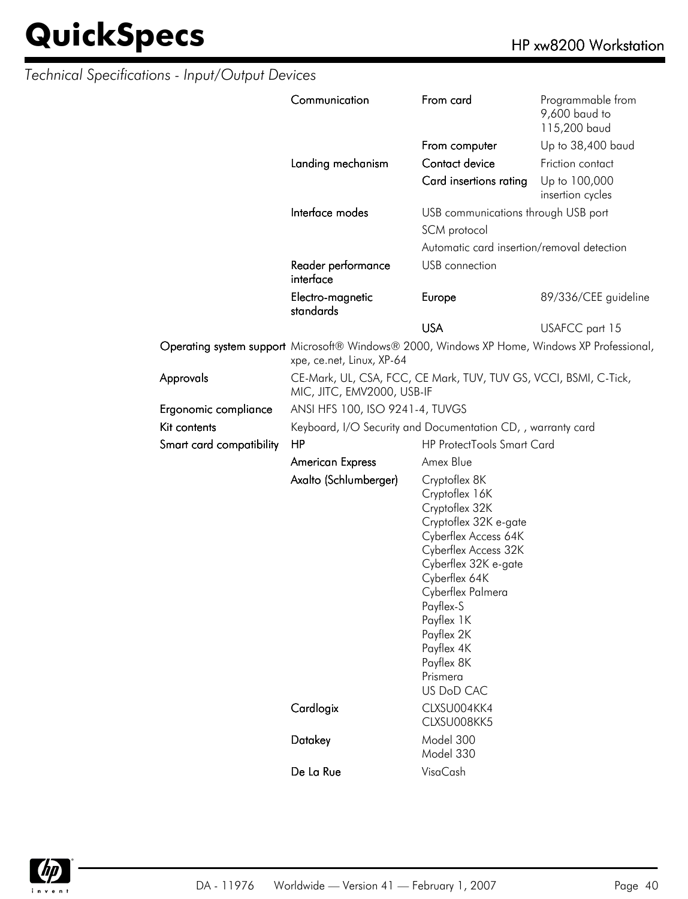|                          | Communication                                                                                                             | From card                                                                                                                                                                                                                                                                               | Programmable from<br>9,600 baud to<br>115,200 baud |  |
|--------------------------|---------------------------------------------------------------------------------------------------------------------------|-----------------------------------------------------------------------------------------------------------------------------------------------------------------------------------------------------------------------------------------------------------------------------------------|----------------------------------------------------|--|
|                          |                                                                                                                           | From computer                                                                                                                                                                                                                                                                           | Up to 38,400 baud                                  |  |
|                          | Landing mechanism                                                                                                         | Contact device                                                                                                                                                                                                                                                                          | Friction contact                                   |  |
|                          |                                                                                                                           | Card insertions rating                                                                                                                                                                                                                                                                  | Up to 100,000<br>insertion cycles                  |  |
|                          | Interface modes                                                                                                           | USB communications through USB port                                                                                                                                                                                                                                                     |                                                    |  |
|                          |                                                                                                                           | SCM protocol                                                                                                                                                                                                                                                                            |                                                    |  |
|                          |                                                                                                                           | Automatic card insertion/removal detection                                                                                                                                                                                                                                              |                                                    |  |
|                          | Reader performance<br>interface                                                                                           | USB connection                                                                                                                                                                                                                                                                          |                                                    |  |
|                          | Electro-magnetic<br>standards                                                                                             | Europe                                                                                                                                                                                                                                                                                  | 89/336/CEE guideline                               |  |
|                          |                                                                                                                           | <b>USA</b>                                                                                                                                                                                                                                                                              | USAFCC part 15                                     |  |
|                          | Operating system support Microsoft® Windows® 2000, Windows XP Home, Windows XP Professional,<br>xpe, ce.net, Linux, XP-64 |                                                                                                                                                                                                                                                                                         |                                                    |  |
| Approvals                | CE-Mark, UL, CSA, FCC, CE Mark, TUV, TUV GS, VCCI, BSMI, C-Tick,<br>MIC, JITC, EMV2000, USB-IF                            |                                                                                                                                                                                                                                                                                         |                                                    |  |
| Ergonomic compliance     | ANSI HFS 100, ISO 9241-4, TUVGS                                                                                           |                                                                                                                                                                                                                                                                                         |                                                    |  |
| Kit contents             | Keyboard, I/O Security and Documentation CD, , warranty card                                                              |                                                                                                                                                                                                                                                                                         |                                                    |  |
| Smart card compatibility | <b>HP ProtectTools Smart Card</b><br>HP                                                                                   |                                                                                                                                                                                                                                                                                         |                                                    |  |
|                          | <b>American Express</b>                                                                                                   | Amex Blue                                                                                                                                                                                                                                                                               |                                                    |  |
|                          | Axalto (Schlumberger)                                                                                                     | Cryptoflex 8K<br>Cryptoflex 16K<br>Cryptoflex 32K<br>Cryptoflex 32K e-gate<br>Cyberflex Access 64K<br>Cyberflex Access 32K<br>Cyberflex 32K e-gate<br>Cyberflex 64K<br>Cyberflex Palmera<br>Payflex-S<br>Payflex 1K<br>Payflex 2K<br>Payflex 4K<br>Payflex 8K<br>Prismera<br>US DoD CAC |                                                    |  |
|                          | Cardlogix                                                                                                                 | CLXSU004KK4<br>CLXSU008KK5                                                                                                                                                                                                                                                              |                                                    |  |
|                          | Datakey                                                                                                                   | Model 300<br>Model 330                                                                                                                                                                                                                                                                  |                                                    |  |
|                          | De La Rue                                                                                                                 | VisaCash                                                                                                                                                                                                                                                                                |                                                    |  |

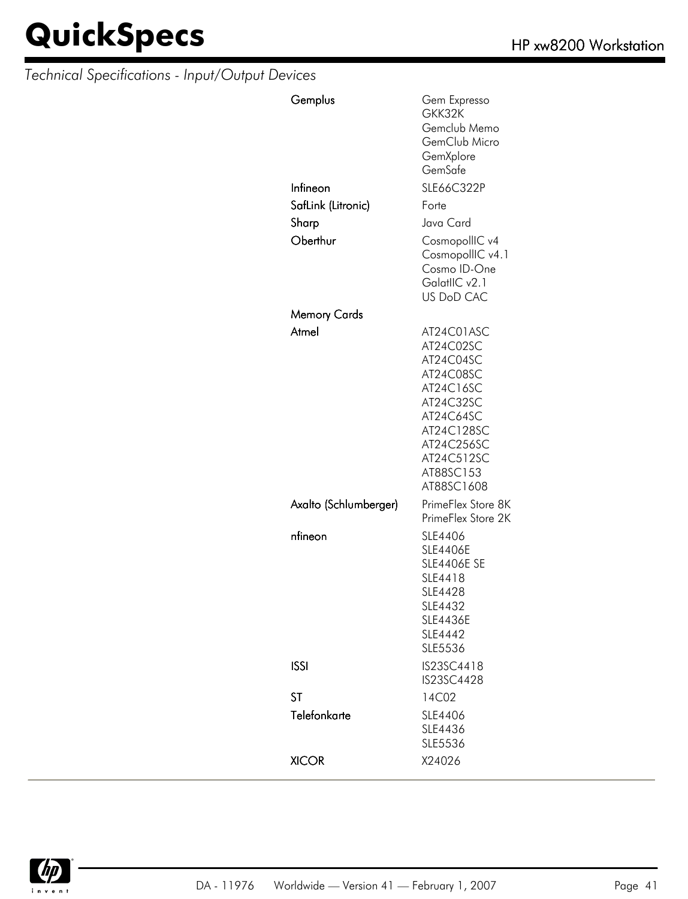| Gemplus               | Gem Expresso<br>GKK32K<br>Gemclub Memo<br>GemClub Micro<br>GemXplore<br>GemSafe                                                                               |
|-----------------------|---------------------------------------------------------------------------------------------------------------------------------------------------------------|
| Infineon              | SLE66C322P                                                                                                                                                    |
| SafLink (Litronic)    | Forte                                                                                                                                                         |
| Sharp                 | Java Card                                                                                                                                                     |
| Oberthur              | CosmopollIC v4<br>CosmopollIC v4.1<br>Cosmo ID-One<br>GalatlIC v2.1<br><b>US DoD CAC</b>                                                                      |
| Memory Cards          |                                                                                                                                                               |
| Atmel                 | AT24C01ASC<br>AT24C02SC<br>AT24C04SC<br>AT24C08SC<br>AT24C16SC<br>AT24C32SC<br>AT24C64SC<br>AT24C128SC<br>AT24C256SC<br>AT24C512SC<br>AT88SC153<br>AT88SC1608 |
| Axalto (Schlumberger) | PrimeFlex Store 8K<br>PrimeFlex Store 2K                                                                                                                      |
| nfineon               | SLE4406<br><b>SLE4406E</b><br><b>SLE4406E SE</b><br>SLE4418<br>SLE4428<br>SLE4432<br><b>SLE4436E</b><br>SLE4442<br>SLE5536                                    |
| <b>ISSI</b>           | IS23SC4418<br>IS23SC4428                                                                                                                                      |
| <b>ST</b>             | 14C02                                                                                                                                                         |
| Telefonkarte          | SLE4406<br>SLE4436<br>SLE5536                                                                                                                                 |
| <b>XICOR</b>          | X24026                                                                                                                                                        |

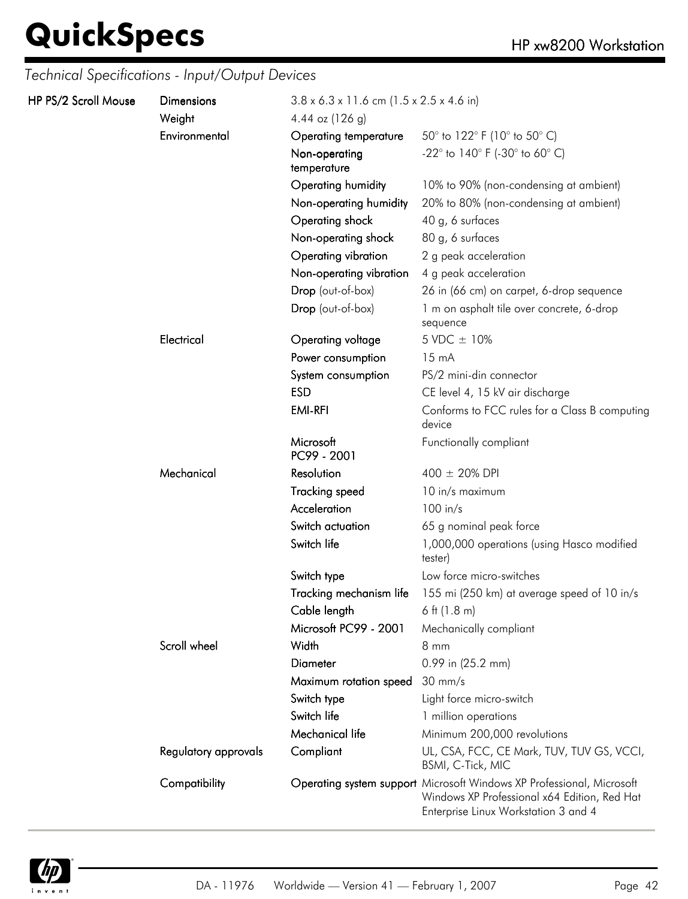| HP PS/2 Scroll Mouse | <b>Dimensions</b><br>Weight | $3.8 \times 6.3 \times 11.6$ cm (1.5 x 2.5 x 4.6 in)<br>4.44 oz $(126 g)$ |                                                                                                                                                               |
|----------------------|-----------------------------|---------------------------------------------------------------------------|---------------------------------------------------------------------------------------------------------------------------------------------------------------|
|                      | Environmental               | Operating temperature                                                     | 50 $^{\circ}$ to 122 $^{\circ}$ F (10 $^{\circ}$ to 50 $^{\circ}$ C)                                                                                          |
|                      |                             | Non-operating<br>temperature                                              | -22 $^{\circ}$ to 140 $^{\circ}$ F (-30 $^{\circ}$ to 60 $^{\circ}$ C)                                                                                        |
|                      |                             | Operating humidity                                                        | 10% to 90% (non-condensing at ambient)                                                                                                                        |
|                      |                             | Non-operating humidity                                                    | 20% to 80% (non-condensing at ambient)                                                                                                                        |
|                      |                             | Operating shock                                                           | 40 g, 6 surfaces                                                                                                                                              |
|                      |                             | Non-operating shock                                                       | 80 g, 6 surfaces                                                                                                                                              |
|                      |                             | Operating vibration                                                       | 2 g peak acceleration                                                                                                                                         |
|                      |                             | Non-operating vibration                                                   | 4 g peak acceleration                                                                                                                                         |
|                      |                             | Drop (out-of-box)                                                         | 26 in (66 cm) on carpet, 6-drop sequence                                                                                                                      |
|                      |                             | Drop (out-of-box)                                                         | 1 m on asphalt tile over concrete, 6-drop<br>sequence                                                                                                         |
|                      | Electrical                  | Operating voltage                                                         | 5 VDC ± 10%                                                                                                                                                   |
|                      |                             | Power consumption                                                         | $15 \text{ mA}$                                                                                                                                               |
|                      |                             | System consumption                                                        | PS/2 mini-din connector                                                                                                                                       |
|                      |                             | <b>ESD</b>                                                                | CE level 4, 15 kV air discharge                                                                                                                               |
|                      |                             | <b>EMI-RFI</b>                                                            | Conforms to FCC rules for a Class B computing<br>device                                                                                                       |
|                      |                             | Microsoft<br>PC99 - 2001                                                  | Functionally compliant                                                                                                                                        |
|                      | Mechanical                  | Resolution                                                                | $400 \pm 20\%$ DPI                                                                                                                                            |
|                      |                             | <b>Tracking speed</b>                                                     | 10 in/s maximum                                                                                                                                               |
|                      |                             | Acceleration                                                              | $100$ in/s                                                                                                                                                    |
|                      |                             | Switch actuation                                                          | 65 g nominal peak force                                                                                                                                       |
|                      |                             | Switch life                                                               | 1,000,000 operations (using Hasco modified<br>tester)                                                                                                         |
|                      |                             | Switch type                                                               | Low force micro-switches                                                                                                                                      |
|                      |                             | Tracking mechanism life                                                   | 155 mi (250 km) at average speed of 10 in/s                                                                                                                   |
|                      |                             | Cable length                                                              | 6 ft $(1.8 \text{ m})$                                                                                                                                        |
|                      |                             | Microsoft PC99 - 2001                                                     | Mechanically compliant                                                                                                                                        |
|                      | Scroll wheel                | Width                                                                     | $8 \, \text{mm}$                                                                                                                                              |
|                      |                             | <b>Diameter</b>                                                           | 0.99 in (25.2 mm)                                                                                                                                             |
|                      |                             | Maximum rotation speed                                                    | $30 \text{ mm/s}$                                                                                                                                             |
|                      |                             | Switch type                                                               | Light force micro-switch                                                                                                                                      |
|                      |                             | Switch life                                                               | 1 million operations                                                                                                                                          |
|                      |                             | Mechanical life                                                           | Minimum 200,000 revolutions                                                                                                                                   |
|                      | Regulatory approvals        | Compliant                                                                 | UL, CSA, FCC, CE Mark, TUV, TUV GS, VCCI,<br>BSMI, C-Tick, MIC                                                                                                |
|                      | Compatibility               |                                                                           | Operating system support Microsoft Windows XP Professional, Microsoft<br>Windows XP Professional x64 Edition, Red Hat<br>Enterprise Linux Workstation 3 and 4 |

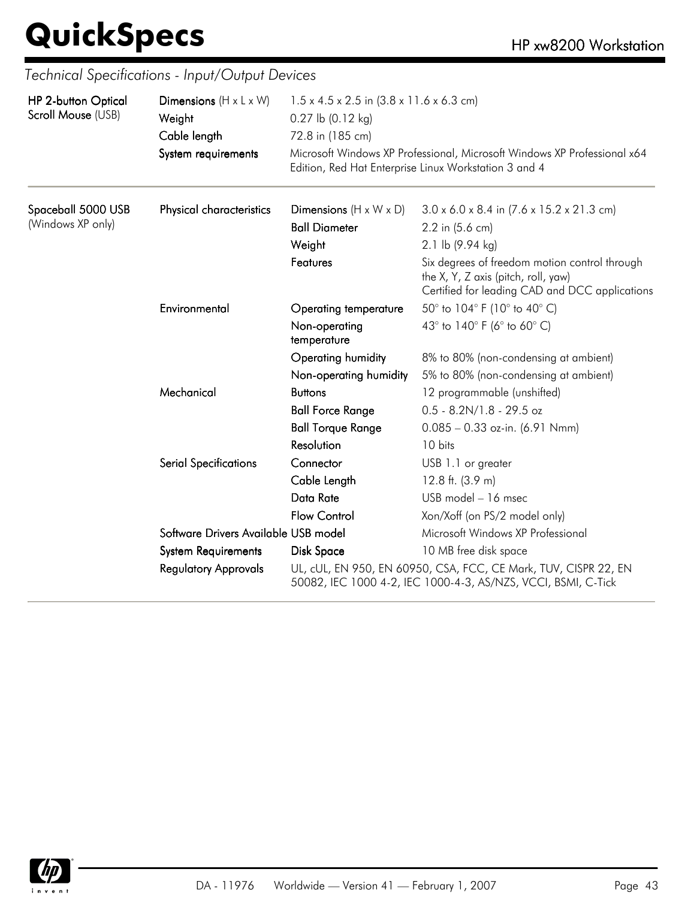| <b>HP 2-button Optical</b> | Dimensions $(H \times L \times W)$   | $1.5 \times 4.5 \times 2.5$ in $(3.8 \times 11.6 \times 6.3$ cm)<br>$0.27$ lb $(0.12$ kg)<br>72.8 in (185 cm)<br>Microsoft Windows XP Professional, Microsoft Windows XP Professional x64<br>Edition, Red Hat Enterprise Linux Workstation 3 and 4 |                                                                                                                                        |  |
|----------------------------|--------------------------------------|----------------------------------------------------------------------------------------------------------------------------------------------------------------------------------------------------------------------------------------------------|----------------------------------------------------------------------------------------------------------------------------------------|--|
| Scroll Mouse (USB)         | Weight                               |                                                                                                                                                                                                                                                    |                                                                                                                                        |  |
|                            | Cable length                         |                                                                                                                                                                                                                                                    |                                                                                                                                        |  |
|                            | System requirements                  |                                                                                                                                                                                                                                                    |                                                                                                                                        |  |
| Spaceball 5000 USB         | Physical characteristics             | Dimensions $(H \times W \times D)$                                                                                                                                                                                                                 | $3.0 \times 6.0 \times 8.4$ in $(7.6 \times 15.2 \times 21.3$ cm)                                                                      |  |
| (Windows XP only)          |                                      | <b>Ball Diameter</b>                                                                                                                                                                                                                               | 2.2 in (5.6 cm)                                                                                                                        |  |
|                            |                                      | Weight                                                                                                                                                                                                                                             | 2.1 lb (9.94 kg)                                                                                                                       |  |
|                            |                                      | Features                                                                                                                                                                                                                                           | Six degrees of freedom motion control through<br>the X, Y, Z axis (pitch, roll, yaw)<br>Certified for leading CAD and DCC applications |  |
|                            | Environmental                        | <b>Operating temperature</b>                                                                                                                                                                                                                       | 50° to 104° F (10° to 40° C)                                                                                                           |  |
|                            |                                      | Non-operating<br>temperature                                                                                                                                                                                                                       | 43° to 140° F (6° to 60° C)                                                                                                            |  |
|                            |                                      | Operating humidity                                                                                                                                                                                                                                 | 8% to 80% (non-condensing at ambient)                                                                                                  |  |
|                            |                                      | Non-operating humidity                                                                                                                                                                                                                             | 5% to 80% (non-condensing at ambient)                                                                                                  |  |
|                            | Mechanical                           | <b>Buttons</b>                                                                                                                                                                                                                                     | 12 programmable (unshifted)                                                                                                            |  |
|                            |                                      | <b>Ball Force Range</b>                                                                                                                                                                                                                            | $0.5 - 8.2N/1.8 - 29.5$ oz                                                                                                             |  |
|                            |                                      | <b>Ball Torque Range</b>                                                                                                                                                                                                                           | $0.085 - 0.33$ oz-in. (6.91 Nmm)                                                                                                       |  |
|                            |                                      | Resolution                                                                                                                                                                                                                                         | 10 bits                                                                                                                                |  |
|                            | <b>Serial Specifications</b>         | Connector                                                                                                                                                                                                                                          | USB 1.1 or greater                                                                                                                     |  |
|                            |                                      | Cable Length                                                                                                                                                                                                                                       | 12.8 ft. $(3.9 m)$                                                                                                                     |  |
|                            |                                      | Data Rate                                                                                                                                                                                                                                          | USB model - 16 msec                                                                                                                    |  |
|                            |                                      | <b>Flow Control</b>                                                                                                                                                                                                                                | Xon/Xoff (on PS/2 model only)                                                                                                          |  |
|                            | Software Drivers Available USB model |                                                                                                                                                                                                                                                    | Microsoft Windows XP Professional                                                                                                      |  |
|                            | <b>System Requirements</b>           | Disk Space                                                                                                                                                                                                                                         | 10 MB free disk space                                                                                                                  |  |
|                            | <b>Regulatory Approvals</b>          |                                                                                                                                                                                                                                                    | UL, cUL, EN 950, EN 60950, CSA, FCC, CE Mark, TUV, CISPR 22, EN<br>50082, IEC 1000 4-2, IEC 1000-4-3, AS/NZS, VCCI, BSMI, C-Tick       |  |

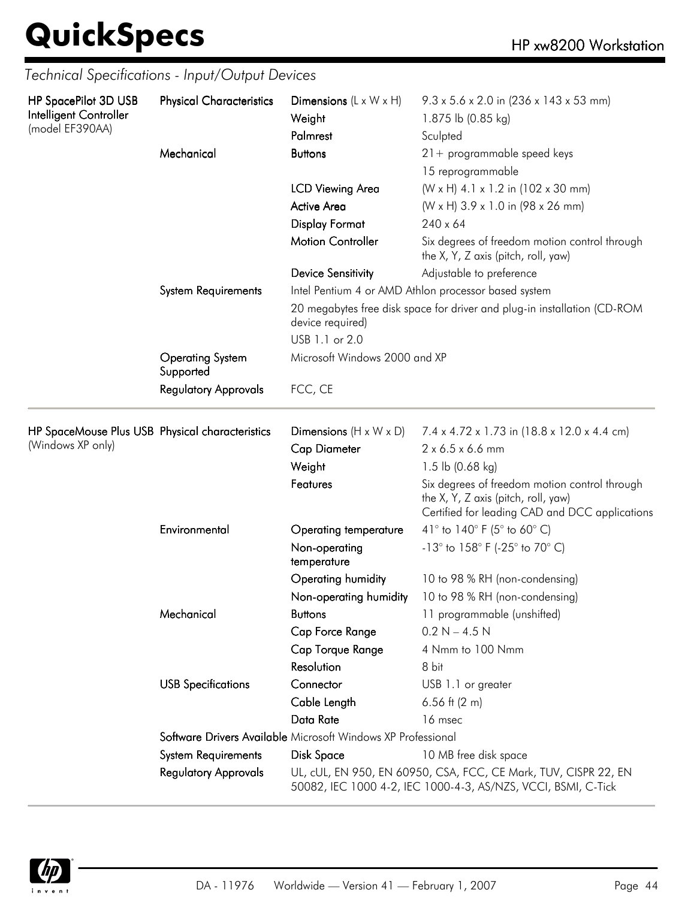| HP SpacePilot 3D USB                            | <b>Physical Characteristics</b>      | Dimensions $(L \times W \times H)$                           | $9.3 \times 5.6 \times 2.0$ in (236 x 143 x 53 mm)                                                                                     |
|-------------------------------------------------|--------------------------------------|--------------------------------------------------------------|----------------------------------------------------------------------------------------------------------------------------------------|
| Intelligent Controller<br>(model EF390AA)       |                                      | Weight                                                       | 1.875 lb (0.85 kg)                                                                                                                     |
|                                                 |                                      | Palmrest                                                     | Sculpted                                                                                                                               |
|                                                 | Mechanical                           | <b>Buttons</b>                                               | $21 +$ programmable speed keys                                                                                                         |
|                                                 |                                      |                                                              | 15 reprogrammable                                                                                                                      |
|                                                 |                                      | <b>LCD Viewing Area</b>                                      | (W x H) 4.1 x 1.2 in (102 x 30 mm)                                                                                                     |
|                                                 |                                      | <b>Active Area</b>                                           | (W x H) 3.9 x 1.0 in (98 x 26 mm)                                                                                                      |
|                                                 |                                      | <b>Display Format</b>                                        | $240 \times 64$                                                                                                                        |
|                                                 |                                      | <b>Motion Controller</b>                                     | Six degrees of freedom motion control through<br>the X, Y, Z axis (pitch, roll, yaw)                                                   |
|                                                 |                                      | <b>Device Sensitivity</b>                                    | Adjustable to preference                                                                                                               |
|                                                 | <b>System Requirements</b>           |                                                              | Intel Pentium 4 or AMD Athlon processor based system                                                                                   |
|                                                 |                                      | device required)                                             | 20 megabytes free disk space for driver and plug-in installation (CD-ROM                                                               |
|                                                 |                                      | USB 1.1 or 2.0                                               |                                                                                                                                        |
|                                                 | <b>Operating System</b><br>Supported | Microsoft Windows 2000 and XP                                |                                                                                                                                        |
|                                                 | <b>Regulatory Approvals</b>          | FCC, CE                                                      |                                                                                                                                        |
| HP SpaceMouse Plus USB Physical characteristics |                                      | Dimensions $(H \times W \times D)$                           | 7.4 x 4.72 x 1.73 in (18.8 x 12.0 x 4.4 cm)                                                                                            |
| (Windows XP only)                               |                                      | <b>Cap Diameter</b>                                          | 2 x 6.5 x 6.6 mm                                                                                                                       |
|                                                 |                                      | Weight                                                       | 1.5 lb $(0.68 \text{ kg})$                                                                                                             |
|                                                 |                                      | Features                                                     | Six degrees of freedom motion control through<br>the X, Y, Z axis (pitch, roll, yaw)<br>Certified for leading CAD and DCC applications |
|                                                 | Environmental                        | Operating temperature                                        | 41° to 140° F (5° to 60° C)                                                                                                            |
|                                                 |                                      | Non-operating                                                | -13° to 158° F (-25° to 70° C)                                                                                                         |
|                                                 |                                      | temperature                                                  |                                                                                                                                        |
|                                                 |                                      | Operating humidity                                           | 10 to 98 % RH (non-condensing)                                                                                                         |
|                                                 |                                      | Non-operating humidity                                       | 10 to 98 % RH (non-condensing)                                                                                                         |
|                                                 | Mechanical                           | <b>Buttons</b>                                               | 11 programmable (unshifted)                                                                                                            |
|                                                 |                                      | Cap Force Range                                              | $0.2 N - 4.5 N$                                                                                                                        |
|                                                 |                                      | Cap Torque Range                                             | 4 Nmm to 100 Nmm                                                                                                                       |
|                                                 |                                      | <b>Resolution</b>                                            | 8 bit                                                                                                                                  |
|                                                 | <b>USB Specifications</b>            | Connector                                                    | USB 1.1 or greater                                                                                                                     |
|                                                 |                                      | Cable Length                                                 | 6.56 ft $(2 \, \text{m})$                                                                                                              |
|                                                 |                                      | Data Rate                                                    | 16 msec                                                                                                                                |
|                                                 |                                      | Software Drivers Available Microsoft Windows XP Professional |                                                                                                                                        |
|                                                 | <b>System Requirements</b>           | <b>Disk Space</b>                                            | 10 MB free disk space                                                                                                                  |
|                                                 | <b>Regulatory Approvals</b>          |                                                              | UL, cUL, EN 950, EN 60950, CSA, FCC, CE Mark, TUV, CISPR 22, EN<br>50082, IEC 1000 4-2, IEC 1000-4-3, AS/NZS, VCCI, BSMI, C-Tick       |



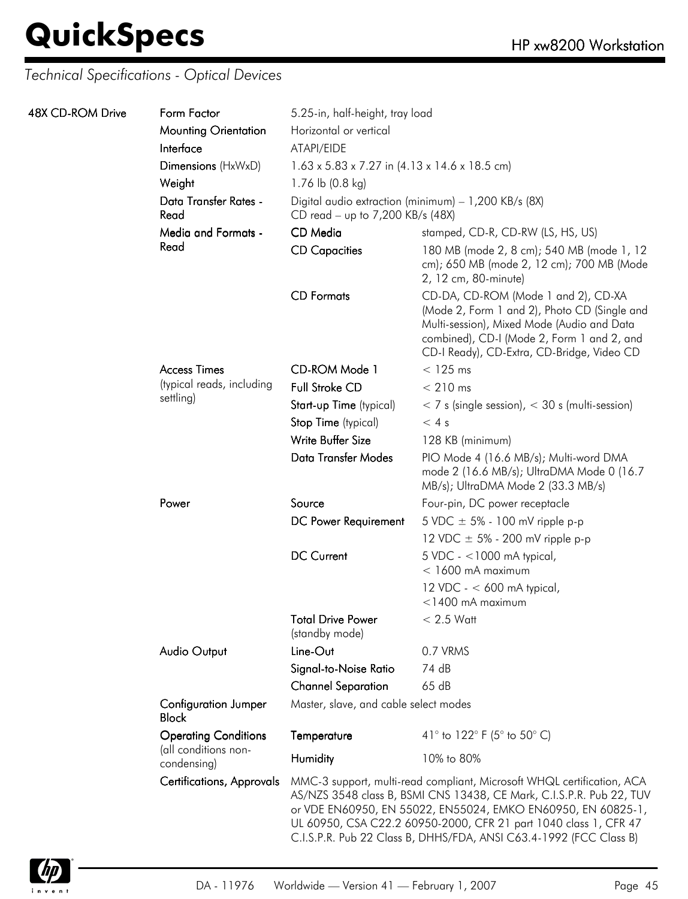| 48X CD-ROM Drive | Form Factor                                         | 5.25-in, half-height, tray load                                                     |                                                                                                                                                                                                                                                                                                                                                          |  |
|------------------|-----------------------------------------------------|-------------------------------------------------------------------------------------|----------------------------------------------------------------------------------------------------------------------------------------------------------------------------------------------------------------------------------------------------------------------------------------------------------------------------------------------------------|--|
|                  | <b>Mounting Orientation</b>                         | Horizontal or vertical                                                              |                                                                                                                                                                                                                                                                                                                                                          |  |
|                  | Interface                                           | ATAPI/EIDE<br>$1.63 \times 5.83 \times 7.27$ in $(4.13 \times 14.6 \times 18.5$ cm) |                                                                                                                                                                                                                                                                                                                                                          |  |
|                  | Dimensions (HxWxD)                                  |                                                                                     |                                                                                                                                                                                                                                                                                                                                                          |  |
|                  | Weight                                              | 1.76 lb (0.8 kg)                                                                    |                                                                                                                                                                                                                                                                                                                                                          |  |
|                  | Data Transfer Rates -<br>Read                       | CD read - up to 7,200 KB/s (48X)                                                    | Digital audio extraction (minimum) - 1,200 KB/s (8X)                                                                                                                                                                                                                                                                                                     |  |
|                  | <b>Media and Formats -</b>                          | CD Media                                                                            | stamped, CD-R, CD-RW (LS, HS, US)                                                                                                                                                                                                                                                                                                                        |  |
|                  | Read                                                | <b>CD Capacities</b>                                                                | 180 MB (mode 2, 8 cm); 540 MB (mode 1, 12<br>cm); 650 MB (mode 2, 12 cm); 700 MB (Mode<br>2, 12 cm, 80-minute)                                                                                                                                                                                                                                           |  |
|                  |                                                     | <b>CD</b> Formats                                                                   | CD-DA, CD-ROM (Mode 1 and 2), CD-XA<br>(Mode 2, Form 1 and 2), Photo CD (Single and<br>Multi-session), Mixed Mode (Audio and Data<br>combined), CD-I (Mode 2, Form 1 and 2, and<br>CD-I Ready), CD-Extra, CD-Bridge, Video CD                                                                                                                            |  |
|                  | <b>Access Times</b>                                 | CD-ROM Mode 1                                                                       | $<$ 125 ms                                                                                                                                                                                                                                                                                                                                               |  |
|                  | (typical reads, including                           | <b>Full Stroke CD</b>                                                               | $< 210$ ms                                                                                                                                                                                                                                                                                                                                               |  |
|                  | settling)                                           | Start-up Time (typical)                                                             | $<$ 7 s (single session), $<$ 30 s (multi-session)                                                                                                                                                                                                                                                                                                       |  |
|                  |                                                     | Stop Time (typical)                                                                 | < 4s                                                                                                                                                                                                                                                                                                                                                     |  |
|                  |                                                     | Write Buffer Size                                                                   | 128 KB (minimum)                                                                                                                                                                                                                                                                                                                                         |  |
|                  |                                                     | Data Transfer Modes                                                                 | PIO Mode 4 (16.6 MB/s); Multi-word DMA<br>mode 2 (16.6 MB/s); UltraDMA Mode 0 (16.7<br>MB/s); UltraDMA Mode 2 (33.3 MB/s)                                                                                                                                                                                                                                |  |
|                  | Power                                               | Source                                                                              | Four-pin, DC power receptacle                                                                                                                                                                                                                                                                                                                            |  |
|                  |                                                     | DC Power Requirement                                                                | 5 VDC $\pm$ 5% - 100 mV ripple p-p                                                                                                                                                                                                                                                                                                                       |  |
|                  |                                                     |                                                                                     | 12 VDC $\pm$ 5% - 200 mV ripple p-p                                                                                                                                                                                                                                                                                                                      |  |
|                  |                                                     | <b>DC Current</b>                                                                   | $5$ VDC - <1000 mA typical,<br>$<$ 1600 mA maximum                                                                                                                                                                                                                                                                                                       |  |
|                  |                                                     |                                                                                     | 12 VDC - $<$ 600 mA typical,<br>$<$ 1400 mA maximum                                                                                                                                                                                                                                                                                                      |  |
|                  |                                                     | <b>Total Drive Power</b><br>(standby mode)                                          | $< 2.5$ Watt                                                                                                                                                                                                                                                                                                                                             |  |
|                  | <b>Audio Output</b>                                 | Line-Out                                                                            | 0.7 VRMS                                                                                                                                                                                                                                                                                                                                                 |  |
|                  |                                                     | Signal-to-Noise Ratio                                                               | 74 dB                                                                                                                                                                                                                                                                                                                                                    |  |
|                  |                                                     | <b>Channel Separation</b>                                                           | 65dB                                                                                                                                                                                                                                                                                                                                                     |  |
|                  | <b>Configuration Jumper</b><br><b>Block</b>         | Master, slave, and cable select modes                                               |                                                                                                                                                                                                                                                                                                                                                          |  |
|                  | <b>Operating Conditions</b><br>(all conditions non- | Temperature                                                                         | 41° to 122° F (5° to 50° C)                                                                                                                                                                                                                                                                                                                              |  |
|                  | condensing)                                         | Humidity                                                                            | 10% to 80%                                                                                                                                                                                                                                                                                                                                               |  |
|                  | <b>Certifications, Approvals</b>                    |                                                                                     | MMC-3 support, multi-read compliant, Microsoft WHQL certification, ACA<br>AS/NZS 3548 class B, BSMI CNS 13438, CE Mark, C.I.S.P.R. Pub 22, TUV<br>or VDE EN60950, EN 55022, EN55024, EMKO EN60950, EN 60825-1,<br>UL 60950, CSA C22.2 60950-2000, CFR 21 part 1040 class 1, CFR 47<br>C.I.S.P.R. Pub 22 Class B, DHHS/FDA, ANSI C63.4-1992 (FCC Class B) |  |

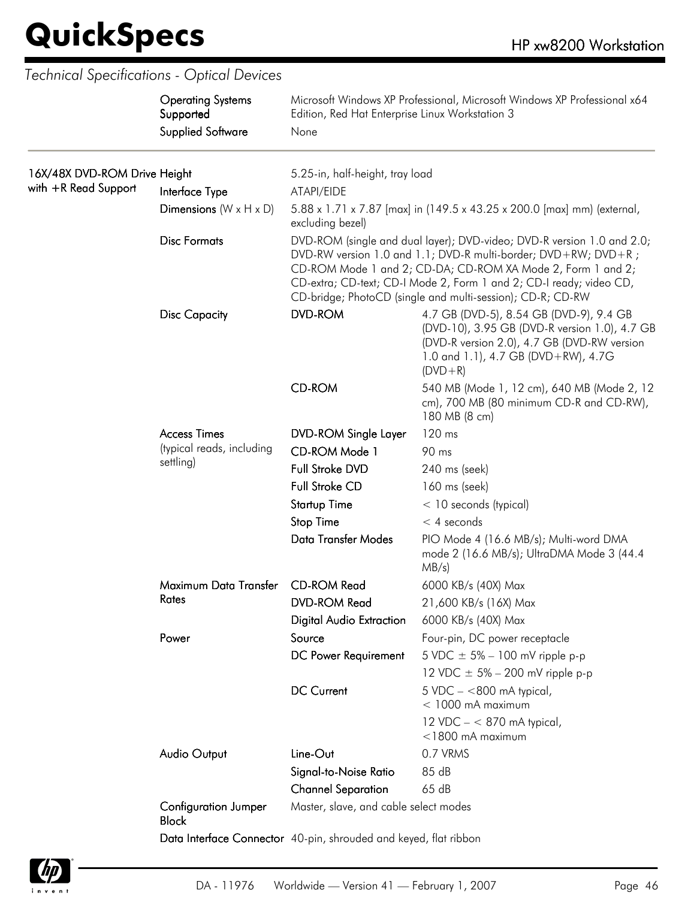$\overline{\phantom{a}}$ 

|                                                      | <b>Operating Systems</b><br>Supported<br><b>Supplied Software</b> | Microsoft Windows XP Professional, Microsoft Windows XP Professional x64<br>Edition, Red Hat Enterprise Linux Workstation 3 |                                                                                                                                                                                                                                                                                                                                              |  |
|------------------------------------------------------|-------------------------------------------------------------------|-----------------------------------------------------------------------------------------------------------------------------|----------------------------------------------------------------------------------------------------------------------------------------------------------------------------------------------------------------------------------------------------------------------------------------------------------------------------------------------|--|
|                                                      |                                                                   | None                                                                                                                        |                                                                                                                                                                                                                                                                                                                                              |  |
| 16X/48X DVD-ROM Drive Height<br>with +R Read Support | Interface Type                                                    | 5.25-in, half-height, tray load<br>ATAPI/EIDE                                                                               |                                                                                                                                                                                                                                                                                                                                              |  |
|                                                      | Dimensions $(W \times H \times D)$                                | excluding bezel)                                                                                                            | 5.88 x 1.71 x 7.87 [max] in (149.5 x 43.25 x 200.0 [max] mm) (external,                                                                                                                                                                                                                                                                      |  |
|                                                      | <b>Disc Formats</b>                                               |                                                                                                                             | DVD-ROM (single and dual layer); DVD-video; DVD-R version 1.0 and 2.0;<br>DVD-RW version 1.0 and 1.1; DVD-R multi-border; DVD+RW; DVD+R;<br>CD-ROM Mode 1 and 2; CD-DA; CD-ROM XA Mode 2, Form 1 and 2;<br>CD-extra; CD-text; CD-I Mode 2, Form 1 and 2; CD-I ready; video CD,<br>CD-bridge; PhotoCD (single and multi-session); CD-R; CD-RW |  |
|                                                      | <b>Disc Capacity</b>                                              | <b>DVD-ROM</b>                                                                                                              | 4.7 GB (DVD-5), 8.54 GB (DVD-9), 9.4 GB<br>(DVD-10), 3.95 GB (DVD-R version 1.0), 4.7 GB<br>(DVD-R version 2.0), 4.7 GB (DVD-RW version<br>1.0 and 1.1), 4.7 GB (DVD+RW), 4.7G<br>$(DVD + R)$                                                                                                                                                |  |
|                                                      |                                                                   | <b>CD-ROM</b>                                                                                                               | 540 MB (Mode 1, 12 cm), 640 MB (Mode 2, 12<br>cm), 700 MB (80 minimum CD-R and CD-RW),<br>180 MB (8 cm)                                                                                                                                                                                                                                      |  |
|                                                      | <b>Access Times</b>                                               | <b>DVD-ROM Single Layer</b>                                                                                                 | 120 ms                                                                                                                                                                                                                                                                                                                                       |  |
|                                                      | (typical reads, including<br>settling)                            | CD-ROM Mode 1                                                                                                               | 90 ms                                                                                                                                                                                                                                                                                                                                        |  |
|                                                      |                                                                   | Full Stroke DVD                                                                                                             | 240 ms (seek)                                                                                                                                                                                                                                                                                                                                |  |
|                                                      |                                                                   | <b>Full Stroke CD</b>                                                                                                       | 160 ms (seek)                                                                                                                                                                                                                                                                                                                                |  |
|                                                      |                                                                   | <b>Startup Time</b>                                                                                                         | $<$ 10 seconds (typical)                                                                                                                                                                                                                                                                                                                     |  |
|                                                      |                                                                   | Stop Time                                                                                                                   | $<$ 4 seconds                                                                                                                                                                                                                                                                                                                                |  |
|                                                      |                                                                   | <b>Data Transfer Modes</b>                                                                                                  | PIO Mode 4 (16.6 MB/s); Multi-word DMA<br>mode 2 (16.6 MB/s); UltraDMA Mode 3 (44.4<br>MB/s)                                                                                                                                                                                                                                                 |  |
|                                                      | Maximum Data Transfer                                             | <b>CD-ROM Read</b>                                                                                                          | 6000 KB/s (40X) Max                                                                                                                                                                                                                                                                                                                          |  |
|                                                      | Rates                                                             | <b>DVD-ROM Read</b>                                                                                                         | 21,600 KB/s (16X) Max                                                                                                                                                                                                                                                                                                                        |  |
|                                                      |                                                                   | <b>Digital Audio Extraction</b>                                                                                             | 6000 KB/s (40X) Max                                                                                                                                                                                                                                                                                                                          |  |
|                                                      | Power                                                             | Source                                                                                                                      | Four-pin, DC power receptacle                                                                                                                                                                                                                                                                                                                |  |
|                                                      |                                                                   | DC Power Requirement                                                                                                        | 5 VDC $\pm$ 5% – 100 mV ripple p-p                                                                                                                                                                                                                                                                                                           |  |
|                                                      |                                                                   |                                                                                                                             | 12 VDC $\pm$ 5% – 200 mV ripple p-p                                                                                                                                                                                                                                                                                                          |  |
|                                                      |                                                                   | <b>DC Current</b>                                                                                                           | $5$ VDC $-$ <800 mA typical,<br>$<$ 1000 mA maximum                                                                                                                                                                                                                                                                                          |  |
|                                                      |                                                                   |                                                                                                                             | 12 VDC $- < 870$ mA typical,<br>$<$ 1800 mA maximum                                                                                                                                                                                                                                                                                          |  |
|                                                      | Audio Output                                                      | Line-Out                                                                                                                    | 0.7 VRMS                                                                                                                                                                                                                                                                                                                                     |  |
|                                                      |                                                                   | Signal-to-Noise Ratio                                                                                                       | 85 dB                                                                                                                                                                                                                                                                                                                                        |  |
|                                                      |                                                                   | <b>Channel Separation</b>                                                                                                   | 65 dB                                                                                                                                                                                                                                                                                                                                        |  |
|                                                      | <b>Configuration Jumper</b><br><b>Block</b>                       | Master, slave, and cable select modes                                                                                       |                                                                                                                                                                                                                                                                                                                                              |  |
|                                                      |                                                                   | Data Interface Connector 40-pin, shrouded and keyed, flat ribbon                                                            |                                                                                                                                                                                                                                                                                                                                              |  |

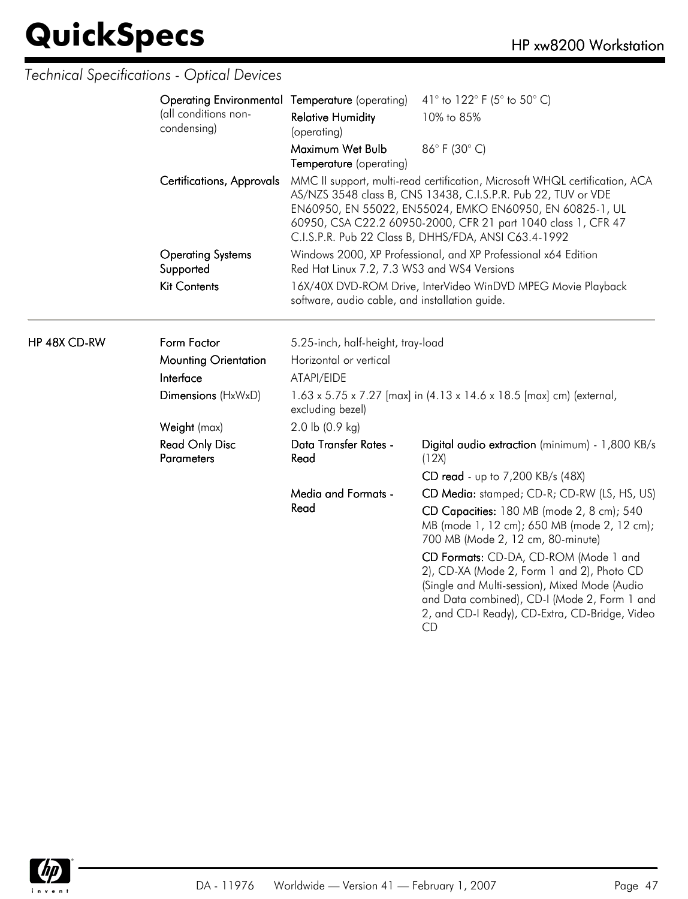HP 48X CD-RW

| <b>Operating Environmental Temperature</b> (operating) |                                                                                                                | 41 $\degree$ to 122 $\degree$ F (5 $\degree$ to 50 $\degree$ C)                                                                                                                                                                                                                                                                   |
|--------------------------------------------------------|----------------------------------------------------------------------------------------------------------------|-----------------------------------------------------------------------------------------------------------------------------------------------------------------------------------------------------------------------------------------------------------------------------------------------------------------------------------|
| (all conditions non-<br>condensing)                    | <b>Relative Humidity</b><br>(operating)                                                                        | 10% to 85%                                                                                                                                                                                                                                                                                                                        |
|                                                        | Maximum Wet Bulb<br>Temperature (operating)                                                                    | 86°F (30°C)                                                                                                                                                                                                                                                                                                                       |
| <b>Certifications, Approvals</b>                       |                                                                                                                | MMC II support, multi-read certification, Microsoft WHQL certification, ACA<br>AS/NZS 3548 class B, CNS 13438, C.I.S.P.R. Pub 22, TUV or VDE<br>EN60950, EN 55022, EN55024, EMKO EN60950, EN 60825-1, UL<br>60950, CSA C22.2 60950-2000, CFR 21 part 1040 class 1, CFR 47<br>C.I.S.P.R. Pub 22 Class B, DHHS/FDA, ANSI C63.4-1992 |
| <b>Operating Systems</b><br>Supported                  | Red Hat Linux 7.2, 7.3 WS3 and WS4 Versions                                                                    | Windows 2000, XP Professional, and XP Professional x64 Edition                                                                                                                                                                                                                                                                    |
| <b>Kit Contents</b>                                    | 16X/40X DVD-ROM Drive, InterVideo WinDVD MPEG Movie Playback<br>software, audio cable, and installation guide. |                                                                                                                                                                                                                                                                                                                                   |
| Form Factor                                            | 5.25-inch, half-height, tray-load                                                                              |                                                                                                                                                                                                                                                                                                                                   |
| <b>Mounting Orientation</b>                            | Horizontal or vertical                                                                                         |                                                                                                                                                                                                                                                                                                                                   |
| Interface                                              | ATAPI/EIDE                                                                                                     |                                                                                                                                                                                                                                                                                                                                   |
| Dimensions (HxWxD)                                     | excluding bezel)                                                                                               | 1.63 x 5.75 x 7.27 [max] in (4.13 x 14.6 x 18.5 [max] cm) (external,                                                                                                                                                                                                                                                              |
| Weight (max)                                           | $2.0$ lb $(0.9$ kg)                                                                                            |                                                                                                                                                                                                                                                                                                                                   |
| <b>Read Only Disc</b><br><b>Parameters</b>             | Data Transfer Rates -<br>Read                                                                                  | Digital audio extraction (minimum) - 1,800 KB/s<br>(12X)                                                                                                                                                                                                                                                                          |
|                                                        |                                                                                                                | CD read - up to 7,200 KB/s (48X)                                                                                                                                                                                                                                                                                                  |
|                                                        | Media and Formats -                                                                                            | CD Media: stamped; CD-R; CD-RW (LS, HS, US)                                                                                                                                                                                                                                                                                       |
|                                                        | Read                                                                                                           | CD Capacities: 180 MB (mode 2, 8 cm); 540<br>MB (mode 1, 12 cm); 650 MB (mode 2, 12 cm);<br>700 MB (Mode 2, 12 cm, 80-minute)                                                                                                                                                                                                     |
|                                                        |                                                                                                                | CD Formats: CD-DA, CD-ROM (Mode 1 and<br>2), CD-XA (Mode 2, Form 1 and 2), Photo CD<br>(Single and Multi-session), Mixed Mode (Audio<br>and Data combined), CD-I (Mode 2, Form 1 and<br>2, and CD-I Ready), CD-Extra, CD-Bridge, Video<br><b>CD</b>                                                                               |

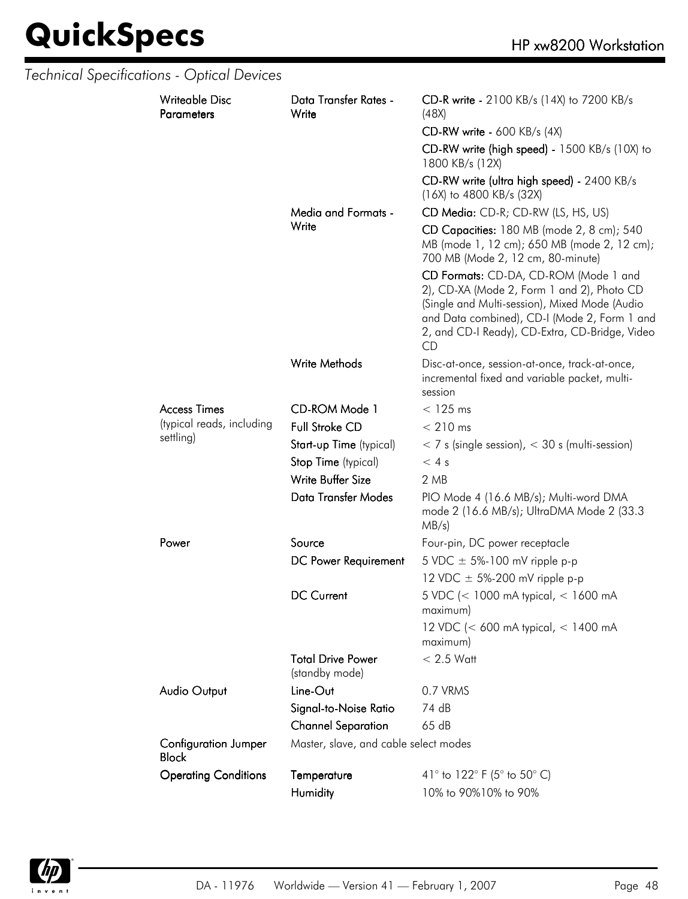| Technical Specifications - Optical Devices  |                                            |                                                                                                                                                                                                                                              |
|---------------------------------------------|--------------------------------------------|----------------------------------------------------------------------------------------------------------------------------------------------------------------------------------------------------------------------------------------------|
| <b>Writeable Disc</b><br><b>Parameters</b>  | Data Transfer Rates -<br>Write             | CD-R write - 2100 KB/s (14X) to 7200 KB/s<br>(48X)                                                                                                                                                                                           |
|                                             |                                            | $CD-RW$ write - 600 KB/s (4X)                                                                                                                                                                                                                |
|                                             |                                            | CD-RW write (high speed) - 1500 KB/s (10X) to<br>1800 KB/s (12X)                                                                                                                                                                             |
|                                             |                                            | CD-RW write (ultra high speed) - 2400 KB/s<br>(16X) to 4800 KB/s (32X)                                                                                                                                                                       |
|                                             | Media and Formats -                        | CD Media: CD-R; CD-RW (LS, HS, US)                                                                                                                                                                                                           |
|                                             | Write                                      | CD Capacities: 180 MB (mode 2, 8 cm); 540<br>MB (mode 1, 12 cm); 650 MB (mode 2, 12 cm);<br>700 MB (Mode 2, 12 cm, 80-minute)                                                                                                                |
|                                             |                                            | CD Formats: CD-DA, CD-ROM (Mode 1 and<br>2), CD-XA (Mode 2, Form 1 and 2), Photo CD<br>(Single and Multi-session), Mixed Mode (Audio<br>and Data combined), CD-I (Mode 2, Form 1 and<br>2, and CD-I Ready), CD-Extra, CD-Bridge, Video<br>CD |
|                                             | Write Methods                              | Disc-at-once, session-at-once, track-at-once,<br>incremental fixed and variable packet, multi-<br>session                                                                                                                                    |
| <b>Access Times</b>                         | CD-ROM Mode 1                              | $<$ 125 ms                                                                                                                                                                                                                                   |
| (typical reads, including                   | <b>Full Stroke CD</b>                      | $< 210$ ms                                                                                                                                                                                                                                   |
| settling)                                   | Start-up Time (typical)                    | $<$ 7 s (single session), $<$ 30 s (multi-session)                                                                                                                                                                                           |
|                                             | Stop Time (typical)                        | < 4s                                                                                                                                                                                                                                         |
|                                             | Write Buffer Size                          | 2 MB                                                                                                                                                                                                                                         |
|                                             | <b>Data Transfer Modes</b>                 | PIO Mode 4 (16.6 MB/s); Multi-word DMA<br>mode 2 (16.6 MB/s); UltraDMA Mode 2 (33.3<br>$MB/s$ )                                                                                                                                              |
| Power                                       | Source                                     | Four-pin, DC power receptacle                                                                                                                                                                                                                |
|                                             | DC Power Requirement                       | 5 VDC $\pm$ 5%-100 mV ripple p-p                                                                                                                                                                                                             |
|                                             |                                            | 12 VDC $\pm$ 5%-200 mV ripple p-p                                                                                                                                                                                                            |
|                                             | <b>DC Current</b>                          | 5 VDC (< 1000 mA typical, < 1600 mA<br>maximum)                                                                                                                                                                                              |
|                                             |                                            | 12 VDC (< 600 mA typical, < 1400 mA<br>maximum)                                                                                                                                                                                              |
|                                             | <b>Total Drive Power</b><br>(standby mode) | $< 2.5$ Watt                                                                                                                                                                                                                                 |
| Audio Output                                | Line-Out                                   | 0.7 VRMS                                                                                                                                                                                                                                     |
|                                             | Signal-to-Noise Ratio                      | 74 dB                                                                                                                                                                                                                                        |
|                                             | <b>Channel Separation</b>                  | 65 dB                                                                                                                                                                                                                                        |
| <b>Configuration Jumper</b><br><b>Block</b> | Master, slave, and cable select modes      |                                                                                                                                                                                                                                              |
| <b>Operating Conditions</b>                 | Temperature                                | 41° to 122° F (5° to 50° C)                                                                                                                                                                                                                  |
|                                             | Humidity                                   | 10% to 90%10% to 90%                                                                                                                                                                                                                         |

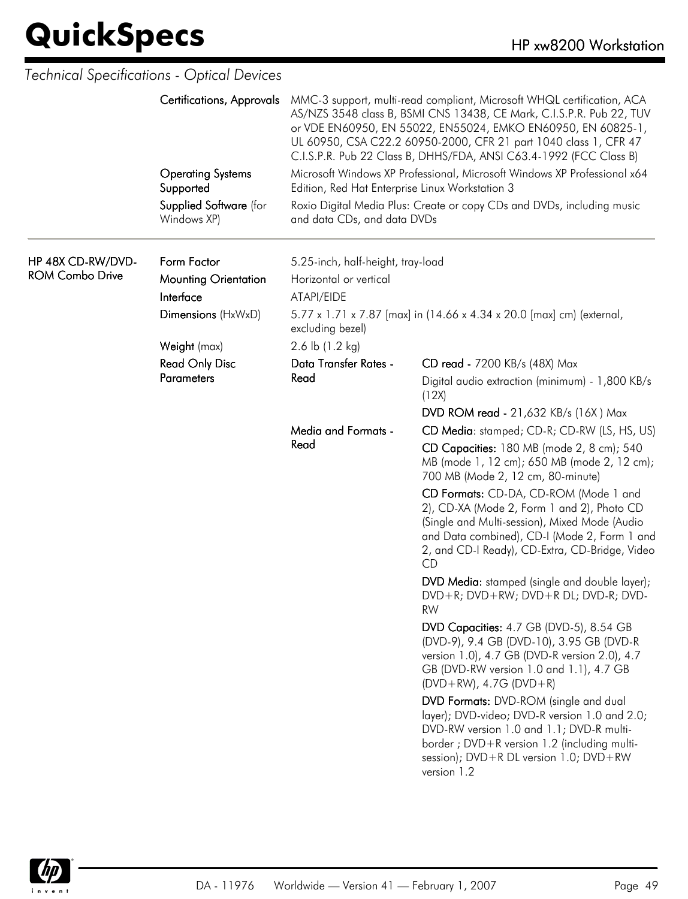|                                             | Technical Specifications - Optical Devices              |                                                                           |                                                                                                                                                                                                                                                                                                                                                          |
|---------------------------------------------|---------------------------------------------------------|---------------------------------------------------------------------------|----------------------------------------------------------------------------------------------------------------------------------------------------------------------------------------------------------------------------------------------------------------------------------------------------------------------------------------------------------|
|                                             | <b>Certifications, Approvals</b>                        |                                                                           | MMC-3 support, multi-read compliant, Microsoft WHQL certification, ACA<br>AS/NZS 3548 class B, BSMI CNS 13438, CE Mark, C.I.S.P.R. Pub 22, TUV<br>or VDE EN60950, EN 55022, EN55024, EMKO EN60950, EN 60825-1,<br>UL 60950, CSA C22.2 60950-2000, CFR 21 part 1040 class 1, CFR 47<br>C.I.S.P.R. Pub 22 Class B, DHHS/FDA, ANSI C63.4-1992 (FCC Class B) |
|                                             | <b>Operating Systems</b><br>Supported                   | Edition, Red Hat Enterprise Linux Workstation 3                           | Microsoft Windows XP Professional, Microsoft Windows XP Professional x64                                                                                                                                                                                                                                                                                 |
|                                             | Supplied Software (for<br>Windows XP)                   | and data CDs, and data DVDs                                               | Roxio Digital Media Plus: Create or copy CDs and DVDs, including music                                                                                                                                                                                                                                                                                   |
| HP 48X CD-RW/DVD-<br><b>ROM Combo Drive</b> | Form Factor<br><b>Mounting Orientation</b><br>Interface | 5.25-inch, half-height, tray-load<br>Horizontal or vertical<br>ATAPI/EIDE |                                                                                                                                                                                                                                                                                                                                                          |
|                                             | Dimensions (HxWxD)                                      | excluding bezel)                                                          | 5.77 x 1.71 x 7.87 [max] in (14.66 x 4.34 x 20.0 [max] cm) (external,                                                                                                                                                                                                                                                                                    |
|                                             | Weight (max)                                            | 2.6 lb $(1.2 \text{ kg})$                                                 |                                                                                                                                                                                                                                                                                                                                                          |
|                                             | <b>Read Only Disc</b>                                   | Data Transfer Rates -                                                     | CD read - 7200 KB/s (48X) Max                                                                                                                                                                                                                                                                                                                            |
|                                             | <b>Parameters</b>                                       | Read                                                                      | Digital audio extraction (minimum) - 1,800 KB/s<br>(12X)                                                                                                                                                                                                                                                                                                 |
|                                             |                                                         |                                                                           | <b>DVD ROM read - 21,632 KB/s (16X) Max</b>                                                                                                                                                                                                                                                                                                              |
|                                             |                                                         | Media and Formats -                                                       | CD Media: stamped; CD-R; CD-RW (LS, HS, US)                                                                                                                                                                                                                                                                                                              |
|                                             |                                                         | Read                                                                      | CD Capacities: 180 MB (mode 2, 8 cm); 540<br>MB (mode 1, 12 cm); 650 MB (mode 2, 12 cm);<br>700 MB (Mode 2, 12 cm, 80-minute)                                                                                                                                                                                                                            |
|                                             |                                                         |                                                                           | CD Formats: CD-DA, CD-ROM (Mode 1 and<br>2), CD-XA (Mode 2, Form 1 and 2), Photo CD<br>(Single and Multi-session), Mixed Mode (Audio<br>and Data combined), CD-I (Mode 2, Form 1 and<br>2, and CD-I Ready), CD-Extra, CD-Bridge, Video<br>CD                                                                                                             |
|                                             |                                                         |                                                                           | DVD Media: stamped (single and double layer);<br>DVD+R; DVD+RW; DVD+R DL; DVD-R; DVD-<br><b>RW</b>                                                                                                                                                                                                                                                       |
|                                             |                                                         |                                                                           | DVD Capacities: 4.7 GB (DVD-5), 8.54 GB<br>(DVD-9), 9.4 GB (DVD-10), 3.95 GB (DVD-R<br>version 1.0), 4.7 GB (DVD-R version 2.0), 4.7<br>GB (DVD-RW version 1.0 and 1.1), 4.7 GB<br>$(DVD+RW)$ , 4.7G $(DVD+R)$                                                                                                                                           |
|                                             |                                                         |                                                                           | DVD Formats: DVD-ROM (single and dual<br>layer); DVD-video; DVD-R version 1.0 and 2.0;<br>DVD-RW version 1.0 and 1.1; DVD-R multi-<br>border ; DVD+R version 1.2 (including multi-<br>session); DVD+R DL version 1.0; DVD+RW<br>version 1.2                                                                                                              |

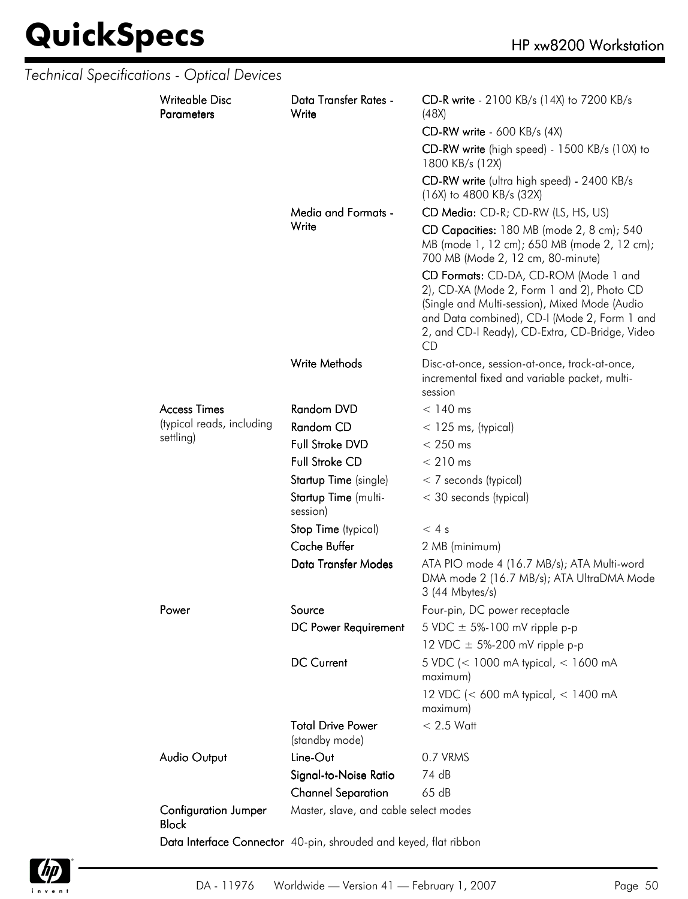|  | Technical Specifications - Optical Devices  |                                                                  |                                                                                                                                                                                                                                              |
|--|---------------------------------------------|------------------------------------------------------------------|----------------------------------------------------------------------------------------------------------------------------------------------------------------------------------------------------------------------------------------------|
|  | <b>Writeable Disc</b><br><b>Parameters</b>  | Data Transfer Rates -<br>Write                                   | CD-R write - 2100 KB/s (14X) to 7200 KB/s<br>(48X)                                                                                                                                                                                           |
|  |                                             |                                                                  | $CD-RW$ write - 600 KB/s (4X)                                                                                                                                                                                                                |
|  |                                             |                                                                  | CD-RW write (high speed) - 1500 KB/s (10X) to<br>1800 KB/s (12X)                                                                                                                                                                             |
|  |                                             |                                                                  | CD-RW write (ultra high speed) - 2400 KB/s<br>$(16X)$ to 4800 KB/s $(32X)$                                                                                                                                                                   |
|  |                                             | Media and Formats -                                              | CD Media: CD-R; CD-RW (LS, HS, US)                                                                                                                                                                                                           |
|  |                                             | Write                                                            | CD Capacities: 180 MB (mode 2, 8 cm); 540<br>MB (mode 1, 12 cm); 650 MB (mode 2, 12 cm);<br>700 MB (Mode 2, 12 cm, 80-minute)                                                                                                                |
|  |                                             |                                                                  | CD Formats: CD-DA, CD-ROM (Mode 1 and<br>2), CD-XA (Mode 2, Form 1 and 2), Photo CD<br>(Single and Multi-session), Mixed Mode (Audio<br>and Data combined), CD-I (Mode 2, Form 1 and<br>2, and CD-I Ready), CD-Extra, CD-Bridge, Video<br>CD |
|  |                                             | Write Methods                                                    | Disc-at-once, session-at-once, track-at-once,<br>incremental fixed and variable packet, multi-<br>session                                                                                                                                    |
|  | <b>Access Times</b>                         | Random DVD                                                       | $< 140$ ms                                                                                                                                                                                                                                   |
|  | (typical reads, including                   | Random CD                                                        | $<$ 125 ms, (typical)                                                                                                                                                                                                                        |
|  | settling)                                   | Full Stroke DVD                                                  | $< 250$ ms                                                                                                                                                                                                                                   |
|  |                                             | <b>Full Stroke CD</b>                                            | $< 210$ ms                                                                                                                                                                                                                                   |
|  |                                             | Startup Time (single)                                            | < 7 seconds (typical)                                                                                                                                                                                                                        |
|  |                                             | Startup Time (multi-<br>session)                                 | < 30 seconds (typical)                                                                                                                                                                                                                       |
|  |                                             | Stop Time (typical)                                              | < 4s                                                                                                                                                                                                                                         |
|  |                                             | <b>Cache Buffer</b>                                              | 2 MB (minimum)                                                                                                                                                                                                                               |
|  |                                             | Data Transfer Modes                                              | ATA PIO mode 4 (16.7 MB/s); ATA Multi-word<br>DMA mode 2 (16.7 MB/s); ATA UltraDMA Mode<br>3 (44 Mbytes/s)                                                                                                                                   |
|  | Power                                       | Source                                                           | Four-pin, DC power receptacle                                                                                                                                                                                                                |
|  |                                             | DC Power Requirement                                             | 5 VDC $\pm$ 5%-100 mV ripple p-p                                                                                                                                                                                                             |
|  |                                             |                                                                  | 12 VDC $\pm$ 5%-200 mV ripple p-p                                                                                                                                                                                                            |
|  |                                             | <b>DC Current</b>                                                | 5 VDC (< 1000 mA typical, < 1600 mA<br>maximum)                                                                                                                                                                                              |
|  |                                             |                                                                  | 12 VDC (< 600 mA typical, < 1400 mA<br>maximum)                                                                                                                                                                                              |
|  |                                             | <b>Total Drive Power</b><br>(standby mode)                       | $< 2.5$ Watt                                                                                                                                                                                                                                 |
|  | Audio Output                                | Line-Out                                                         | 0.7 VRMS                                                                                                                                                                                                                                     |
|  |                                             | Signal-to-Noise Ratio                                            | 74 dB                                                                                                                                                                                                                                        |
|  |                                             | <b>Channel Separation</b>                                        | 65 dB                                                                                                                                                                                                                                        |
|  | <b>Configuration Jumper</b><br><b>Block</b> | Master, slave, and cable select modes                            |                                                                                                                                                                                                                                              |
|  |                                             | Data Interface Connector 40-pin, shrouded and keyed, flat ribbon |                                                                                                                                                                                                                                              |

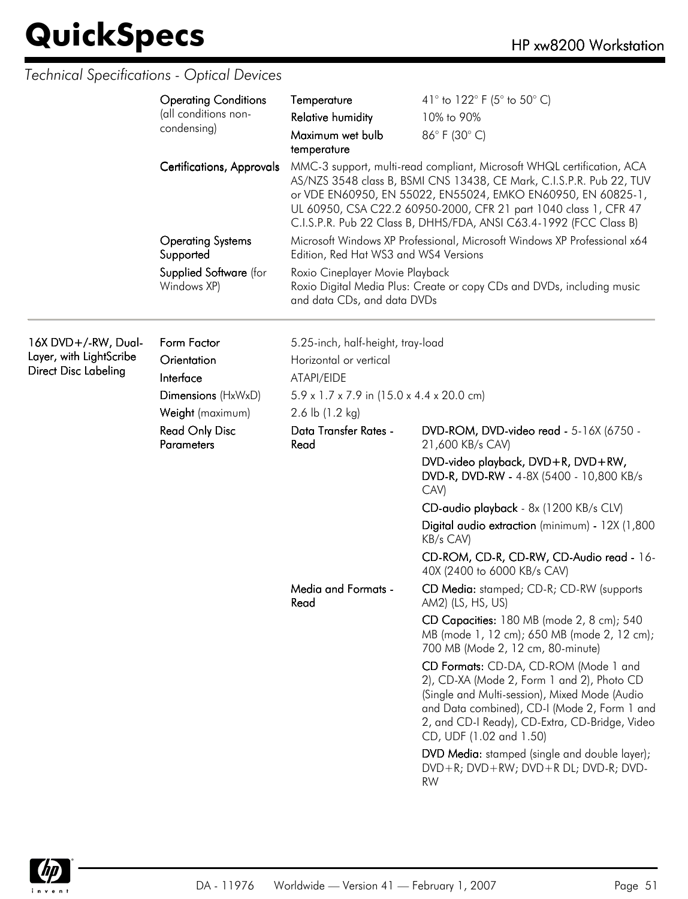|                                                                               | <b>Operating Conditions</b><br>(all conditions non-<br>condensing)<br>Certifications, Approvals | Temperature<br><b>Relative humidity</b><br>Maximum wet bulb<br>temperature                                                                            | 41° to 122° F (5° to 50° C)<br>10% to 90%<br>86°F (30°C)<br>MMC-3 support, multi-read compliant, Microsoft WHQL certification, ACA<br>AS/NZS 3548 class B, BSMI CNS 13438, CE Mark, C.I.S.P.R. Pub 22, TUV<br>or VDE EN60950, EN 55022, EN55024, EMKO EN60950, EN 60825-1,<br>UL 60950, CSA C22.2 60950-2000, CFR 21 part 1040 class 1, CFR 47<br>C.I.S.P.R. Pub 22 Class B, DHHS/FDA, ANSI C63.4-1992 (FCC Class B)                                                                                                                                                                                     |
|-------------------------------------------------------------------------------|-------------------------------------------------------------------------------------------------|-------------------------------------------------------------------------------------------------------------------------------------------------------|----------------------------------------------------------------------------------------------------------------------------------------------------------------------------------------------------------------------------------------------------------------------------------------------------------------------------------------------------------------------------------------------------------------------------------------------------------------------------------------------------------------------------------------------------------------------------------------------------------|
|                                                                               | <b>Operating Systems</b><br>Supported<br>Supplied Software (for<br>Windows XP)                  | Edition, Red Hat WS3 and WS4 Versions<br>Roxio Cineplayer Movie Playback<br>and data CDs, and data DVDs                                               | Microsoft Windows XP Professional, Microsoft Windows XP Professional x64<br>Roxio Digital Media Plus: Create or copy CDs and DVDs, including music                                                                                                                                                                                                                                                                                                                                                                                                                                                       |
| 16X DVD+/-RW, Dual-<br>Layer, with LightScribe<br><b>Direct Disc Labeling</b> | Form Factor<br>Orientation<br>Interface<br>Dimensions (HxWxD)<br>Weight (maximum)               | 5.25-inch, half-height, tray-load<br>Horizontal or vertical<br>ATAPI/EIDE<br>$5.9 \times 1.7 \times 7.9$ in (15.0 x 4.4 x 20.0 cm)<br>2.6 lb (1.2 kg) |                                                                                                                                                                                                                                                                                                                                                                                                                                                                                                                                                                                                          |
|                                                                               | <b>Read Only Disc</b><br><b>Parameters</b>                                                      | Data Transfer Rates -<br>Read                                                                                                                         | DVD-ROM, DVD-video read - 5-16X (6750 -<br>21,600 KB/s CAV)<br>DVD-video playback, DVD+R, DVD+RW,<br>DVD-R, DVD-RW - 4-8X (5400 - 10,800 KB/s<br>CAV)<br>CD-audio playback - 8x (1200 KB/s CLV)<br>Digital audio extraction (minimum) - 12X (1,800<br>KB/s CAV)<br>CD-ROM, CD-R, CD-RW, CD-Audio read - 16-                                                                                                                                                                                                                                                                                              |
|                                                                               |                                                                                                 | Media and Formats -<br>Read                                                                                                                           | 40X (2400 to 6000 KB/s CAV)<br>CD Media: stamped; CD-R; CD-RW (supports<br>AM2) (LS, HS, US)<br>CD Capacities: 180 MB (mode 2, 8 cm); 540<br>MB (mode 1, 12 cm); 650 MB (mode 2, 12 cm);<br>700 MB (Mode 2, 12 cm, 80-minute)<br>CD Formats: CD-DA, CD-ROM (Mode 1 and<br>2), CD-XA (Mode 2, Form 1 and 2), Photo CD<br>(Single and Multi-session), Mixed Mode (Audio<br>and Data combined), CD-I (Mode 2, Form 1 and<br>2, and CD-I Ready), CD-Extra, CD-Bridge, Video<br>CD, UDF (1.02 and 1.50)<br>DVD Media: stamped (single and double layer);<br>DVD+R; DVD+RW; DVD+R DL; DVD-R; DVD-<br><b>RW</b> |

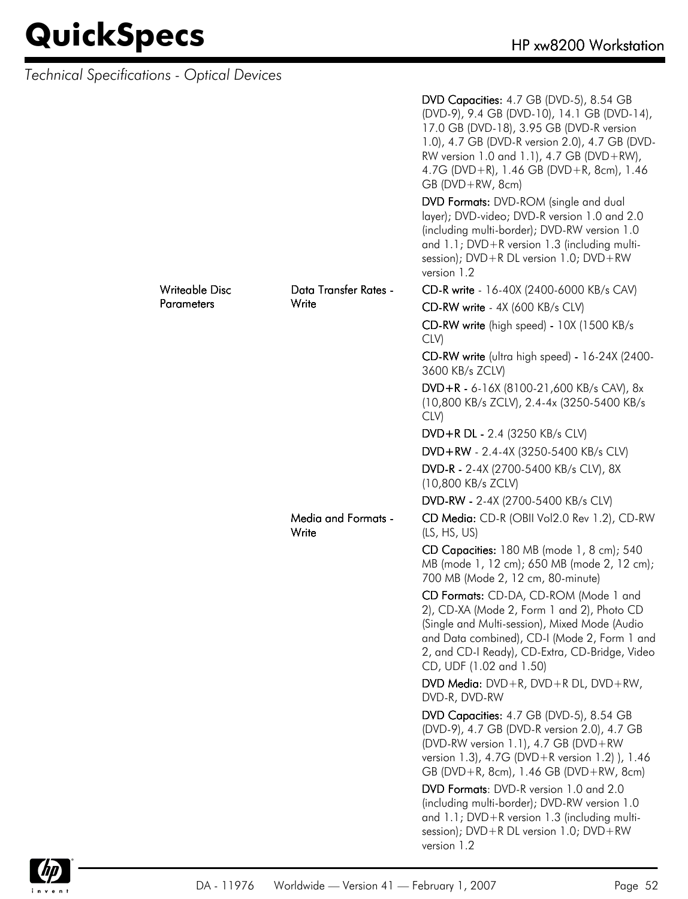| Technical Specifications - Optical Devices |                   |                                     |                                                                                                                                                                                                                                                                                                       |
|--------------------------------------------|-------------------|-------------------------------------|-------------------------------------------------------------------------------------------------------------------------------------------------------------------------------------------------------------------------------------------------------------------------------------------------------|
|                                            |                   |                                     | DVD Capacities: 4.7 GB (DVD-5), 8.54 GB<br>(DVD-9), 9.4 GB (DVD-10), 14.1 GB (DVD-14),<br>17.0 GB (DVD-18), 3.95 GB (DVD-R version<br>1.0), 4.7 GB (DVD-R version 2.0), 4.7 GB (DVD-<br>RW version 1.0 and 1.1), 4.7 GB (DVD+RW),<br>4.7G (DVD+R), 1.46 GB (DVD+R, 8cm), 1.46<br>$GB (DVD + RW, 8cm)$ |
|                                            |                   |                                     | DVD Formats: DVD-ROM (single and dual<br>layer); DVD-video; DVD-R version 1.0 and 2.0<br>(including multi-border); DVD-RW version 1.0<br>and 1.1; DVD+R version 1.3 (including multi-<br>session); $DVD + R DL$ version 1.0; $DVD + RW$<br>version 1.2                                                |
|                                            | Writeable Disc    | Data Transfer Rates -               | CD-R write - 16-40X (2400-6000 KB/s CAV)                                                                                                                                                                                                                                                              |
|                                            | <b>Parameters</b> | Write                               | CD-RW write - 4X (600 KB/s CLV)                                                                                                                                                                                                                                                                       |
|                                            |                   |                                     | CD-RW write (high speed) - 10X (1500 KB/s<br>CLV)                                                                                                                                                                                                                                                     |
|                                            |                   |                                     | CD-RW write (ultra high speed) - 16-24X (2400-<br>3600 KB/s ZCLV)                                                                                                                                                                                                                                     |
|                                            |                   |                                     | DVD+R - 6-16X (8100-21,600 KB/s CAV), 8x<br>(10,800 KB/s ZCLV), 2.4-4x (3250-5400 KB/s<br>CLV)                                                                                                                                                                                                        |
|                                            |                   |                                     | DVD+R DL - 2.4 (3250 KB/s CLV)                                                                                                                                                                                                                                                                        |
|                                            |                   |                                     | DVD+RW - 2.4-4X (3250-5400 KB/s CLV)                                                                                                                                                                                                                                                                  |
|                                            |                   |                                     | DVD-R - 2-4X (2700-5400 KB/s CLV), 8X<br>(10,800 KB/s ZCLV)                                                                                                                                                                                                                                           |
|                                            |                   |                                     | DVD-RW - 2-4X (2700-5400 KB/s CLV)                                                                                                                                                                                                                                                                    |
|                                            |                   | <b>Media and Formats -</b><br>Write | CD Media: CD-R (OBII Vol2.0 Rev 1.2), CD-RW<br>(LS, HS, US)                                                                                                                                                                                                                                           |
|                                            |                   |                                     | CD Capacities: 180 MB (mode 1, 8 cm); 540<br>MB (mode 1, 12 cm); 650 MB (mode 2, 12 cm);<br>700 MB (Mode 2, 12 cm, 80-minute)                                                                                                                                                                         |
|                                            |                   |                                     | CD Formats: CD-DA, CD-ROM (Mode 1 and<br>2), CD-XA (Mode 2, Form 1 and 2), Photo CD<br>(Single and Multi-session), Mixed Mode (Audio<br>and Data combined), CD-I (Mode 2, Form 1 and<br>2, and CD-I Ready), CD-Extra, CD-Bridge, Video<br>CD, UDF (1.02 and 1.50)                                     |
|                                            |                   |                                     | DVD Media: $DVD + R$ , $DVD + R$ DL, $DVD + RW$ ,<br>DVD-R, DVD-RW                                                                                                                                                                                                                                    |
|                                            |                   |                                     | DVD Capacities: 4.7 GB (DVD-5), 8.54 GB<br>(DVD-9), 4.7 GB (DVD-R version 2.0), 4.7 GB<br>(DVD-RW version 1.1), 4.7 GB (DVD+RW<br>version 1.3), 4.7G (DVD+R version 1.2) ), 1.46<br>GB (DVD+R, 8cm), 1.46 GB (DVD+RW, 8cm)                                                                            |
|                                            |                   |                                     | DVD Formats: DVD-R version 1.0 and 2.0<br>(including multi-border); DVD-RW version 1.0<br>and 1.1; DVD+R version 1.3 (including multi-<br>session); $DVD + R DL$ version 1.0; $DVD + RW$<br>version 1.2                                                                                               |

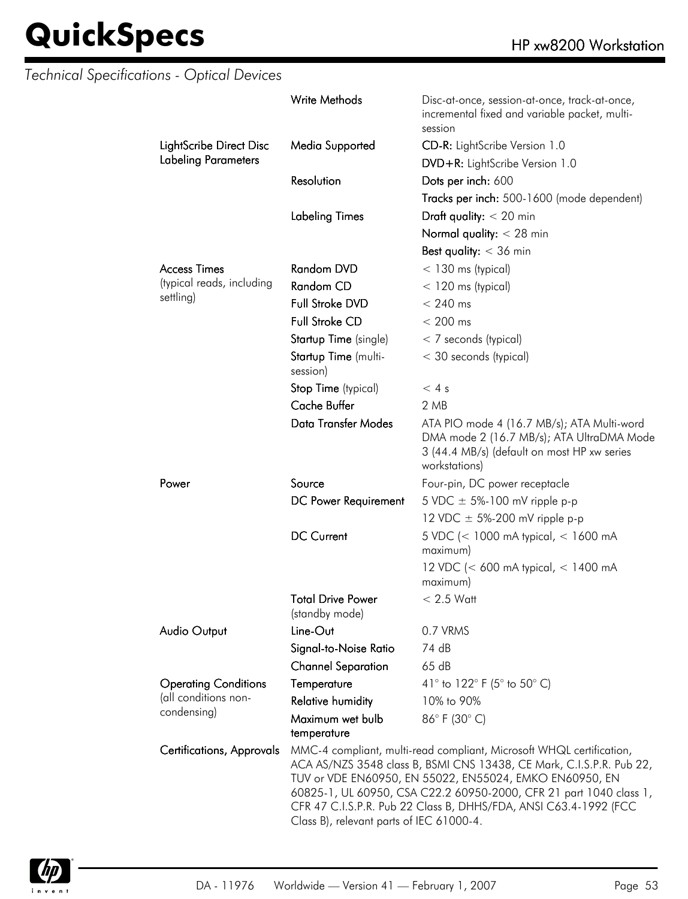|                                                  | <b>Write Methods</b>                       | Disc-at-once, session-at-once, track-at-once,<br>incremental fixed and variable packet, multi-<br>session                                                                                                                                                                                                                                         |
|--------------------------------------------------|--------------------------------------------|---------------------------------------------------------------------------------------------------------------------------------------------------------------------------------------------------------------------------------------------------------------------------------------------------------------------------------------------------|
| LightScribe Direct Disc                          | Media Supported                            | CD-R: LightScribe Version 1.0                                                                                                                                                                                                                                                                                                                     |
| <b>Labeling Parameters</b>                       |                                            | DVD+R: LightScribe Version 1.0                                                                                                                                                                                                                                                                                                                    |
|                                                  | Resolution                                 | Dots per inch: 600                                                                                                                                                                                                                                                                                                                                |
|                                                  |                                            | Tracks per inch: 500-1600 (mode dependent)                                                                                                                                                                                                                                                                                                        |
|                                                  |                                            |                                                                                                                                                                                                                                                                                                                                                   |
|                                                  | <b>Labeling Times</b>                      | Draft quality: $<$ 20 min                                                                                                                                                                                                                                                                                                                         |
|                                                  |                                            | Normal quality: $<$ 28 min                                                                                                                                                                                                                                                                                                                        |
|                                                  |                                            | Best quality: $<$ 36 min                                                                                                                                                                                                                                                                                                                          |
| <b>Access Times</b><br>(typical reads, including | <b>Random DVD</b>                          | $<$ 130 ms (typical)                                                                                                                                                                                                                                                                                                                              |
| settling)                                        | Random CD                                  | $<$ 120 ms (typical)                                                                                                                                                                                                                                                                                                                              |
|                                                  | Full Stroke DVD                            | $< 240$ ms                                                                                                                                                                                                                                                                                                                                        |
|                                                  | <b>Full Stroke CD</b>                      | $< 200$ ms                                                                                                                                                                                                                                                                                                                                        |
|                                                  | Startup Time (single)                      | $<$ 7 seconds (typical)                                                                                                                                                                                                                                                                                                                           |
|                                                  | Startup Time (multi-<br>session)           | < 30 seconds (typical)                                                                                                                                                                                                                                                                                                                            |
|                                                  | Stop Time (typical)                        | < 4s                                                                                                                                                                                                                                                                                                                                              |
|                                                  | <b>Cache Buffer</b>                        | 2 MB                                                                                                                                                                                                                                                                                                                                              |
|                                                  | <b>Data Transfer Modes</b>                 | ATA PIO mode 4 (16.7 MB/s); ATA Multi-word<br>DMA mode 2 (16.7 MB/s); ATA UltraDMA Mode<br>3 (44.4 MB/s) (default on most HP xw series<br>workstations)                                                                                                                                                                                           |
| Power                                            | Source                                     | Four-pin, DC power receptacle                                                                                                                                                                                                                                                                                                                     |
|                                                  | DC Power Requirement                       | 5 VDC $\pm$ 5%-100 mV ripple p-p                                                                                                                                                                                                                                                                                                                  |
|                                                  |                                            | 12 VDC $\pm$ 5%-200 mV ripple p-p                                                                                                                                                                                                                                                                                                                 |
|                                                  | <b>DC Current</b>                          | 5 VDC (< 1000 mA typical, < 1600 mA<br>maximum)                                                                                                                                                                                                                                                                                                   |
|                                                  |                                            | 12 VDC (< 600 mA typical, < 1400 mA<br>maximum)                                                                                                                                                                                                                                                                                                   |
|                                                  | <b>Total Drive Power</b><br>(standby mode) | $< 2.5$ Watt                                                                                                                                                                                                                                                                                                                                      |
| <b>Audio Output</b>                              | Line-Out                                   | 0.7 VRMS                                                                                                                                                                                                                                                                                                                                          |
|                                                  | Signal-to-Noise Ratio                      | 74 dB                                                                                                                                                                                                                                                                                                                                             |
|                                                  | <b>Channel Separation</b>                  | 65dB                                                                                                                                                                                                                                                                                                                                              |
| <b>Operating Conditions</b>                      | Temperature                                | 41 $\degree$ to 122 $\degree$ F (5 $\degree$ to 50 $\degree$ C)                                                                                                                                                                                                                                                                                   |
| (all conditions non-                             | <b>Relative humidity</b>                   | 10% to 90%                                                                                                                                                                                                                                                                                                                                        |
| condensing)                                      | Maximum wet bulb<br>temperature            | 86°F (30°C)                                                                                                                                                                                                                                                                                                                                       |
| Certifications, Approvals                        | Class B), relevant parts of IEC 61000-4.   | MMC-4 compliant, multi-read compliant, Microsoft WHQL certification,<br>ACA AS/NZS 3548 class B, BSMI CNS 13438, CE Mark, C.I.S.P.R. Pub 22,<br>TUV or VDE EN60950, EN 55022, EN55024, EMKO EN60950, EN<br>60825-1, UL 60950, CSA C22.2 60950-2000, CFR 21 part 1040 class 1,<br>CFR 47 C.I.S.P.R. Pub 22 Class B, DHHS/FDA, ANSI C63.4-1992 (FCC |

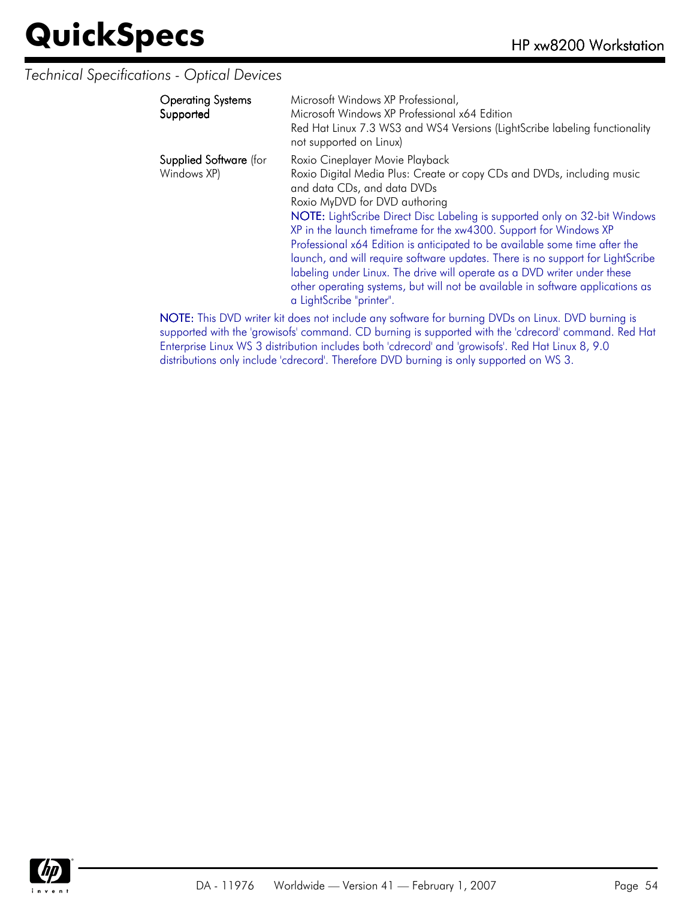#### *Technical Specifications - Optical Devices*

| <b>Operating Systems</b><br>Supported | Microsoft Windows XP Professional,<br>Microsoft Windows XP Professional x64 Edition<br>Red Hat Linux 7.3 WS3 and WS4 Versions (LightScribe labeling functionality<br>not supported on Linux)                                                                                                                                                                                                                                                                                                                                                                                                                                                                                            |
|---------------------------------------|-----------------------------------------------------------------------------------------------------------------------------------------------------------------------------------------------------------------------------------------------------------------------------------------------------------------------------------------------------------------------------------------------------------------------------------------------------------------------------------------------------------------------------------------------------------------------------------------------------------------------------------------------------------------------------------------|
| Supplied Software (for<br>Windows XP) | Roxio Cineplayer Movie Playback<br>Roxio Digital Media Plus: Create or copy CDs and DVDs, including music<br>and data CDs, and data DVDs<br>Roxio MyDVD for DVD authoring<br>NOTE: LightScribe Direct Disc Labeling is supported only on 32-bit Windows<br>XP in the launch timeframe for the xw4300. Support for Windows XP<br>Professional x64 Edition is anticipated to be available some time after the<br>launch, and will require software updates. There is no support for LightScribe<br>labeling under Linux. The drive will operate as a DVD writer under these<br>other operating systems, but will not be available in software applications as<br>a LightScribe "printer". |
|                                       | NIATE TRAINING ACTACLES SAN JESSE STATES CONTRACTOR IN A DIVINE SAN ASSAULT.                                                                                                                                                                                                                                                                                                                                                                                                                                                                                                                                                                                                            |

NOTE: This DVD writer kit does not include any software for burning DVDs on Linux. DVD burning is supported with the 'growisofs' command. CD burning is supported with the 'cdrecord' command. Red Hat Enterprise Linux WS 3 distribution includes both 'cdrecord' and 'growisofs'. Red Hat Linux 8, 9.0 distributions only include 'cdrecord'. Therefore DVD burning is only supported on WS 3.

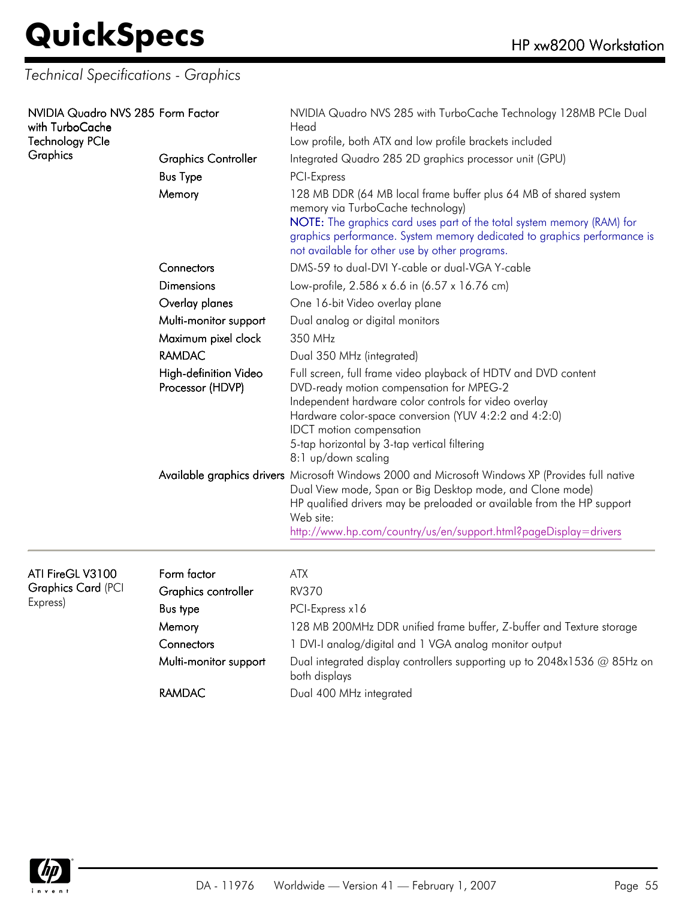*Technical Specifications - Graphics*

| NVIDIA Quadro NVS 285 Form Factor<br>with TurboCache<br><b>Technology PCIe</b><br>Graphics | <b>Graphics Controller</b><br><b>Bus Type</b><br>Memory | NVIDIA Quadro NVS 285 with TurboCache Technology 128MB PCIe Dual<br>Head<br>Low profile, both ATX and low profile brackets included<br>Integrated Quadro 285 2D graphics processor unit (GPU)<br>PCI-Express<br>128 MB DDR (64 MB local frame buffer plus 64 MB of shared system<br>memory via TurboCache technology)<br>NOTE: The graphics card uses part of the total system memory (RAM) for<br>graphics performance. System memory dedicated to graphics performance is<br>not available for other use by other programs. |
|--------------------------------------------------------------------------------------------|---------------------------------------------------------|-------------------------------------------------------------------------------------------------------------------------------------------------------------------------------------------------------------------------------------------------------------------------------------------------------------------------------------------------------------------------------------------------------------------------------------------------------------------------------------------------------------------------------|
|                                                                                            | Connectors                                              | DMS-59 to dual-DVI Y-cable or dual-VGA Y-cable                                                                                                                                                                                                                                                                                                                                                                                                                                                                                |
|                                                                                            | Dimensions                                              | Low-profile, 2.586 x 6.6 in (6.57 x 16.76 cm)                                                                                                                                                                                                                                                                                                                                                                                                                                                                                 |
|                                                                                            | Overlay planes                                          | One 16-bit Video overlay plane                                                                                                                                                                                                                                                                                                                                                                                                                                                                                                |
|                                                                                            | Multi-monitor support                                   | Dual analog or digital monitors                                                                                                                                                                                                                                                                                                                                                                                                                                                                                               |
|                                                                                            | Maximum pixel clock                                     | 350 MHz                                                                                                                                                                                                                                                                                                                                                                                                                                                                                                                       |
|                                                                                            | <b>RAMDAC</b>                                           | Dual 350 MHz (integrated)                                                                                                                                                                                                                                                                                                                                                                                                                                                                                                     |
|                                                                                            | High-definition Video<br>Processor (HDVP)               | Full screen, full frame video playback of HDTV and DVD content<br>DVD-ready motion compensation for MPEG-2<br>Independent hardware color controls for video overlay<br>Hardware color-space conversion (YUV 4:2:2 and 4:2:0)<br><b>IDCT</b> motion compensation<br>5-tap horizontal by 3-tap vertical filtering<br>8:1 up/down scaling                                                                                                                                                                                        |
|                                                                                            |                                                         | Available graphics drivers Microsoft Windows 2000 and Microsoft Windows XP (Provides full native<br>Dual View mode, Span or Big Desktop mode, and Clone mode)<br>HP qualified drivers may be preloaded or available from the HP support<br>Web site:<br>http://www.hp.com/country/us/en/support.html?pageDisplay=drivers                                                                                                                                                                                                      |
| ATI FireGL V3100                                                                           | Form factor                                             | <b>ATX</b>                                                                                                                                                                                                                                                                                                                                                                                                                                                                                                                    |
| <b>Graphics Card (PCI</b><br>Express)                                                      | Graphics controller                                     | <b>RV370</b>                                                                                                                                                                                                                                                                                                                                                                                                                                                                                                                  |
|                                                                                            | <b>Bus type</b>                                         | PCI-Express x16                                                                                                                                                                                                                                                                                                                                                                                                                                                                                                               |
|                                                                                            | Memory                                                  | 128 MB 200MHz DDR unified frame buffer, Z-buffer and Texture storage                                                                                                                                                                                                                                                                                                                                                                                                                                                          |
|                                                                                            | Connectors                                              | 1 DVI-I analog/digital and 1 VGA analog monitor output                                                                                                                                                                                                                                                                                                                                                                                                                                                                        |
|                                                                                            | Multi-monitor support                                   | Dual integrated display controllers supporting up to 2048x1536 @ 85Hz on<br>both displays                                                                                                                                                                                                                                                                                                                                                                                                                                     |
|                                                                                            | <b>RAMDAC</b>                                           | Dual 400 MHz integrated                                                                                                                                                                                                                                                                                                                                                                                                                                                                                                       |

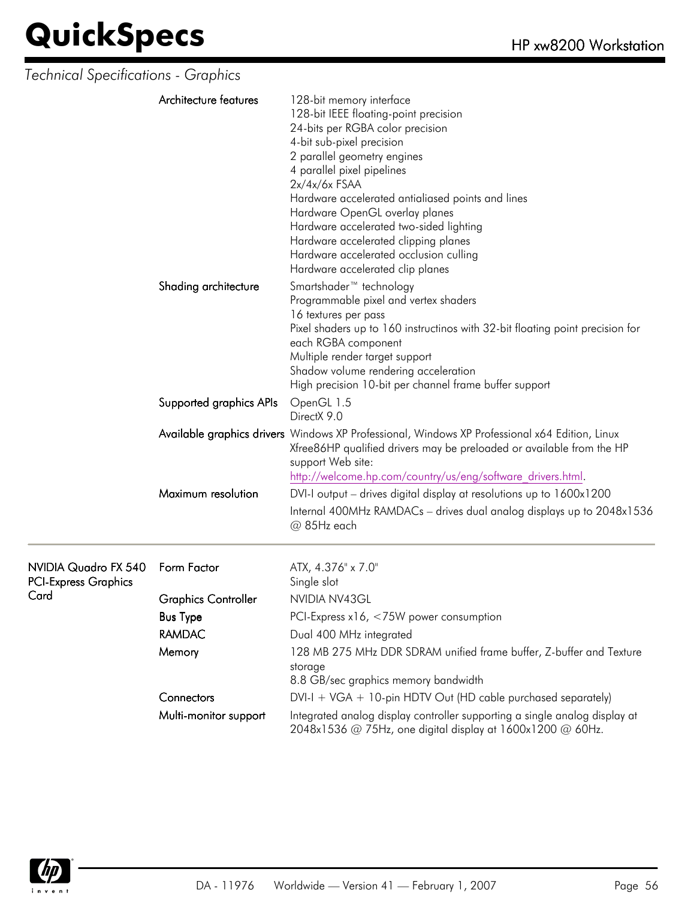| Technical Specifications - Graphics                 |                            |                                                                                                                                                                                                                                                                                                                                                                                                                                                                            |  |  |
|-----------------------------------------------------|----------------------------|----------------------------------------------------------------------------------------------------------------------------------------------------------------------------------------------------------------------------------------------------------------------------------------------------------------------------------------------------------------------------------------------------------------------------------------------------------------------------|--|--|
|                                                     | Architecture features      | 128-bit memory interface<br>128-bit IEEE floating-point precision<br>24-bits per RGBA color precision<br>4-bit sub-pixel precision<br>2 parallel geometry engines<br>4 parallel pixel pipelines<br>$2x/4x/6x$ FSAA<br>Hardware accelerated antialiased points and lines<br>Hardware OpenGL overlay planes<br>Hardware accelerated two-sided lighting<br>Hardware accelerated clipping planes<br>Hardware accelerated occlusion culling<br>Hardware accelerated clip planes |  |  |
|                                                     | Shading architecture       | Smartshader <sup>™</sup> technology<br>Programmable pixel and vertex shaders<br>16 textures per pass<br>Pixel shaders up to 160 instructinos with 32-bit floating point precision for<br>each RGBA component<br>Multiple render target support<br>Shadow volume rendering acceleration<br>High precision 10-bit per channel frame buffer support                                                                                                                           |  |  |
|                                                     | Supported graphics APIs    | OpenGL 1.5<br>DirectX 9.0                                                                                                                                                                                                                                                                                                                                                                                                                                                  |  |  |
|                                                     |                            | Available graphics drivers Windows XP Professional, Windows XP Professional x64 Edition, Linux<br>Xfree86HP qualified drivers may be preloaded or available from the HP<br>support Web site:<br>http://welcome.hp.com/country/us/eng/software_drivers.html.                                                                                                                                                                                                                |  |  |
|                                                     | Maximum resolution         | DVI-I output – drives digital display at resolutions up to 1600x1200                                                                                                                                                                                                                                                                                                                                                                                                       |  |  |
|                                                     |                            | Internal 400MHz RAMDACs - drives dual analog displays up to 2048x1536<br>@ 85Hz each                                                                                                                                                                                                                                                                                                                                                                                       |  |  |
| NVIDIA Quadro FX 540<br><b>PCI-Express Graphics</b> | Form Factor                | ATX, 4.376" x 7.0"<br>Single slot                                                                                                                                                                                                                                                                                                                                                                                                                                          |  |  |
| Card                                                | <b>Graphics Controller</b> | NVIDIA NV43GL                                                                                                                                                                                                                                                                                                                                                                                                                                                              |  |  |
|                                                     | <b>Bus Type</b>            | PCI-Express x16, <75W power consumption                                                                                                                                                                                                                                                                                                                                                                                                                                    |  |  |
|                                                     | <b>RAMDAC</b>              | Dual 400 MHz integrated                                                                                                                                                                                                                                                                                                                                                                                                                                                    |  |  |
|                                                     | Memory                     | 128 MB 275 MHz DDR SDRAM unified frame buffer, Z-buffer and Texture<br>storage<br>8.8 GB/sec graphics memory bandwidth                                                                                                                                                                                                                                                                                                                                                     |  |  |
|                                                     | Connectors                 | $DVI-I + VGA + 10$ -pin HDTV Out (HD cable purchased separately)                                                                                                                                                                                                                                                                                                                                                                                                           |  |  |
|                                                     | Multi-monitor support      | Integrated analog display controller supporting a single analog display at<br>2048x1536 @ 75Hz, one digital display at 1600x1200 @ 60Hz.                                                                                                                                                                                                                                                                                                                                   |  |  |

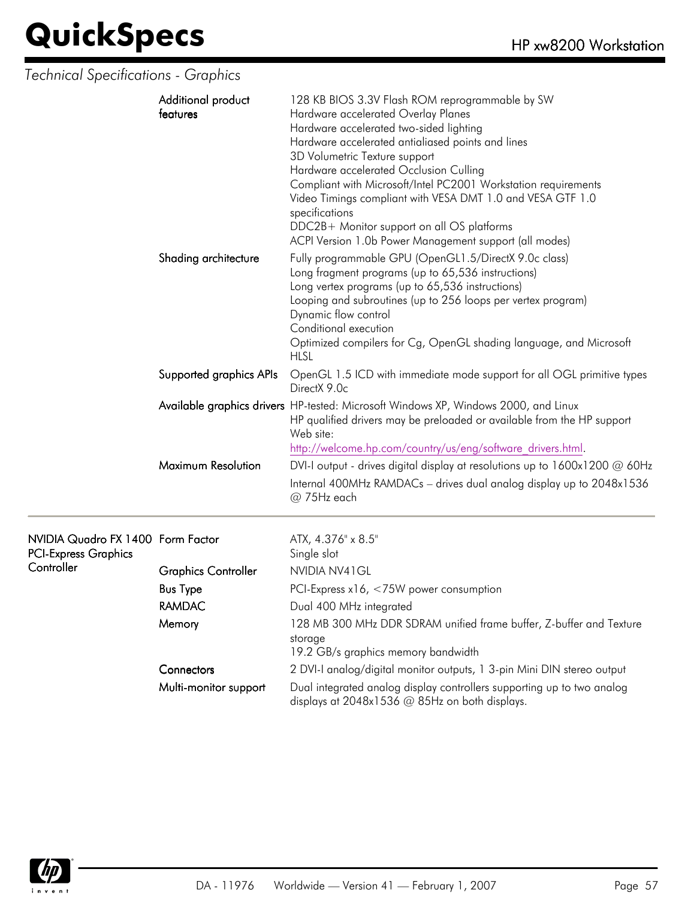### *Technical Specifications - Graphics*

| Additional product<br>features | 128 KB BIOS 3.3V Flash ROM reprogrammable by SW<br>Hardware accelerated Overlay Planes<br>Hardware accelerated two-sided lighting<br>Hardware accelerated antialiased points and lines<br>3D Volumetric Texture support<br>Hardware accelerated Occlusion Culling<br>Compliant with Microsoft/Intel PC2001 Workstation requirements<br>Video Timings compliant with VESA DMT 1.0 and VESA GTF 1.0<br>specifications<br>DDC2B+ Monitor support on all OS platforms<br>ACPI Version 1.0b Power Management support (all modes) |
|--------------------------------|-----------------------------------------------------------------------------------------------------------------------------------------------------------------------------------------------------------------------------------------------------------------------------------------------------------------------------------------------------------------------------------------------------------------------------------------------------------------------------------------------------------------------------|
| Shading architecture           | Fully programmable GPU (OpenGL1.5/DirectX 9.0c class)<br>Long fragment programs (up to 65,536 instructions)<br>Long vertex programs (up to 65,536 instructions)<br>Looping and subroutines (up to 256 loops per vertex program)<br>Dynamic flow control<br>Conditional execution<br>Optimized compilers for Cg, OpenGL shading language, and Microsoft<br><b>HLSL</b>                                                                                                                                                       |
| Supported graphics APIs        | OpenGL 1.5 ICD with immediate mode support for all OGL primitive types<br>DirectX 9.0c                                                                                                                                                                                                                                                                                                                                                                                                                                      |
|                                | Available graphics drivers HP-tested: Microsoft Windows XP, Windows 2000, and Linux<br>HP qualified drivers may be preloaded or available from the HP support<br>Web site:<br>http://welcome.hp.com/country/us/eng/software drivers.html.                                                                                                                                                                                                                                                                                   |
| Maximum Resolution             | DVI-I output - drives digital display at resolutions up to $1600x1200 \omega 60Hz$<br>Internal 400MHz RAMDACs - drives dual analog display up to 2048x1536<br>@ 75Hz each                                                                                                                                                                                                                                                                                                                                                   |

| NVIDIA Quadro FX 1400 Form Factor<br><b>PCI-Express Graphics</b> |                            | ATX, 4.376" x 8.5"<br>Single slot                                                                                        |
|------------------------------------------------------------------|----------------------------|--------------------------------------------------------------------------------------------------------------------------|
| Controller                                                       | <b>Graphics Controller</b> | NVIDIA NV41 GL                                                                                                           |
|                                                                  | <b>Bus Type</b>            | PCI-Express $x16, < 75W$ power consumption                                                                               |
|                                                                  | RAMDAC                     | Dual 400 MHz integrated                                                                                                  |
|                                                                  | Memory                     | 128 MB 300 MHz DDR SDRAM unified frame buffer, Z-buffer and Texture<br>storage<br>19.2 GB/s graphics memory bandwidth    |
|                                                                  | Connectors                 | 2 DVI-I analog/digital monitor outputs, 1 3-pin Mini DIN stereo output                                                   |
|                                                                  | Multi-monitor support      | Dual integrated analog display controllers supporting up to two analog<br>displays at 2048x1536 @ 85Hz on both displays. |

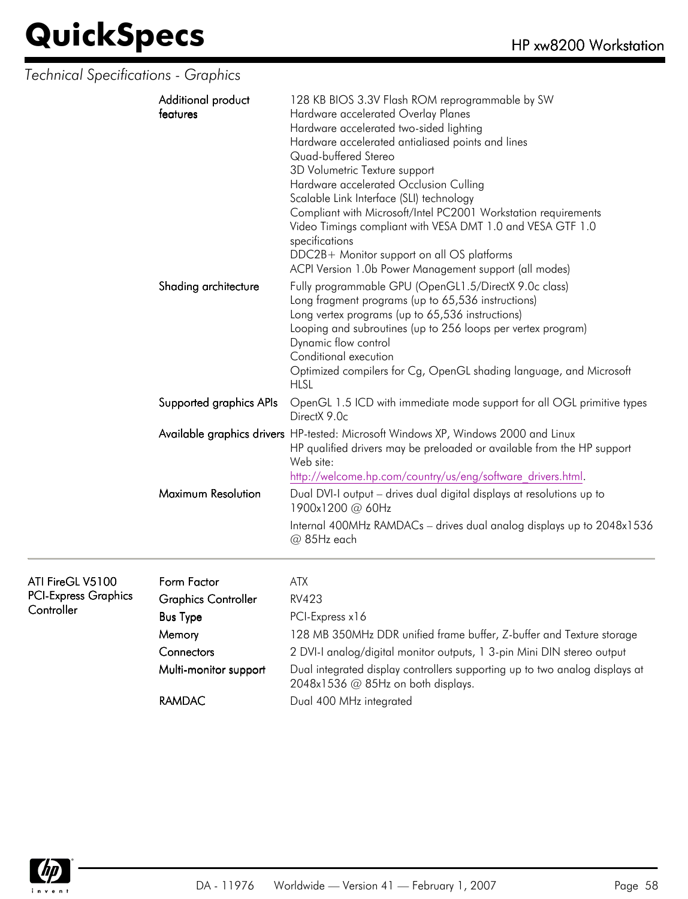*Technical Specifications - Graphics*

| Additional product<br>features | 128 KB BIOS 3.3V Flash ROM reprogrammable by SW<br>Hardware accelerated Overlay Planes<br>Hardware accelerated two-sided lighting<br>Hardware accelerated antialiased points and lines<br>Quad-buffered Stereo<br>3D Volumetric Texture support<br>Hardware accelerated Occlusion Culling<br>Scalable Link Interface (SLI) technology<br>Compliant with Microsoft/Intel PC2001 Workstation requirements<br>Video Timings compliant with VESA DMT 1.0 and VESA GTF 1.0<br>specifications |
|--------------------------------|-----------------------------------------------------------------------------------------------------------------------------------------------------------------------------------------------------------------------------------------------------------------------------------------------------------------------------------------------------------------------------------------------------------------------------------------------------------------------------------------|
|                                | DDC2B+ Monitor support on all OS platforms<br>ACPI Version 1.0b Power Management support (all modes)                                                                                                                                                                                                                                                                                                                                                                                    |
| Shading architecture           | Fully programmable GPU (OpenGL1.5/DirectX 9.0c class)<br>Long fragment programs (up to 65,536 instructions)<br>Long vertex programs (up to 65,536 instructions)<br>Looping and subroutines (up to 256 loops per vertex program)<br>Dynamic flow control<br>Conditional execution<br>Optimized compilers for Cg, OpenGL shading language, and Microsoft<br><b>HLSL</b>                                                                                                                   |
| Supported graphics APIs        | OpenGL 1.5 ICD with immediate mode support for all OGL primitive types<br>DirectX 9.0c                                                                                                                                                                                                                                                                                                                                                                                                  |
|                                | Available graphics drivers HP-tested: Microsoft Windows XP, Windows 2000 and Linux<br>HP qualified drivers may be preloaded or available from the HP support<br>Web site:<br>http://welcome.hp.com/country/us/eng/software drivers.html.                                                                                                                                                                                                                                                |
| Maximum Resolution             | Dual DVI-I output - drives dual digital displays at resolutions up to<br>1900x1200 @ 60Hz                                                                                                                                                                                                                                                                                                                                                                                               |
|                                | Internal 400MHz RAMDACs - drives dual analog displays up to 2048x1536<br>@ 85Hz each                                                                                                                                                                                                                                                                                                                                                                                                    |

| ATI FireGL V5100<br><b>PCI-Express Graphics</b><br>Controller | Form Factor<br><b>Graphics Controller</b> | ATX<br>RV423                                                                                                      |
|---------------------------------------------------------------|-------------------------------------------|-------------------------------------------------------------------------------------------------------------------|
|                                                               | <b>Bus Type</b>                           | PCI-Express x16                                                                                                   |
|                                                               | Memory                                    | 128 MB 350MHz DDR unified frame buffer, Z-buffer and Texture storage                                              |
|                                                               | Connectors                                | 2 DVI-I analog/digital monitor outputs, 1 3-pin Mini DIN stereo output                                            |
|                                                               | Multi-monitor support                     | Dual integrated display controllers supporting up to two analog displays at<br>2048x1536 @ 85Hz on both displays. |
|                                                               | <b>RAMDAC</b>                             | Dual 400 MHz integrated                                                                                           |

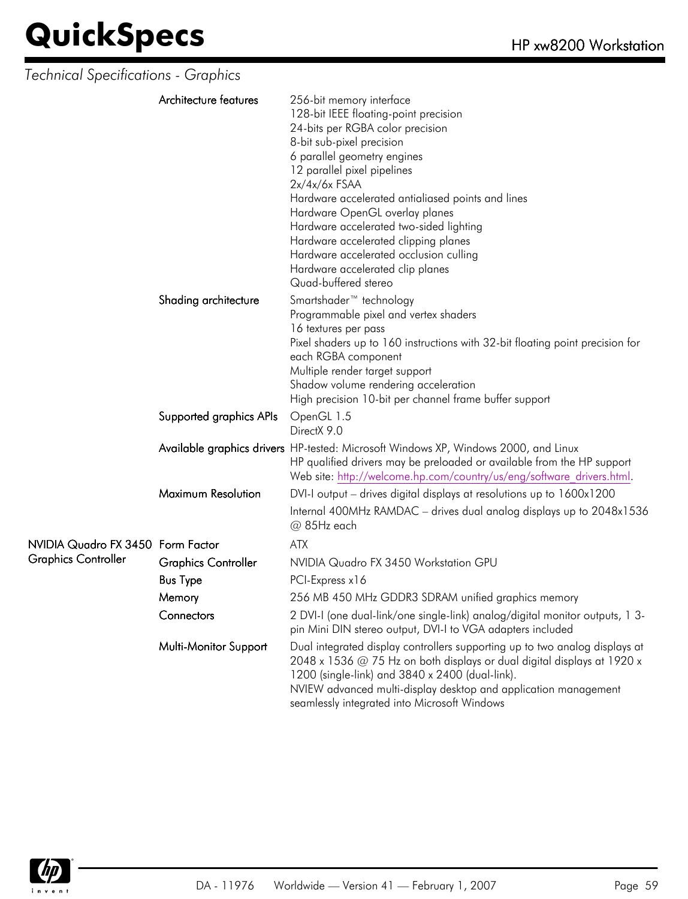| Technical Specifications - Graphics |                            |                                                                                                                                                                                                                                                                                                                                                                                                                                                                                                     |
|-------------------------------------|----------------------------|-----------------------------------------------------------------------------------------------------------------------------------------------------------------------------------------------------------------------------------------------------------------------------------------------------------------------------------------------------------------------------------------------------------------------------------------------------------------------------------------------------|
|                                     | Architecture features      | 256-bit memory interface<br>128-bit IEEE floating-point precision<br>24-bits per RGBA color precision<br>8-bit sub-pixel precision<br>6 parallel geometry engines<br>12 parallel pixel pipelines<br>$2x/4x/6x$ FSAA<br>Hardware accelerated antialiased points and lines<br>Hardware OpenGL overlay planes<br>Hardware accelerated two-sided lighting<br>Hardware accelerated clipping planes<br>Hardware accelerated occlusion culling<br>Hardware accelerated clip planes<br>Quad-buffered stereo |
|                                     | Shading architecture       | Smartshader <sup>™</sup> technology<br>Programmable pixel and vertex shaders<br>16 textures per pass<br>Pixel shaders up to 160 instructions with 32-bit floating point precision for<br>each RGBA component<br>Multiple render target support<br>Shadow volume rendering acceleration<br>High precision 10-bit per channel frame buffer support                                                                                                                                                    |
|                                     | Supported graphics APIs    | OpenGL 1.5<br>DirectX 9.0                                                                                                                                                                                                                                                                                                                                                                                                                                                                           |
|                                     |                            | Available graphics drivers HP-tested: Microsoft Windows XP, Windows 2000, and Linux<br>HP qualified drivers may be preloaded or available from the HP support<br>Web site: http://welcome.hp.com/country/us/eng/software drivers.html.                                                                                                                                                                                                                                                              |
|                                     | <b>Maximum Resolution</b>  | DVI-I output – drives digital displays at resolutions up to 1600x1200                                                                                                                                                                                                                                                                                                                                                                                                                               |
|                                     |                            | Internal 400MHz RAMDAC - drives dual analog displays up to 2048x1536<br>@ 85Hz each                                                                                                                                                                                                                                                                                                                                                                                                                 |
| NVIDIA Quadro FX 3450 Form Factor   |                            | <b>ATX</b>                                                                                                                                                                                                                                                                                                                                                                                                                                                                                          |
| <b>Graphics Controller</b>          | <b>Graphics Controller</b> | NVIDIA Quadro FX 3450 Workstation GPU                                                                                                                                                                                                                                                                                                                                                                                                                                                               |
|                                     | <b>Bus Type</b>            | PCI-Express x16                                                                                                                                                                                                                                                                                                                                                                                                                                                                                     |
|                                     | Memory                     | 256 MB 450 MHz GDDR3 SDRAM unified graphics memory                                                                                                                                                                                                                                                                                                                                                                                                                                                  |
|                                     | Connectors                 | 2 DVI-I (one dual-link/one single-link) analog/digital monitor outputs, 1 3-<br>pin Mini DIN stereo output, DVI-I to VGA adapters included                                                                                                                                                                                                                                                                                                                                                          |
|                                     | Multi-Monitor Support      | Dual integrated display controllers supporting up to two analog displays at<br>2048 x 1536 $@$ 75 Hz on both displays or dual digital displays at 1920 x<br>1200 (single-link) and 3840 x 2400 (dual-link).<br>NVIEW advanced multi-display desktop and application management                                                                                                                                                                                                                      |

seamlessly integrated into Microsoft Windows

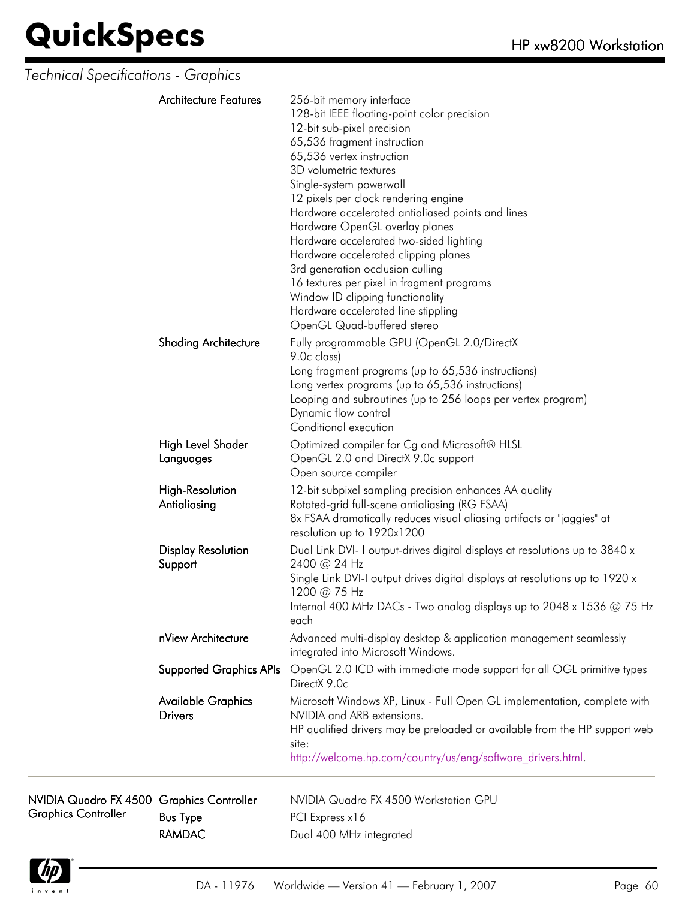| Technical Specifications - Graphics                                     |                                             |                                                                                                                                                                                                                                                                                                                                                                                                                                                                                                                                                                                                                                      |
|-------------------------------------------------------------------------|---------------------------------------------|--------------------------------------------------------------------------------------------------------------------------------------------------------------------------------------------------------------------------------------------------------------------------------------------------------------------------------------------------------------------------------------------------------------------------------------------------------------------------------------------------------------------------------------------------------------------------------------------------------------------------------------|
|                                                                         | <b>Architecture Features</b>                | 256-bit memory interface<br>128-bit IEEE floating-point color precision<br>12-bit sub-pixel precision<br>65,536 fragment instruction<br>65,536 vertex instruction<br>3D volumetric textures<br>Single-system powerwall<br>12 pixels per clock rendering engine<br>Hardware accelerated antialiased points and lines<br>Hardware OpenGL overlay planes<br>Hardware accelerated two-sided lighting<br>Hardware accelerated clipping planes<br>3rd generation occlusion culling<br>16 textures per pixel in fragment programs<br>Window ID clipping functionality<br>Hardware accelerated line stippling<br>OpenGL Quad-buffered stereo |
|                                                                         | <b>Shading Architecture</b>                 | Fully programmable GPU (OpenGL 2.0/DirectX<br>9.0c class)<br>Long fragment programs (up to 65,536 instructions)<br>Long vertex programs (up to 65,536 instructions)<br>Looping and subroutines (up to 256 loops per vertex program)<br>Dynamic flow control<br>Conditional execution                                                                                                                                                                                                                                                                                                                                                 |
|                                                                         | High Level Shader<br>Languages              | Optimized compiler for Cg and Microsoft® HLSL<br>OpenGL 2.0 and DirectX 9.0c support<br>Open source compiler                                                                                                                                                                                                                                                                                                                                                                                                                                                                                                                         |
|                                                                         | High-Resolution<br>Antialiasing             | 12-bit subpixel sampling precision enhances AA quality<br>Rotated-grid full-scene antialiasing (RG FSAA)<br>8x FSAA dramatically reduces visual aliasing artifacts or "jaggies" at<br>resolution up to 1920x1200                                                                                                                                                                                                                                                                                                                                                                                                                     |
|                                                                         | <b>Display Resolution</b><br>Support        | Dual Link DVI- I output-drives digital displays at resolutions up to 3840 x<br>2400 @ 24 Hz<br>Single Link DVI-I output drives digital displays at resolutions up to 1920 x<br>1200 @ 75 Hz<br>Internal 400 MHz DACs - Two analog displays up to 2048 x 1536 @ 75 Hz<br>each                                                                                                                                                                                                                                                                                                                                                         |
|                                                                         | nView Architecture                          | Advanced multi-display desktop & application management seamlessly<br>integrated into Microsoft Windows.                                                                                                                                                                                                                                                                                                                                                                                                                                                                                                                             |
|                                                                         | <b>Supported Graphics APIs</b>              | OpenGL 2.0 ICD with immediate mode support for all OGL primitive types<br>DirectX 9.0c                                                                                                                                                                                                                                                                                                                                                                                                                                                                                                                                               |
|                                                                         | <b>Available Graphics</b><br><b>Drivers</b> | Microsoft Windows XP, Linux - Full Open GL implementation, complete with<br>NVIDIA and ARB extensions.<br>HP qualified drivers may be preloaded or available from the HP support web<br>site:<br>http://welcome.hp.com/country/us/eng/software drivers.html.                                                                                                                                                                                                                                                                                                                                                                         |
| NVIDIA Quadro FX 4500 Graphics Controller<br><b>Graphics Controller</b> | <b>Bus Type</b>                             | NVIDIA Quadro FX 4500 Workstation GPU<br>PCI Express x16                                                                                                                                                                                                                                                                                                                                                                                                                                                                                                                                                                             |



RAMDAC Dual 400 MHz integrated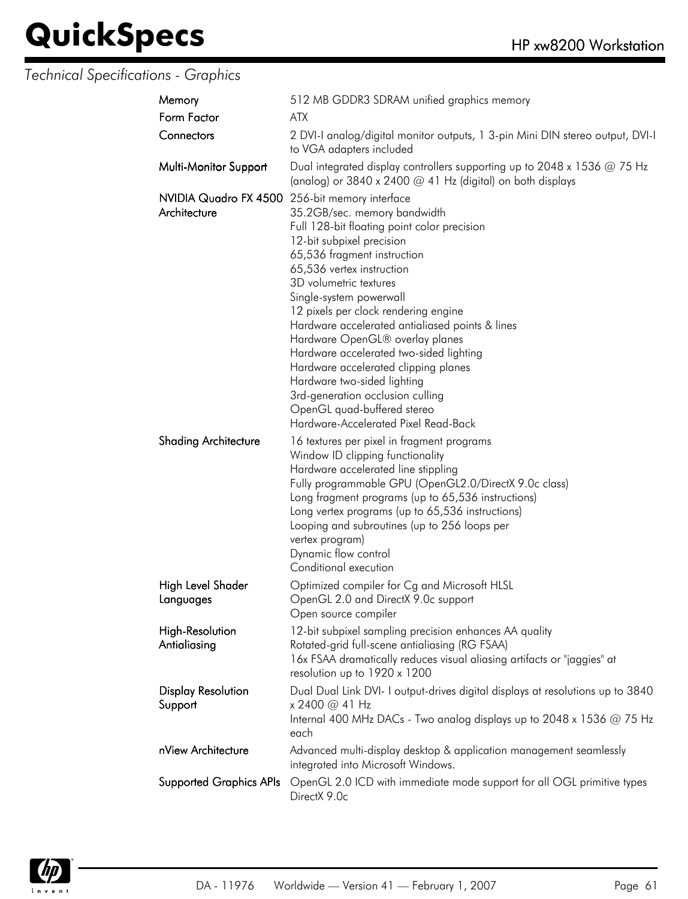### *Technical Specifications - Graphics*

| Memory                                                         | 512 MB GDDR3 SDRAM unified graphics memory                                                                                                                                                                                                                                                                                                                                                                                                                                                                                                                                           |
|----------------------------------------------------------------|--------------------------------------------------------------------------------------------------------------------------------------------------------------------------------------------------------------------------------------------------------------------------------------------------------------------------------------------------------------------------------------------------------------------------------------------------------------------------------------------------------------------------------------------------------------------------------------|
| Form Factor                                                    | <b>ATX</b>                                                                                                                                                                                                                                                                                                                                                                                                                                                                                                                                                                           |
| Connectors                                                     | 2 DVI-I analog/digital monitor outputs, 1 3-pin Mini DIN stereo output, DVI-I<br>to VGA adapters included                                                                                                                                                                                                                                                                                                                                                                                                                                                                            |
| Multi-Monitor Support                                          | Dual integrated display controllers supporting up to 2048 x 1536 $@$ 75 Hz<br>(analog) or 3840 x 2400 @ 41 Hz (digital) on both displays                                                                                                                                                                                                                                                                                                                                                                                                                                             |
| NVIDIA Quadro FX 4500 256-bit memory interface<br>Architecture | 35.2GB/sec. memory bandwidth<br>Full 128-bit floating point color precision<br>12-bit subpixel precision<br>65,536 fragment instruction<br>65,536 vertex instruction<br>3D volumetric textures<br>Single-system powerwall<br>12 pixels per clock rendering engine<br>Hardware accelerated antialiased points & lines<br>Hardware OpenGL® overlay planes<br>Hardware accelerated two-sided lighting<br>Hardware accelerated clipping planes<br>Hardware two-sided lighting<br>3rd-generation occlusion culling<br>OpenGL quad-buffered stereo<br>Hardware-Accelerated Pixel Read-Back |
| <b>Shading Architecture</b>                                    | 16 textures per pixel in fragment programs<br>Window ID clipping functionality<br>Hardware accelerated line stippling<br>Fully programmable GPU (OpenGL2.0/DirectX 9.0c class)<br>Long fragment programs (up to 65,536 instructions)<br>Long vertex programs (up to 65,536 instructions)<br>Looping and subroutines (up to 256 loops per<br>vertex program)<br>Dynamic flow control<br>Conditional execution                                                                                                                                                                         |
| High Level Shader<br>Languages                                 | Optimized compiler for Cg and Microsoft HLSL<br>OpenGL 2.0 and DirectX 9.0c support<br>Open source compiler                                                                                                                                                                                                                                                                                                                                                                                                                                                                          |
| <b>High-Resolution</b><br>Antialiasing                         | 12-bit subpixel sampling precision enhances AA quality<br>Rotated-grid full-scene antialiasing (RG FSAA)<br>16x FSAA dramatically reduces visual aliasing artifacts or "jaggies" at<br>resolution up to 1920 x 1200                                                                                                                                                                                                                                                                                                                                                                  |
| <b>Display Resolution</b><br>Support                           | Dual Dual Link DVI- I output-drives digital displays at resolutions up to 3840<br>x 2400 @ 41 Hz<br>Internal 400 MHz DACs - Two analog displays up to 2048 x 1536 $@$ 75 Hz<br>each                                                                                                                                                                                                                                                                                                                                                                                                  |
| nView Architecture                                             | Advanced multi-display desktop & application management seamlessly<br>integrated into Microsoft Windows.                                                                                                                                                                                                                                                                                                                                                                                                                                                                             |
| <b>Supported Graphics APIs</b>                                 | OpenGL 2.0 ICD with immediate mode support for all OGL primitive types<br>DirectX 9.0c                                                                                                                                                                                                                                                                                                                                                                                                                                                                                               |

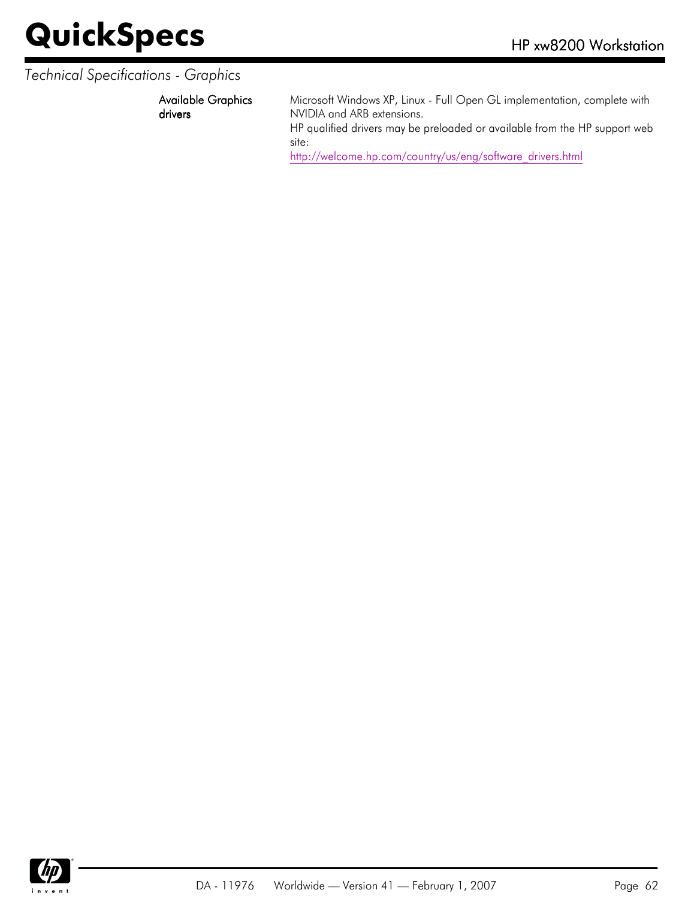#### *Technical Specifications - Graphics*

Available Graphics drivers

Microsoft Windows XP, Linux - Full Open GL implementation, complete with NVIDIA and ARB extensions.

HP qualified drivers may be preloaded or available from the HP support web site:

[http://welcome.hp.com/country/us/eng/software\\_drivers.html](http://welcome.hp.com/country/us/eng/software_drivers.html)

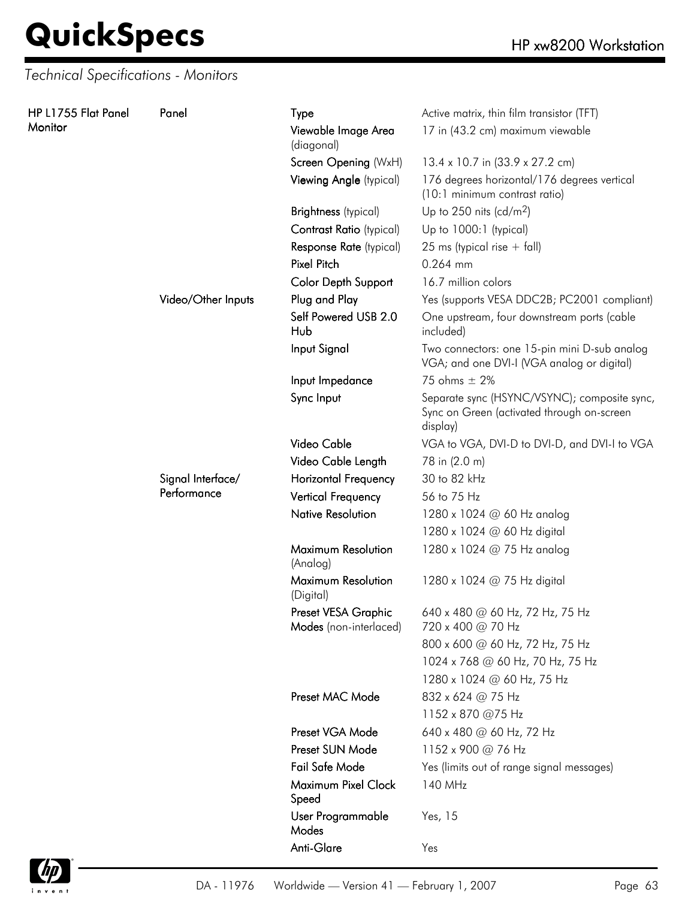*Technical Specifications - Monitors*

| HP L1755 Flat Panel | Panel                            | Type                                          | Active matrix, thin film transistor (TFT)                                                              |
|---------------------|----------------------------------|-----------------------------------------------|--------------------------------------------------------------------------------------------------------|
| Monitor             |                                  | Viewable Image Area<br>(diagonal)             | 17 in (43.2 cm) maximum viewable                                                                       |
|                     |                                  | Screen Opening (WxH)                          | 13.4 x 10.7 in (33.9 x 27.2 cm)                                                                        |
|                     |                                  | Viewing Angle (typical)                       | 176 degrees horizontal/176 degrees vertical<br>(10:1 minimum contrast ratio)                           |
|                     |                                  | <b>Brightness</b> (typical)                   | Up to 250 nits (cd/m <sup>2</sup> )                                                                    |
|                     |                                  | Contrast Ratio (typical)                      | Up to 1000:1 (typical)                                                                                 |
|                     |                                  | Response Rate (typical)                       | 25 ms (typical rise $+$ fall)                                                                          |
|                     |                                  | <b>Pixel Pitch</b>                            | 0.264 mm                                                                                               |
|                     |                                  | Color Depth Support                           | 16.7 million colors                                                                                    |
|                     | Video/Other Inputs               | Plug and Play                                 | Yes (supports VESA DDC2B; PC2001 compliant)                                                            |
|                     |                                  | Self Powered USB 2.0<br>Hub                   | One upstream, four downstream ports (cable<br>included)                                                |
|                     |                                  | Input Signal                                  | Two connectors: one 15-pin mini D-sub analog<br>VGA; and one DVI-I (VGA analog or digital)             |
|                     |                                  | Input Impedance                               | 75 ohms $\pm$ 2%                                                                                       |
|                     |                                  | Sync Input                                    | Separate sync (HSYNC/VSYNC); composite sync,<br>Sync on Green (activated through on-screen<br>display) |
|                     |                                  | Video Cable                                   | VGA to VGA, DVI-D to DVI-D, and DVI-I to VGA                                                           |
|                     |                                  | Video Cable Length                            | 78 in (2.0 m)                                                                                          |
|                     | Signal Interface/<br>Performance | <b>Horizontal Frequency</b>                   | 30 to 82 kHz                                                                                           |
|                     |                                  | <b>Vertical Frequency</b>                     | 56 to 75 Hz                                                                                            |
|                     |                                  | <b>Native Resolution</b>                      | 1280 x 1024 @ 60 Hz analog                                                                             |
|                     |                                  |                                               | 1280 x 1024 @ 60 Hz digital                                                                            |
|                     |                                  | Maximum Resolution<br>(Analog)                | 1280 x 1024 @ 75 Hz analog                                                                             |
|                     |                                  | Maximum Resolution<br>(Digital)               | 1280 x 1024 @ 75 Hz digital                                                                            |
|                     |                                  | Preset VESA Graphic<br>Modes (non-interlaced) | 640 x 480 @ 60 Hz, 72 Hz, 75 Hz<br>720 x 400 @ 70 Hz                                                   |
|                     |                                  |                                               | 800 x 600 @ 60 Hz, 72 Hz, 75 Hz                                                                        |
|                     |                                  |                                               | 1024 x 768 @ 60 Hz, 70 Hz, 75 Hz                                                                       |
|                     |                                  |                                               | 1280 x 1024 @ 60 Hz, 75 Hz                                                                             |
|                     |                                  | Preset MAC Mode                               | 832 x 624 @ 75 Hz                                                                                      |
|                     |                                  |                                               | 1152 x 870 @75 Hz                                                                                      |
|                     |                                  | Preset VGA Mode                               | 640 x 480 @ 60 Hz, 72 Hz                                                                               |
|                     |                                  | Preset SUN Mode                               | 1152 x 900 @ 76 Hz                                                                                     |
|                     |                                  | Fail Safe Mode                                | Yes (limits out of range signal messages)                                                              |
|                     |                                  | Maximum Pixel Clock<br>Speed                  | 140 MHz                                                                                                |
|                     |                                  | User Programmable<br>Modes                    | Yes, 15                                                                                                |
|                     |                                  | Anti-Glare                                    | Yes                                                                                                    |

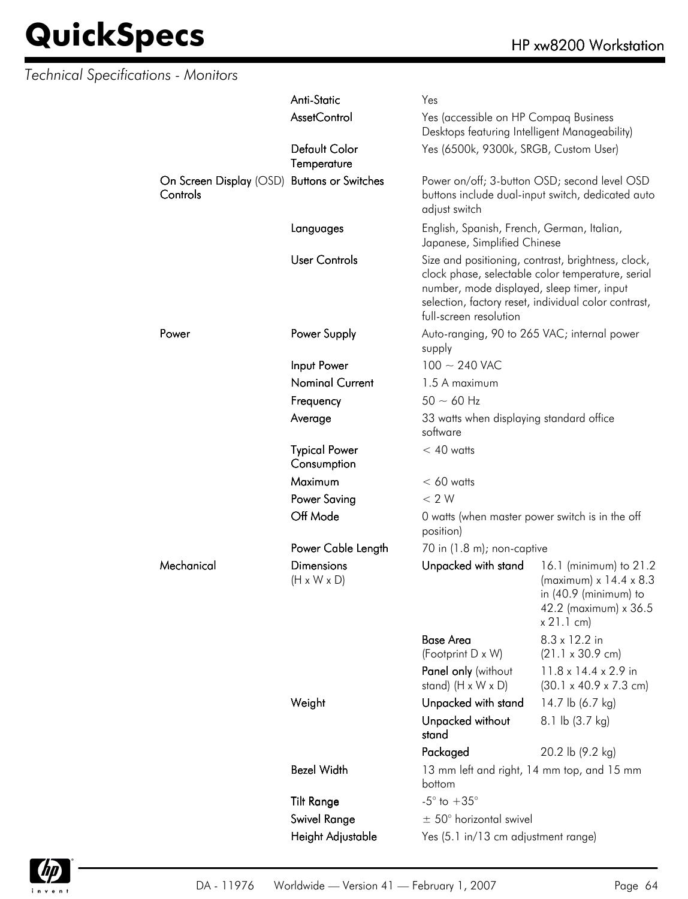| <b>Technical Specifications - Monitors</b> |                                                         |                                              |                                                                                                                            |                                                                                                                                |
|--------------------------------------------|---------------------------------------------------------|----------------------------------------------|----------------------------------------------------------------------------------------------------------------------------|--------------------------------------------------------------------------------------------------------------------------------|
|                                            |                                                         | Anti-Static                                  | Yes                                                                                                                        |                                                                                                                                |
|                                            |                                                         | <b>AssetControl</b>                          | Yes (accessible on HP Compaq Business<br>Desktops featuring Intelligent Manageability)                                     |                                                                                                                                |
|                                            |                                                         | Default Color<br>Temperature                 | Yes (6500k, 9300k, SRGB, Custom User)                                                                                      |                                                                                                                                |
|                                            | On Screen Display (OSD) Buttons or Switches<br>Controls |                                              | adjust switch                                                                                                              | Power on/off; 3-button OSD; second level OSD<br>buttons include dual-input switch, dedicated auto                              |
|                                            |                                                         | Languages                                    | English, Spanish, French, German, Italian,<br>Japanese, Simplified Chinese                                                 |                                                                                                                                |
|                                            |                                                         | <b>User Controls</b>                         | Size and positioning, contrast, brightness, clock,<br>number, mode displayed, sleep timer, input<br>full-screen resolution | clock phase, selectable color temperature, serial<br>selection, factory reset, individual color contrast,                      |
|                                            | Power                                                   | Power Supply                                 | Auto-ranging, 90 to 265 VAC; internal power<br>supply                                                                      |                                                                                                                                |
|                                            |                                                         | Input Power                                  | $100 \sim 240$ VAC                                                                                                         |                                                                                                                                |
|                                            |                                                         | <b>Nominal Current</b>                       | 1.5 A maximum                                                                                                              |                                                                                                                                |
|                                            |                                                         | Frequency                                    | $50 \sim 60$ Hz                                                                                                            |                                                                                                                                |
|                                            |                                                         | Average                                      | 33 watts when displaying standard office<br>software                                                                       |                                                                                                                                |
|                                            |                                                         | <b>Typical Power</b><br>Consumption          | $< 40$ watts                                                                                                               |                                                                                                                                |
|                                            |                                                         | Maximum                                      | $< 60$ watts                                                                                                               |                                                                                                                                |
|                                            |                                                         | <b>Power Saving</b>                          | < 2 W                                                                                                                      |                                                                                                                                |
|                                            |                                                         | Off Mode                                     | 0 watts (when master power switch is in the off<br>position)                                                               |                                                                                                                                |
|                                            |                                                         | Power Cable Length                           | 70 in $(1.8 \text{ m})$ ; non-captive                                                                                      |                                                                                                                                |
|                                            | Mechanical                                              | <b>Dimensions</b><br>$(H \times W \times D)$ | Unpacked with stand                                                                                                        | 16.1 (minimum) to 21.2<br>(maximum) $x$ 14.4 $x$ 8.3<br>in $(40.9 \text{ (minimum)}$ to<br>42.2 (maximum) x 36.5<br>x 21.1 cm) |
|                                            |                                                         |                                              | <b>Base Area</b>                                                                                                           | $8.3 \times 12.2$ in                                                                                                           |
|                                            |                                                         |                                              | (Footprint D x W)                                                                                                          | $(21.1 \times 30.9 \text{ cm})$                                                                                                |
|                                            |                                                         |                                              | Panel only (without<br>stand) $(H \times W \times D)$                                                                      | 11.8 x 14.4 x 2.9 in<br>$(30.1 \times 40.9 \times 7.3 \text{ cm})$                                                             |
|                                            |                                                         | Weight                                       | Unpacked with stand                                                                                                        | 14.7 lb (6.7 kg)                                                                                                               |
|                                            |                                                         |                                              | Unpacked without<br>stand                                                                                                  | 8.1 lb (3.7 kg)                                                                                                                |
|                                            |                                                         |                                              | Packaged                                                                                                                   | 20.2 lb (9.2 kg)                                                                                                               |
|                                            |                                                         | <b>Bezel Width</b>                           | 13 mm left and right, 14 mm top, and 15 mm<br>bottom                                                                       |                                                                                                                                |
|                                            |                                                         | <b>Tilt Range</b>                            | $-5^{\circ}$ to $+35^{\circ}$                                                                                              |                                                                                                                                |
|                                            |                                                         | Swivel Range                                 | $\pm$ 50° horizontal swivel                                                                                                |                                                                                                                                |
|                                            |                                                         | Height Adjustable                            | Yes (5.1 in/13 cm adjustment range)                                                                                        |                                                                                                                                |

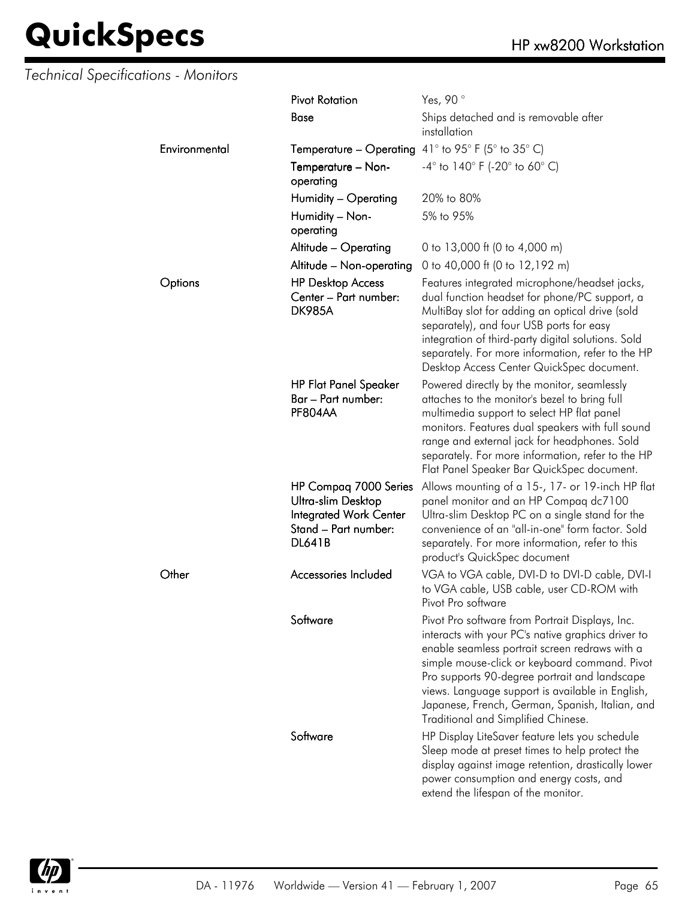#### *Technical Specifications - Monitors*

|               | <b>Pivot Rotation</b>                                                                                                 | Yes, 90°                                                                                                                                                                                                                                                                                                                                                                                                |  |
|---------------|-----------------------------------------------------------------------------------------------------------------------|---------------------------------------------------------------------------------------------------------------------------------------------------------------------------------------------------------------------------------------------------------------------------------------------------------------------------------------------------------------------------------------------------------|--|
|               | <b>Base</b>                                                                                                           | Ships detached and is removable after<br>installation                                                                                                                                                                                                                                                                                                                                                   |  |
| Environmental | <b>Temperature – Operating</b> 41° to 95° F (5° to 35° C)                                                             |                                                                                                                                                                                                                                                                                                                                                                                                         |  |
|               | Temperature - Non-<br>operating                                                                                       | $-4^{\circ}$ to $140^{\circ}$ F (-20 $^{\circ}$ to 60 $^{\circ}$ C)                                                                                                                                                                                                                                                                                                                                     |  |
|               | Humidity - Operating                                                                                                  | 20% to 80%                                                                                                                                                                                                                                                                                                                                                                                              |  |
|               | Humidity - Non-<br>operating                                                                                          | 5% to 95%                                                                                                                                                                                                                                                                                                                                                                                               |  |
|               | Altitude - Operating                                                                                                  | 0 to 13,000 ft (0 to 4,000 m)                                                                                                                                                                                                                                                                                                                                                                           |  |
|               | Altitude - Non-operating                                                                                              | 0 to 40,000 ft (0 to 12,192 m)                                                                                                                                                                                                                                                                                                                                                                          |  |
| Options       | <b>HP Desktop Access</b><br>Center - Part number:<br><b>DK985A</b>                                                    | Features integrated microphone/headset jacks,<br>dual function headset for phone/PC support, a<br>MultiBay slot for adding an optical drive (sold<br>separately), and four USB ports for easy<br>integration of third-party digital solutions. Sold<br>separately. For more information, refer to the HP<br>Desktop Access Center QuickSpec document.                                                   |  |
|               | <b>HP Flat Panel Speaker</b><br>Bar – Part number:<br>PF804AA                                                         | Powered directly by the monitor, seamlessly<br>attaches to the monitor's bezel to bring full<br>multimedia support to select HP flat panel<br>monitors. Features dual speakers with full sound<br>range and external jack for headphones. Sold<br>separately. For more information, refer to the HP<br>Flat Panel Speaker Bar QuickSpec document.                                                       |  |
|               | HP Compaq 7000 Series<br>Ultra-slim Desktop<br><b>Integrated Work Center</b><br>Stand - Part number:<br><b>DL641B</b> | Allows mounting of a 15-, 17- or 19-inch HP flat<br>panel monitor and an HP Compaq dc7100<br>Ultra-slim Desktop PC on a single stand for the<br>convenience of an "all-in-one" form factor. Sold<br>separately. For more information, refer to this<br>product's QuickSpec document                                                                                                                     |  |
| Other         | Accessories Included                                                                                                  | VGA to VGA cable, DVI-D to DVI-D cable, DVI-I<br>to VGA cable, USB cable, user CD-ROM with<br>Pivot Pro software                                                                                                                                                                                                                                                                                        |  |
|               | Software                                                                                                              | Pivot Pro software from Portrait Displays, Inc.<br>interacts with your PC's native graphics driver to<br>enable seamless portrait screen redraws with a<br>simple mouse-click or keyboard command. Pivot<br>Pro supports 90-degree portrait and landscape<br>views. Language support is available in English,<br>Japanese, French, German, Spanish, Italian, and<br>Traditional and Simplified Chinese. |  |
|               | Software                                                                                                              | HP Display LiteSaver feature lets you schedule<br>Sleep mode at preset times to help protect the<br>display against image retention, drastically lower<br>power consumption and energy costs, and<br>extend the lifespan of the monitor.                                                                                                                                                                |  |

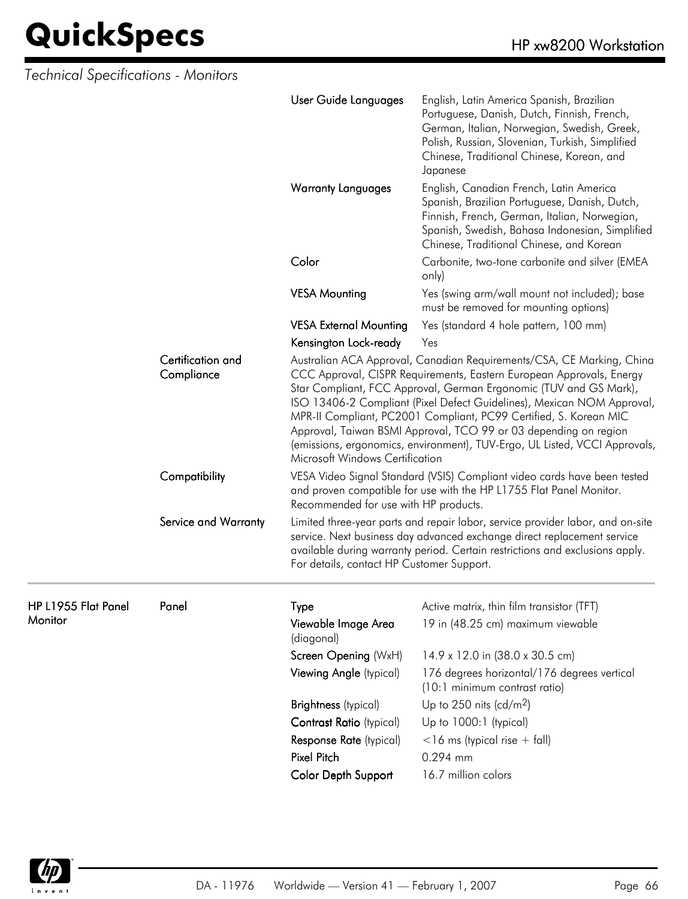| Technical Specifications - Monitors |                                 |                                           |                                                                                                                                                                                                                                                                                                                                                                                                                                                                                                                     |
|-------------------------------------|---------------------------------|-------------------------------------------|---------------------------------------------------------------------------------------------------------------------------------------------------------------------------------------------------------------------------------------------------------------------------------------------------------------------------------------------------------------------------------------------------------------------------------------------------------------------------------------------------------------------|
|                                     |                                 | User Guide Languages                      | English, Latin America Spanish, Brazilian<br>Portuguese, Danish, Dutch, Finnish, French,<br>German, Italian, Norwegian, Swedish, Greek,<br>Polish, Russian, Slovenian, Turkish, Simplified<br>Chinese, Traditional Chinese, Korean, and<br>Japanese                                                                                                                                                                                                                                                                 |
|                                     |                                 | <b>Warranty Languages</b>                 | English, Canadian French, Latin America<br>Spanish, Brazilian Portuguese, Danish, Dutch,<br>Finnish, French, German, Italian, Norwegian,<br>Spanish, Swedish, Bahasa Indonesian, Simplified<br>Chinese, Traditional Chinese, and Korean                                                                                                                                                                                                                                                                             |
|                                     |                                 | Color                                     | Carbonite, two-tone carbonite and silver (EMEA<br>only)                                                                                                                                                                                                                                                                                                                                                                                                                                                             |
|                                     |                                 | <b>VESA Mounting</b>                      | Yes (swing arm/wall mount not included); base<br>must be removed for mounting options)                                                                                                                                                                                                                                                                                                                                                                                                                              |
|                                     |                                 | <b>VESA External Mounting</b>             | Yes (standard 4 hole pattern, 100 mm)                                                                                                                                                                                                                                                                                                                                                                                                                                                                               |
|                                     |                                 | Kensington Lock-ready                     | Yes                                                                                                                                                                                                                                                                                                                                                                                                                                                                                                                 |
|                                     | Certification and<br>Compliance | Microsoft Windows Certification           | Australian ACA Approval, Canadian Requirements/CSA, CE Marking, China<br>CCC Approval, CISPR Requirements, Eastern European Approvals, Energy<br>Star Compliant, FCC Approval, German Ergonomic (TUV and GS Mark),<br>ISO 13406-2 Compliant (Pixel Defect Guidelines), Mexican NOM Approval,<br>MPR-II Compliant, PC2001 Compliant, PC99 Certified, S. Korean MIC<br>Approval, Taiwan BSMI Approval, TCO 99 or 03 depending on region<br>(emissions, ergonomics, environment), TUV-Ergo, UL Listed, VCCI Approvals, |
|                                     | Compatibility                   | Recommended for use with HP products.     | VESA Video Signal Standard (VSIS) Compliant video cards have been tested<br>and proven compatible for use with the HP L1755 Flat Panel Monitor.                                                                                                                                                                                                                                                                                                                                                                     |
|                                     | Service and Warranty            | For details, contact HP Customer Support. | Limited three-year parts and repair labor, service provider labor, and on-site<br>service. Next business day advanced exchange direct replacement service<br>available during warranty period. Certain restrictions and exclusions apply.                                                                                                                                                                                                                                                                           |
| HP L1955 Flat Panel                 | Panel                           | Type                                      | Active matrix, thin film transistor (TFT)                                                                                                                                                                                                                                                                                                                                                                                                                                                                           |
| <b>Monitor</b>                      |                                 | Viewable Image Area<br>(diagonal)         | 19 in (48.25 cm) maximum viewable                                                                                                                                                                                                                                                                                                                                                                                                                                                                                   |
|                                     |                                 | Screen Opening (WxH)                      | 14.9 x 12.0 in (38.0 x 30.5 cm)                                                                                                                                                                                                                                                                                                                                                                                                                                                                                     |
|                                     |                                 | Viewing Angle (typical)                   | 176 degrees horizontal/176 degrees vertical<br>(10:1 minimum contrast ratio)                                                                                                                                                                                                                                                                                                                                                                                                                                        |
|                                     |                                 | <b>Brightness</b> (typical)               | Up to 250 nits (cd/m <sup>2</sup> )                                                                                                                                                                                                                                                                                                                                                                                                                                                                                 |
|                                     |                                 | Contrast Ratio (typical)                  | Up to 1000:1 (typical)                                                                                                                                                                                                                                                                                                                                                                                                                                                                                              |
|                                     |                                 | Response Rate (typical)                   | $<$ 16 ms (typical rise + fall)                                                                                                                                                                                                                                                                                                                                                                                                                                                                                     |
|                                     |                                 | Pixel Pitch                               | 0.294 mm                                                                                                                                                                                                                                                                                                                                                                                                                                                                                                            |
|                                     |                                 | Color Depth Support                       | 16.7 million colors                                                                                                                                                                                                                                                                                                                                                                                                                                                                                                 |

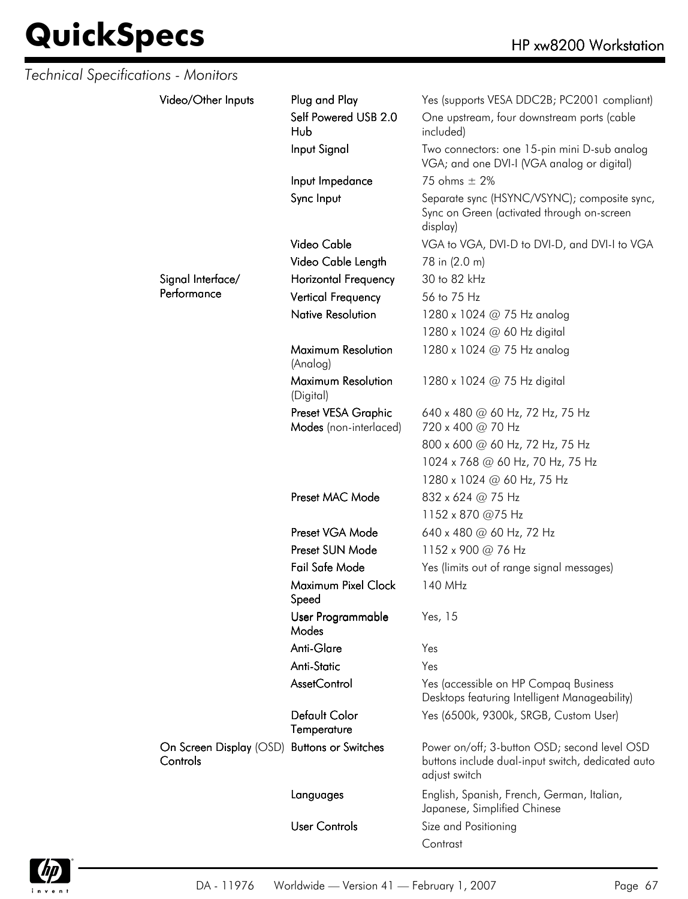| Technical Specifications - Monitors |                                                         |                                               |                                                                                                                    |
|-------------------------------------|---------------------------------------------------------|-----------------------------------------------|--------------------------------------------------------------------------------------------------------------------|
|                                     | Video/Other Inputs                                      | Plug and Play                                 | Yes (supports VESA DDC2B; PC2001 compliant)                                                                        |
|                                     |                                                         | Self Powered USB 2.0<br>Hub                   | One upstream, four downstream ports (cable<br>included)                                                            |
|                                     |                                                         | Input Signal                                  | Two connectors: one 15-pin mini D-sub analog<br>VGA; and one DVI-I (VGA analog or digital)                         |
|                                     |                                                         | Input Impedance                               | 75 ohms $\pm$ 2%                                                                                                   |
|                                     |                                                         | Sync Input                                    | Separate sync (HSYNC/VSYNC); composite sync,<br>Sync on Green (activated through on-screen<br>display)             |
|                                     |                                                         | Video Cable                                   | VGA to VGA, DVI-D to DVI-D, and DVI-I to VGA                                                                       |
|                                     |                                                         | Video Cable Length                            | 78 in (2.0 m)                                                                                                      |
|                                     | Signal Interface/                                       | <b>Horizontal Frequency</b>                   | 30 to 82 kHz                                                                                                       |
|                                     | Performance                                             | <b>Vertical Frequency</b>                     | 56 to 75 Hz                                                                                                        |
|                                     |                                                         | <b>Native Resolution</b>                      | 1280 x 1024 @ 75 Hz analog                                                                                         |
|                                     |                                                         |                                               | 1280 x 1024 @ 60 Hz digital                                                                                        |
|                                     |                                                         | Maximum Resolution<br>(Analog)                | 1280 x 1024 @ 75 Hz analog                                                                                         |
|                                     |                                                         | Maximum Resolution<br>(Digital)               | 1280 x 1024 @ 75 Hz digital                                                                                        |
|                                     |                                                         | Preset VESA Graphic<br>Modes (non-interlaced) | 640 x 480 @ 60 Hz, 72 Hz, 75 Hz<br>720 x 400 @ 70 Hz                                                               |
|                                     |                                                         |                                               | 800 x 600 @ 60 Hz, 72 Hz, 75 Hz                                                                                    |
|                                     |                                                         |                                               | 1024 x 768 @ 60 Hz, 70 Hz, 75 Hz                                                                                   |
|                                     |                                                         | 1280 x 1024 @ 60 Hz, 75 Hz                    |                                                                                                                    |
|                                     |                                                         | Preset MAC Mode                               | 832 x 624 @ 75 Hz                                                                                                  |
|                                     |                                                         |                                               | 1152 x 870 @75 Hz                                                                                                  |
|                                     |                                                         | Preset VGA Mode                               | 640 x 480 @ 60 Hz, 72 Hz                                                                                           |
|                                     |                                                         | Preset SUN Mode                               | 1152 x 900 @ 76 Hz                                                                                                 |
|                                     |                                                         | Fail Safe Mode                                | Yes (limits out of range signal messages)                                                                          |
|                                     |                                                         | Maximum Pixel Clock<br>Speed                  | 140 MHz                                                                                                            |
|                                     |                                                         | User Programmable<br>Modes                    | Yes, 15                                                                                                            |
|                                     |                                                         | Anti-Glare                                    | Yes                                                                                                                |
|                                     |                                                         | Anti-Static                                   | Yes                                                                                                                |
|                                     |                                                         | <b>AssetControl</b>                           | Yes (accessible on HP Compaq Business<br>Desktops featuring Intelligent Manageability)                             |
|                                     |                                                         | Default Color<br>Temperature                  | Yes (6500k, 9300k, SRGB, Custom User)                                                                              |
|                                     | On Screen Display (OSD) Buttons or Switches<br>Controls |                                               | Power on/off; 3-button OSD; second level OSD<br>buttons include dual-input switch, dedicated auto<br>adjust switch |
|                                     |                                                         | Languages                                     | English, Spanish, French, German, Italian,<br>Japanese, Simplified Chinese                                         |
|                                     |                                                         | <b>User Controls</b>                          | Size and Positioning                                                                                               |
|                                     |                                                         |                                               | Contrast                                                                                                           |

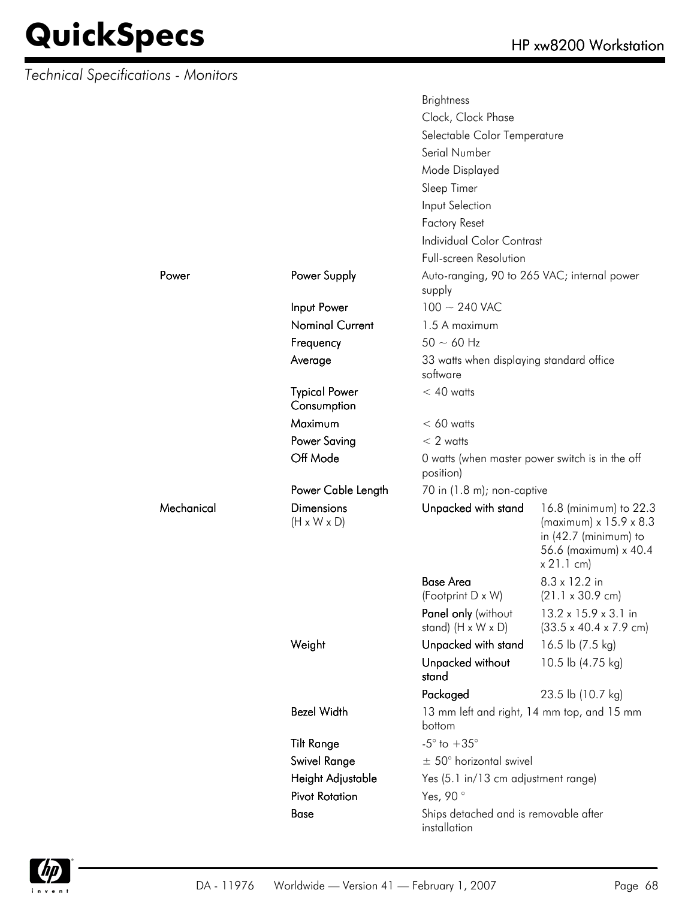*Technical Specifications - Monitors*

Mechanical

|            |                                              | <b>Brightness</b>                                     |                                                                                                                            |  |
|------------|----------------------------------------------|-------------------------------------------------------|----------------------------------------------------------------------------------------------------------------------------|--|
|            |                                              | Clock, Clock Phase                                    |                                                                                                                            |  |
|            |                                              | Selectable Color Temperature                          |                                                                                                                            |  |
|            |                                              | Serial Number                                         |                                                                                                                            |  |
|            |                                              | Mode Displayed                                        |                                                                                                                            |  |
|            |                                              | Sleep Timer                                           |                                                                                                                            |  |
|            |                                              | Input Selection                                       |                                                                                                                            |  |
|            |                                              | <b>Factory Reset</b>                                  |                                                                                                                            |  |
|            |                                              | <b>Individual Color Contrast</b>                      |                                                                                                                            |  |
|            |                                              | Full-screen Resolution                                |                                                                                                                            |  |
| Power      | Power Supply                                 | Auto-ranging, 90 to 265 VAC; internal power           |                                                                                                                            |  |
|            |                                              | supply                                                |                                                                                                                            |  |
|            | Input Power                                  | $100 \sim 240$ VAC                                    |                                                                                                                            |  |
|            | <b>Nominal Current</b>                       | 1.5 A maximum                                         |                                                                                                                            |  |
|            | Frequency                                    | $50 \sim 60$ Hz                                       |                                                                                                                            |  |
|            | Average                                      | 33 watts when displaying standard office<br>software  |                                                                                                                            |  |
|            | <b>Typical Power</b><br>Consumption          | $< 40$ watts                                          |                                                                                                                            |  |
|            | Maximum                                      | $< 60$ watts                                          |                                                                                                                            |  |
|            |                                              |                                                       |                                                                                                                            |  |
|            | <b>Power Saving</b>                          | $< 2$ watts                                           |                                                                                                                            |  |
|            | Off Mode                                     | position)                                             | 0 watts (when master power switch is in the off                                                                            |  |
|            | Power Cable Length                           | 70 in (1.8 m); non-captive                            |                                                                                                                            |  |
| Mechanical | <b>Dimensions</b><br>$(H \times W \times D)$ | Unpacked with stand                                   | 16.8 (minimum) to 22.3<br>(maximum) x 15.9 x 8.3<br>in $(42.7 \text{ (minimum)}$ to<br>56.6 (maximum) x 40.4<br>x 21.1 cm) |  |
|            |                                              | <b>Base Area</b>                                      | 8.3 x 12.2 in                                                                                                              |  |
|            |                                              | (Footprint D x W)                                     | $(21.1 \times 30.9 \text{ cm})$                                                                                            |  |
|            |                                              | Panel only (without<br>stand) $(H \times W \times D)$ | 13.2 x 15.9 x 3.1 in<br>$(33.5 \times 40.4 \times 7.9 \text{ cm})$                                                         |  |
|            | Weight                                       | Unpacked with stand                                   | 16.5 lb (7.5 kg)                                                                                                           |  |
|            |                                              | Unpacked without<br>stand                             | 10.5 lb (4.75 kg)                                                                                                          |  |
|            |                                              | Packaged                                              | 23.5 lb (10.7 kg)                                                                                                          |  |
|            | <b>Bezel Width</b>                           | bottom                                                | 13 mm left and right, 14 mm top, and 15 mm                                                                                 |  |
|            | <b>Tilt Range</b>                            | $-5^{\circ}$ to $+35^{\circ}$                         |                                                                                                                            |  |
|            | Swivel Range                                 | $\pm$ 50° horizontal swivel                           |                                                                                                                            |  |
|            | Height Adjustable                            | Yes (5.1 in/13 cm adjustment range)                   |                                                                                                                            |  |
|            | <b>Pivot Rotation</b>                        | Yes, 90°                                              |                                                                                                                            |  |
|            | Base                                         | Ships detached and is removable after                 |                                                                                                                            |  |
|            |                                              | installation                                          |                                                                                                                            |  |

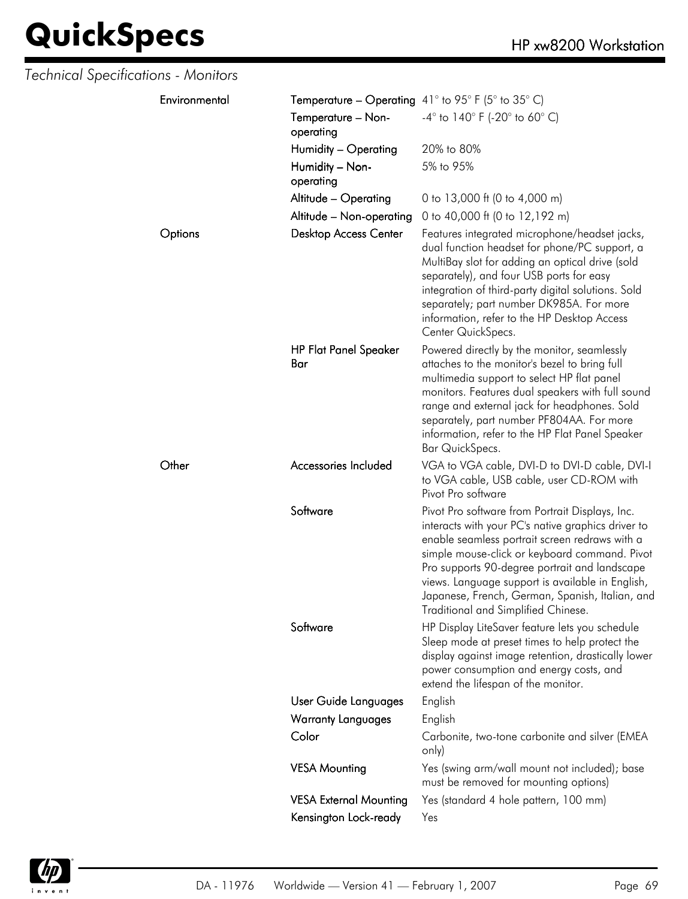| Technical Specifications - Monitors |                                                           |                                                                                                                                                                                                                                                                                                                                                                                                         |
|-------------------------------------|-----------------------------------------------------------|---------------------------------------------------------------------------------------------------------------------------------------------------------------------------------------------------------------------------------------------------------------------------------------------------------------------------------------------------------------------------------------------------------|
| Environmental                       | <b>Temperature – Operating</b> 41° to 95° F (5° to 35° C) |                                                                                                                                                                                                                                                                                                                                                                                                         |
|                                     | Temperature - Non-<br>operating                           | $-4^{\circ}$ to 140° F (-20° to 60° C)                                                                                                                                                                                                                                                                                                                                                                  |
|                                     | Humidity - Operating                                      | 20% to 80%                                                                                                                                                                                                                                                                                                                                                                                              |
|                                     | Humidity - Non-<br>operating                              | 5% to 95%                                                                                                                                                                                                                                                                                                                                                                                               |
|                                     | Altitude - Operating                                      | 0 to 13,000 ft (0 to 4,000 m)                                                                                                                                                                                                                                                                                                                                                                           |
|                                     | Altitude - Non-operating                                  | 0 to 40,000 ft (0 to 12,192 m)                                                                                                                                                                                                                                                                                                                                                                          |
| Options                             | <b>Desktop Access Center</b>                              | Features integrated microphone/headset jacks,<br>dual function headset for phone/PC support, a<br>MultiBay slot for adding an optical drive (sold<br>separately), and four USB ports for easy<br>integration of third-party digital solutions. Sold<br>separately; part number DK985A. For more<br>information, refer to the HP Desktop Access<br>Center QuickSpecs.                                    |
|                                     | <b>HP Flat Panel Speaker</b><br>Bar                       | Powered directly by the monitor, seamlessly<br>attaches to the monitor's bezel to bring full<br>multimedia support to select HP flat panel<br>monitors. Features dual speakers with full sound<br>range and external jack for headphones. Sold<br>separately, part number PF804AA. For more<br>information, refer to the HP Flat Panel Speaker<br>Bar QuickSpecs.                                       |
| Other                               | Accessories Included                                      | VGA to VGA cable, DVI-D to DVI-D cable, DVI-I<br>to VGA cable, USB cable, user CD-ROM with<br>Pivot Pro software                                                                                                                                                                                                                                                                                        |
|                                     | Software                                                  | Pivot Pro software from Portrait Displays, Inc.<br>interacts with your PC's native graphics driver to<br>enable seamless portrait screen redraws with a<br>simple mouse-click or keyboard command. Pivot<br>Pro supports 90-degree portrait and landscape<br>views. Language support is available in English,<br>Japanese, French, German, Spanish, Italian, and<br>Traditional and Simplified Chinese. |
|                                     | Software                                                  | HP Display LiteSaver feature lets you schedule<br>Sleep mode at preset times to help protect the<br>display against image retention, drastically lower<br>power consumption and energy costs, and<br>extend the lifespan of the monitor.                                                                                                                                                                |
|                                     | User Guide Languages                                      | English                                                                                                                                                                                                                                                                                                                                                                                                 |
|                                     | <b>Warranty Languages</b>                                 | English                                                                                                                                                                                                                                                                                                                                                                                                 |
|                                     | Color                                                     | Carbonite, two-tone carbonite and silver (EMEA<br>only)                                                                                                                                                                                                                                                                                                                                                 |
|                                     | <b>VESA Mounting</b>                                      | Yes (swing arm/wall mount not included); base<br>must be removed for mounting options)                                                                                                                                                                                                                                                                                                                  |
|                                     | <b>VESA External Mounting</b>                             | Yes (standard 4 hole pattern, 100 mm)                                                                                                                                                                                                                                                                                                                                                                   |
|                                     | Kensington Lock-ready                                     | Yes                                                                                                                                                                                                                                                                                                                                                                                                     |

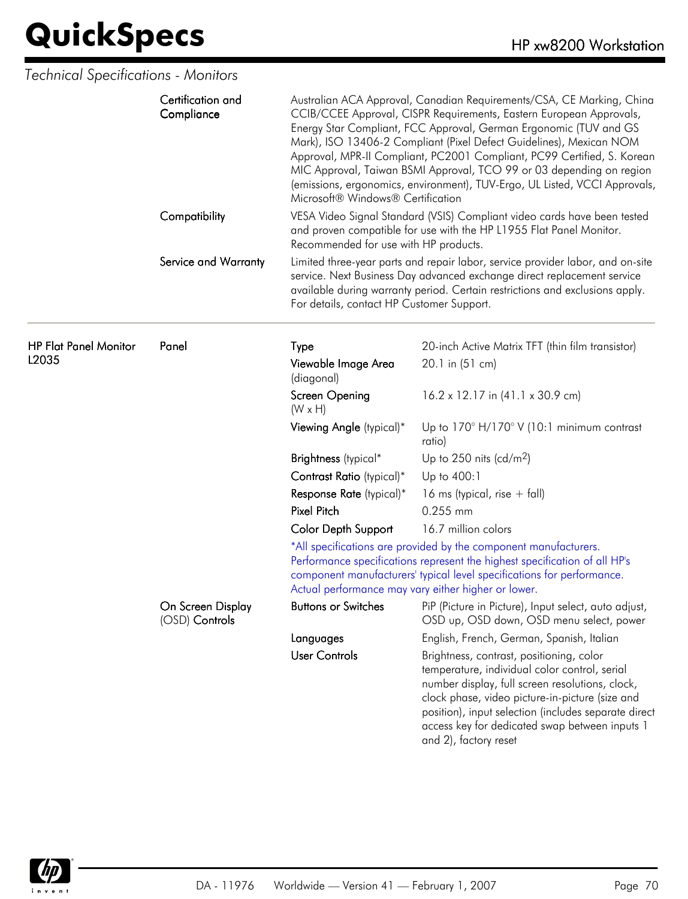| <b>Technical Specifications - Monitors</b> |                                     |                                                                                                                                                                                                                                                                                                                                                                                                                                                                                                                                                                                                                                                                                                                                                            |                                                                                                                                                                                                                                                                                                                                    |  |
|--------------------------------------------|-------------------------------------|------------------------------------------------------------------------------------------------------------------------------------------------------------------------------------------------------------------------------------------------------------------------------------------------------------------------------------------------------------------------------------------------------------------------------------------------------------------------------------------------------------------------------------------------------------------------------------------------------------------------------------------------------------------------------------------------------------------------------------------------------------|------------------------------------------------------------------------------------------------------------------------------------------------------------------------------------------------------------------------------------------------------------------------------------------------------------------------------------|--|
|                                            | Certification and<br>Compliance     | Australian ACA Approval, Canadian Requirements/CSA, CE Marking, China<br>CCIB/CCEE Approval, CISPR Requirements, Eastern European Approvals,<br>Energy Star Compliant, FCC Approval, German Ergonomic (TUV and GS<br>Mark), ISO 13406-2 Compliant (Pixel Defect Guidelines), Mexican NOM<br>Approval, MPR-II Compliant, PC2001 Compliant, PC99 Certified, S. Korean<br>MIC Approval, Taiwan BSMI Approval, TCO 99 or 03 depending on region<br>(emissions, ergonomics, environment), TUV-Ergo, UL Listed, VCCI Approvals,<br>Microsoft® Windows® Certification<br>VESA Video Signal Standard (VSIS) Compliant video cards have been tested<br>and proven compatible for use with the HP L1955 Flat Panel Monitor.<br>Recommended for use with HP products. |                                                                                                                                                                                                                                                                                                                                    |  |
|                                            | Compatibility                       |                                                                                                                                                                                                                                                                                                                                                                                                                                                                                                                                                                                                                                                                                                                                                            |                                                                                                                                                                                                                                                                                                                                    |  |
|                                            | Service and Warranty                | For details, contact HP Customer Support.                                                                                                                                                                                                                                                                                                                                                                                                                                                                                                                                                                                                                                                                                                                  | Limited three-year parts and repair labor, service provider labor, and on-site<br>service. Next Business Day advanced exchange direct replacement service<br>available during warranty period. Certain restrictions and exclusions apply.                                                                                          |  |
| <b>HP Flat Panel Monitor</b><br>L2035      | Panel                               | <b>Type</b>                                                                                                                                                                                                                                                                                                                                                                                                                                                                                                                                                                                                                                                                                                                                                | 20-inch Active Matrix TFT (thin film transistor)                                                                                                                                                                                                                                                                                   |  |
|                                            |                                     | Viewable Image Area<br>(diagonal)                                                                                                                                                                                                                                                                                                                                                                                                                                                                                                                                                                                                                                                                                                                          | 20.1 in (51 cm)                                                                                                                                                                                                                                                                                                                    |  |
|                                            |                                     | <b>Screen Opening</b><br>$(W \times H)$                                                                                                                                                                                                                                                                                                                                                                                                                                                                                                                                                                                                                                                                                                                    | 16.2 x 12.17 in (41.1 x 30.9 cm)                                                                                                                                                                                                                                                                                                   |  |
|                                            |                                     | Viewing Angle (typical)*                                                                                                                                                                                                                                                                                                                                                                                                                                                                                                                                                                                                                                                                                                                                   | Up to $170^\circ$ H/170 $^\circ$ V (10:1 minimum contrast<br>ratio)                                                                                                                                                                                                                                                                |  |
|                                            |                                     | Brightness (typical*                                                                                                                                                                                                                                                                                                                                                                                                                                                                                                                                                                                                                                                                                                                                       | Up to 250 nits (cd/m <sup>2</sup> )                                                                                                                                                                                                                                                                                                |  |
|                                            |                                     | Contrast Ratio (typical)*                                                                                                                                                                                                                                                                                                                                                                                                                                                                                                                                                                                                                                                                                                                                  | Up to 400:1                                                                                                                                                                                                                                                                                                                        |  |
|                                            |                                     | Response Rate (typical)*                                                                                                                                                                                                                                                                                                                                                                                                                                                                                                                                                                                                                                                                                                                                   | 16 ms (typical, rise $+$ fall)                                                                                                                                                                                                                                                                                                     |  |
|                                            |                                     | <b>Pixel Pitch</b>                                                                                                                                                                                                                                                                                                                                                                                                                                                                                                                                                                                                                                                                                                                                         | 0.255 mm                                                                                                                                                                                                                                                                                                                           |  |
|                                            |                                     | <b>Color Depth Support</b>                                                                                                                                                                                                                                                                                                                                                                                                                                                                                                                                                                                                                                                                                                                                 | 16.7 million colors                                                                                                                                                                                                                                                                                                                |  |
|                                            |                                     | *All specifications are provided by the component manufacturers.<br>Performance specifications represent the highest specification of all HP's<br>component manufacturers' typical level specifications for performance.<br>Actual performance may vary either higher or lower.                                                                                                                                                                                                                                                                                                                                                                                                                                                                            |                                                                                                                                                                                                                                                                                                                                    |  |
|                                            | On Screen Display<br>(OSD) Controls | <b>Buttons or Switches</b>                                                                                                                                                                                                                                                                                                                                                                                                                                                                                                                                                                                                                                                                                                                                 | PiP (Picture in Picture), Input select, auto adjust,<br>OSD up, OSD down, OSD menu select, power                                                                                                                                                                                                                                   |  |
|                                            |                                     | Languages                                                                                                                                                                                                                                                                                                                                                                                                                                                                                                                                                                                                                                                                                                                                                  | English, French, German, Spanish, Italian                                                                                                                                                                                                                                                                                          |  |
|                                            |                                     | <b>User Controls</b>                                                                                                                                                                                                                                                                                                                                                                                                                                                                                                                                                                                                                                                                                                                                       | Brightness, contrast, positioning, color<br>temperature, individual color control, serial<br>number display, full screen resolutions, clock,<br>clock phase, video picture-in-picture (size and<br>position), input selection (includes separate direct<br>access key for dedicated swap between inputs 1<br>and 2), factory reset |  |

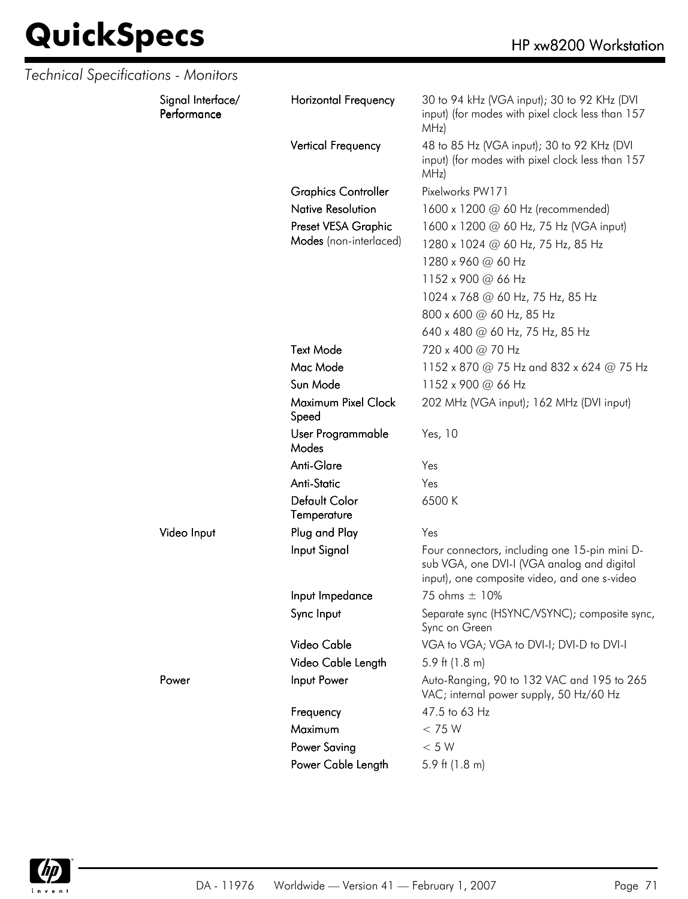| Technical Specifications - Monitors |                                  |                              |                                                                                                                                             |
|-------------------------------------|----------------------------------|------------------------------|---------------------------------------------------------------------------------------------------------------------------------------------|
|                                     | Signal Interface/<br>Performance | <b>Horizontal Frequency</b>  | 30 to 94 kHz (VGA input); 30 to 92 KHz (DVI<br>input) (for modes with pixel clock less than 157<br>MHz)                                     |
|                                     |                                  | Vertical Frequency           | 48 to 85 Hz (VGA input); 30 to 92 KHz (DVI<br>input) (for modes with pixel clock less than 157<br>MHz)                                      |
|                                     |                                  | <b>Graphics Controller</b>   | Pixelworks PW171                                                                                                                            |
|                                     |                                  | <b>Native Resolution</b>     | 1600 x 1200 @ 60 Hz (recommended)                                                                                                           |
|                                     |                                  | Preset VESA Graphic          | 1600 x 1200 @ 60 Hz, 75 Hz (VGA input)                                                                                                      |
|                                     |                                  | Modes (non-interlaced)       | 1280 x 1024 @ 60 Hz, 75 Hz, 85 Hz                                                                                                           |
|                                     |                                  |                              | 1280 x 960 @ 60 Hz                                                                                                                          |
|                                     |                                  |                              | 1152 x 900 @ 66 Hz                                                                                                                          |
|                                     |                                  |                              | 1024 x 768 @ 60 Hz, 75 Hz, 85 Hz                                                                                                            |
|                                     |                                  |                              | 800 x 600 @ 60 Hz, 85 Hz                                                                                                                    |
|                                     |                                  |                              | 640 x 480 @ 60 Hz, 75 Hz, 85 Hz                                                                                                             |
|                                     |                                  | <b>Text Mode</b>             | 720 x 400 @ 70 Hz                                                                                                                           |
|                                     |                                  | Mac Mode                     | 1152 x 870 @ 75 Hz and 832 x 624 @ 75 Hz                                                                                                    |
|                                     |                                  | Sun Mode                     | 1152 x 900 @ 66 Hz                                                                                                                          |
|                                     |                                  | Maximum Pixel Clock<br>Speed | 202 MHz (VGA input); 162 MHz (DVI input)                                                                                                    |
|                                     |                                  | User Programmable<br>Modes   | Yes, 10                                                                                                                                     |
|                                     |                                  | Anti-Glare                   | Yes                                                                                                                                         |
|                                     |                                  | <b>Anti-Static</b>           | Yes                                                                                                                                         |
|                                     |                                  | Default Color<br>Temperature | 6500K                                                                                                                                       |
|                                     | Video Input                      | Plug and Play                | Yes                                                                                                                                         |
|                                     |                                  | Input Signal                 | Four connectors, including one 15-pin mini D-<br>sub VGA, one DVI-I (VGA analog and digital<br>input), one composite video, and one s-video |
|                                     |                                  | Input Impedance              | 75 ohms ± 10%                                                                                                                               |
|                                     |                                  | Sync Input                   | Separate sync (HSYNC/VSYNC); composite sync,<br>Sync on Green                                                                               |
|                                     |                                  | Video Cable                  | VGA to VGA; VGA to DVI-I; DVI-D to DVI-I                                                                                                    |
|                                     |                                  | Video Cable Length           | 5.9 ft $(1.8 \text{ m})$                                                                                                                    |
|                                     | Power                            | Input Power                  | Auto-Ranging, 90 to 132 VAC and 195 to 265<br>VAC; internal power supply, 50 Hz/60 Hz                                                       |
|                                     |                                  | Frequency                    | 47.5 to 63 Hz                                                                                                                               |
|                                     |                                  | Maximum                      | < 75 W                                                                                                                                      |
|                                     |                                  | <b>Power Saving</b>          | < 5 W                                                                                                                                       |
|                                     |                                  | Power Cable Length           | 5.9 ft $(1.8 \text{ m})$                                                                                                                    |

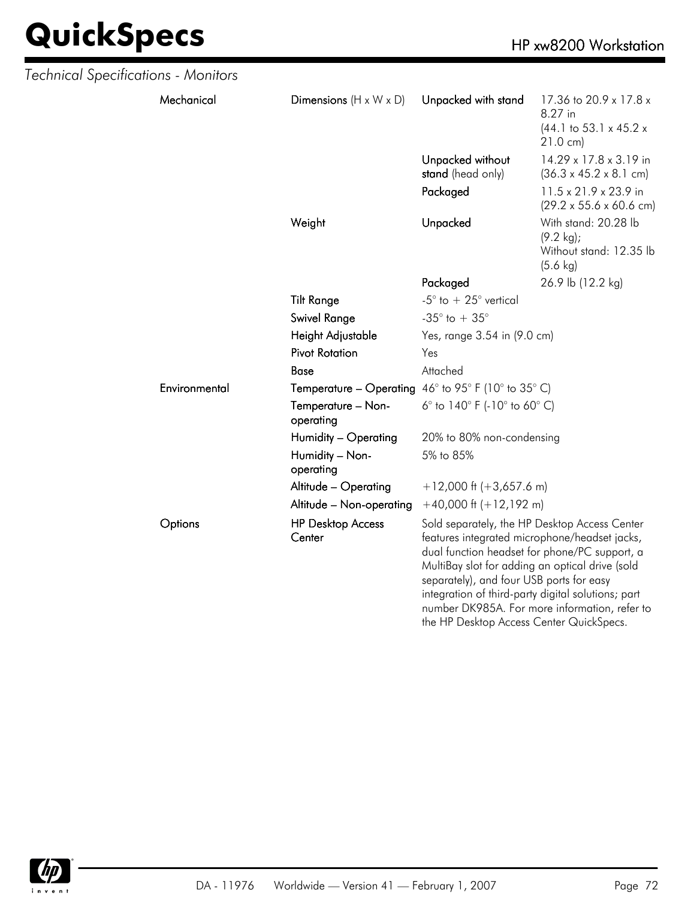| Technical Specifications - Monitors |               |                                    |                                                                      |                                                                                                                                                                                                                                                                                                                                                       |  |
|-------------------------------------|---------------|------------------------------------|----------------------------------------------------------------------|-------------------------------------------------------------------------------------------------------------------------------------------------------------------------------------------------------------------------------------------------------------------------------------------------------------------------------------------------------|--|
|                                     | Mechanical    | Dimensions $(H \times W \times D)$ | Unpacked with stand                                                  | 17.36 to 20.9 x 17.8 x<br>8.27 in<br>$(44.1 \text{ to } 53.1 \times 45.2 \times$<br>$21.0 \text{ cm}$                                                                                                                                                                                                                                                 |  |
|                                     |               |                                    | Unpacked without<br>stand (head only)                                | 14.29 x 17.8 x 3.19 in<br>$(36.3 \times 45.2 \times 8.1 \text{ cm})$                                                                                                                                                                                                                                                                                  |  |
|                                     |               |                                    | Packaged                                                             | 11.5 x 21.9 x 23.9 in<br>$(29.2 \times 55.6 \times 60.6 \text{ cm})$                                                                                                                                                                                                                                                                                  |  |
|                                     |               | Weight                             | Unpacked                                                             | With stand: 20.28 lb<br>$(9.2 \text{ kg})$ ;<br>Without stand: 12.35 lb<br>$(5.6 \text{ kg})$                                                                                                                                                                                                                                                         |  |
|                                     |               |                                    | Packaged                                                             | 26.9 lb (12.2 kg)                                                                                                                                                                                                                                                                                                                                     |  |
|                                     |               | <b>Tilt Range</b>                  | -5 $^{\circ}$ to $+25^{\circ}$ vertical                              |                                                                                                                                                                                                                                                                                                                                                       |  |
|                                     |               | <b>Swivel Range</b>                | -35 $^{\circ}$ to + 35 $^{\circ}$                                    |                                                                                                                                                                                                                                                                                                                                                       |  |
|                                     |               | Height Adjustable                  | Yes, range 3.54 in (9.0 cm)                                          |                                                                                                                                                                                                                                                                                                                                                       |  |
|                                     |               | <b>Pivot Rotation</b>              | Yes                                                                  |                                                                                                                                                                                                                                                                                                                                                       |  |
|                                     |               | Base                               | Attached                                                             |                                                                                                                                                                                                                                                                                                                                                       |  |
|                                     | Environmental |                                    | <b>Temperature – Operating</b> $46^{\circ}$ to 95° F (10° to 35° C)  |                                                                                                                                                                                                                                                                                                                                                       |  |
|                                     |               | Temperature - Non-<br>operating    | 6 $^{\circ}$ to 140 $^{\circ}$ F (-10 $^{\circ}$ to 60 $^{\circ}$ C) |                                                                                                                                                                                                                                                                                                                                                       |  |
|                                     |               | Humidity - Operating               | 20% to 80% non-condensing                                            |                                                                                                                                                                                                                                                                                                                                                       |  |
|                                     |               | Humidity - Non-<br>operating       | 5% to 85%                                                            |                                                                                                                                                                                                                                                                                                                                                       |  |
|                                     |               | Altitude - Operating               | $+12,000$ ft (+3,657.6 m)                                            |                                                                                                                                                                                                                                                                                                                                                       |  |
|                                     |               | Altitude - Non-operating           | $+40,000$ ft $(+12,192$ m)                                           |                                                                                                                                                                                                                                                                                                                                                       |  |
|                                     | Options       | <b>HP Desktop Access</b><br>Center | separately), and four USB ports for easy                             | Sold separately, the HP Desktop Access Center<br>features integrated microphone/headset jacks,<br>dual function headset for phone/PC support, a<br>MultiBay slot for adding an optical drive (sold<br>integration of third-party digital solutions; part<br>number DK985A. For more information, refer to<br>the HP Desktop Access Center QuickSpecs. |  |

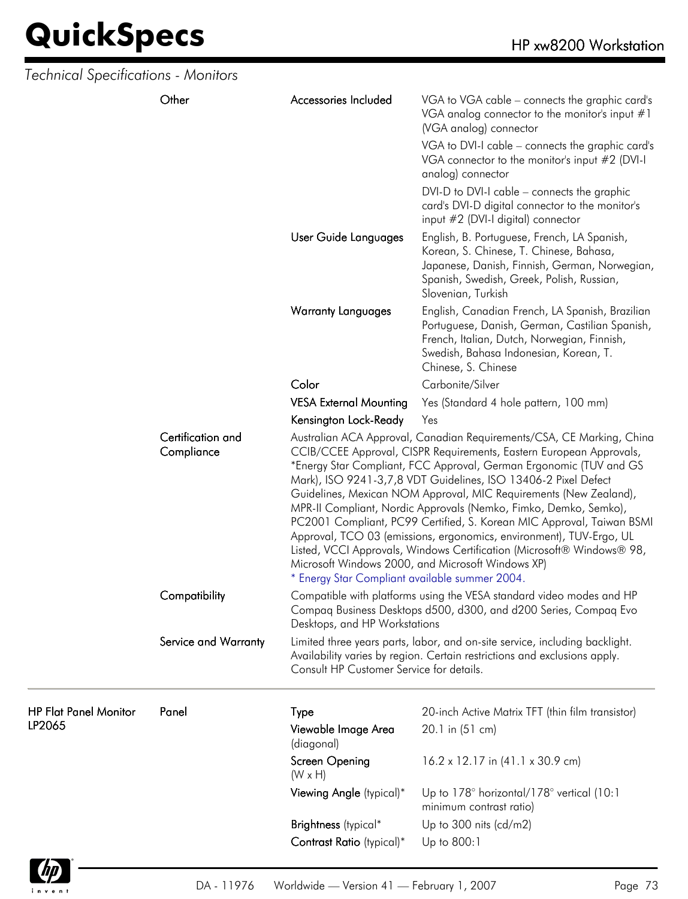| Technical Specifications - Monitors    |                                 |                                                |                                                                                                                                                                                                                                                                                                                                                                                                                                                                                                                                                                                                                                                                                                              |
|----------------------------------------|---------------------------------|------------------------------------------------|--------------------------------------------------------------------------------------------------------------------------------------------------------------------------------------------------------------------------------------------------------------------------------------------------------------------------------------------------------------------------------------------------------------------------------------------------------------------------------------------------------------------------------------------------------------------------------------------------------------------------------------------------------------------------------------------------------------|
|                                        | Other                           | Accessories Included                           | VGA to VGA cable - connects the graphic card's<br>VGA analog connector to the monitor's input #1<br>(VGA analog) connector<br>VGA to DVI-I cable - connects the graphic card's<br>VGA connector to the monitor's input #2 (DVI-I<br>analog) connector<br>DVI-D to DVI-I cable - connects the graphic<br>card's DVI-D digital connector to the monitor's                                                                                                                                                                                                                                                                                                                                                      |
|                                        |                                 | User Guide Languages                           | input #2 (DVI-I digital) connector<br>English, B. Portuguese, French, LA Spanish,<br>Korean, S. Chinese, T. Chinese, Bahasa,<br>Japanese, Danish, Finnish, German, Norwegian,<br>Spanish, Swedish, Greek, Polish, Russian,<br>Slovenian, Turkish                                                                                                                                                                                                                                                                                                                                                                                                                                                             |
|                                        |                                 | <b>Warranty Languages</b>                      | English, Canadian French, LA Spanish, Brazilian<br>Portuguese, Danish, German, Castilian Spanish,<br>French, Italian, Dutch, Norwegian, Finnish,<br>Swedish, Bahasa Indonesian, Korean, T.<br>Chinese, S. Chinese                                                                                                                                                                                                                                                                                                                                                                                                                                                                                            |
|                                        |                                 | Color                                          | Carbonite/Silver                                                                                                                                                                                                                                                                                                                                                                                                                                                                                                                                                                                                                                                                                             |
|                                        |                                 | <b>VESA External Mounting</b>                  | Yes (Standard 4 hole pattern, 100 mm)                                                                                                                                                                                                                                                                                                                                                                                                                                                                                                                                                                                                                                                                        |
|                                        |                                 | Kensington Lock-Ready                          | Yes                                                                                                                                                                                                                                                                                                                                                                                                                                                                                                                                                                                                                                                                                                          |
|                                        | Certification and<br>Compliance | * Energy Star Compliant available summer 2004. | Australian ACA Approval, Canadian Requirements/CSA, CE Marking, China<br>CCIB/CCEE Approval, CISPR Requirements, Eastern European Approvals,<br>*Energy Star Compliant, FCC Approval, German Ergonomic (TUV and GS<br>Mark), ISO 9241-3,7,8 VDT Guidelines, ISO 13406-2 Pixel Defect<br>Guidelines, Mexican NOM Approval, MIC Requirements (New Zealand),<br>MPR-II Compliant, Nordic Approvals (Nemko, Fimko, Demko, Semko),<br>PC2001 Compliant, PC99 Certified, S. Korean MIC Approval, Taiwan BSMI<br>Approval, TCO 03 (emissions, ergonomics, environment), TUV-Ergo, UL<br>Listed, VCCI Approvals, Windows Certification (Microsoft® Windows® 98,<br>Microsoft Windows 2000, and Microsoft Windows XP) |
|                                        | Compatibility                   | Desktops, and HP Workstations                  | Compatible with platforms using the VESA standard video modes and HP<br>Compaq Business Desktops d500, d300, and d200 Series, Compaq Evo                                                                                                                                                                                                                                                                                                                                                                                                                                                                                                                                                                     |
|                                        | Service and Warranty            | Consult HP Customer Service for details.       | Limited three years parts, labor, and on-site service, including backlight.<br>Availability varies by region. Certain restrictions and exclusions apply.                                                                                                                                                                                                                                                                                                                                                                                                                                                                                                                                                     |
| <b>HP Flat Panel Monitor</b><br>LP2065 | Panel                           | Type<br>Viewable Image Area<br>(diagonal)      | 20-inch Active Matrix TFT (thin film transistor)<br>20.1 in (51 cm)                                                                                                                                                                                                                                                                                                                                                                                                                                                                                                                                                                                                                                          |
|                                        |                                 | Screen Opening<br>$(W \times H)$               | $16.2 \times 12.17$ in $(41.1 \times 30.9$ cm)                                                                                                                                                                                                                                                                                                                                                                                                                                                                                                                                                                                                                                                               |
|                                        |                                 | Viewing Angle (typical)*                       | Up to 178° horizontal/178° vertical (10:1<br>minimum contrast ratio)                                                                                                                                                                                                                                                                                                                                                                                                                                                                                                                                                                                                                                         |
|                                        |                                 | Brightness (typical*                           | Up to 300 nits $(cd/m2)$                                                                                                                                                                                                                                                                                                                                                                                                                                                                                                                                                                                                                                                                                     |
|                                        |                                 | Contrast Ratio (typical)*                      | Up to 800:1                                                                                                                                                                                                                                                                                                                                                                                                                                                                                                                                                                                                                                                                                                  |
|                                        |                                 |                                                |                                                                                                                                                                                                                                                                                                                                                                                                                                                                                                                                                                                                                                                                                                              |

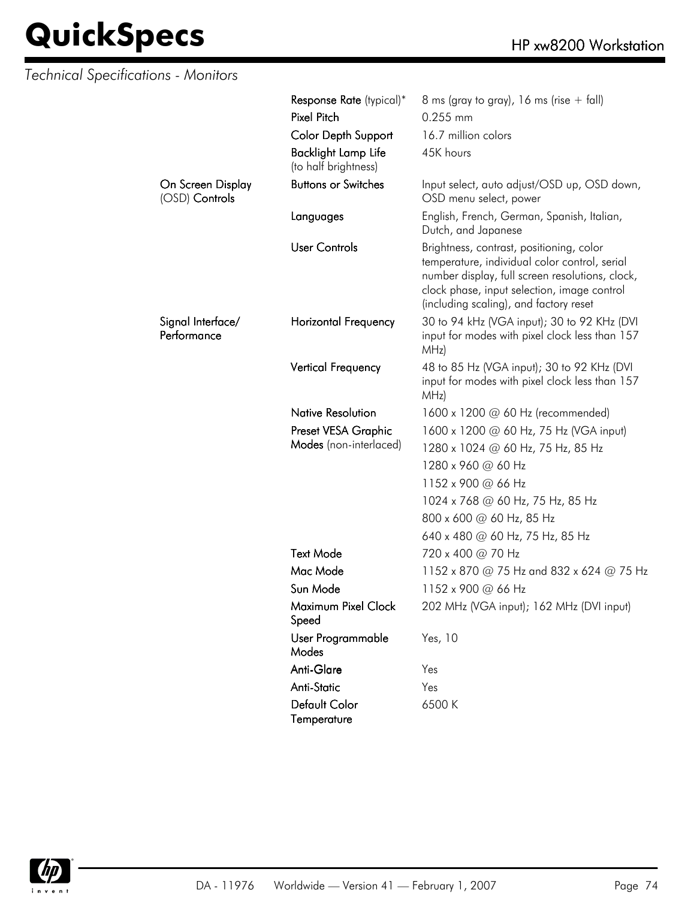| Technical Specifications - Monitors |                                                    |                                                                                                                                                                                                                                       |
|-------------------------------------|----------------------------------------------------|---------------------------------------------------------------------------------------------------------------------------------------------------------------------------------------------------------------------------------------|
|                                     | Response Rate (typical)*                           | 8 ms (gray to gray), 16 ms (rise $+$ fall)                                                                                                                                                                                            |
|                                     | <b>Pixel Pitch</b>                                 | 0.255 mm                                                                                                                                                                                                                              |
|                                     | <b>Color Depth Support</b>                         | 16.7 million colors                                                                                                                                                                                                                   |
|                                     | <b>Backlight Lamp Life</b><br>(to half brightness) | 45K hours                                                                                                                                                                                                                             |
| On Screen Display<br>(OSD) Controls | <b>Buttons or Switches</b>                         | Input select, auto adjust/OSD up, OSD down,<br>OSD menu select, power                                                                                                                                                                 |
|                                     | Languages                                          | English, French, German, Spanish, Italian,<br>Dutch, and Japanese                                                                                                                                                                     |
|                                     | <b>User Controls</b>                               | Brightness, contrast, positioning, color<br>temperature, individual color control, serial<br>number display, full screen resolutions, clock,<br>clock phase, input selection, image control<br>(including scaling), and factory reset |
| Signal Interface/<br>Performance    | <b>Horizontal Frequency</b>                        | 30 to 94 kHz (VGA input); 30 to 92 KHz (DVI<br>input for modes with pixel clock less than 157<br>MHz)                                                                                                                                 |
|                                     | Vertical Frequency                                 | 48 to 85 Hz (VGA input); 30 to 92 KHz (DVI<br>input for modes with pixel clock less than 157<br>MHz)                                                                                                                                  |
|                                     | <b>Native Resolution</b>                           | 1600 x 1200 $\omega$ 60 Hz (recommended)                                                                                                                                                                                              |
|                                     | Preset VESA Graphic                                | 1600 x 1200 @ 60 Hz, 75 Hz (VGA input)                                                                                                                                                                                                |
|                                     | Modes (non-interlaced)                             | 1280 x 1024 @ 60 Hz, 75 Hz, 85 Hz                                                                                                                                                                                                     |
|                                     |                                                    | 1280 x 960 @ 60 Hz                                                                                                                                                                                                                    |
|                                     |                                                    | 1152 x 900 @ 66 Hz                                                                                                                                                                                                                    |
|                                     |                                                    | 1024 x 768 @ 60 Hz, 75 Hz, 85 Hz                                                                                                                                                                                                      |
|                                     |                                                    | 800 x 600 @ 60 Hz, 85 Hz                                                                                                                                                                                                              |
|                                     |                                                    | 640 x 480 @ 60 Hz, 75 Hz, 85 Hz                                                                                                                                                                                                       |
|                                     | <b>Text Mode</b>                                   | 720 x 400 @ 70 Hz                                                                                                                                                                                                                     |
|                                     | Mac Mode                                           | 1152 x 870 @ 75 Hz and 832 x 624 @ 75 Hz                                                                                                                                                                                              |
|                                     | Sun Mode                                           | 1152 x 900 @ 66 Hz                                                                                                                                                                                                                    |
|                                     | Maximum Pixel Clock<br>Speed                       | 202 MHz (VGA input); 162 MHz (DVI input)                                                                                                                                                                                              |
|                                     | User Programmable<br>Modes                         | Yes, 10                                                                                                                                                                                                                               |
|                                     | Anti-Glare                                         | Yes                                                                                                                                                                                                                                   |
|                                     | Anti-Static                                        | Yes                                                                                                                                                                                                                                   |
|                                     | Default Color<br>Temperature                       | 6500 K                                                                                                                                                                                                                                |

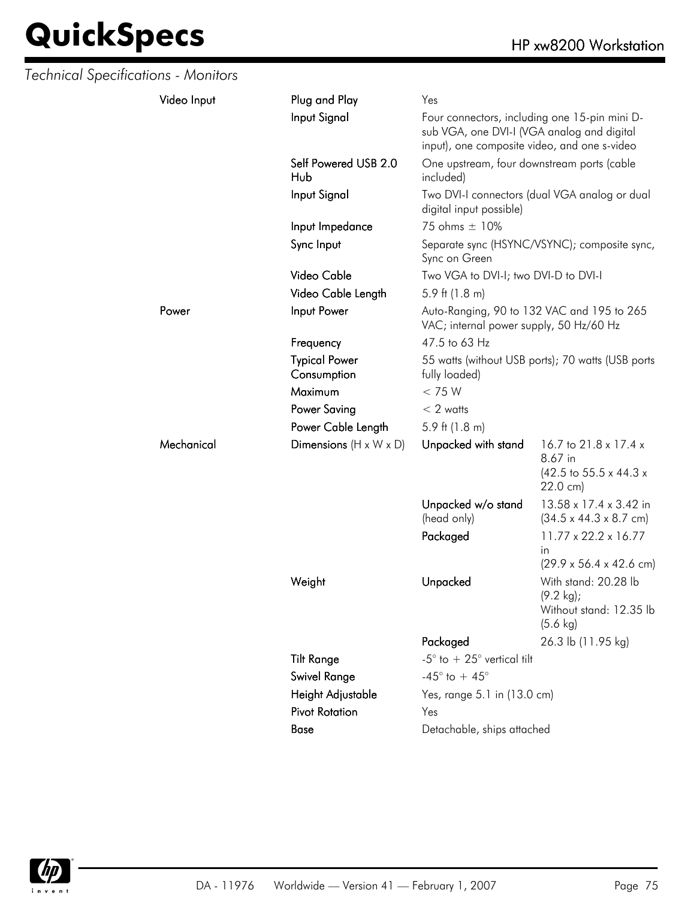| Technical Specifications - Monitors |             |                                                                                                |                                                                                                                                                         |                                                                                               |
|-------------------------------------|-------------|------------------------------------------------------------------------------------------------|---------------------------------------------------------------------------------------------------------------------------------------------------------|-----------------------------------------------------------------------------------------------|
|                                     | Video Input | Plug and Play                                                                                  | Yes                                                                                                                                                     |                                                                                               |
|                                     |             | Input Signal                                                                                   | Four connectors, including one 15-pin mini D-<br>sub VGA, one DVI-I (VGA analog and digital<br>input), one composite video, and one s-video             |                                                                                               |
|                                     |             | Self Powered USB 2.0<br>Hub                                                                    | One upstream, four downstream ports (cable<br>included)                                                                                                 |                                                                                               |
|                                     |             | Input Signal                                                                                   | digital input possible)                                                                                                                                 | Two DVI-I connectors (dual VGA analog or dual                                                 |
|                                     |             | Input Impedance                                                                                | 75 ohms ± 10%                                                                                                                                           |                                                                                               |
|                                     |             | Sync Input                                                                                     | Sync on Green                                                                                                                                           | Separate sync (HSYNC/VSYNC); composite sync,                                                  |
|                                     |             | Video Cable                                                                                    | Two VGA to DVI-I; two DVI-D to DVI-I                                                                                                                    |                                                                                               |
|                                     |             | Video Cable Length                                                                             | 5.9 ft $(1.8 \text{ m})$                                                                                                                                |                                                                                               |
|                                     | Power       | Input Power                                                                                    | Auto-Ranging, 90 to 132 VAC and 195 to 265<br>VAC; internal power supply, 50 Hz/60 Hz                                                                   |                                                                                               |
|                                     |             | Frequency                                                                                      | 47.5 to 63 Hz                                                                                                                                           |                                                                                               |
|                                     |             | <b>Typical Power</b><br>Consumption                                                            | fully loaded)                                                                                                                                           | 55 watts (without USB ports); 70 watts (USB ports                                             |
|                                     |             | Maximum                                                                                        | < 75 W                                                                                                                                                  |                                                                                               |
|                                     |             | <b>Power Saving</b>                                                                            | $< 2$ watts                                                                                                                                             |                                                                                               |
|                                     |             | Power Cable Length                                                                             | 5.9 ft $(1.8 \text{ m})$                                                                                                                                |                                                                                               |
|                                     | Mechanical  | Dimensions $(H \times W \times D)$                                                             | Unpacked with stand                                                                                                                                     | 16.7 to 21.8 x 17.4 x<br>8.67 in<br>$(42.5 \text{ to } 55.5 \times 44.3 \times$<br>22.0 cm)   |
|                                     |             |                                                                                                | Unpacked w/o stand<br>(head only)                                                                                                                       | 13.58 x 17.4 x 3.42 in<br>$(34.5 \times 44.3 \times 8.7 \text{ cm})$                          |
|                                     |             |                                                                                                | Packaged                                                                                                                                                | $11.77 \times 22.2 \times 16.77$<br>in.<br>$(29.9 \times 56.4 \times 42.6 \text{ cm})$        |
|                                     |             | Weight                                                                                         | Unpacked                                                                                                                                                | With stand: 20.28 lb<br>$(9.2 \text{ kg})$ ;<br>Without stand: 12.35 lb<br>$(5.6 \text{ kg})$ |
|                                     |             | <b>Tilt Range</b><br><b>Swivel Range</b><br>Height Adjustable<br><b>Pivot Rotation</b><br>Base | Packaged<br>-5° to $+25^{\circ}$ vertical tilt<br>-45 $^{\circ}$ to + 45 $^{\circ}$<br>Yes, range 5.1 in (13.0 cm)<br>Yes<br>Detachable, ships attached | 26.3 lb (11.95 kg)                                                                            |

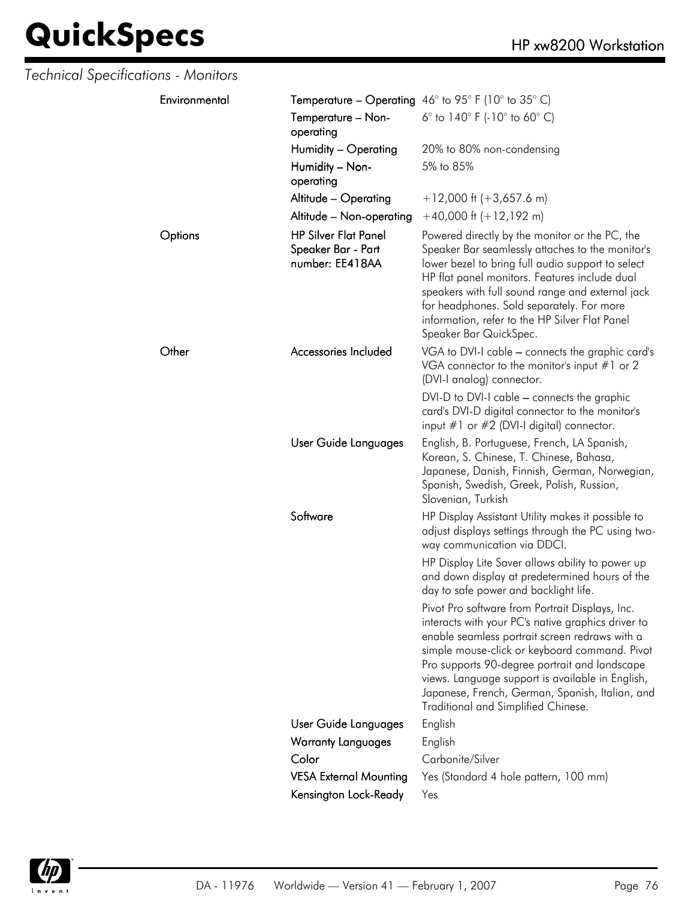| Technical Specifications - Monitors |                                                                      |                                                                                                                                                                                                                                                                                                                                                                                                         |
|-------------------------------------|----------------------------------------------------------------------|---------------------------------------------------------------------------------------------------------------------------------------------------------------------------------------------------------------------------------------------------------------------------------------------------------------------------------------------------------------------------------------------------------|
| Environmental                       |                                                                      | <b>Temperature – Operating</b> 46° to 95° F (10° to 35° C)                                                                                                                                                                                                                                                                                                                                              |
|                                     | Temperature - Non-<br>operating                                      | 6 $^{\circ}$ to 140 $^{\circ}$ F (-10 $^{\circ}$ to 60 $^{\circ}$ C)                                                                                                                                                                                                                                                                                                                                    |
|                                     | Humidity - Operating                                                 | 20% to 80% non-condensing                                                                                                                                                                                                                                                                                                                                                                               |
|                                     | Humidity - Non-<br>operating                                         | 5% to 85%                                                                                                                                                                                                                                                                                                                                                                                               |
|                                     | Altitude - Operating                                                 | $+12,000$ ft (+3,657.6 m)                                                                                                                                                                                                                                                                                                                                                                               |
|                                     | Altitude - Non-operating                                             | $+40,000$ ft $(+12,192$ m)                                                                                                                                                                                                                                                                                                                                                                              |
| Options                             | <b>HP Silver Flat Panel</b><br>Speaker Bar - Part<br>number: EE418AA | Powered directly by the monitor or the PC, the<br>Speaker Bar seamlessly attaches to the monitor's<br>lower bezel to bring full audio support to select<br>HP flat panel monitors. Features include dual<br>speakers with full sound range and external jack<br>for headphones. Sold separately. For more<br>information, refer to the HP Silver Flat Panel<br>Speaker Bar QuickSpec.                   |
| Other                               | Accessories Included                                                 | VGA to DVI-I cable - connects the graphic card's<br>VGA connector to the monitor's input $#1$ or 2<br>(DVI-I analog) connector.                                                                                                                                                                                                                                                                         |
|                                     |                                                                      | DVI-D to DVI-I cable - connects the graphic<br>card's DVI-D digital connector to the monitor's<br>input $#1$ or $#2$ (DVI-I digital) connector.                                                                                                                                                                                                                                                         |
|                                     | User Guide Languages                                                 | English, B. Portuguese, French, LA Spanish,<br>Korean, S. Chinese, T. Chinese, Bahasa,<br>Japanese, Danish, Finnish, German, Norwegian,<br>Spanish, Swedish, Greek, Polish, Russian,<br>Slovenian, Turkish                                                                                                                                                                                              |
|                                     | Software                                                             | HP Display Assistant Utility makes it possible to<br>adjust displays settings through the PC using two-<br>way communication via DDCI.                                                                                                                                                                                                                                                                  |
|                                     |                                                                      | HP Display Lite Saver allows ability to power up<br>and down display at predetermined hours of the<br>day to safe power and backlight life.                                                                                                                                                                                                                                                             |
|                                     |                                                                      | Pivot Pro software from Portrait Displays, Inc.<br>interacts with your PC's native graphics driver to<br>enable seamless portrait screen redraws with a<br>simple mouse-click or keyboard command. Pivot<br>Pro supports 90-degree portrait and landscape<br>views. Language support is available in English,<br>Japanese, French, German, Spanish, Italian, and<br>Traditional and Simplified Chinese. |
|                                     | User Guide Languages                                                 | English                                                                                                                                                                                                                                                                                                                                                                                                 |
|                                     | <b>Warranty Languages</b>                                            | English                                                                                                                                                                                                                                                                                                                                                                                                 |
|                                     | Color                                                                | Carbonite/Silver                                                                                                                                                                                                                                                                                                                                                                                        |
|                                     | <b>VESA External Mounting</b>                                        | Yes (Standard 4 hole pattern, 100 mm)                                                                                                                                                                                                                                                                                                                                                                   |
|                                     | Kensington Lock-Ready                                                | Yes                                                                                                                                                                                                                                                                                                                                                                                                     |

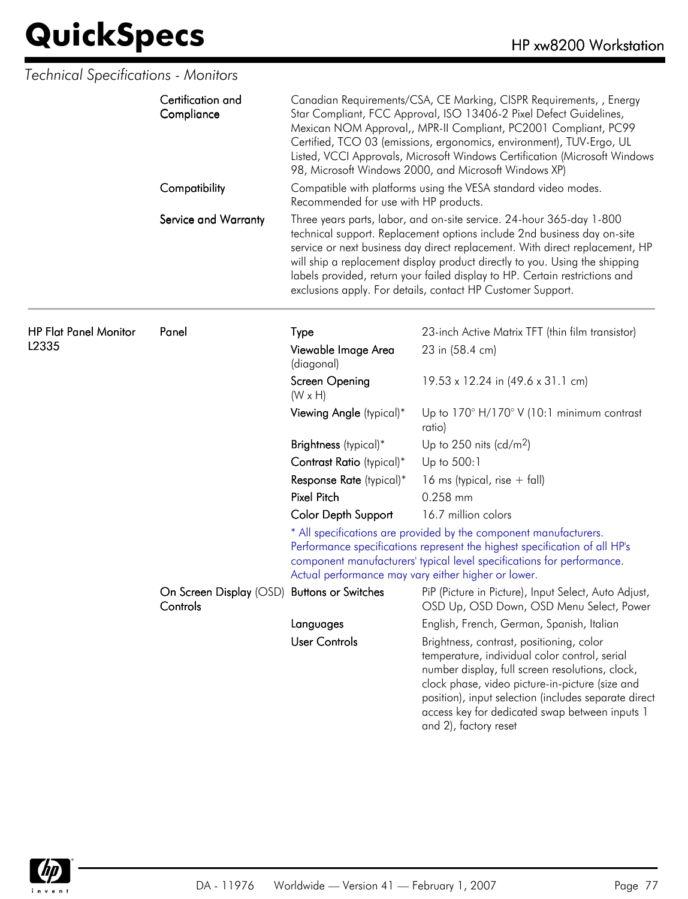|                              | Certification and<br>Compliance                         | Canadian Requirements/CSA, CE Marking, CISPR Requirements, , Energy<br>Star Compliant, FCC Approval, ISO 13406-2 Pixel Defect Guidelines,<br>Mexican NOM Approval,, MPR-II Compliant, PC2001 Compliant, PC99<br>Certified, TCO 03 (emissions, ergonomics, environment), TUV-Ergo, UL<br>Listed, VCCI Approvals, Microsoft Windows Certification (Microsoft Windows<br>98, Microsoft Windows 2000, and Microsoft Windows XP) |                                                                                                                                                                                                                                                                                                                                                                                                                                                              |
|------------------------------|---------------------------------------------------------|-----------------------------------------------------------------------------------------------------------------------------------------------------------------------------------------------------------------------------------------------------------------------------------------------------------------------------------------------------------------------------------------------------------------------------|--------------------------------------------------------------------------------------------------------------------------------------------------------------------------------------------------------------------------------------------------------------------------------------------------------------------------------------------------------------------------------------------------------------------------------------------------------------|
|                              | Compatibility                                           | Recommended for use with HP products.                                                                                                                                                                                                                                                                                                                                                                                       | Compatible with platforms using the VESA standard video modes.                                                                                                                                                                                                                                                                                                                                                                                               |
|                              | Service and Warranty                                    |                                                                                                                                                                                                                                                                                                                                                                                                                             | Three years parts, labor, and on-site service. 24-hour 365-day 1-800<br>technical support. Replacement options include 2nd business day on-site<br>service or next business day direct replacement. With direct replacement, HP<br>will ship a replacement display product directly to you. Using the shipping<br>labels provided, return your failed display to HP. Certain restrictions and<br>exclusions apply. For details, contact HP Customer Support. |
| <b>HP Flat Panel Monitor</b> | Panel                                                   | Type                                                                                                                                                                                                                                                                                                                                                                                                                        | 23-inch Active Matrix TFT (thin film transistor)                                                                                                                                                                                                                                                                                                                                                                                                             |
| L2335                        |                                                         | Viewable Image Area<br>(diagonal)                                                                                                                                                                                                                                                                                                                                                                                           | 23 in (58.4 cm)                                                                                                                                                                                                                                                                                                                                                                                                                                              |
|                              |                                                         | Screen Opening<br>$(W \times H)$                                                                                                                                                                                                                                                                                                                                                                                            | 19.53 x 12.24 in (49.6 x 31.1 cm)                                                                                                                                                                                                                                                                                                                                                                                                                            |
|                              |                                                         | Viewing Angle (typical)*                                                                                                                                                                                                                                                                                                                                                                                                    | Up to $170^\circ$ H/170 $^\circ$ V (10:1 minimum contrast<br>ratio)                                                                                                                                                                                                                                                                                                                                                                                          |
|                              |                                                         | Brightness (typical)*                                                                                                                                                                                                                                                                                                                                                                                                       | Up to 250 nits (cd/m <sup>2</sup> )                                                                                                                                                                                                                                                                                                                                                                                                                          |
|                              |                                                         | Contrast Ratio (typical)*                                                                                                                                                                                                                                                                                                                                                                                                   | Up to 500:1                                                                                                                                                                                                                                                                                                                                                                                                                                                  |
|                              |                                                         | Response Rate (typical)*                                                                                                                                                                                                                                                                                                                                                                                                    | 16 ms (typical, rise $+$ fall)                                                                                                                                                                                                                                                                                                                                                                                                                               |
|                              |                                                         | <b>Pixel Pitch</b>                                                                                                                                                                                                                                                                                                                                                                                                          | 0.258 mm                                                                                                                                                                                                                                                                                                                                                                                                                                                     |
|                              |                                                         | <b>Color Depth Support</b>                                                                                                                                                                                                                                                                                                                                                                                                  | 16.7 million colors                                                                                                                                                                                                                                                                                                                                                                                                                                          |
|                              |                                                         | Actual performance may vary either higher or lower.                                                                                                                                                                                                                                                                                                                                                                         | * All specifications are provided by the component manufacturers.<br>Performance specifications represent the highest specification of all HP's<br>component manufacturers' typical level specifications for performance.                                                                                                                                                                                                                                    |
|                              | On Screen Display (OSD) Buttons or Switches<br>Controls |                                                                                                                                                                                                                                                                                                                                                                                                                             | PiP (Picture in Picture), Input Select, Auto Adjust,<br>OSD Up, OSD Down, OSD Menu Select, Power                                                                                                                                                                                                                                                                                                                                                             |
|                              |                                                         | Languages                                                                                                                                                                                                                                                                                                                                                                                                                   | English, French, German, Spanish, Italian                                                                                                                                                                                                                                                                                                                                                                                                                    |
|                              |                                                         | <b>User Controls</b>                                                                                                                                                                                                                                                                                                                                                                                                        | Brightness, contrast, positioning, color<br>temperature, individual color control, serial<br>number display, full screen resolutions, clock,<br>clock phase, video picture-in-picture (size and<br>position), input selection (includes separate direct<br>access key for dedicated swap between inputs 1<br>and 2), factory reset                                                                                                                           |

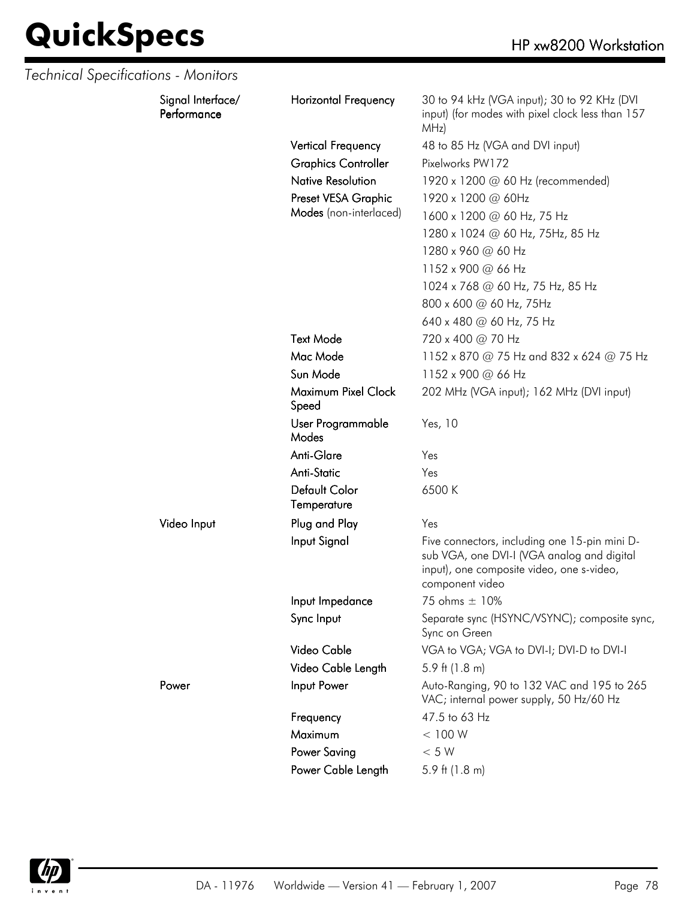| Technical Specifications - Monitors |                                  |                              |                                                                                                                                                             |
|-------------------------------------|----------------------------------|------------------------------|-------------------------------------------------------------------------------------------------------------------------------------------------------------|
|                                     | Signal Interface/<br>Performance | <b>Horizontal Frequency</b>  | 30 to 94 kHz (VGA input); 30 to 92 KHz (DVI<br>input) (for modes with pixel clock less than 157<br>MHz)                                                     |
|                                     |                                  | <b>Vertical Frequency</b>    | 48 to 85 Hz (VGA and DVI input)                                                                                                                             |
|                                     |                                  | <b>Graphics Controller</b>   | Pixelworks PW172                                                                                                                                            |
|                                     |                                  | <b>Native Resolution</b>     | 1920 x 1200 @ 60 Hz (recommended)                                                                                                                           |
|                                     |                                  | Preset VESA Graphic          | 1920 x 1200 @ 60Hz                                                                                                                                          |
|                                     |                                  | Modes (non-interlaced)       | 1600 x 1200 @ 60 Hz, 75 Hz                                                                                                                                  |
|                                     |                                  |                              | 1280 x 1024 @ 60 Hz, 75Hz, 85 Hz                                                                                                                            |
|                                     |                                  |                              | 1280 x 960 @ 60 Hz                                                                                                                                          |
|                                     |                                  |                              | 1152 x 900 @ 66 Hz                                                                                                                                          |
|                                     |                                  |                              | 1024 x 768 @ 60 Hz, 75 Hz, 85 Hz                                                                                                                            |
|                                     |                                  |                              | 800 x 600 @ 60 Hz, 75Hz                                                                                                                                     |
|                                     |                                  |                              | 640 x 480 @ 60 Hz, 75 Hz                                                                                                                                    |
|                                     |                                  | <b>Text Mode</b>             | 720 x 400 @ 70 Hz                                                                                                                                           |
|                                     |                                  | Mac Mode                     | 1152 x 870 @ 75 Hz and 832 x 624 @ 75 Hz                                                                                                                    |
|                                     |                                  | Sun Mode                     | 1152 x 900 @ 66 Hz                                                                                                                                          |
|                                     |                                  | Maximum Pixel Clock<br>Speed | 202 MHz (VGA input); 162 MHz (DVI input)                                                                                                                    |
|                                     |                                  | User Programmable<br>Modes   | Yes, 10                                                                                                                                                     |
|                                     |                                  | Anti-Glare                   | Yes                                                                                                                                                         |
|                                     |                                  | <b>Anti-Static</b>           | Yes                                                                                                                                                         |
|                                     |                                  | Default Color<br>Temperature | 6500K                                                                                                                                                       |
|                                     | Video Input                      | Plug and Play                | Yes                                                                                                                                                         |
|                                     |                                  | Input Signal                 | Five connectors, including one 15-pin mini D-<br>sub VGA, one DVI-I (VGA analog and digital<br>input), one composite video, one s-video,<br>component video |
|                                     |                                  | Input Impedance              | 75 ohms ± 10%                                                                                                                                               |
|                                     |                                  | Sync Input                   | Separate sync (HSYNC/VSYNC); composite sync,<br>Sync on Green                                                                                               |
|                                     |                                  | Video Cable                  | VGA to VGA; VGA to DVI-I; DVI-D to DVI-I                                                                                                                    |
|                                     |                                  | Video Cable Length           | 5.9 ft $(1.8 \text{ m})$                                                                                                                                    |
|                                     | Power                            | Input Power                  | Auto-Ranging, 90 to 132 VAC and 195 to 265<br>VAC; internal power supply, 50 Hz/60 Hz                                                                       |
|                                     |                                  | Frequency                    | 47.5 to 63 Hz                                                                                                                                               |
|                                     |                                  | Maximum                      | < 100 W                                                                                                                                                     |
|                                     |                                  | <b>Power Saving</b>          | < 5 W                                                                                                                                                       |
|                                     |                                  | Power Cable Length           | 5.9 ft $(1.8 \text{ m})$                                                                                                                                    |

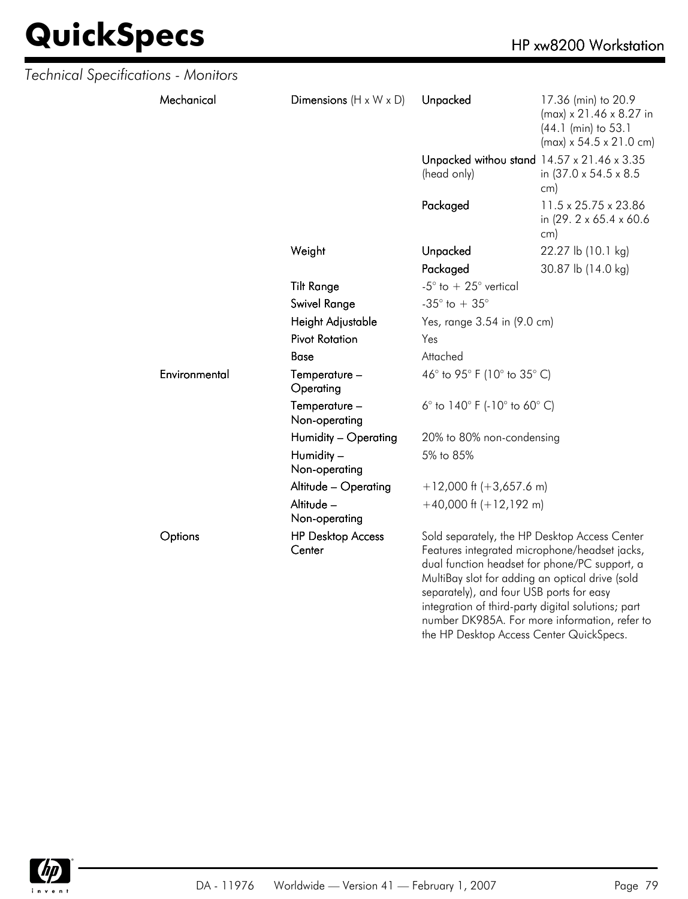| Technical Specifications - Monitors |               |                                    |                                                                                                                                                                                                                                                                                                                                                       |                                                                                                                          |
|-------------------------------------|---------------|------------------------------------|-------------------------------------------------------------------------------------------------------------------------------------------------------------------------------------------------------------------------------------------------------------------------------------------------------------------------------------------------------|--------------------------------------------------------------------------------------------------------------------------|
|                                     | Mechanical    | Dimensions $(H \times W \times D)$ | Unpacked                                                                                                                                                                                                                                                                                                                                              | 17.36 (min) to 20.9<br>$(max) \times 21.46 \times 8.27$ in<br>(44.1 (min) to 53.1<br>$(max) \times 54.5 \times 21.0$ cm) |
|                                     |               |                                    | Unpacked withou stand 14.57 x 21.46 x 3.35<br>(head only)                                                                                                                                                                                                                                                                                             | in (37.0 x 54.5 x 8.5)<br>cm)                                                                                            |
|                                     |               |                                    | Packaged                                                                                                                                                                                                                                                                                                                                              | 11.5 x 25.75 x 23.86<br>in (29. 2 x 65.4 x 60.6)<br>cm)                                                                  |
|                                     |               | Weight                             | Unpacked                                                                                                                                                                                                                                                                                                                                              | 22.27 lb (10.1 kg)                                                                                                       |
|                                     |               |                                    | Packaged                                                                                                                                                                                                                                                                                                                                              | 30.87 lb (14.0 kg)                                                                                                       |
|                                     |               | <b>Tilt Range</b>                  | -5 $\degree$ to + 25 $\degree$ vertical                                                                                                                                                                                                                                                                                                               |                                                                                                                          |
|                                     |               | Swivel Range                       | -35 $^{\circ}$ to + 35 $^{\circ}$                                                                                                                                                                                                                                                                                                                     |                                                                                                                          |
|                                     |               | Height Adjustable                  | Yes, range 3.54 in (9.0 cm)                                                                                                                                                                                                                                                                                                                           |                                                                                                                          |
|                                     |               | <b>Pivot Rotation</b>              | Yes                                                                                                                                                                                                                                                                                                                                                   |                                                                                                                          |
|                                     |               | Base                               | Attached                                                                                                                                                                                                                                                                                                                                              |                                                                                                                          |
|                                     | Environmental | Temperature -<br>Operating         | 46° to 95° F (10° to 35° C)                                                                                                                                                                                                                                                                                                                           |                                                                                                                          |
|                                     |               | Temperature -<br>Non-operating     | 6 $^{\circ}$ to 140 $^{\circ}$ F (-10 $^{\circ}$ to 60 $^{\circ}$ C)                                                                                                                                                                                                                                                                                  |                                                                                                                          |
|                                     |               | Humidity - Operating               | 20% to 80% non-condensing                                                                                                                                                                                                                                                                                                                             |                                                                                                                          |
|                                     |               | Humidity -<br>Non-operating        | 5% to 85%                                                                                                                                                                                                                                                                                                                                             |                                                                                                                          |
|                                     |               | Altitude - Operating               | $+12,000$ ft (+3,657.6 m)                                                                                                                                                                                                                                                                                                                             |                                                                                                                          |
|                                     |               | Altitude -<br>Non-operating        | $+40,000$ ft (+12,192 m)                                                                                                                                                                                                                                                                                                                              |                                                                                                                          |
|                                     | Options       | <b>HP Desktop Access</b><br>Center | Sold separately, the HP Desktop Access Center<br>Features integrated microphone/headset jacks,<br>dual function headset for phone/PC support, a<br>MultiBay slot for adding an optical drive (sold<br>separately), and four USB ports for easy<br>integration of third-party digital solutions; part<br>number DK985A. For more information, refer to |                                                                                                                          |



the HP Desktop Access Center QuickSpecs.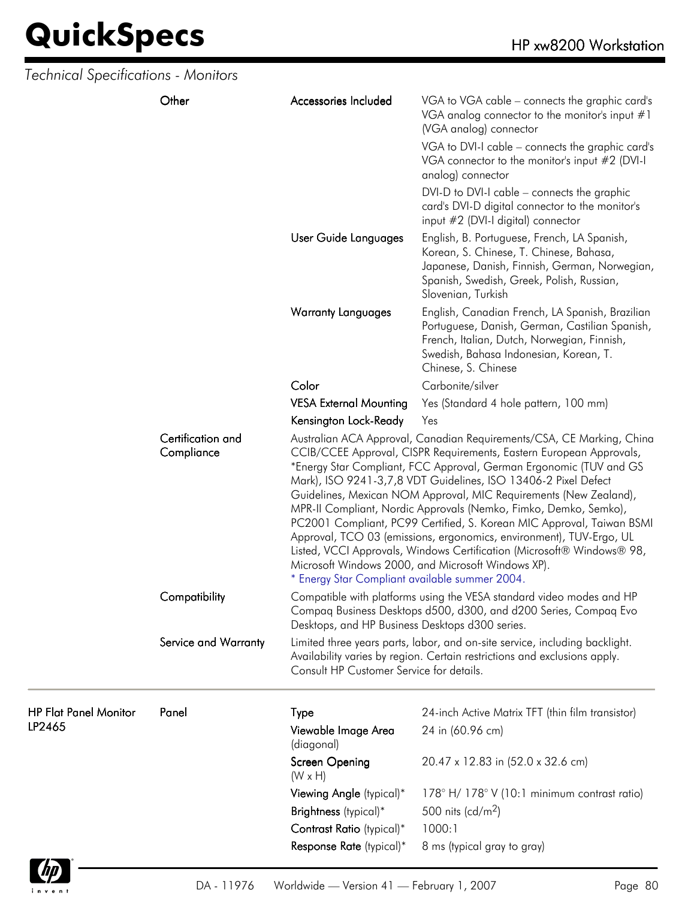| Technical Specifications - Monitors    |                                 |                                                 |                                                                                                                                                                                                                                                                                                                                                                                                                                                                                                                                                                                                                                                                                                               |
|----------------------------------------|---------------------------------|-------------------------------------------------|---------------------------------------------------------------------------------------------------------------------------------------------------------------------------------------------------------------------------------------------------------------------------------------------------------------------------------------------------------------------------------------------------------------------------------------------------------------------------------------------------------------------------------------------------------------------------------------------------------------------------------------------------------------------------------------------------------------|
|                                        | Other                           | Accessories Included                            | VGA to VGA cable – connects the graphic card's<br>VGA analog connector to the monitor's input $#1$<br>(VGA analog) connector                                                                                                                                                                                                                                                                                                                                                                                                                                                                                                                                                                                  |
|                                        |                                 |                                                 | VGA to DVI-I cable - connects the graphic card's<br>VGA connector to the monitor's input #2 (DVI-I<br>analog) connector                                                                                                                                                                                                                                                                                                                                                                                                                                                                                                                                                                                       |
|                                        |                                 |                                                 | DVI-D to DVI-I cable – connects the graphic<br>card's DVI-D digital connector to the monitor's<br>input #2 (DVI-I digital) connector                                                                                                                                                                                                                                                                                                                                                                                                                                                                                                                                                                          |
|                                        |                                 | User Guide Languages                            | English, B. Portuguese, French, LA Spanish,<br>Korean, S. Chinese, T. Chinese, Bahasa,<br>Japanese, Danish, Finnish, German, Norwegian,<br>Spanish, Swedish, Greek, Polish, Russian,<br>Slovenian, Turkish                                                                                                                                                                                                                                                                                                                                                                                                                                                                                                    |
|                                        |                                 | <b>Warranty Languages</b>                       | English, Canadian French, LA Spanish, Brazilian<br>Portuguese, Danish, German, Castilian Spanish,<br>French, Italian, Dutch, Norwegian, Finnish,<br>Swedish, Bahasa Indonesian, Korean, T.<br>Chinese, S. Chinese                                                                                                                                                                                                                                                                                                                                                                                                                                                                                             |
|                                        |                                 | Color                                           | Carbonite/silver                                                                                                                                                                                                                                                                                                                                                                                                                                                                                                                                                                                                                                                                                              |
|                                        |                                 | <b>VESA External Mounting</b>                   | Yes (Standard 4 hole pattern, 100 mm)                                                                                                                                                                                                                                                                                                                                                                                                                                                                                                                                                                                                                                                                         |
|                                        |                                 | Kensington Lock-Ready                           | Yes                                                                                                                                                                                                                                                                                                                                                                                                                                                                                                                                                                                                                                                                                                           |
|                                        | Certification and<br>Compliance | * Energy Star Compliant available summer 2004.  | Australian ACA Approval, Canadian Requirements/CSA, CE Marking, China<br>CCIB/CCEE Approval, CISPR Requirements, Eastern European Approvals,<br>*Energy Star Compliant, FCC Approval, German Ergonomic (TUV and GS<br>Mark), ISO 9241-3,7,8 VDT Guidelines, ISO 13406-2 Pixel Defect<br>Guidelines, Mexican NOM Approval, MIC Requirements (New Zealand),<br>MPR-II Compliant, Nordic Approvals (Nemko, Fimko, Demko, Semko),<br>PC2001 Compliant, PC99 Certified, S. Korean MIC Approval, Taiwan BSMI<br>Approval, TCO 03 (emissions, ergonomics, environment), TUV-Ergo, UL<br>Listed, VCCI Approvals, Windows Certification (Microsoft® Windows® 98,<br>Microsoft Windows 2000, and Microsoft Windows XP). |
|                                        | Compatibility                   | Desktops, and HP Business Desktops d300 series. | Compatible with platforms using the VESA standard video modes and HP<br>Compaq Business Desktops d500, d300, and d200 Series, Compaq Evo                                                                                                                                                                                                                                                                                                                                                                                                                                                                                                                                                                      |
|                                        | Service and Warranty            | Consult HP Customer Service for details.        | Limited three years parts, labor, and on-site service, including backlight.<br>Availability varies by region. Certain restrictions and exclusions apply.                                                                                                                                                                                                                                                                                                                                                                                                                                                                                                                                                      |
| <b>HP Flat Panel Monitor</b><br>LP2465 | Panel                           | <b>Type</b><br>Viewable Image Area              | 24-inch Active Matrix TFT (thin film transistor)<br>24 in (60.96 cm)                                                                                                                                                                                                                                                                                                                                                                                                                                                                                                                                                                                                                                          |
|                                        |                                 | (diagonal)<br>Screen Opening<br>$(W \times H)$  | 20.47 x 12.83 in (52.0 x 32.6 cm)                                                                                                                                                                                                                                                                                                                                                                                                                                                                                                                                                                                                                                                                             |
|                                        |                                 | Viewing Angle (typical)*                        | 178° H/178° V (10:1 minimum contrast ratio)                                                                                                                                                                                                                                                                                                                                                                                                                                                                                                                                                                                                                                                                   |
|                                        |                                 | Brightness (typical)*                           | 500 nits (cd/m <sup>2</sup> )                                                                                                                                                                                                                                                                                                                                                                                                                                                                                                                                                                                                                                                                                 |
|                                        |                                 | Contrast Ratio (typical)*                       | 1000:1                                                                                                                                                                                                                                                                                                                                                                                                                                                                                                                                                                                                                                                                                                        |
|                                        |                                 | Response Rate (typical)*                        | 8 ms (typical gray to gray)                                                                                                                                                                                                                                                                                                                                                                                                                                                                                                                                                                                                                                                                                   |
|                                        |                                 |                                                 |                                                                                                                                                                                                                                                                                                                                                                                                                                                                                                                                                                                                                                                                                                               |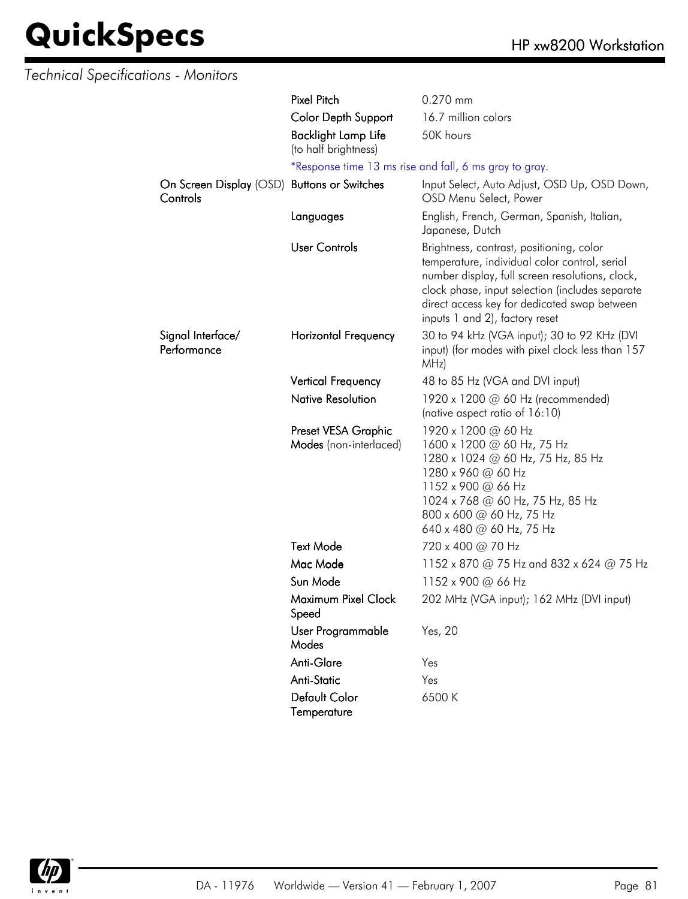| <b>Technical Specifications - Monitors</b> |                                                    |                                                                                                                                                                                                                                                                                   |
|--------------------------------------------|----------------------------------------------------|-----------------------------------------------------------------------------------------------------------------------------------------------------------------------------------------------------------------------------------------------------------------------------------|
|                                            | <b>Pixel Pitch</b>                                 | 0.270 mm                                                                                                                                                                                                                                                                          |
|                                            | <b>Color Depth Support</b>                         | 16.7 million colors                                                                                                                                                                                                                                                               |
|                                            | <b>Backlight Lamp Life</b><br>(to half brightness) | 50K hours                                                                                                                                                                                                                                                                         |
|                                            |                                                    | *Response time 13 ms rise and fall, 6 ms gray to gray.                                                                                                                                                                                                                            |
| Controls                                   | On Screen Display (OSD) Buttons or Switches        | Input Select, Auto Adjust, OSD Up, OSD Down,<br>OSD Menu Select, Power                                                                                                                                                                                                            |
|                                            | Languages                                          | English, French, German, Spanish, Italian,<br>Japanese, Dutch                                                                                                                                                                                                                     |
|                                            | <b>User Controls</b>                               | Brightness, contrast, positioning, color<br>temperature, individual color control, serial<br>number display, full screen resolutions, clock,<br>clock phase, input selection (includes separate<br>direct access key for dedicated swap between<br>inputs 1 and 2), factory reset |
| Signal Interface/<br>Performance           | Horizontal Frequency                               | 30 to 94 kHz (VGA input); 30 to 92 KHz (DVI<br>input) (for modes with pixel clock less than 157<br>MHz)                                                                                                                                                                           |
|                                            | <b>Vertical Frequency</b>                          | 48 to 85 Hz (VGA and DVI input)                                                                                                                                                                                                                                                   |
|                                            | <b>Native Resolution</b>                           | 1920 x 1200 @ 60 Hz (recommended)<br>(native aspect ratio of 16:10)                                                                                                                                                                                                               |
|                                            | Preset VESA Graphic<br>Modes (non-interlaced)      | 1920 x 1200 @ 60 Hz<br>1600 x 1200 @ 60 Hz, 75 Hz<br>1280 x 1024 @ 60 Hz, 75 Hz, 85 Hz<br>1280 x 960 @ 60 Hz<br>1152 x 900 @ 66 Hz<br>1024 x 768 @ 60 Hz, 75 Hz, 85 Hz<br>800 x 600 @ 60 Hz, 75 Hz<br>640 x 480 @ 60 Hz, 75 Hz                                                    |
|                                            | <b>Text Mode</b>                                   | 720 x 400 @ 70 Hz                                                                                                                                                                                                                                                                 |
|                                            | Mac Mode                                           | 1152 x 870 @ 75 Hz and 832 x 624 @ 75 Hz                                                                                                                                                                                                                                          |
|                                            | Sun Mode                                           | 1152 x 900 @ 66 Hz                                                                                                                                                                                                                                                                |
|                                            | Maximum Pixel Clock<br>Speed                       | 202 MHz (VGA input); 162 MHz (DVI input)                                                                                                                                                                                                                                          |
|                                            | User Programmable<br>Modes                         | Yes, 20                                                                                                                                                                                                                                                                           |
|                                            | Anti-Glare                                         | Yes                                                                                                                                                                                                                                                                               |
|                                            | Anti-Static                                        | Yes                                                                                                                                                                                                                                                                               |
|                                            | Default Color<br>Temperature                       | 6500 K                                                                                                                                                                                                                                                                            |

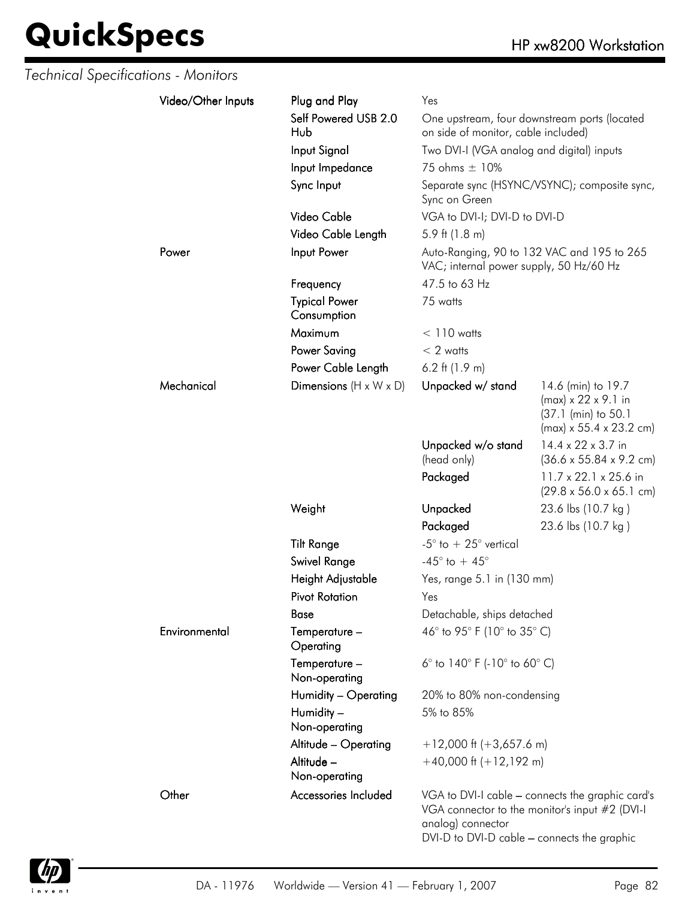| <b>Technical Specifications - Monitors</b> |                    |                                     |                                                                      |                                                                                                                     |
|--------------------------------------------|--------------------|-------------------------------------|----------------------------------------------------------------------|---------------------------------------------------------------------------------------------------------------------|
|                                            | Video/Other Inputs | Plug and Play                       | Yes                                                                  |                                                                                                                     |
|                                            |                    | Self Powered USB 2.0<br>Hub         | on side of monitor, cable included)                                  | One upstream, four downstream ports (located                                                                        |
|                                            |                    | Input Signal                        | Two DVI-I (VGA analog and digital) inputs                            |                                                                                                                     |
|                                            |                    | Input Impedance                     | 75 ohms ± 10%                                                        |                                                                                                                     |
|                                            |                    | Sync Input                          | Sync on Green                                                        | Separate sync (HSYNC/VSYNC); composite sync,                                                                        |
|                                            |                    | Video Cable                         | VGA to DVI-I; DVI-D to DVI-D                                         |                                                                                                                     |
|                                            |                    | Video Cable Length                  | 5.9 ft $(1.8 \text{ m})$                                             |                                                                                                                     |
|                                            | Power              | Input Power                         | VAC; internal power supply, 50 Hz/60 Hz                              | Auto-Ranging, 90 to 132 VAC and 195 to 265                                                                          |
|                                            |                    | Frequency                           | 47.5 to 63 Hz                                                        |                                                                                                                     |
|                                            |                    | <b>Typical Power</b><br>Consumption | 75 watts                                                             |                                                                                                                     |
|                                            |                    | Maximum                             | $< 110$ watts                                                        |                                                                                                                     |
|                                            |                    | <b>Power Saving</b>                 | $< 2$ watts                                                          |                                                                                                                     |
|                                            |                    | Power Cable Length                  | 6.2 ft $(1.9 m)$                                                     |                                                                                                                     |
|                                            | Mechanical         | Dimensions $(H \times W \times D)$  | Unpacked w/ stand                                                    | 14.6 (min) to 19.7<br>$(max) \times 22 \times 9.1$ in<br>(37.1 (min) to 50.1<br>$(max) \times 55.4 \times 23.2$ cm) |
|                                            |                    |                                     | Unpacked w/o stand<br>(head only)                                    | 14.4 x 22 x 3.7 in<br>$(36.6 \times 55.84 \times 9.2 \text{ cm})$                                                   |
|                                            |                    |                                     | Packaged                                                             | 11.7 x 22.1 x 25.6 in<br>$(29.8 \times 56.0 \times 65.1 \text{ cm})$                                                |
|                                            |                    | Weight                              | Unpacked                                                             | 23.6 lbs (10.7 kg)                                                                                                  |
|                                            |                    |                                     | Packaged                                                             | 23.6 lbs (10.7 kg)                                                                                                  |
|                                            |                    | <b>Tilt Range</b>                   | -5 $\degree$ to + 25 $\degree$ vertical                              |                                                                                                                     |
|                                            |                    | Swivel Range                        | -45 $^{\circ}$ to + 45 $^{\circ}$                                    |                                                                                                                     |
|                                            |                    | Height Adjustable                   | Yes, range 5.1 in (130 mm)                                           |                                                                                                                     |
|                                            |                    | <b>Pivot Rotation</b>               | Yes                                                                  |                                                                                                                     |
|                                            |                    | Base                                | Detachable, ships detached                                           |                                                                                                                     |
|                                            | Environmental      | Temperature -<br>Operating          | 46° to 95° F (10° to 35° C)                                          |                                                                                                                     |
|                                            |                    | Temperature -<br>Non-operating      | 6 $^{\circ}$ to 140 $^{\circ}$ F (-10 $^{\circ}$ to 60 $^{\circ}$ C) |                                                                                                                     |
|                                            |                    | Humidity - Operating                | 20% to 80% non-condensing                                            |                                                                                                                     |
|                                            |                    | Humidity -<br>Non-operating         | 5% to 85%                                                            |                                                                                                                     |
|                                            |                    | Altitude - Operating                | $+12,000$ ft (+3,657.6 m)                                            |                                                                                                                     |
|                                            |                    | Altitude -<br>Non-operating         | $+40,000$ ft $(+12,192$ m)                                           |                                                                                                                     |
|                                            | Other              | Accessories Included                | analog) connector<br>DVI-D to DVI-D cable - connects the graphic     | VGA to DVI-I cable - connects the graphic card's<br>VGA connector to the monitor's input #2 (DVI-I                  |

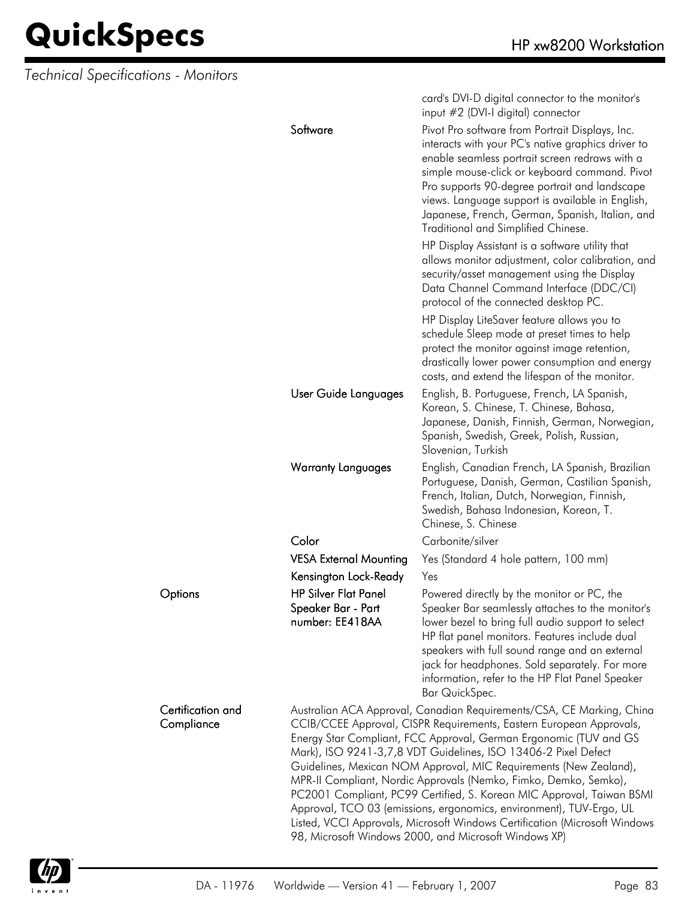*Technical Specifications - Monitors*

|                                 |                                                                      | card's DVI-D digital connector to the monitor's<br>input #2 (DVI-I digital) connector                                                                                                                                                                                                                                                                                                                                                                                                                                                                                                                                                                                                                               |
|---------------------------------|----------------------------------------------------------------------|---------------------------------------------------------------------------------------------------------------------------------------------------------------------------------------------------------------------------------------------------------------------------------------------------------------------------------------------------------------------------------------------------------------------------------------------------------------------------------------------------------------------------------------------------------------------------------------------------------------------------------------------------------------------------------------------------------------------|
|                                 | Software                                                             | Pivot Pro software from Portrait Displays, Inc.<br>interacts with your PC's native graphics driver to<br>enable seamless portrait screen redraws with a<br>simple mouse-click or keyboard command. Pivot<br>Pro supports 90-degree portrait and landscape<br>views. Language support is available in English,<br>Japanese, French, German, Spanish, Italian, and<br>Traditional and Simplified Chinese.                                                                                                                                                                                                                                                                                                             |
|                                 |                                                                      | HP Display Assistant is a software utility that<br>allows monitor adjustment, color calibration, and<br>security/asset management using the Display<br>Data Channel Command Interface (DDC/CI)<br>protocol of the connected desktop PC.                                                                                                                                                                                                                                                                                                                                                                                                                                                                             |
|                                 |                                                                      | HP Display LiteSaver feature allows you to<br>schedule Sleep mode at preset times to help<br>protect the monitor against image retention,<br>drastically lower power consumption and energy<br>costs, and extend the lifespan of the monitor.                                                                                                                                                                                                                                                                                                                                                                                                                                                                       |
|                                 | User Guide Languages                                                 | English, B. Portuguese, French, LA Spanish,<br>Korean, S. Chinese, T. Chinese, Bahasa,<br>Japanese, Danish, Finnish, German, Norwegian,<br>Spanish, Swedish, Greek, Polish, Russian,<br>Slovenian, Turkish                                                                                                                                                                                                                                                                                                                                                                                                                                                                                                          |
|                                 | <b>Warranty Languages</b>                                            | English, Canadian French, LA Spanish, Brazilian<br>Portuguese, Danish, German, Castilian Spanish,<br>French, Italian, Dutch, Norwegian, Finnish,<br>Swedish, Bahasa Indonesian, Korean, T.<br>Chinese, S. Chinese                                                                                                                                                                                                                                                                                                                                                                                                                                                                                                   |
|                                 | Color                                                                | Carbonite/silver                                                                                                                                                                                                                                                                                                                                                                                                                                                                                                                                                                                                                                                                                                    |
|                                 | <b>VESA External Mounting</b>                                        | Yes (Standard 4 hole pattern, 100 mm)                                                                                                                                                                                                                                                                                                                                                                                                                                                                                                                                                                                                                                                                               |
|                                 | Kensington Lock-Ready                                                | Yes                                                                                                                                                                                                                                                                                                                                                                                                                                                                                                                                                                                                                                                                                                                 |
| Options                         | <b>HP Silver Flat Panel</b><br>Speaker Bar - Part<br>number: EE418AA | Powered directly by the monitor or PC, the<br>Speaker Bar seamlessly attaches to the monitor's<br>lower bezel to bring full audio support to select<br>HP flat panel monitors. Features include dual<br>speakers with full sound range and an external<br>jack for headphones. Sold separately. For more<br>information, refer to the HP Flat Panel Speaker<br>Bar QuickSpec.                                                                                                                                                                                                                                                                                                                                       |
| Certification and<br>Compliance |                                                                      | Australian ACA Approval, Canadian Requirements/CSA, CE Marking, China<br>CCIB/CCEE Approval, CISPR Requirements, Eastern European Approvals,<br>Energy Star Compliant, FCC Approval, German Ergonomic (TUV and GS<br>Mark), ISO 9241-3,7,8 VDT Guidelines, ISO 13406-2 Pixel Defect<br>Guidelines, Mexican NOM Approval, MIC Requirements (New Zealand),<br>MPR-II Compliant, Nordic Approvals (Nemko, Fimko, Demko, Semko),<br>PC2001 Compliant, PC99 Certified, S. Korean MIC Approval, Taiwan BSMI<br>Approval, TCO 03 (emissions, ergonomics, environment), TUV-Ergo, UL<br>Listed, VCCI Approvals, Microsoft Windows Certification (Microsoft Windows<br>98, Microsoft Windows 2000, and Microsoft Windows XP) |